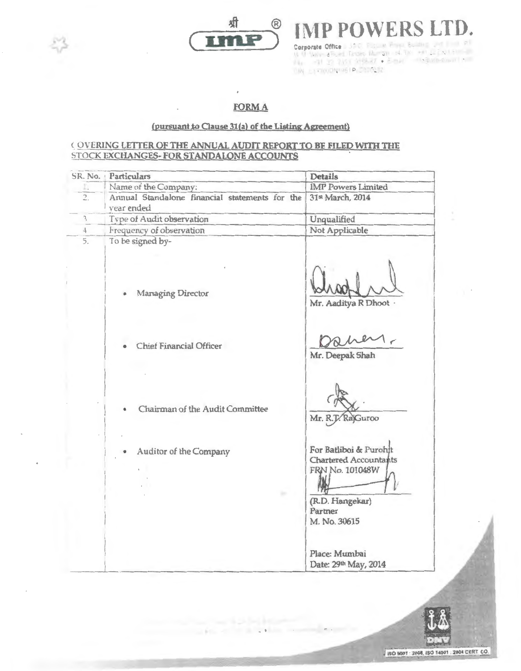

**IP POWERS LTL** 

Corporate Office : 35 C. F.; Let  $P = 6$ , 2011  $\pm$  11  $\pm$  12  $\pm$  12  $\pm$  12  $\pm$  12  $\pm$  12  $\pm$  12  $\pm$  12  $\pm$  12  $\pm$  12  $\pm$  12  $\pm$  12  $\pm$  12  $\pm$  12  $\pm$  12  $\pm$  12  $\pm$  12  $\pm$  12  $\pm$  12  $\pm$  12  $\pm$  12  $\pm$  12 TW EFFWODNINGIP 2314232

## FORM A

## (pursuant to Clause 31(a) of the Listing Agreement)

## OVERING LETTER OF THE ANNUAL AUDIT REPORT TO BE FILED WITH THE STOCK EXCHANGES- FOR STANDALONE ACCOUNTS

|                  | SR. No.   Particulars                                        | <b>Details</b>                                                                                                          |
|------------------|--------------------------------------------------------------|-------------------------------------------------------------------------------------------------------------------------|
| Ľ                | Name of the Company:                                         | <b>IMP</b> Powers Limited                                                                                               |
| $\frac{1}{2}$    | Annual Standalone financial statements for the<br>vear ended | 31st March, 2014                                                                                                        |
| 3                | Type of Audit observation                                    | Unqualified                                                                                                             |
| 4                | Frequency of observation                                     | Not Applicable                                                                                                          |
| $\overline{5}$ . | To be signed by-                                             |                                                                                                                         |
|                  | Managing Director                                            | Mr. Aaditya R Dhoot .                                                                                                   |
|                  | • Chief Financial Officer                                    | Mr. Deepak Shah                                                                                                         |
|                  | Chairman of the Audit Committee                              | Mr. R.T. RajGuroo                                                                                                       |
|                  | Auditor of the Company                                       | For Batliboi & Purohit<br><b>Chartered Accountants</b><br>FRN No. 101048W<br>(R.D. Hangekar)<br>Partner<br>M. No. 30615 |
|                  |                                                              | Place: Mumbai<br>Date: 29th May, 2014                                                                                   |

the company of the second and a state



y.

ISO 9001 : 2008, ISO 14001 : 2004 CERT CO.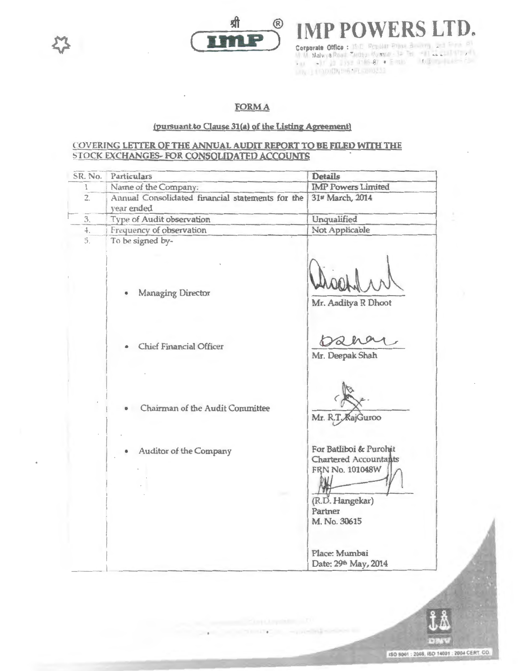

**EXAMPLE POWERS LTD.** "' :\ \_,:~'N' ~!-, ~, •• *r* J~. ~"

## FORMA

## $(pursuant.to Clause 31(a) of the Listing Agreement)$

## COVERING LEITER Of THE ANNUAL AUDIT REPORT TO BE fiLED WITH THE STOCK EXCHANGES- FOR CONSOLIDATED ACCOUNTS

| SR. No.          | Particulars                                                    | <b>Details</b>                                                                                                   |
|------------------|----------------------------------------------------------------|------------------------------------------------------------------------------------------------------------------|
| L                | Name of the Company:                                           | <b>IMP Powers Limited</b>                                                                                        |
| $\overline{2}$ . | Annual Consolidated financial statements for the<br>year ended | 31st March, 2014                                                                                                 |
| 3.               | Type of Audit observation                                      | Unqualified                                                                                                      |
| 4.               | Frequency of observation                                       | Not Applicable                                                                                                   |
| 5.               | To be signed by-                                               |                                                                                                                  |
|                  | <b>Managing Director</b><br>۰                                  | Mr. Aaditya R Dhoot                                                                                              |
|                  | Chief Financial Officer                                        | Osha<br>Mr. Deepak Shah                                                                                          |
|                  | Chairman of the Audit Committee                                | Mr. R.T. RajGuroo                                                                                                |
|                  | Auditor of the Company                                         | For Batliboi & Purohit<br>Chartered Accountants<br>FRN No. 101048W<br>(R.D. Hangekar)<br>Partner<br>M. No. 30615 |
|                  |                                                                | Place: Mumbai<br>Date: 29th May, 2014                                                                            |

and the most product of the con-

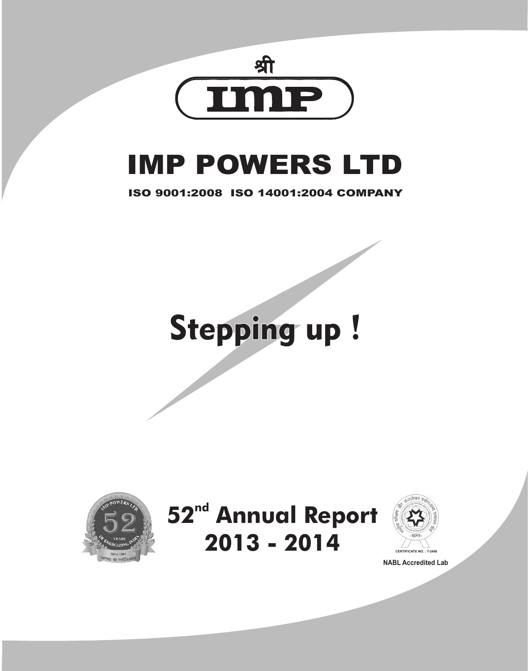

## **IMP POWERS LTD**

## **ISO 9001:2008 ISO 14001:2004 COMPANY**

# Stepping up!







**NABL Accredited Lab**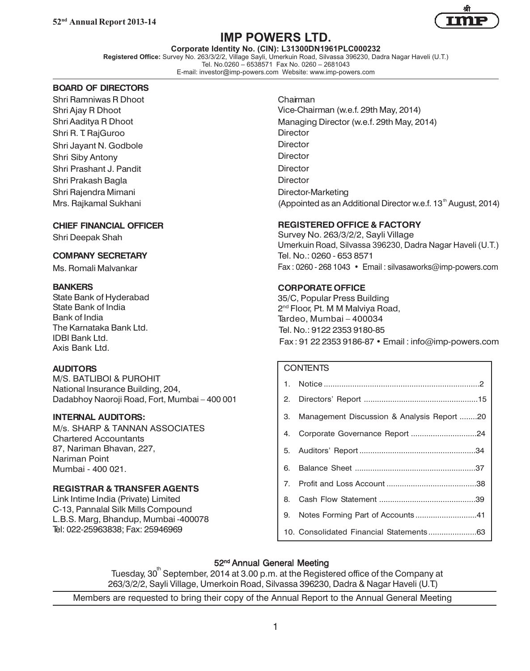

## **IMP POWERS LTD.**

**Corporate Identity No. (CIN): L31300DN1961PLC000232**

**Registered Office:** Survey No. 263/3/2/2, Village Sayli, Umerkuin Road, Silvassa 396230, Dadra Nagar Haveli (U.T.) Tel. No.0260 – 6538571 Fax No. 0260 – 2681043

E-mail: investor@imp-powers.com Website: www.imp-powers.com

## **BOARD OF DIRECTORS**

Shri Ramniwas R Dhoot Shri Ajay R Dhoot Shri Aaditya R Dhoot Shri Rajendra Mimani Mrs. Rajkamal Sukhani Shri R. T. RajGuroo Shri Prashant J. Pandit Shri Jayant N. Godbole Shri Siby Antony Shri Prakash Bagla

## **CHIEF FINANCIAL OFFICER**

Shri Deepak Shah

## **COMPANY SECRETARY**

Ms. Romali Malvankar

## **BANKERS**

State Bank of Hyderabad State Bank of India Bank of India The Karnataka Bank Ltd. IDBI Bank Ltd. Axis Bank Ltd.

## **AUDITORS**

M/S. BATLIBOI & PUROHIT National Insurance Building, 204, Dadabhoy Naoroji Road, Fort, Mumbai – 400 001

## **INTERNAL AUDITORS:**

M/s. SHARP & TANNAN ASSOCIATES Chartered Accountants 87, Nariman Bhavan, 227, Nariman Point Mumbai - 400 021.

#### **REGISTRAR & TRANSFER AGENTS**

Link Intime India (Private) Limited C-13, Pannalal Silk Mills Compound L.B.S. Marg, Bhandup, Mumbai -400078 Tel: 022-25963838; Fax: 25946969

#### Chairman

Vice-Chairman (w.e.f. 29th May, 2014) Managing Director (w.e.f. 29th May, 2014) Director-Marketing (Appointed as an Additional Director w.e.f.  $13<sup>th</sup>$  August, 2014) **Director Director Director Director** Director

## **REGISTERED OFFICE & FACTORY**

Survey No. 263/3/2/2, Sayli Village Umerkuin Road, Silvassa 396230, Dadra Nagar Haveli (U.T.) Tel. No.: 0260 - 653 8571 Fax : 0260 - 268 1043 • Email : silvasaworks@imp-powers.com

## **CORPORATE OFFICE**

35/C, Popular Press Building 2<sup>nd</sup> Floor, Pt. M M Malviya Road, Tardeo, Mumbai – 400034 Tel. No.: 9122 2353 9180-85 Fax : 91 22 2353 9186-87 • Email : info@imp-powers.com

## **CONTENTS**

| 3. Management Discussion & Analysis Report 20 |  |
|-----------------------------------------------|--|
| 4. Corporate Governance Report 24             |  |
|                                               |  |
|                                               |  |
|                                               |  |
|                                               |  |
| 9. Notes Forming Part of Accounts41           |  |
| 10. Consolidated Financial Statements63       |  |

## 52<sup>nd</sup> Annual General Meeting

Tuesday, 30<sup>th</sup> September, 2014 at 3.00 p.m. at the Registered office of the Company at 263/3/2/2, Sayli Village, Umerkoin Road, Silvassa 396230, Dadra & Nagar Haveli (U.T.)

Members are requested to bring their copy of the Annual Report to the Annual General Meeting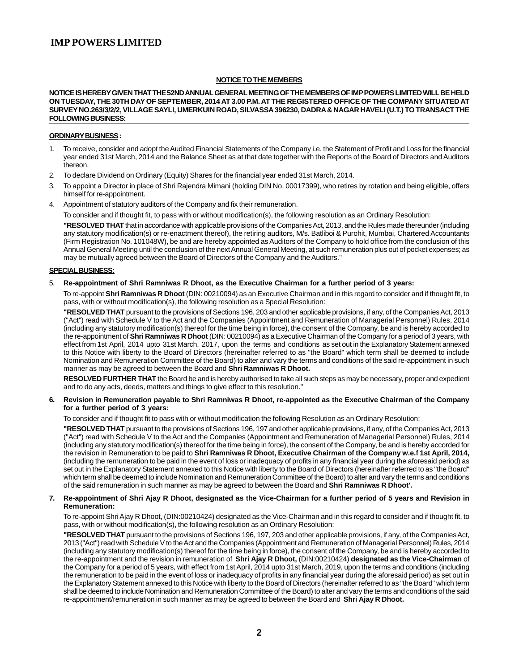#### **NOTICE TO THE MEMBERS**

**NOTICE IS HEREBY GIVEN THAT THE 52ND ANNUAL GENERAL MEETING OF THE MEMBERS OF IMP POWERS LIMITED WILL BE HELD ON TUESDAY, THE 30TH DAY OF SEPTEMBER, 2014 AT 3.00 P.M. AT THE REGISTERED OFFICE OF THE COMPANY SITUATED AT SURVEY NO.263/3/2/2, VILLAGE SAYLI, UMERKUIN ROAD, SILVASSA 396230, DADRA & NAGAR HAVELI (U.T.) TO TRANSACT THE FOLLOWING BUSINESS:**

#### **ORDINARY BUSINESS :**

- 1. To receive, consider and adopt the Audited Financial Statements of the Company i.e. the Statement of Profit and Loss for the financial year ended 31st March, 2014 and the Balance Sheet as at that date together with the Reports of the Board of Directors and Auditors thereon.
- 2. To declare Dividend on Ordinary (Equity) Shares for the financial year ended 31st March, 2014.
- 3. To appoint a Director in place of Shri Rajendra Mimani (holding DIN No. 00017399), who retires by rotation and being eligible, offers himself for re-appointment.
- 4. Appointment of statutory auditors of the Company and fix their remuneration.

To consider and if thought fit, to pass with or without modification(s), the following resolution as an Ordinary Resolution:

**"RESOLVED THAT** that in accordance with applicable provisions of the Companies Act, 2013, and the Rules made thereunder (including any statutory modification(s) or re-enactment thereof), the retiring auditors, M/s. Batliboi & Purohit, Mumbai, Chartered Accountants (Firm Registration No. 101048W), be and are hereby appointed as Auditors of the Company to hold office from the conclusion of this Annual General Meeting until the conclusion of the next Annual General Meeting, at such remuneration plus out of pocket expenses; as may be mutually agreed between the Board of Directors of the Company and the Auditors."

#### **SPECIAL BUSINESS:**

#### 5. **Re-appointment of Shri Ramniwas R Dhoot, as the Executive Chairman for a further period of 3 years:**

To re-appoint **Shri Ramniwas R Dhoot** (DIN: 00210094) as an Executive Chairman and in this regard to consider and if thought fit, to pass, with or without modification(s), the following resolution as a Special Resolution:

**"RESOLVED THAT** pursuant to the provisions of Sections 196, 203 and other applicable provisions, if any, of the Companies Act, 2013 (''Act") read with Schedule V to the Act and the Companies (Appointment and Remuneration of Managerial Personnel) Rules, 2014 (including any statutory modification(s) thereof for the time being in force), the consent of the Company, be and is hereby accorded to the re-appointment of **Shri Ramniwas R Dhoot** (DIN: 00210094) as a Executive Chairman of the Company for a period of 3 years, with effect from 1st April, 2014 upto 31st March, 2017, upon the terms and conditions as set out in the Explanatory Statement annexed to this Notice with liberty to the Board of Directors (hereinafter referred to as "the Board" which term shall be deemed to include Nomination and Remuneration Committee of the Board) to alter and vary the terms and conditions of the said re-appointment in such manner as may be agreed to between the Board and **Shri Ramniwas R Dhoot.**

**RESOLVED FURTHER THAT** the Board be and is hereby authorised to take all such steps as may be necessary, proper and expedient and to do any acts, deeds, matters and things to give effect to this resolution."

#### **6. Revision in Remuneration payable to Shri Ramniwas R Dhoot, re-appointed as the Executive Chairman of the Company for a further period of 3 years:**

To consider and if thought fit to pass with or without modification the following Resolution as an Ordinary Resolution:

**"RESOLVED THAT** pursuant to the provisions of Sections 196, 197 and other applicable provisions, if any, of the Companies Act, 2013 (''Act") read with Schedule V to the Act and the Companies (Appointment and Remuneration of Managerial Personnel) Rules, 2014 (including any statutory modification(s) thereof for the time being in force), the consent of the Company, be and is hereby accorded for the revision in Remuneration to be paid to **Shri Ramniwas R Dhoot, Executive Chairman of the Company w.e.f 1st April, 2014,** (including the remuneration to be paid in the event of loss or inadequacy of profits in any financial year during the aforesaid period) as set out in the Explanatory Statement annexed to this Notice with liberty to the Board of Directors (hereinafter referred to as "the Board" which term shall be deemed to include Nomination and Remuneration Committee of the Board) to alter and vary the terms and conditions of the said remuneration in such manner as may be agreed to between the Board and **Shri Ramniwas R Dhoot'.**

#### **7. Re-appointment of Shri Ajay R Dhoot, designated as the Vice-Chairman for a further period of 5 years and Revision in Remuneration:**

To re-appoint Shri Ajay R Dhoot, (DIN:00210424) designated as the Vice-Chairman and in this regard to consider and if thought fit, to pass, with or without modification(s), the following resolution as an Ordinary Resolution:

**"RESOLVED THAT** pursuant to the provisions of Sections 196, 197, 203 and other applicable provisions, if any, of the Companies Act, 2013 (''Act") read with Schedule V to the Act and the Companies (Appointment and Remuneration of Managerial Personnel) Rules, 2014 (including any statutory modification(s) thereof for the time being in force), the consent of the Company, be and is hereby accorded to the re-appointment and the revision in remuneration of **Shri Ajay R Dhoot,** (DIN:00210424) **designated as the Vice-Chairman** of the Company for a period of 5 years, with effect from 1st April, 2014 upto 31st March, 2019, upon the terms and conditions (including the remuneration to be paid in the event of loss or inadequacy of profits in any financial year during the aforesaid period) as set out in the Explanatory Statement annexed to this Notice with liberty to the Board of Directors (hereinafter referred to as "the Board" which term shall be deemed to include Nomination and Remuneration Committee of the Board) to alter and vary the terms and conditions of the said re-appointment/remuneration in such manner as may be agreed to between the Board and **Shri Ajay R Dhoot.**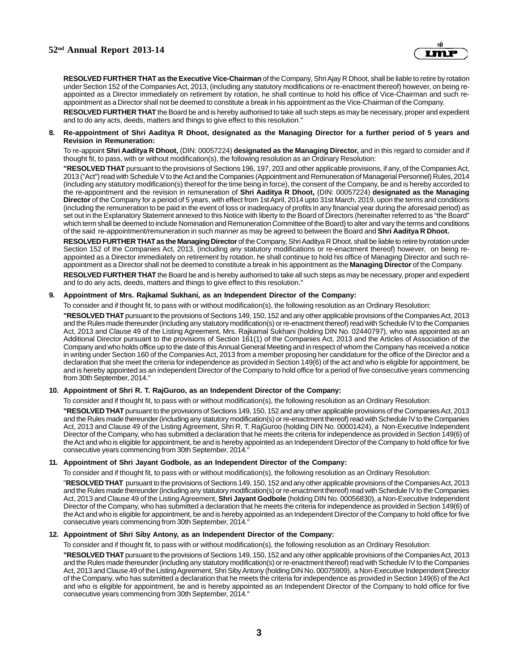

**RESOLVED FURTHER THAT as the Executive Vice-Chairman** of the Company, Shri Ajay R Dhoot, shall be liable to retire by rotation under Section 152 of the Companies Act, 2013, (including any statutory modifications or re-enactment thereof) however, on being reappointed as a Director immediately on retirement by rotation, he shall continue to hold his office of Vice-Chairman and such reappointment as a Director shall not be deemed to constitute a break in his appointment as the Vice-Chairman of the Company.

**RESOLVED FURTHER THAT** the Board be and is hereby authorised to take all such steps as may be necessary, proper and expedient and to do any acts, deeds, matters and things to give effect to this resolution."

#### **8. Re-appointment of Shri Aaditya R Dhoot, designated as the Managing Director for a further period of 5 years and Revision in Remuneration:**

To re-appoint **Shri Aaditya R Dhoot,** (DIN: 00057224) **designated as the Managing Director,** and in this regard to consider and if thought fit, to pass, with or without modification(s), the following resolution as an Ordinary Resolution:

**"RESOLVED THAT** pursuant to the provisions of Sections 196, 197, 203 and other applicable provisions, if any, of the Companies Act, 2013 (''Act") read with Schedule V to the Act and the Companies (Appointment and Remuneration of Managerial Personnel) Rules, 2014 (including any statutory modification(s) thereof for the time being in force), the consent of the Company, be and is hereby accorded to the re-appointment and the revision in remuneration of **Shri Aaditya R Dhoot,** (DIN: 00057224) **designated as the Managing Director** of the Company for a period of 5 years, with effect from 1st April, 2014 upto 31st March, 2019, upon the terms and conditions (including the remuneration to be paid in the event of loss or inadequacy of profits in any financial year during the aforesaid period) as set out in the Explanatory Statement annexed to this Notice with liberty to the Board of Directors (hereinafter referred to as "the Board" which term shall be deemed to include Nomination and Remuneration Committee of the Board) to alter and vary the terms and conditions of the said re-appointment/remuneration in such manner as may be agreed to between the Board and **Shri Aaditya R Dhoot.**

**RESOLVED FURTHER THAT as the Managing Director** of the Company, Shri Aaditya R Dhoot, shall be liable to retire by rotation under Section 152 of the Companies Act, 2013, (including any statutory modifications or re-enactment thereof) however, on being reappointed as a Director immediately on retirement by rotation, he shall continue to hold his office of Managing Director and such reappointment as a Director shall not be deemed to constitute a break in his appointment as the **Managing Director** of the Company.

**RESOLVED FURTHER THAT** the Board be and is hereby authorised to take all such steps as may be necessary, proper and expedient and to do any acts, deeds, matters and things to give effect to this resolution."

#### **9. Appointment of Mrs. Rajkamal Sukhani, as an Independent Director of the Company:**

To consider and if thought fit, to pass with or without modification(s), the following resolution as an Ordinary Resolution:

**"RESOLVED THAT** pursuant to the provisions of Sections 149, 150, 152 and any other applicable provisions of the Companies Act, 2013 and the Rules made thereunder (including any statutory modification(s) or re-enactment thereof) read with Schedule IV to the Companies Act, 2013 and Clause 49 of the Listing Agreement, Mrs. Rajkamal Sukhani (holding DIN No. 02440797), who was appointed as an Additional Director pursuant to the provisions of Section 161(1) of the Companies Act, 2013 and the Articles of Association of the Company and who holds office up to the date of this Annual General Meeting and in respect of whom the Company has received a notice in writing under Section 160 of the Companies Act, 2013 from a member proposing her candidature for the office of the Director and a declaration that she meet the criteria for independence as provided in Section 149(6) of the act and who is eligible for appointment, be and is hereby appointed as an independent Director of the Company to hold office for a period of five consecutive years commencing from 30th September, 2014."

#### **10. Appointment of Shri R. T. RajGuroo, as an Independent Director of the Company:**

To consider and if thought fit, to pass with or without modification(s), the following resolution as an Ordinary Resolution:

**"RESOLVED THAT** pursuant to the provisions of Sections 149, 150, 152 and any other applicable provisions of the Companies Act, 2013 and the Rules made thereunder (including any statutory modification(s) or re-enactment thereof) read with Schedule IV to the Companies Act, 2013 and Clause 49 of the Listing Agreement, Shri R. T. RajGuroo (holding DIN No. 00001424), a Non-Executive Independent Director of the Company, who has submitted a declaration that he meets the criteria for independence as provided in Section 149(6) of the Act and who is eligible for appointment, be and is hereby appointed as an Independent Director of the Company to hold office for five consecutive years commencing from 30th September, 2014."

#### **11. Appointment of Shri Jayant Godbole, as an Independent Director of the Company:**

To consider and if thought fit, to pass with or without modification(s), the following resolution as an Ordinary Resolution:

"**RESOLVED THAT** pursuant to the provisions of Sections 149, 150, 152 and any other applicable provisions of the Companies Act, 2013 and the Rules made thereunder (including any statutory modification(s) or re-enactment thereof) read with Schedule IV to the Companies Act, 2013 and Clause 49 of the Listing Agreement, **Shri Jayant Godbole** (holding DIN No. 00056830), a Non-Executive Independent Director of the Company, who has submitted a declaration that he meets the criteria for independence as provided in Section 149(6) of the Act and who is eligible for appointment, be and is hereby appointed as an Independent Director of the Company to hold office for five consecutive years commencing from 30th September, 2014."

#### **12. Appointment of Shri Siby Antony, as an Independent Director of the Company:**

To consider and if thought fit, to pass with or without modification(s), the following resolution as an Ordinary Resolution:

**"RESOLVED THAT** pursuant to the provisions of Sections 149, 150, 152 and any other applicable provisions of the Companies Act, 2013 and the Rules made thereunder (including any statutory modification(s) or re-enactment thereof) read with Schedule IV to the Companies Act, 2013 and Clause 49 of the Listing Agreement, Shri Siby Antony (holding DIN No. 00075909), a Non-Executive Independent Director of the Company, who has submitted a declaration that he meets the criteria for independence as provided in Section 149(6) of the Act and who is eligible for appointment, be and is hereby appointed as an Independent Director of the Company to hold office for five consecutive years commencing from 30th September, 2014."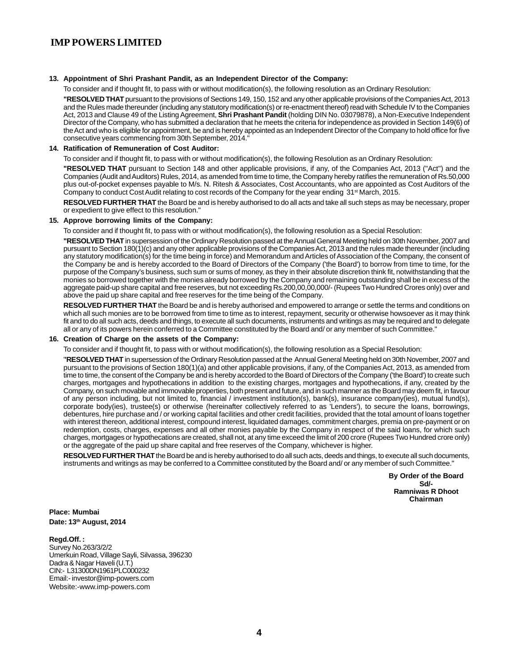#### **13. Appointment of Shri Prashant Pandit, as an Independent Director of the Company:**

To consider and if thought fit, to pass with or without modification(s), the following resolution as an Ordinary Resolution:

**"RESOLVED THAT** pursuant to the provisions of Sections 149, 150, 152 and any other applicable provisions of the Companies Act, 2013 and the Rules made thereunder (including any statutory modification(s) or re-enactment thereof) read with Schedule IV to the Companies Act, 2013 and Clause 49 of the Listing Agreement, **Shri Prashant Pandit** (holding DIN No. 03079878), a Non-Executive Independent Director of the Company, who has submitted a declaration that he meets the criteria for independence as provided in Section 149(6) of the Act and who is eligible for appointment, be and is hereby appointed as an Independent Director of the Company to hold office for five consecutive years commencing from 30th September, 2014."

#### **14. Ratification of Remuneration of Cost Auditor:**

To consider and if thought fit, to pass with or without modification(s), the following Resolution as an Ordinary Resolution:

**"RESOLVED THAT** pursuant to Section 148 and other applicable provisions, if any, of the Companies Act, 2013 (''Act'') and the Companies (Audit and Auditors) Rules, 2014, as amended from time to time, the Company hereby ratifies the remuneration of Rs.50,000 plus out-of-pocket expenses payable to M/s. N. Ritesh & Associates, Cost Accountants, who are appointed as Cost Auditors of the Company to conduct Cost Audit relating to cost records of the Company for the year ending 31<sup>st</sup> March, 2015.

**RESOLVED FURTHER THAT** the Board be and is hereby authorised to do all acts and take all such steps as may be necessary, proper or expedient to give effect to this resolution."

#### **15. Approve borrowing limits of the Company:**

To consider and if thought fit, to pass with or without modification(s), the following resolution as a Special Resolution:

**"RESOLVED THAT** in supersession of the Ordinary Resolution passed at the Annual General Meeting held on 30th November, 2007 and pursuant to Section 180(1)(c) and any other applicable provisions of the Companies Act, 2013 and the rules made thereunder (including any statutory modification(s) for the time being in force) and Memorandum and Articles of Association of the Company, the consent of the Company be and is hereby accorded to the Board of Directors of the Company ('the Board') to borrow from time to time, for the purpose of the Company's business, such sum or sums of money, as they in their absolute discretion think fit, notwithstanding that the monies so borrowed together with the monies already borrowed by the Company and remaining outstanding shall be in excess of the aggregate paid-up share capital and free reserves, but not exceeding Rs.200,00,00,000/- (Rupees Two Hundred Crores only) over and above the paid up share capital and free reserves for the time being of the Company.

**RESOLVED FURTHER THAT** the Board be and is hereby authorised and empowered to arrange or settle the terms and conditions on which all such monies are to be borrowed from time to time as to interest, repayment, security or otherwise howsoever as it may think fit and to do all such acts, deeds and things, to execute all such documents, instruments and writings as may be required and to delegate all or any of its powers herein conferred to a Committee constituted by the Board and/ or any member of such Committee."

#### **16. Creation of Charge on the assets of the Company:**

To consider and if thought fit, to pass with or without modification(s), the following resolution as a Special Resolution:

'**'RESOLVED THAT** in supersession of the Ordinary Resolution passed at the Annual General Meeting held on 30th November, 2007 and pursuant to the provisions of Section 180(1)(a) and other applicable provisions, if any, of the Companies Act, 2013, as amended from time to time, the consent of the Company be and is hereby accorded to the Board of Directors of the Company ('the Board') to create such charges, mortgages and hypothecations in addition to the existing charges, mortgages and hypothecations, if any, created by the Company, on such movable and immovable properties, both present and future, and in such manner as the Board may deem fit, in favour of any person including, but not limited to, financial / investment institution(s), bank(s), insurance company(ies), mutual fund(s), corporate body(ies), trustee(s) or otherwise (hereinafter collectively referred to as 'Lenders'), to secure the loans, borrowings, debentures, hire purchase and / or working capital facilities and other credit facilities, provided that the total amount of loans together with interest thereon, additional interest, compound interest, liquidated damages, commitment charges, premia on pre-payment or on redemption, costs, charges, expenses and all other monies payable by the Company in respect of the said loans, for which such charges, mortgages or hypothecations are created, shall not, at any time exceed the limit of 200 crore (Rupees Two Hundred crore only) or the aggregate of the paid up share capital and free reserves of the Company, whichever is higher.

**RESOLVED FURTHER THAT** the Board be and is hereby authorised to do all such acts, deeds and things, to execute all such documents, instruments and writings as may be conferred to a Committee constituted by the Board and/ or any member of such Committee."

> **By Order of the Board Sd/- Ramniwas R Dhoot Chairman**

**Place: Mumbai Date: 13th August, 2014**

#### **Regd.Off. :**

Survey No.263/3/2/2 Umerkuin Road, Village Sayli, Silvassa, 396230 Dadra & Nagar Haveli (U.T.) CIN:- L31300DN1961PLC000232 Email:- investor@imp-powers.com Website:-www.imp-powers.com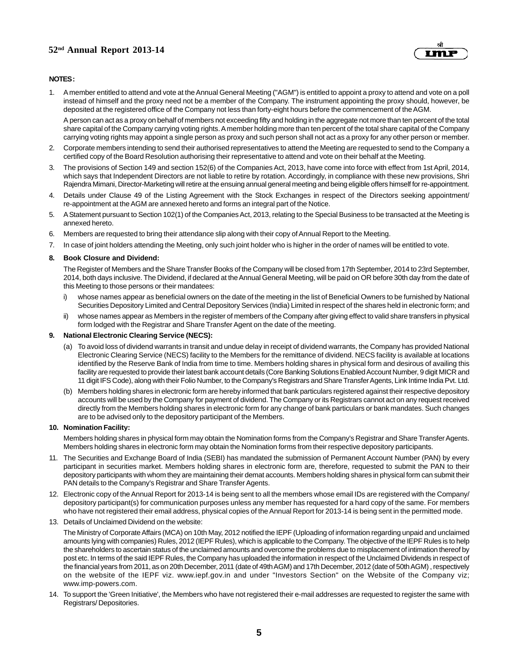

#### **NOTES :**

1. A member entitled to attend and vote at the Annual General Meeting ("AGM") is entitled to appoint a proxy to attend and vote on a poll instead of himself and the proxy need not be a member of the Company. The instrument appointing the proxy should, however, be deposited at the registered office of the Company not less than forty-eight hours before the commencement of the AGM.

A person can act as a proxy on behalf of members not exceeding fifty and holding in the aggregate not more than ten percent of the total share capital of the Company carrying voting rights. A member holding more than ten percent of the total share capital of the Company carrying voting rights may appoint a single person as proxy and such person shall not act as a proxy for any other person or member.

- 2. Corporate members intending to send their authorised representatives to attend the Meeting are requested to send to the Company a certified copy of the Board Resolution authorising their representative to attend and vote on their behalf at the Meeting.
- 3. The provisions of Section 149 and section 152(6) of the Companies Act, 2013, have come into force with effect from 1st April, 2014, which says that Independent Directors are not liable to retire by rotation. Accordingly, in compliance with these new provisions, Shri Rajendra Mimani, Director-Marketing will retire at the ensuing annual general meeting and being eligible offers himself for re-appointment.
- 4. Details under Clause 49 of the Listing Agreement with the Stock Exchanges in respect of the Directors seeking appointment/ re-appointment at the AGM are annexed hereto and forms an integral part of the Notice.
- 5. A Statement pursuant to Section 102(1) of the Companies Act, 2013, relating to the Special Business to be transacted at the Meeting is annexed hereto.
- 6. Members are requested to bring their attendance slip along with their copy of Annual Report to the Meeting.
- 7. In case of joint holders attending the Meeting, only such joint holder who is higher in the order of names will be entitled to vote.

#### **8. Book Closure and Dividend:**

The Register of Members and the Share Transfer Books of the Company will be closed from 17th September, 2014 to 23rd September, 2014, both days inclusive. The Dividend, if declared at the Annual General Meeting, will be paid on OR before 30th day from the date of this Meeting to those persons or their mandatees:

- i) whose names appear as beneficial owners on the date of the meeting in the list of Beneficial Owners to be furnished by National Securities Depository Limited and Central Depository Services (India) Limited in respect of the shares held in electronic form; and
- ii) whose names appear as Members in the register of members of the Company after giving effect to valid share transfers in physical form lodged with the Registrar and Share Transfer Agent on the date of the meeting.

#### **9. National Electronic Clearing Service (NECS):**

- (a) To avoid loss of dividend warrants in transit and undue delay in receipt of dividend warrants, the Company has provided National Electronic Clearing Service (NECS) facility to the Members for the remittance of dividend. NECS facility is available at locations identified by the Reserve Bank of India from time to time. Members holding shares in physical form and desirous of availing this facility are requested to provide their latest bank account details (Core Banking Solutions Enabled Account Number, 9 digit MICR and 11 digit IFS Code), along with their Folio Number, to the Company's Registrars and Share Transfer Agents, Link Intime India Pvt. Ltd.
- (b) Members holding shares in electronic form are hereby informed that bank particulars registered against their respective depository accounts will be used by the Company for payment of dividend. The Company or its Registrars cannot act on any request received directly from the Members holding shares in electronic form for any change of bank particulars or bank mandates. Such changes are to be advised only to the depository participant of the Members.

#### **10. Nomination Facility:**

Members holding shares in physical form may obtain the Nomination forms from the Company's Registrar and Share Transfer Agents. Members holding shares in electronic form may obtain the Nomination forms from their respective depository participants.

- 11. The Securities and Exchange Board of India (SEBI) has mandated the submission of Permanent Account Number (PAN) by every participant in securities market. Members holding shares in electronic form are, therefore, requested to submit the PAN to their depository participants with whom they are maintaining their demat accounts. Members holding shares in physical form can submit their PAN details to the Company's Registrar and Share Transfer Agents.
- 12. Electronic copy of the Annual Report for 2013-14 is being sent to all the members whose email IDs are registered with the Company/ depository participant(s) for communication purposes unless any member has requested for a hard copy of the same. For members who have not registered their email address, physical copies of the Annual Report for 2013-14 is being sent in the permitted mode.
- 13. Details of Unclaimed Dividend on the website:

The Ministry of Corporate Affairs (MCA) on 10th May, 2012 notified the IEPF (Uploading of information regarding unpaid and unclaimed amounts lying with companies) Rules, 2012 (IEPF Rules), which is applicable to the Company. The objective of the IEPF Rules is to help the shareholders to ascertain status of the unclaimed amounts and overcome the problems due to misplacement of intimation thereof by post etc. In terms of the said IEPF Rules, the Company has uploaded the information in respect of the Unclaimed Dividends in respect of the financial years from 2011, as on 20th December, 2011 (date of 49th AGM) and 17th December, 2012 (date of 50th AGM) , respectively on the website of the IEPF viz. www.iepf.gov.in and under "Investors Section" on the Website of the Company viz; www.imp-powers.com.

14. To support the 'Green Initiative', the Members who have not registered their e-mail addresses are requested to register the same with Registrars/ Depositories.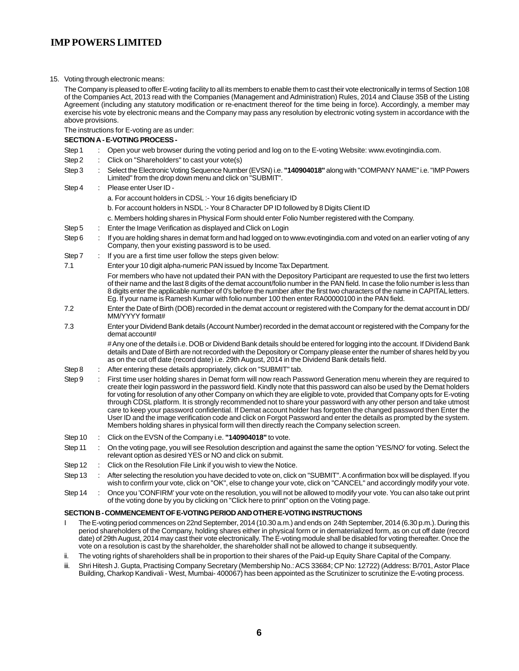15. Voting through electronic means:

The Company is pleased to offer E-voting facility to all its members to enable them to cast their vote electronically in terms of Section 108 of the Companies Act, 2013 read with the Companies (Management and Administration) Rules, 2014 and Clause 35B of the Listing Agreement (including any statutory modification or re-enactment thereof for the time being in force). Accordingly, a member may exercise his vote by electronic means and the Company may pass any resolution by electronic voting system in accordance with the above provisions.

The instructions for E-voting are as under:

## SECTION A E-VOTING PROCESS

|         | SECTION A - E-VOTING FROCESS -                                                                                                                                                                                                                                                                                                                                                                                                                                                                                                                                                                                                                                                                                                                                                                                                                    |
|---------|---------------------------------------------------------------------------------------------------------------------------------------------------------------------------------------------------------------------------------------------------------------------------------------------------------------------------------------------------------------------------------------------------------------------------------------------------------------------------------------------------------------------------------------------------------------------------------------------------------------------------------------------------------------------------------------------------------------------------------------------------------------------------------------------------------------------------------------------------|
| Step 1  | Open your web browser during the voting period and log on to the E-voting Website: www.evotingindia.com.                                                                                                                                                                                                                                                                                                                                                                                                                                                                                                                                                                                                                                                                                                                                          |
| Step 2  | Click on "Shareholders" to cast your vote(s)                                                                                                                                                                                                                                                                                                                                                                                                                                                                                                                                                                                                                                                                                                                                                                                                      |
| Step 3  | Select the Electronic Voting Sequence Number (EVSN) i.e. "140904018" along with "COMPANY NAME" i.e. "IMP Powers<br>Limited" from the drop down menu and click on "SUBMIT".                                                                                                                                                                                                                                                                                                                                                                                                                                                                                                                                                                                                                                                                        |
| Step 4  | Please enter User ID -                                                                                                                                                                                                                                                                                                                                                                                                                                                                                                                                                                                                                                                                                                                                                                                                                            |
|         | a. For account holders in CDSL: - Your 16 digits beneficiary ID                                                                                                                                                                                                                                                                                                                                                                                                                                                                                                                                                                                                                                                                                                                                                                                   |
|         | b. For account holders in NSDL:- Your 8 Character DP ID followed by 8 Digits Client ID                                                                                                                                                                                                                                                                                                                                                                                                                                                                                                                                                                                                                                                                                                                                                            |
|         | c. Members holding shares in Physical Form should enter Folio Number registered with the Company.                                                                                                                                                                                                                                                                                                                                                                                                                                                                                                                                                                                                                                                                                                                                                 |
| Step 5  | Enter the Image Verification as displayed and Click on Login                                                                                                                                                                                                                                                                                                                                                                                                                                                                                                                                                                                                                                                                                                                                                                                      |
| Step 6  | If you are holding shares in demat form and had logged on to www.evotingindia.com and voted on an earlier voting of any<br>Company, then your existing password is to be used.                                                                                                                                                                                                                                                                                                                                                                                                                                                                                                                                                                                                                                                                    |
| Step 7  | If you are a first time user follow the steps given below:                                                                                                                                                                                                                                                                                                                                                                                                                                                                                                                                                                                                                                                                                                                                                                                        |
| 7.1     | Enter your 10 digit alpha-numeric PAN issued by Income Tax Department.                                                                                                                                                                                                                                                                                                                                                                                                                                                                                                                                                                                                                                                                                                                                                                            |
|         | For members who have not updated their PAN with the Depository Participant are requested to use the first two letters<br>of their name and the last 8 digits of the demat account/folio number in the PAN field. In case the folio number is less than<br>8 digits enter the applicable number of 0's before the number after the first two characters of the name in CAPITAL letters.<br>Eq. If your name is Ramesh Kumar with folio number 100 then enter RA00000100 in the PAN field.                                                                                                                                                                                                                                                                                                                                                          |
| 7.2     | Enter the Date of Birth (DOB) recorded in the demat account or registered with the Company for the demat account in DD/<br>MM/YYYY format#                                                                                                                                                                                                                                                                                                                                                                                                                                                                                                                                                                                                                                                                                                        |
| 7.3     | Enter your Dividend Bank details (Account Number) recorded in the demat account or registered with the Company for the<br>demat account#                                                                                                                                                                                                                                                                                                                                                                                                                                                                                                                                                                                                                                                                                                          |
|         | # Any one of the details i.e. DOB or Dividend Bank details should be entered for logging into the account. If Dividend Bank<br>details and Date of Birth are not recorded with the Depository or Company please enter the number of shares held by you<br>as on the cut off date (record date) i.e. 29th August, 2014 in the Dividend Bank details field.                                                                                                                                                                                                                                                                                                                                                                                                                                                                                         |
| Step 8  | After entering these details appropriately, click on "SUBMIT" tab.                                                                                                                                                                                                                                                                                                                                                                                                                                                                                                                                                                                                                                                                                                                                                                                |
| Step 9  | First time user holding shares in Demat form will now reach Password Generation menu wherein they are required to<br>create their login password in the password field. Kindly note that this password can also be used by the Demat holders<br>for voting for resolution of any other Company on which they are eligible to vote, provided that Company opts for E-voting<br>through CDSL platform. It is strongly recommended not to share your password with any other person and take utmost<br>care to keep your password confidential. If Demat account holder has forgotten the changed password then Enter the<br>User ID and the image verification code and click on Forgot Password and enter the details as prompted by the system.<br>Members holding shares in physical form will then directly reach the Company selection screen. |
| Step 10 | Click on the EVSN of the Company i.e. "140904018" to vote.                                                                                                                                                                                                                                                                                                                                                                                                                                                                                                                                                                                                                                                                                                                                                                                        |
| Step 11 | On the voting page, you will see Resolution description and against the same the option 'YES/NO' for voting. Select the<br>relevant option as desired YES or NO and click on submit.                                                                                                                                                                                                                                                                                                                                                                                                                                                                                                                                                                                                                                                              |

Step 12 : Click on the Resolution File Link if you wish to view the Notice.

Step 13 : After selecting the resolution you have decided to vote on, click on "SUBMIT". A confirmation box will be displayed. If you wish to confirm your vote, click on "OK", else to change your vote, click on "CANCEL" and accordingly modify your vote.

Step 14 : Once you 'CONFIRM' your vote on the resolution, you will not be allowed to modify your vote. You can also take out print of the voting done by you by clicking on "Click here to print" option on the Voting page.

#### **SECTION B - COMMENCEMENT OF E-VOTING PERIOD AND OTHER E-VOTING INSTRUCTIONS**

- I The E-voting period commences on 22nd September, 2014 (10.30 a.m.) and ends on 24th September, 2014 (6.30 p.m.). During this period shareholders of the Company, holding shares either in physical form or in dematerialized form, as on cut off date (record date) of 29th August, 2014 may cast their vote electronically. The E-voting module shall be disabled for voting thereafter. Once the vote on a resolution is cast by the shareholder, the shareholder shall not be allowed to change it subsequently.
- ii. The voting rights of shareholders shall be in proportion to their shares of the Paid-up Equity Share Capital of the Company.
- iii. Shri Hitesh J. Gupta, Practising Company Secretary (Membership No.: ACS 33684; CP No: 12722) (Address: B/701, Astor Place Building, Charkop Kandivali - West, Mumbai- 400067) has been appointed as the Scrutinizer to scrutinize the E-voting process.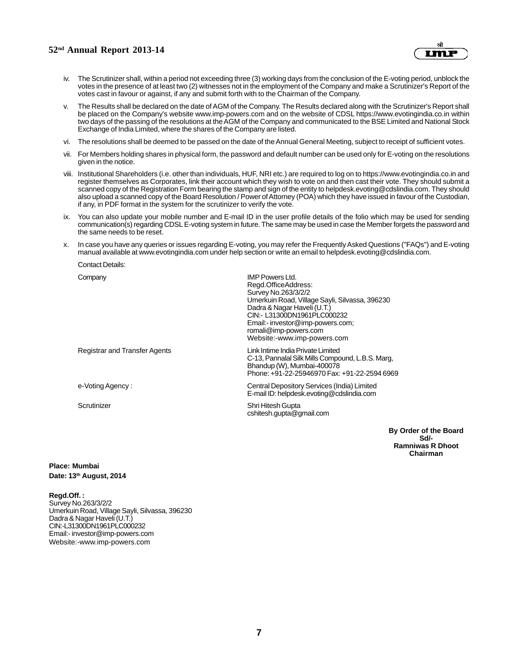Contact Details:



- iv. The Scrutinizer shall, within a period not exceeding three (3) working days from the conclusion of the E-voting period, unblock the votes in the presence of at least two (2) witnesses not in the employment of the Company and make a Scrutinizer's Report of the votes cast in favour or against, if any and submit forth with to the Chairman of the Company.
- v. The Results shall be declared on the date of AGM of the Company. The Results declared along with the Scrutinizer's Report shall be placed on the Company's website www.imp-powers.com and on the website of CDSL https://www.evotingindia.co.in within two days of the passing of the resolutions at the AGM of the Company and communicated to the BSE Limited and National Stock Exchange of India Limited, where the shares of the Company are listed.
- vi. The resolutions shall be deemed to be passed on the date of the Annual General Meeting, subject to receipt of sufficient votes.
- vii. For Members holding shares in physical form, the password and default number can be used only for E-voting on the resolutions given in the notice.
- viii. Institutional Shareholders (i.e. other than individuals, HUF, NRI etc.) are required to log on to https://www.evotingindia.co.in and register themselves as Corporates, link their account which they wish to vote on and then cast their vote. They should submit a scanned copy of the Registration Form bearing the stamp and sign of the entity to helpdesk.evoting@cdslindia.com. They should also upload a scanned copy of the Board Resolution / Power of Attorney (POA) which they have issued in favour of the Custodian, if any, in PDF format in the system for the scrutinizer to verify the vote.
- ix. You can also update your mobile number and E-mail ID in the user profile details of the folio which may be used for sending communication(s) regarding CDSL E-voting system in future. The same may be used in case the Member forgets the password and the same needs to be reset.
- x. In case you have any queries or issues regarding E-voting, you may refer the Frequently Asked Questions ("FAQs") and E-voting manual available at www.evotingindia.com under help section or write an email to helpdesk.evoting@cdslindia.com.

| <b>IMP Powers Ltd.</b><br>Company<br>Regd.OfficeAddress:<br>Survey No.263/3/2/2<br>Umerkuin Road, Village Sayli, Silvassa, 396230<br>Dadra & Nagar Haveli (U.T.)<br>CIN:- L31300DN1961PLC000232<br>Email:- investor@imp-powers.com;<br>romali@imp-powers.com<br>Website:-www.imp-powers.com<br><b>Registrar and Transfer Agents</b><br>Link Intime India Private Limited<br>C-13, Pannalal Silk Mills Compound, L.B.S. Marg.<br>Bhandup (W), Mumbai-400078<br>Phone: +91-22-25946970 Fax: +91-22-2594 6969<br>e-Voting Agency:<br>Central Depository Services (India) Limited<br>E-mail ID: helpdesk.evoting@cdslindia.com<br>Scrutinizer<br>Shri Hitesh Gupta<br>cshitesh.qupta@gmail.com |  |
|--------------------------------------------------------------------------------------------------------------------------------------------------------------------------------------------------------------------------------------------------------------------------------------------------------------------------------------------------------------------------------------------------------------------------------------------------------------------------------------------------------------------------------------------------------------------------------------------------------------------------------------------------------------------------------------------|--|
|                                                                                                                                                                                                                                                                                                                                                                                                                                                                                                                                                                                                                                                                                            |  |
|                                                                                                                                                                                                                                                                                                                                                                                                                                                                                                                                                                                                                                                                                            |  |
|                                                                                                                                                                                                                                                                                                                                                                                                                                                                                                                                                                                                                                                                                            |  |
|                                                                                                                                                                                                                                                                                                                                                                                                                                                                                                                                                                                                                                                                                            |  |

**By Order of the Board Sd/- Ramniwas R Dhoot Chairman**

#### **Place: Mumbai Date: 13th August, 2014**

#### **Regd.Off. :**

Survey No.263/3/2/2 Umerkuin Road, Village Sayli, Silvassa, 396230 Dadra & Nagar Haveli (U.T.) CIN:-L31300DN1961PLC000232 Email:- investor@imp-powers.com Website:-www.imp-powers.com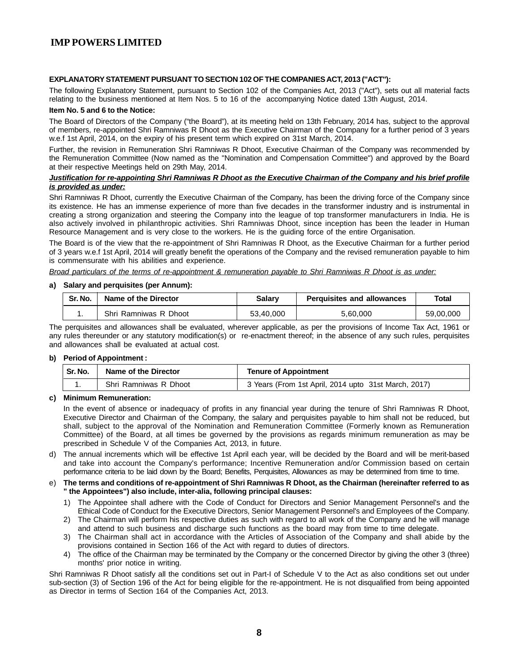#### **EXPLANATORY STATEMENT PURSUANT TO SECTION 102 OF THE COMPANIES ACT, 2013 (''ACT''):**

The following Explanatory Statement, pursuant to Section 102 of the Companies Act, 2013 ("Act"), sets out all material facts relating to the business mentioned at Item Nos. 5 to 16 of the accompanying Notice dated 13th August, 2014.

#### **Item No. 5 and 6 to the Notice:**

The Board of Directors of the Company ("the Board"), at its meeting held on 13th February, 2014 has, subject to the approval of members, re-appointed Shri Ramniwas R Dhoot as the Executive Chairman of the Company for a further period of 3 years w.e.f 1st April, 2014, on the expiry of his present term which expired on 31st March, 2014.

Further, the revision in Remuneration Shri Ramniwas R Dhoot, Executive Chairman of the Company was recommended by the Remuneration Committee (Now named as the "Nomination and Compensation Committee") and approved by the Board at their respective Meetings held on 29th May, 2014.

#### *Justification for re-appointing Shri Ramniwas R Dhoot as the Executive Chairman of the Company and his brief profile is provided as under:*

Shri Ramniwas R Dhoot, currently the Executive Chairman of the Company, has been the driving force of the Company since its existence. He has an immense experience of more than five decades in the transformer industry and is instrumental in creating a strong organization and steering the Company into the league of top transformer manufacturers in India. He is also actively involved in philanthropic activities. Shri Ramniwas Dhoot, since inception has been the leader in Human Resource Management and is very close to the workers. He is the guiding force of the entire Organisation.

The Board is of the view that the re-appointment of Shri Ramniwas R Dhoot, as the Executive Chairman for a further period of 3 years w.e.f 1st April, 2014 will greatly benefit the operations of the Company and the revised remuneration payable to him is commensurate with his abilities and experience.

*Broad particulars of the terms of re-appointment & remuneration payable to Shri Ramniwas R Dhoot is as under:*

#### **a) Salary and perquisites (per Annum):**

| Sr. No. | Name of the Director  | Salary    | <b>Perquisites and allowances</b> | Total     |
|---------|-----------------------|-----------|-----------------------------------|-----------|
|         | Shri Ramniwas R Dhoot | 53,40,000 | 5,60,000                          | 59.00.000 |

The perquisites and allowances shall be evaluated, wherever applicable, as per the provisions of Income Tax Act, 1961 or any rules thereunder or any statutory modification(s) or re-enactment thereof; in the absence of any such rules, perquisites and allowances shall be evaluated at actual cost.

#### **b) Period of Appointment :**

| ' Sr. No. | Name of the Director  | <b>Tenure of Appointment</b>                         |
|-----------|-----------------------|------------------------------------------------------|
|           | Shri Ramniwas R Dhoot | 3 Years (From 1st April, 2014 upto 31st March, 2017) |

#### **c) Minimum Remuneration:**

In the event of absence or inadequacy of profits in any financial year during the tenure of Shri Ramniwas R Dhoot, Executive Director and Chairman of the Company, the salary and perquisites payable to him shall not be reduced, but shall, subject to the approval of the Nomination and Remuneration Committee (Formerly known as Remuneration Committee) of the Board, at all times be governed by the provisions as regards minimum remuneration as may be prescribed in Schedule V of the Companies Act, 2013, in future.

- d) The annual increments which will be effective 1st April each year, will be decided by the Board and will be merit-based and take into account the Company's performance; Incentive Remuneration and/or Commission based on certain performance criteria to be laid down by the Board; Benefits, Perquisites, Allowances as may be determined from time to time.
- e) **The terms and conditions of re-appointment of Shri Ramniwas R Dhoot, as the Chairman (hereinafter referred to as " the Appointees") also include, inter-alia, following principal clauses:**
	- 1) The Appointee shall adhere with the Code of Conduct for Directors and Senior Management Personnel's and the Ethical Code of Conduct for the Executive Directors, Senior Management Personnel's and Employees of the Company.
	- 2) The Chairman will perform his respective duties as such with regard to all work of the Company and he will manage and attend to such business and discharge such functions as the board may from time to time delegate.
	- 3) The Chairman shall act in accordance with the Articles of Association of the Company and shall abide by the provisions contained in Section 166 of the Act with regard to duties of directors.
	- 4) The office of the Chairman may be terminated by the Company or the concerned Director by giving the other 3 (three) months' prior notice in writing.

Shri Ramniwas R Dhoot satisfy all the conditions set out in Part-I of Schedule V to the Act as also conditions set out under sub-section (3) of Section 196 of the Act for being eligible for the re-appointment. He is not disqualified from being appointed as Director in terms of Section 164 of the Companies Act, 2013.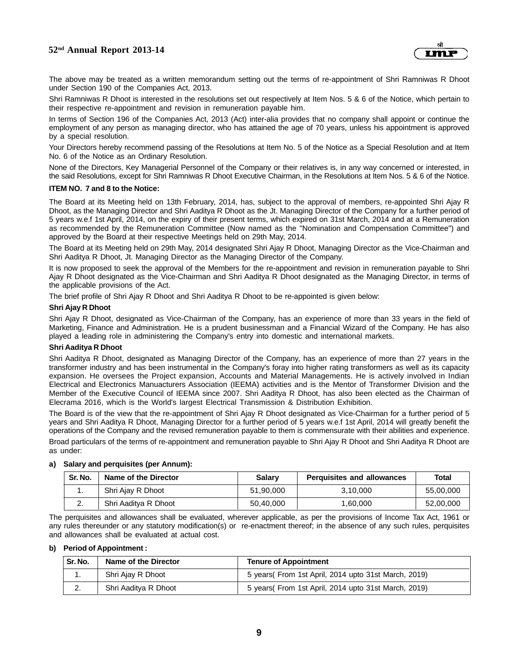

The above may be treated as a written memorandum setting out the terms of re-appointment of Shri Ramniwas R Dhoot under Section 190 of the Companies Act, 2013.

Shri Ramniwas R Dhoot is interested in the resolutions set out respectively at Item Nos. 5 & 6 of the Notice, which pertain to their respective re-appointment and revision in remuneration payable him.

In terms of Section 196 of the Companies Act, 2013 (Act) inter-alia provides that no company shall appoint or continue the employment of any person as managing director, who has attained the age of 70 years, unless his appointment is approved by a special resolution.

Your Directors hereby recommend passing of the Resolutions at Item No. 5 of the Notice as a Special Resolution and at Item No. 6 of the Notice as an Ordinary Resolution.

None of the Directors, Key Managerial Personnel of the Company or their relatives is, in any way concerned or interested, in the said Resolutions, except for Shri Ramniwas R Dhoot Executive Chairman, in the Resolutions at Item Nos. 5 & 6 of the Notice.

#### **ITEM NO. 7 and 8 to the Notice:**

The Board at its Meeting held on 13th February, 2014, has, subject to the approval of members, re-appointed Shri Ajay R Dhoot, as the Managing Director and Shri Aaditya R Dhoot as the Jt. Managing Director of the Company for a further period of 5 years w.e.f 1st April, 2014, on the expiry of their present terms, which expired on 31st March, 2014 and at a Remuneration as recommended by the Remuneration Committee (Now named as the "Nomination and Compensation Committee") and approved by the Board at their respective Meetings held on 29th May, 2014.

The Board at its Meeting held on 29th May, 2014 designated Shri Ajay R Dhoot, Managing Director as the Vice-Chairman and Shri Aaditya R Dhoot, Jt. Managing Director as the Managing Director of the Company.

It is now proposed to seek the approval of the Members for the re-appointment and revision in remuneration payable to Shri Ajay R Dhoot designated as the Vice-Chairman and Shri Aaditya R Dhoot designated as the Managing Director, in terms of the applicable provisions of the Act.

The brief profile of Shri Ajay R Dhoot and Shri Aaditya R Dhoot to be re-appointed is given below:

#### **Shri Ajay R Dhoot**

Shri Ajay R Dhoot, designated as Vice-Chairman of the Company, has an experience of more than 33 years in the field of Marketing, Finance and Administration. He is a prudent businessman and a Financial Wizard of the Company. He has also played a leading role in administering the Company's entry into domestic and international markets.

#### **Shri Aaditya R Dhoot**

Shri Aaditya R Dhoot, designated as Managing Director of the Company, has an experience of more than 27 years in the transformer industry and has been instrumental in the Company's foray into higher rating transformers as well as its capacity expansion. He oversees the Project expansion, Accounts and Material Managements. He is actively involved in Indian Electrical and Electronics Manuacturers Association (IEEMA) activities and is the Mentor of Transformer Division and the Member of the Executive Council of IEEMA since 2007. Shri Aaditya R Dhoot, has also been elected as the Chairman of Elecrama 2016, which is the World's largest Electrical Transmission & Distribution Exhibition.

The Board is of the view that the re-appointment of Shri Ajay R Dhoot designated as Vice-Chairman for a further period of 5 years and Shri Aaditya R Dhoot, Managing Director for a further period of 5 years w.e.f 1st April, 2014 will greatly benefit the operations of the Company and the revised remuneration payable to them is commensurate with their abilities and experience.

Broad particulars of the terms of re-appointment and remuneration payable to Shri Ajay R Dhoot and Shri Aaditya R Dhoot are as under:

#### **a) Salary and perquisites (per Annum):**

| Sr. No. | Name of the Director | <b>Salary</b> | <b>Perquisites and allowances</b> | Total     |
|---------|----------------------|---------------|-----------------------------------|-----------|
| . .     | Shri Ajay R Dhoot    | 51.90.000     | 3,10,000                          | 55,00,000 |
| ۷.      | Shri Aaditya R Dhoot | 50,40,000     | 1,60,000                          | 52,00,000 |

The perquisites and allowances shall be evaluated, wherever applicable, as per the provisions of Income Tax Act, 1961 or any rules thereunder or any statutory modification(s) or re-enactment thereof; in the absence of any such rules, perquisites and allowances shall be evaluated at actual cost.

#### **b) Period of Appointment :**

| ' Sr. No. | Name of the Director | <b>Tenure of Appointment</b>                         |  |
|-----------|----------------------|------------------------------------------------------|--|
| л.        | Shri Ajay R Dhoot    | 5 years (From 1st April, 2014 upto 31st March, 2019) |  |
| 2.        | Shri Aaditya R Dhoot | 5 years (From 1st April, 2014 upto 31st March, 2019) |  |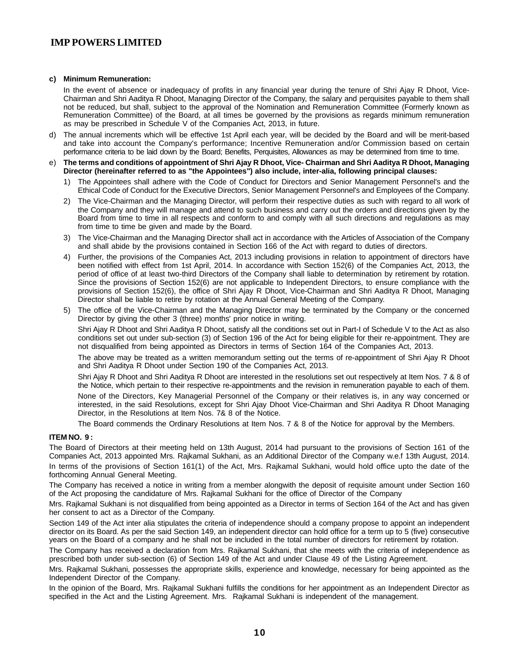#### **c) Minimum Remuneration:**

In the event of absence or inadequacy of profits in any financial year during the tenure of Shri Ajay R Dhoot, Vice-Chairman and Shri Aaditya R Dhoot, Managing Director of the Company, the salary and perquisites payable to them shall not be reduced, but shall, subject to the approval of the Nomination and Remuneration Committee (Formerly known as Remuneration Committee) of the Board, at all times be governed by the provisions as regards minimum remuneration as may be prescribed in Schedule V of the Companies Act, 2013, in future.

- d) The annual increments which will be effective 1st April each year, will be decided by the Board and will be merit-based and take into account the Company's performance; Incentive Remuneration and/or Commission based on certain performance criteria to be laid down by the Board; Benefits, Perquisites, Allowances as may be determined from time to time.
- e) **The terms and conditions of appointment of Shri Ajay R Dhoot, Vice- Chairman and Shri Aaditya R Dhoot, Managing Director (hereinafter referred to as "the Appointees") also include, inter-alia, following principal clauses:**
	- 1) The Appointees shall adhere with the Code of Conduct for Directors and Senior Management Personnel's and the Ethical Code of Conduct for the Executive Directors, Senior Management Personnel's and Employees of the Company.
	- 2) The Vice-Chairman and the Managing Director, will perform their respective duties as such with regard to all work of the Company and they will manage and attend to such business and carry out the orders and directions given by the Board from time to time in all respects and conform to and comply with all such directions and regulations as may from time to time be given and made by the Board.
	- 3) The Vice-Chairman and the Managing Director shall act in accordance with the Articles of Association of the Company and shall abide by the provisions contained in Section 166 of the Act with regard to duties of directors.
	- 4) Further, the provisions of the Companies Act, 2013 including provisions in relation to appointment of directors have been notified with effect from 1st April, 2014. In accordance with Section 152(6) of the Companies Act, 2013, the period of office of at least two-third Directors of the Company shall liable to determination by retirement by rotation. Since the provisions of Section 152(6) are not applicable to Independent Directors, to ensure compliance with the provisions of Section 152(6), the office of Shri Ajay R Dhoot, Vice-Chairman and Shri Aaditya R Dhoot, Managing Director shall be liable to retire by rotation at the Annual General Meeting of the Company.
	- 5) The office of the Vice-Chairman and the Managing Director may be terminated by the Company or the concerned Director by giving the other 3 (three) months' prior notice in writing.

Shri Ajay R Dhoot and Shri Aaditya R Dhoot, satisfy all the conditions set out in Part-I of Schedule V to the Act as also conditions set out under sub-section (3) of Section 196 of the Act for being eligible for their re-appointment. They are not disqualified from being appointed as Directors in terms of Section 164 of the Companies Act, 2013.

The above may be treated as a written memorandum setting out the terms of re-appointment of Shri Ajay R Dhoot and Shri Aaditya R Dhoot under Section 190 of the Companies Act, 2013.

Shri Ajay R Dhoot and Shri Aaditya R Dhoot are interested in the resolutions set out respectively at Item Nos. 7 & 8 of the Notice, which pertain to their respective re-appointments and the revision in remuneration payable to each of them.

None of the Directors, Key Managerial Personnel of the Company or their relatives is, in any way concerned or interested, in the said Resolutions, except for Shri Ajay Dhoot Vice-Chairman and Shri Aaditya R Dhoot Managing Director, in the Resolutions at Item Nos. 7& 8 of the Notice.

The Board commends the Ordinary Resolutions at Item Nos. 7 & 8 of the Notice for approval by the Members.

#### **ITEM NO. 9 :**

The Board of Directors at their meeting held on 13th August, 2014 had pursuant to the provisions of Section 161 of the Companies Act, 2013 appointed Mrs. Rajkamal Sukhani, as an Additional Director of the Company w.e.f 13th August, 2014. In terms of the provisions of Section 161(1) of the Act, Mrs. Rajkamal Sukhani, would hold office upto the date of the forthcoming Annual General Meeting.

The Company has received a notice in writing from a member alongwith the deposit of requisite amount under Section 160 of the Act proposing the candidature of Mrs. Rajkamal Sukhani for the office of Director of the Company

Mrs. Rajkamal Sukhani is not disqualified from being appointed as a Director in terms of Section 164 of the Act and has given her consent to act as a Director of the Company.

Section 149 of the Act inter alia stipulates the criteria of independence should a company propose to appoint an independent director on its Board. As per the said Section 149, an independent director can hold office for a term up to 5 (five) consecutive years on the Board of a company and he shall not be included in the total number of directors for retirement by rotation.

The Company has received a declaration from Mrs. Rajkamal Sukhani, that she meets with the criteria of independence as prescribed both under sub-section (6) of Section 149 of the Act and under Clause 49 of the Listing Agreement.

Mrs. Rajkamal Sukhani, possesses the appropriate skills, experience and knowledge, necessary for being appointed as the Independent Director of the Company.

In the opinion of the Board, Mrs. Rajkamal Sukhani fulfills the conditions for her appointment as an Independent Director as specified in the Act and the Listing Agreement. Mrs. Rajkamal Sukhani is independent of the management.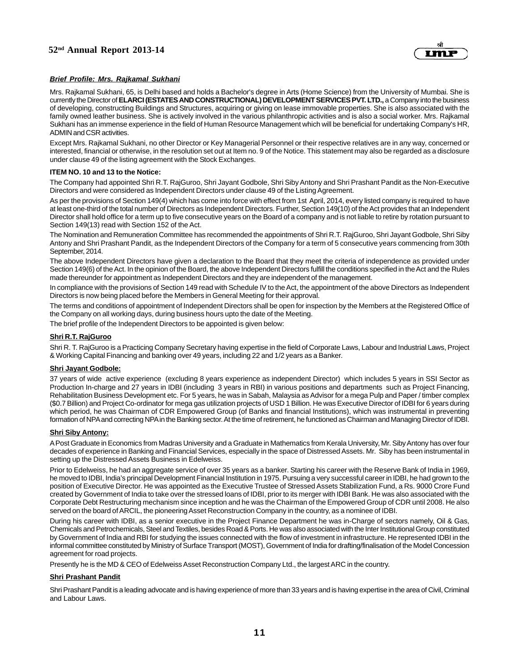

#### *Brief Profile: Mrs. Rajkamal Sukhani*

Mrs. Rajkamal Sukhani, 65, is Delhi based and holds a Bachelor's degree in Arts (Home Science) from the University of Mumbai. She is currently the Director of **ELARCI (ESTATES AND CONSTRUCTIONAL) DEVELOPMENT SERVICES PVT. LTD.,** a Company into the business of developing, constructing Buildings and Structures, acquiring or giving on lease immovable properties. She is also associated with the family owned leather business. She is actively involved in the various philanthropic activities and is also a social worker. Mrs. Rajkamal Sukhani has an immense experience in the field of Human Resource Management which will be beneficial for undertaking Company's HR, ADMIN and CSR activities.

Except Mrs. Rajkamal Sukhani, no other Director or Key Managerial Personnel or their respective relatives are in any way, concerned or interested, financial or otherwise, in the resolution set out at Item no. 9 of the Notice. This statement may also be regarded as a disclosure under clause 49 of the listing agreement with the Stock Exchanges.

#### **ITEM NO. 10 and 13 to the Notice:**

The Company had appointed Shri R.T. RajGuroo, Shri Jayant Godbole, Shri Siby Antony and Shri Prashant Pandit as the Non-Executive Directors and were considered as Independent Directors under clause 49 of the Listing Agreement.

As per the provisions of Section 149(4) which has come into force with effect from 1st April, 2014, every listed company is required to have at least one-third of the total number of Directors as Independent Directors. Further, Section 149(10) of the Act provides that an Independent Director shall hold office for a term up to five consecutive years on the Board of a company and is not liable to retire by rotation pursuant to Section 149(13) read with Section 152 of the Act.

The Nomination and Remuneration Committee has recommended the appointments of Shri R.T. RajGuroo, Shri Jayant Godbole, Shri Siby Antony and Shri Prashant Pandit, as the Independent Directors of the Company for a term of 5 consecutive years commencing from 30th September, 2014.

The above Independent Directors have given a declaration to the Board that they meet the criteria of independence as provided under Section 149(6) of the Act. In the opinion of the Board, the above Independent Directors fulfill the conditions specified in the Act and the Rules made thereunder for appointment as Independent Directors and they are independent of the management.

In compliance with the provisions of Section 149 read with Schedule IV to the Act, the appointment of the above Directors as Independent Directors is now being placed before the Members in General Meeting for their approval.

The terms and conditions of appointment of Independent Directors shall be open for inspection by the Members at the Registered Office of the Company on all working days, during business hours upto the date of the Meeting.

The brief profile of the Independent Directors to be appointed is given below:

#### **Shri R.T. RajGuroo**

Shri R. T. RajGuroo is a Practicing Company Secretary having expertise in the field of Corporate Laws, Labour and Industrial Laws, Project & Working Capital Financing and banking over 49 years, including 22 and 1/2 years as a Banker.

#### **Shri Jayant Godbole:**

37 years of wide active experience (excluding 8 years experience as independent Director) which includes 5 years in SSI Sector as Production In-charge and 27 years in IDBI (including 3 years in RBI) in various positions and departments such as Project Financing, Rehabilitation Business Development etc. For 5 years, he was in Sabah, Malaysia as Advisor for a mega Pulp and Paper / timber complex (\$0.7 Billion) and Project Co-ordinator for mega gas utilization projects of USD 1 Billion. He was Executive Director of IDBI for 6 years during which period, he was Chairman of CDR Empowered Group (of Banks and financial Institutions), which was instrumental in preventing formation of NPA and correcting NPA in the Banking sector. At the time of retirement, he functioned as Chairman and Managing Director of IDBI.

#### **Shri Siby Antony:**

A Post Graduate in Economics from Madras University and a Graduate in Mathematics from Kerala University, Mr. Siby Antony has over four decades of experience in Banking and Financial Services, especially in the space of Distressed Assets. Mr. Siby has been instrumental in setting up the Distressed Assets Business in Edelweiss.

Prior to Edelweiss, he had an aggregate service of over 35 years as a banker. Starting his career with the Reserve Bank of India in 1969, he moved to IDBI, India's principal Development Financial Institution in 1975. Pursuing a very successful career in IDBI, he had grown to the position of Executive Director. He was appointed as the Executive Trustee of Stressed Assets Stabilization Fund, a Rs. 9000 Crore Fund created by Government of India to take over the stressed loans of IDBI, prior to its merger with IDBI Bank. He was also associated with the Corporate Debt Restructuring mechanism since inception and he was the Chairman of the Empowered Group of CDR until 2008. He also served on the board of ARCIL, the pioneering Asset Reconstruction Company in the country, as a nominee of IDBI.

During his career with IDBI, as a senior executive in the Project Finance Department he was in-Charge of sectors namely, Oil & Gas, Chemicals and Petrochemicals, Steel and Textiles, besides Road & Ports. He was also associated with the Inter Institutional Group constituted by Government of India and RBI for studying the issues connected with the flow of investment in infrastructure. He represented IDBI in the informal committee constituted by Ministry of Surface Transport (MOST), Government of India for drafting/finalisation of the Model Concession agreement for road projects.

Presently he is the MD & CEO of Edelweiss Asset Reconstruction Company Ltd., the largest ARC in the country.

#### **Shri Prashant Pandit**

Shri Prashant Pandit is a leading advocate and is having experience of more than 33 years and is having expertise in the area of Civil, Criminal and Labour Laws.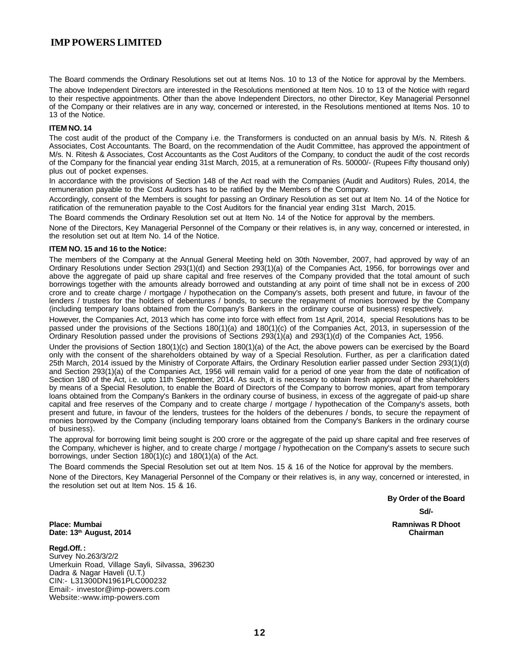The Board commends the Ordinary Resolutions set out at Items Nos. 10 to 13 of the Notice for approval by the Members.

The above Independent Directors are interested in the Resolutions mentioned at Item Nos. 10 to 13 of the Notice with regard to their respective appointments. Other than the above Independent Directors, no other Director, Key Managerial Personnel of the Company or their relatives are in any way, concerned or interested, in the Resolutions mentioned at Items Nos. 10 to 13 of the Notice.

#### **ITEM NO. 14**

The cost audit of the product of the Company i.e. the Transformers is conducted on an annual basis by M/s. N. Ritesh & Associates, Cost Accountants. The Board, on the recommendation of the Audit Committee, has approved the appointment of M/s. N. Ritesh & Associates, Cost Accountants as the Cost Auditors of the Company, to conduct the audit of the cost records of the Company for the financial year ending 31st March, 2015, at a remuneration of Rs. 50000/- (Rupees Fifty thousand only) plus out of pocket expenses.

In accordance with the provisions of Section 148 of the Act read with the Companies (Audit and Auditors) Rules, 2014, the remuneration payable to the Cost Auditors has to be ratified by the Members of the Company.

Accordingly, consent of the Members is sought for passing an Ordinary Resolution as set out at Item No. 14 of the Notice for ratification of the remuneration payable to the Cost Auditors for the financial year ending 31st March, 2015.

The Board commends the Ordinary Resolution set out at Item No. 14 of the Notice for approval by the members.

None of the Directors, Key Managerial Personnel of the Company or their relatives is, in any way, concerned or interested, in the resolution set out at Item No. 14 of the Notice.

#### **ITEM NO. 15 and 16 to the Notice:**

The members of the Company at the Annual General Meeting held on 30th November, 2007, had approved by way of an Ordinary Resolutions under Section 293(1)(d) and Section 293(1)(a) of the Companies Act, 1956, for borrowings over and above the aggregate of paid up share capital and free reserves of the Company provided that the total amount of such borrowings together with the amounts already borrowed and outstanding at any point of time shall not be in excess of 200 crore and to create charge / mortgage / hypothecation on the Company's assets, both present and future, in favour of the lenders / trustees for the holders of debentures / bonds, to secure the repayment of monies borrowed by the Company (including temporary loans obtained from the Company's Bankers in the ordinary course of business) respectively.

However, the Companies Act, 2013 which has come into force with effect from 1st April, 2014, special Resolutions has to be passed under the provisions of the Sections 180(1)(a) and 180(1)(c) of the Companies Act, 2013, in supersession of the Ordinary Resolution passed under the provisions of Sections  $293(1)(a)$  and  $293(1)(d)$  of the Companies Act, 1956.

Under the provisions of Section 180(1)(c) and Section 180(1)(a) of the Act, the above powers can be exercised by the Board only with the consent of the shareholders obtained by way of a Special Resolution. Further, as per a clarification dated 25th March, 2014 issued by the Ministry of Corporate Affairs, the Ordinary Resolution earlier passed under Section 293(1)(d) and Section 293(1)(a) of the Companies Act, 1956 will remain valid for a period of one year from the date of notification of Section 180 of the Act, i.e. upto 11th September, 2014. As such, it is necessary to obtain fresh approval of the shareholders by means of a Special Resolution, to enable the Board of Directors of the Company to borrow monies, apart from temporary loans obtained from the Company's Bankers in the ordinary course of business, in excess of the aggregate of paid-up share capital and free reserves of the Company and to create charge / mortgage / hypothecation of the Company's assets, both present and future, in favour of the lenders, trustees for the holders of the debenures / bonds, to secure the repayment of monies borrowed by the Company (including temporary loans obtained from the Company's Bankers in the ordinary course of business).

The approval for borrowing limit being sought is 200 crore or the aggregate of the paid up share capital and free reserves of the Company, whichever is higher, and to create charge / mortgage / hypothecation on the Company's assets to secure such borrowings, under Section 180(1)(c) and 180(1)(a) of the Act.

The Board commends the Special Resolution set out at Item Nos. 15 & 16 of the Notice for approval by the members. None of the Directors, Key Managerial Personnel of the Company or their relatives is, in any way, concerned or interested, in the resolution set out at Item Nos. 15 & 16.

> **By Order of the Board Sd/-**

**Place: Mumbai Ramniwas R Dhoot Date: 13th August, 2014 Chairman**

#### **Regd.Off. :**

Survey No.263/3/2/2 Umerkuin Road, Village Sayli, Silvassa, 396230 Dadra & Nagar Haveli (U.T.) CIN:- L31300DN1961PLC000232 Email:- investor@imp-powers.com Website:-www.imp-powers.com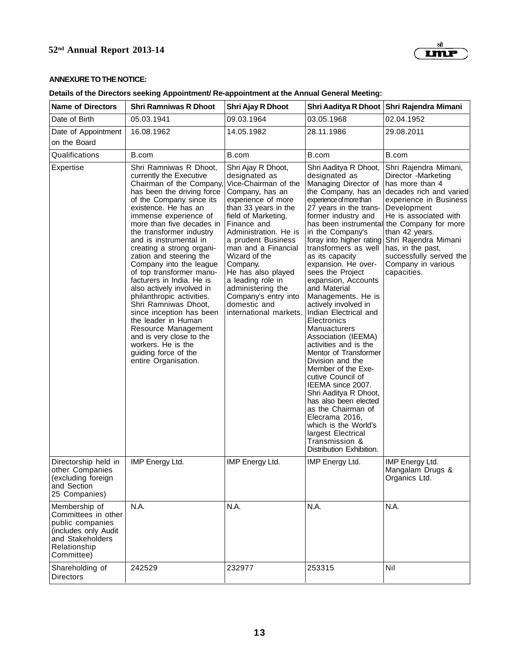

## **ANNEXURE TO THE NOTICE:**

## **Details of the Directors seeking Appointment/ Re-appointment at the Annual General Meeting:**

| <b>Name of Directors</b>                                                                                                           | <b>Shri Ramniwas R Dhoot</b>                                                                                                                                                                                                                                                                                                                                                                                                                                                                                                                                                                                                                                                          | Shri Ajay R Dhoot                                                                                                                                                                                                                                                                                                                                                                                       |                                                                                                                                                                                                                                                                                                                                                                                                                                                                                                                                                                                                                                                                                                                                                                                                                | Shri Aaditya R Dhoot Shri Rajendra Mimani                                                                                                                                                                                                                                                                                                  |
|------------------------------------------------------------------------------------------------------------------------------------|---------------------------------------------------------------------------------------------------------------------------------------------------------------------------------------------------------------------------------------------------------------------------------------------------------------------------------------------------------------------------------------------------------------------------------------------------------------------------------------------------------------------------------------------------------------------------------------------------------------------------------------------------------------------------------------|---------------------------------------------------------------------------------------------------------------------------------------------------------------------------------------------------------------------------------------------------------------------------------------------------------------------------------------------------------------------------------------------------------|----------------------------------------------------------------------------------------------------------------------------------------------------------------------------------------------------------------------------------------------------------------------------------------------------------------------------------------------------------------------------------------------------------------------------------------------------------------------------------------------------------------------------------------------------------------------------------------------------------------------------------------------------------------------------------------------------------------------------------------------------------------------------------------------------------------|--------------------------------------------------------------------------------------------------------------------------------------------------------------------------------------------------------------------------------------------------------------------------------------------------------------------------------------------|
| Date of Birth                                                                                                                      | 05.03.1941                                                                                                                                                                                                                                                                                                                                                                                                                                                                                                                                                                                                                                                                            | 09.03.1964                                                                                                                                                                                                                                                                                                                                                                                              | 03.05.1968                                                                                                                                                                                                                                                                                                                                                                                                                                                                                                                                                                                                                                                                                                                                                                                                     | 02.04.1952                                                                                                                                                                                                                                                                                                                                 |
| Date of Appointment<br>on the Board                                                                                                | 16.08.1962                                                                                                                                                                                                                                                                                                                                                                                                                                                                                                                                                                                                                                                                            | 14.05.1982                                                                                                                                                                                                                                                                                                                                                                                              | 28.11.1986                                                                                                                                                                                                                                                                                                                                                                                                                                                                                                                                                                                                                                                                                                                                                                                                     | 29.08.2011                                                                                                                                                                                                                                                                                                                                 |
| Qualifications                                                                                                                     | B.com                                                                                                                                                                                                                                                                                                                                                                                                                                                                                                                                                                                                                                                                                 | B.com                                                                                                                                                                                                                                                                                                                                                                                                   | B.com                                                                                                                                                                                                                                                                                                                                                                                                                                                                                                                                                                                                                                                                                                                                                                                                          | B.com                                                                                                                                                                                                                                                                                                                                      |
| Expertise                                                                                                                          | Shri Ramniwas R Dhoot,<br>currently the Executive<br>Chairman of the Company,<br>has been the driving force<br>of the Company since its<br>existence. He has an<br>immense experience of<br>more than five decades in<br>the transformer industry<br>and is instrumental in<br>creating a strong organi-<br>zation and steering the<br>Company into the league<br>of top transformer manu-<br>facturers in India. He is<br>also actively involved in<br>philanthropic activities.<br>Shri Ramniwas Dhoot,<br>since inception has been<br>the leader in Human<br>Resource Management<br>and is very close to the<br>workers. He is the<br>guiding force of the<br>entire Organisation. | Shri Ajay R Dhoot,<br>designated as<br>Vice-Chairman of the<br>Company, has an<br>experience of more<br>than 33 years in the<br>field of Marketing,<br>Finance and<br>Administration. He is<br>a prudent Business<br>man and a Financial<br>Wizard of the<br>Company.<br>He has also played<br>a leading role in<br>administering the<br>Company's entry into<br>domestic and<br>international markets. | Shri Aaditya R Dhoot,<br>designated as<br>Managing Director of<br>the Company, has an<br>experience of more than<br>27 years in the trans-<br>former industry and<br>in the Company's<br>foray into higher rating<br>transformers as well<br>as its capacity<br>expansion. He over-<br>sees the Project<br>expansion, Accounts<br>and Material<br>Managements. He is<br>actively involved in<br>Indian Electrical and<br>Electronics<br><b>Manuacturers</b><br>Association (IEEMA)<br>activities and is the<br>Mentor of Transformer<br>Division and the<br>Member of the Exe-<br>cutive Council of<br>IEEMA since 2007.<br>Shri Aaditya R Dhoot,<br>has also been elected<br>as the Chairman of<br>Elecrama 2016,<br>which is the World's<br>largest Electrical<br>Transmission &<br>Distribution Exhibition. | Shri Rajendra Mimani,<br>Director - Marketing<br>has more than 4<br>decades rich and varied<br>experience in Business<br>Development<br>He is associated with<br>has been instrumental the Company for more<br>than 42 years.<br>Shri Rajendra Mimani<br>has, in the past,<br>successfully served the<br>Company in various<br>capacities. |
| Directorship held in<br>other Companies<br>(excluding foreign<br>and Section<br>25 Companies)                                      | IMP Energy Ltd.                                                                                                                                                                                                                                                                                                                                                                                                                                                                                                                                                                                                                                                                       | IMP Energy Ltd.                                                                                                                                                                                                                                                                                                                                                                                         | IMP Energy Ltd.                                                                                                                                                                                                                                                                                                                                                                                                                                                                                                                                                                                                                                                                                                                                                                                                | IMP Energy Ltd.<br>Mangalam Drugs &<br>Organics Ltd.                                                                                                                                                                                                                                                                                       |
| Membership of<br>Committees in other<br>public companies<br>(includes only Audit<br>and Stakeholders<br>Relationship<br>Committee) | N.A.                                                                                                                                                                                                                                                                                                                                                                                                                                                                                                                                                                                                                                                                                  | N.A.                                                                                                                                                                                                                                                                                                                                                                                                    | N.A.                                                                                                                                                                                                                                                                                                                                                                                                                                                                                                                                                                                                                                                                                                                                                                                                           | N.A.                                                                                                                                                                                                                                                                                                                                       |
| Shareholding of<br><b>Directors</b>                                                                                                | 242529                                                                                                                                                                                                                                                                                                                                                                                                                                                                                                                                                                                                                                                                                | 232977                                                                                                                                                                                                                                                                                                                                                                                                  | 253315                                                                                                                                                                                                                                                                                                                                                                                                                                                                                                                                                                                                                                                                                                                                                                                                         | Nil                                                                                                                                                                                                                                                                                                                                        |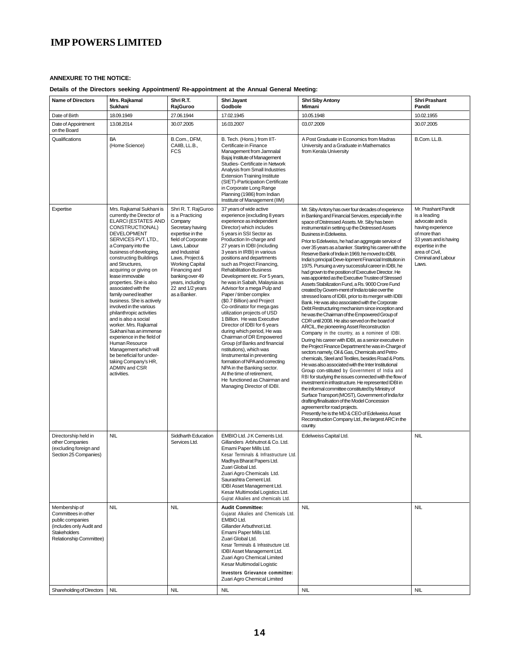#### **ANNEXURE TO THE NOTICE:**

#### **Details of the Directors seeking Appointment/ Re-appointment at the Annual General Meeting:**

| <b>Name of Directors</b>                                                                                                        | Mrs. Rajkamal<br>Sukhani                                                                                                                                                                                                                                                                                                                                                                                                                                                                                                                                                                                                                                                               | Shri R.T.<br>RajGuroo                                                                                                                                                                                                                                                                      | Shri Jayant<br>Godbole                                                                                                                                                                                                                                                                                                                                                                                                                                                                                                                                                                                                                                                                                                                                                                                                                                                                                                                       | <b>Shri Siby Antony</b><br>Mimani                                                                                                                                                                                                                                                                                                                                                                                                                                                                                                                                                                                                                                                                                                                                                                                                                                                                                                                                                                                                                                                                                                                                                                                                                                                                                                                                                                                                                                                                                                                                                                                                                                                                                                                                                                                                                                                             | <b>Shri Prashant</b><br>Pandit                                                                                                                                                              |
|---------------------------------------------------------------------------------------------------------------------------------|----------------------------------------------------------------------------------------------------------------------------------------------------------------------------------------------------------------------------------------------------------------------------------------------------------------------------------------------------------------------------------------------------------------------------------------------------------------------------------------------------------------------------------------------------------------------------------------------------------------------------------------------------------------------------------------|--------------------------------------------------------------------------------------------------------------------------------------------------------------------------------------------------------------------------------------------------------------------------------------------|----------------------------------------------------------------------------------------------------------------------------------------------------------------------------------------------------------------------------------------------------------------------------------------------------------------------------------------------------------------------------------------------------------------------------------------------------------------------------------------------------------------------------------------------------------------------------------------------------------------------------------------------------------------------------------------------------------------------------------------------------------------------------------------------------------------------------------------------------------------------------------------------------------------------------------------------|-----------------------------------------------------------------------------------------------------------------------------------------------------------------------------------------------------------------------------------------------------------------------------------------------------------------------------------------------------------------------------------------------------------------------------------------------------------------------------------------------------------------------------------------------------------------------------------------------------------------------------------------------------------------------------------------------------------------------------------------------------------------------------------------------------------------------------------------------------------------------------------------------------------------------------------------------------------------------------------------------------------------------------------------------------------------------------------------------------------------------------------------------------------------------------------------------------------------------------------------------------------------------------------------------------------------------------------------------------------------------------------------------------------------------------------------------------------------------------------------------------------------------------------------------------------------------------------------------------------------------------------------------------------------------------------------------------------------------------------------------------------------------------------------------------------------------------------------------------------------------------------------------|---------------------------------------------------------------------------------------------------------------------------------------------------------------------------------------------|
| Date of Birth                                                                                                                   | 18.09.1949                                                                                                                                                                                                                                                                                                                                                                                                                                                                                                                                                                                                                                                                             | 27.06.1944                                                                                                                                                                                                                                                                                 | 17.02.1945                                                                                                                                                                                                                                                                                                                                                                                                                                                                                                                                                                                                                                                                                                                                                                                                                                                                                                                                   | 10.05.1948                                                                                                                                                                                                                                                                                                                                                                                                                                                                                                                                                                                                                                                                                                                                                                                                                                                                                                                                                                                                                                                                                                                                                                                                                                                                                                                                                                                                                                                                                                                                                                                                                                                                                                                                                                                                                                                                                    | 10.02.1955                                                                                                                                                                                  |
| Date of Appointment<br>on the Board                                                                                             | 13.08.2014                                                                                                                                                                                                                                                                                                                                                                                                                                                                                                                                                                                                                                                                             | 30.07.2005                                                                                                                                                                                                                                                                                 | 16.03.2007                                                                                                                                                                                                                                                                                                                                                                                                                                                                                                                                                                                                                                                                                                                                                                                                                                                                                                                                   | 03.07.2009                                                                                                                                                                                                                                                                                                                                                                                                                                                                                                                                                                                                                                                                                                                                                                                                                                                                                                                                                                                                                                                                                                                                                                                                                                                                                                                                                                                                                                                                                                                                                                                                                                                                                                                                                                                                                                                                                    | 30.07.2005                                                                                                                                                                                  |
| Qualifications                                                                                                                  | <b>BA</b><br>(Home Science)                                                                                                                                                                                                                                                                                                                                                                                                                                                                                                                                                                                                                                                            | B.Com., DFM,<br>CAIIB, LL.B.,<br><b>FCS</b>                                                                                                                                                                                                                                                | B. Tech. (Hons.) from IIT-<br>Certificate in Finance<br>Management from Jamnalal<br>Bajaj Institute of Management<br>Studies- Certificate in Network<br>Analysis from Small Industries<br><b>Extension Training Institute</b><br>(SIET)-Participation Certificate<br>in Corporate Long Range<br>Planning (1986) from Indian<br>Institute of Management (IIM)                                                                                                                                                                                                                                                                                                                                                                                                                                                                                                                                                                                 | A Post Graduate in Economics from Madras<br>University and a Graduate in Mathematics<br>from Kerala University                                                                                                                                                                                                                                                                                                                                                                                                                                                                                                                                                                                                                                                                                                                                                                                                                                                                                                                                                                                                                                                                                                                                                                                                                                                                                                                                                                                                                                                                                                                                                                                                                                                                                                                                                                                | B.Com. LL.B.                                                                                                                                                                                |
| Expertise                                                                                                                       | Mrs. Rajkamal Sukhani is<br>currently the Director of<br>ELARCI (ESTATES AND<br>CONSTRUCTIONAL)<br>DEVELOPMENT<br>SERVICES PVT. LTD.,<br>a Company into the<br>business of developing,<br>constructing Buildings<br>and Structures,<br>acquiring or giving on<br>lease immovable<br>properties. She is also<br>associated with the<br>family owned leather<br>business. She is actively<br>involved in the various<br>philanthropic activities<br>and is also a social<br>worker. Mrs. Rajkamal<br>Sukhani has an immense<br>experience in the field of<br>Human Resource<br>Management which will<br>be beneficial for under-<br>taking Company's HR,<br>ADMIN and CSR<br>activities. | Shri R. T. RajGuroo<br>is a Practicing<br>Company<br>Secretary having<br>expertise in the<br>field of Corporate<br>Laws, Labour<br>and Industrial<br>Laws, Project &<br><b>Working Capital</b><br>Financing and<br>banking over 49<br>years, including<br>22 and 1/2 years<br>as a Banker. | 37 years of wide active<br>experience (excluding 8 years<br>experience as independent<br>Director) which includes<br>5 years in SSI Sector as<br>Production In-charge and<br>27 years in IDBI (including<br>3 years in IRBI) in various<br>positions and departments<br>such as Project Financing,<br><b>Rehabilitation Business</b><br>Development etc. For 5 years,<br>he was in Sabah, Malaysia as<br>Advisor for a mega Pulp and<br>Paper / timber complex<br>(\$0.7 Billion) and Project<br>Co-ordinator for mega gas<br>utilization projects of USD<br>1 Billion. He was Executive<br>Director of IDBI for 6 years<br>during which period, He was<br>Chairman of DR Empowered<br>Group (of Banks and financial<br>nstitutions), which was<br>linstrumental in preventing<br>formation of NPA and correcting<br>NPA in the Banking sector.<br>At the time of retirement,<br>He functioned as Chairman and<br>Managing Director of IDBI. | Mr. Siby Antony has over four decades of experience<br>in Banking and Financial Services, especially in the<br>space of Distressed Assets. Mr. Siby has been<br>instrumental in setting up the Distressed Assets<br>Business in Edelweiss.<br>Prior to Edelweiss, he had an aggregate service of<br>over 35 years as a banker. Starting his career with the<br>Reserve Bank of India in 1969, he moved to IDBI,<br>India's principal Deve-Iopment Financial Institution in<br>1975. Pursuing a very successful career in IDBI, he<br>had grown to the position of Executive Director. He<br>was appointed as the Executive Trustee of Stressed<br>Assets Stabilization Fund, a Rs. 9000 Crore Fund<br>created by Govern-ment of India to take over the<br>stressed loans of IDBI, prior to its merger with IDBI<br>Bank. He was also associated with the Corporate<br>Debt Restructuring mechanism since inception and<br>he was the Chairman of the Empowered Group of<br>CDR until 2008. He also served on the board of<br>ARCIL, the pioneering Asset Reconstruction<br>Company in the country, as a nominee of IDBI.<br>During his career with IDBI, as a senior executive in<br>the Project Finance Department he was in-Charge of<br>sectors namely, Oil & Gas, Chemicals and Petro-<br>chemicals, Steel and Textiles, besides Road & Ports.<br>He was also associated with the Inter Institutional<br>Group con-stituted by Government of India and<br>RBI for studying the issues connected with the flow of<br>investment in infrastructure. He represented IDBI in<br>the informal committee constituted by Ministry of<br>Surface Transport (MOST), Government of India for<br>drafting/finalisation of the Model Concession<br>agreement for road projects.<br>Presently he is the MD & CEO of Edelweiss Asset<br>Reconstruction Company Ltd., the largest ARC in the<br>country. | Mr. Prashant Pandit<br>is a leading<br>advocate and is<br>having experience<br>of more than<br>33 years and is having<br>expertise in the<br>area of Civil,<br>Criminal and Labour<br>Laws. |
| Directorship held in<br>other Companies<br>(excluding foreign and<br>Section 25 Companies)                                      | <b>NIL</b>                                                                                                                                                                                                                                                                                                                                                                                                                                                                                                                                                                                                                                                                             | Siddharth Education<br>Services Ltd.                                                                                                                                                                                                                                                       | EMBIO Ltd. J K Cements Ltd.<br>Gillanders Arbhutnot & Co. Ltd.<br>Emami Paper Mills Ltd.<br>Kesar Terminals & Infrastructure Ltd.<br>Madhya Bharat Papers Ltd.<br>Zuari Global Ltd.<br>Zuari Agro Chemicals Ltd.<br>Saurashtra Cement Ltd.<br>IDBI Asset Management Ltd.<br>Kesar Multimodal Logistics Ltd.<br>Gujrat Alkalies and chemicals Ltd.                                                                                                                                                                                                                                                                                                                                                                                                                                                                                                                                                                                            | Edelweiss Capital Ltd.                                                                                                                                                                                                                                                                                                                                                                                                                                                                                                                                                                                                                                                                                                                                                                                                                                                                                                                                                                                                                                                                                                                                                                                                                                                                                                                                                                                                                                                                                                                                                                                                                                                                                                                                                                                                                                                                        | NIL                                                                                                                                                                                         |
| Membership of<br>Committees in other<br>public companies<br>(includes only Audit and<br>Stakeholders<br>Relationship Committee) | NIL                                                                                                                                                                                                                                                                                                                                                                                                                                                                                                                                                                                                                                                                                    | <b>NIL</b>                                                                                                                                                                                                                                                                                 | <b>Audit Committee:</b><br>Gujarat Alkalies and Chemicals Ltd.<br>EMBIO Ltd.<br>Gillander Arbuthnot Ltd.<br>Emami Paper Mills Ltd.<br>Zuari Global Ltd.<br>Kesar Terminals & Infrastructure Ltd.<br>IDBI Asset Management Ltd.<br>Zuari Agro Chemical Limited<br>Kesar Multimodal Logistic<br>Investors Grievance committee:<br>Zuari Agro Chemical Limited                                                                                                                                                                                                                                                                                                                                                                                                                                                                                                                                                                                  | <b>NIL</b>                                                                                                                                                                                                                                                                                                                                                                                                                                                                                                                                                                                                                                                                                                                                                                                                                                                                                                                                                                                                                                                                                                                                                                                                                                                                                                                                                                                                                                                                                                                                                                                                                                                                                                                                                                                                                                                                                    | <b>NIL</b>                                                                                                                                                                                  |
| Shareholding of Directors                                                                                                       | <b>NIL</b>                                                                                                                                                                                                                                                                                                                                                                                                                                                                                                                                                                                                                                                                             | <b>NIL</b>                                                                                                                                                                                                                                                                                 | <b>NIL</b>                                                                                                                                                                                                                                                                                                                                                                                                                                                                                                                                                                                                                                                                                                                                                                                                                                                                                                                                   | <b>NIL</b>                                                                                                                                                                                                                                                                                                                                                                                                                                                                                                                                                                                                                                                                                                                                                                                                                                                                                                                                                                                                                                                                                                                                                                                                                                                                                                                                                                                                                                                                                                                                                                                                                                                                                                                                                                                                                                                                                    | <b>NIL</b>                                                                                                                                                                                  |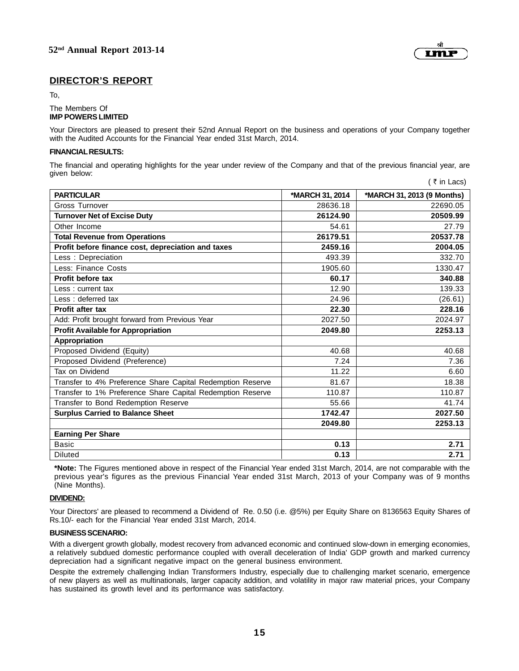

## **DIRECTOR'S REPORT**

#### To,

#### The Members Of **IMP POWERS LIMITED**

Your Directors are pleased to present their 52nd Annual Report on the business and operations of your Company together with the Audited Accounts for the Financial Year ended 31st March, 2014.

#### **FINANCIAL RESULTS:**

The financial and operating highlights for the year under review of the Company and that of the previous financial year, are given below:  $($   $\bar{z}$  in Lacs)

| <b>PARTICULAR</b>                                          | *MARCH 31, 2014 | *MARCH 31, 2013 (9 Months) |
|------------------------------------------------------------|-----------------|----------------------------|
| <b>Gross Turnover</b>                                      | 28636.18        | 22690.05                   |
| <b>Turnover Net of Excise Duty</b>                         | 26124.90        | 20509.99                   |
| Other Income                                               | 54.61           | 27.79                      |
| <b>Total Revenue from Operations</b>                       | 26179.51        | 20537.78                   |
| Profit before finance cost, depreciation and taxes         | 2459.16         | 2004.05                    |
| Less : Depreciation                                        | 493.39          | 332.70                     |
| Less: Finance Costs                                        | 1905.60         | 1330.47                    |
| Profit before tax                                          | 60.17           | 340.88                     |
| Less: current tax                                          | 12.90           | 139.33                     |
| Less: deferred tax                                         | 24.96           | (26.61)                    |
| Profit after tax                                           | 22.30           | 228.16                     |
| Add: Profit brought forward from Previous Year             | 2027.50         | 2024.97                    |
| <b>Profit Available for Appropriation</b>                  | 2049.80         | 2253.13                    |
| Appropriation                                              |                 |                            |
| Proposed Dividend (Equity)                                 | 40.68           | 40.68                      |
| Proposed Dividend (Preference)                             | 7.24            | 7.36                       |
| Tax on Dividend                                            | 11.22           | 6.60                       |
| Transfer to 4% Preference Share Capital Redemption Reserve | 81.67           | 18.38                      |
| Transfer to 1% Preference Share Capital Redemption Reserve | 110.87          | 110.87                     |
| Transfer to Bond Redemption Reserve                        | 55.66           | 41.74                      |
| <b>Surplus Carried to Balance Sheet</b>                    | 1742.47         | 2027.50                    |
|                                                            | 2049.80         | 2253.13                    |
| <b>Earning Per Share</b>                                   |                 |                            |
| <b>Basic</b>                                               | 0.13            | 2.71                       |
| <b>Diluted</b>                                             | 0.13            | 2.71                       |

**\*Note:** The Figures mentioned above in respect of the Financial Year ended 31st March, 2014, are not comparable with the previous year's figures as the previous Financial Year ended 31st March, 2013 of your Company was of 9 months (Nine Months).

#### **DIVIDEND:**

Your Directors' are pleased to recommend a Dividend of Re. 0.50 (i.e. @5%) per Equity Share on 8136563 Equity Shares of Rs.10/- each for the Financial Year ended 31st March, 2014.

#### **BUSINESS SCENARIO:**

With a divergent growth globally, modest recovery from advanced economic and continued slow-down in emerging economies, a relatively subdued domestic performance coupled with overall deceleration of India' GDP growth and marked currency depreciation had a significant negative impact on the general business environment.

Despite the extremely challenging Indian Transformers Industry, especially due to challenging market scenario, emergence of new players as well as multinationals, larger capacity addition, and volatility in major raw material prices, your Company has sustained its growth level and its performance was satisfactory.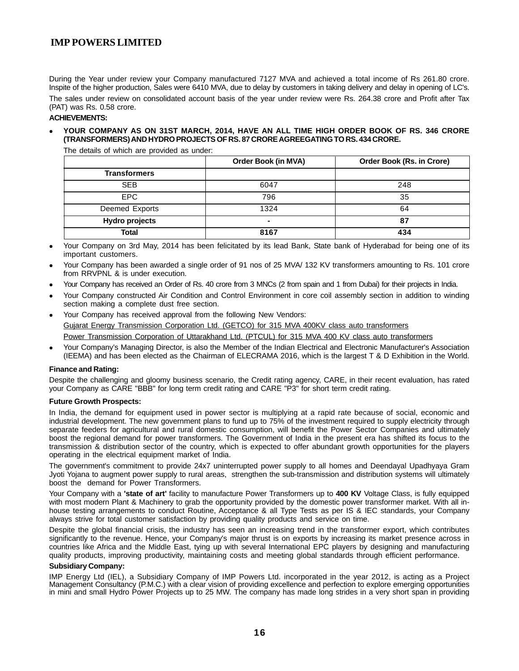During the Year under review your Company manufactured 7127 MVA and achieved a total income of Rs 261.80 crore. Inspite of the higher production, Sales were 6410 MVA, due to delay by customers in taking delivery and delay in opening of LC's. The sales under review on consolidated account basis of the year under review were Rs. 264.38 crore and Profit after Tax (PAT) was Rs. 0.58 crore.

## **ACHIEVEMENTS:**

 $\bullet$  **YOUR COMPANY AS ON 31ST MARCH, 2014, HAVE AN ALL TIME HIGH ORDER BOOK OF RS. 346 CRORE (TRANSFORMERS) AND HYDRO PROJECTS OF RS. 87 CRORE AGREEGATING TO RS. 434 CRORE.**

The details of which are provided as under:

|                     | Order Book (in MVA) | Order Book (Rs. in Crore) |
|---------------------|---------------------|---------------------------|
| <b>Transformers</b> |                     |                           |
| <b>SEB</b>          | 6047                | 248                       |
| EPC                 | 796                 | 35                        |
| Deemed Exports      | 1324                | 64                        |
| Hydro projects      |                     | 87                        |
| Total               | 8167                | 434                       |

 $\bullet$  Your Company on 3rd May, 2014 has been felicitated by its lead Bank, State bank of Hyderabad for being one of its important customers.

- $\bullet$  Your Company has been awarded a single order of 91 nos of 25 MVA/ 132 KV transformers amounting to Rs. 101 crore from RRVPNL & is under execution.
- $\bullet$ Your Company has received an Order of Rs. 40 crore from 3 MNCs (2 from spain and 1 from Dubai) for their projects in India.
- $\bullet$  Your Company constructed Air Condition and Control Environment in core coil assembly section in addition to winding section making a complete dust free section.
- $\bullet$  Your Company has received approval from the following New Vendors: Gujarat Energy Transmission Corporation Ltd. (GETCO) for 315 MVA 400KV class auto transformers Power Transmission Corporation of Uttarakhand Ltd. (PTCUL) for 315 MVA 400 KV class auto transformers
- $\bullet$  Your Company's Managing Director, is also the Member of the Indian Electrical and Electronic Manufacturer's Association (IEEMA) and has been elected as the Chairman of ELECRAMA 2016, which is the largest T & D Exhibition in the World.

#### **Finance and Rating:**

Despite the challenging and gloomy business scenario, the Credit rating agency, CARE, in their recent evaluation, has rated your Company as CARE "BBB" for long term credit rating and CARE "P3" for short term credit rating.

#### **Future Growth Prospects:**

In India, the demand for equipment used in power sector is multiplying at a rapid rate because of social, economic and industrial development. The new government plans to fund up to 75% of the investment required to supply electricity through separate feeders for agricultural and rural domestic consumption, will benefit the Power Sector Companies and ultimately boost the regional demand for power transformers. The Government of India in the present era has shifted its focus to the transmission & distribution sector of the country, which is expected to offer abundant growth opportunities for the players operating in the electrical equipment market of India.

The government's commitment to provide 24x7 uninterrupted power supply to all homes and Deendayal Upadhyaya Gram Jyoti Yojana to augment power supply to rural areas, strengthen the sub-transmission and distribution systems will ultimately boost the demand for Power Transformers.

Your Company with a **'state of art'** facility to manufacture Power Transformers up to **400 KV** Voltage Class, is fully equipped with most modern Plant & Machinery to grab the opportunity provided by the domestic power transformer market. With all inhouse testing arrangements to conduct Routine, Acceptance & all Type Tests as per IS & IEC standards, your Company always strive for total customer satisfaction by providing quality products and service on time.

Despite the global financial crisis, the industry has seen an increasing trend in the transformer export, which contributes significantly to the revenue. Hence, your Company's major thrust is on exports by increasing its market presence across in countries like Africa and the Middle East, tying up with several International EPC players by designing and manufacturing quality products, improving productivity, maintaining costs and meeting global standards through efficient performance.

#### **Subsidiary Company:**

IMP Energy Ltd (IEL), a Subsidiary Company of IMP Powers Ltd. incorporated in the year 2012, is acting as a Project Management Consultancy (P.M.C.) with a clear vision of providing excellence and perfection to explore emerging opportunities in mini and small Hydro Power Projects up to 25 MW. The company has made long strides in a very short span in providing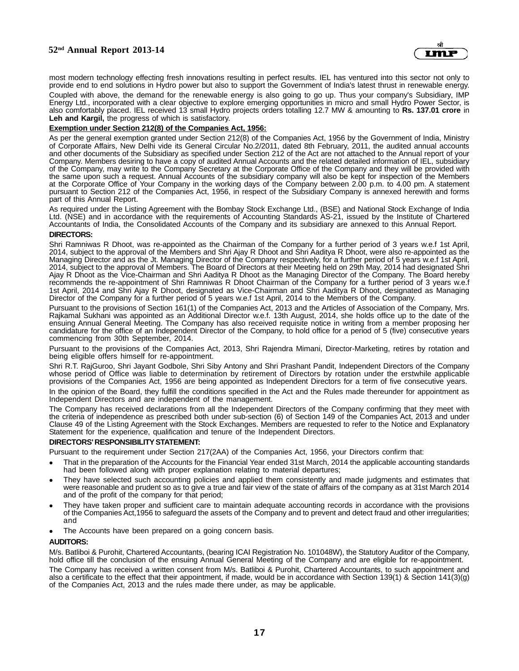

most modern technology effecting fresh innovations resulting in perfect results. IEL has ventured into this sector not only to provide end to end solutions in Hydro power but also to support the Government of India's latest thrust in renewable energy.

Coupled with above, the demand for the renewable energy is also going to go up. Thus your company's Subsidiary, IMP Energy Ltd., incorporated with a clear objective to explore emerging opportunities in micro and small Hydro Power Sector, is also comfortably placed. IEL received 13 small Hydro projects orders totalling 12.7 MW & amounting to **Rs. 137.01 crore** in **Leh and Kargil,** the progress of which is satisfactory.

## **Exemption under Section 212(8) of the Companies Act, 1956:**

As per the general exemption granted under Section 212(8) of the Companies Act, 1956 by the Government of India, Ministry of Corporate Affairs, New Delhi vide its General Circular No.2/2011, dated 8th February, 2011, the audited annual accounts and other documents of the Subsidiary as specified under Section 212 of the Act are not attached to the Annual report of your Company. Members desiring to have a copy of audited Annual Accounts and the related detailed information of IEL, subsidiary of the Company, may write to the Company Secretary at the Corporate Office of the Company and they will be provided with the same upon such a request. Annual Accounts of the subsidiary company will also be kept for inspection of the Members at the Corporate Office of Your Company in the working days of the Company between 2.00 p.m. to 4.00 pm. A statement pursuant to Section 212 of the Companies Act, 1956, in respect of the Subsidiary Company is annexed herewith and forms part of this Annual Report.

As required under the Listing Agreement with the Bombay Stock Exchange Ltd., (BSE) and National Stock Exchange of India Ltd. (NSE) and in accordance with the requirements of Accounting Standards AS-21, issued by the Institute of Chartered Accountants of India, the Consolidated Accounts of the Company and its subsidiary are annexed to this Annual Report.

#### **DIRECTORS:**

Shri Ramniwas R Dhoot, was re-appointed as the Chairman of the Company for a further period of 3 years w.e.f 1st April, 2014, subject to the approval of the Members and Shri Ajay R Dhoot and Shri Aaditya R Dhoot, were also re-appointed as the Managing Director and as the Jt. Managing Director of the Company respectively, for a further period of 5 years w.e.f 1st April,<br>2014, subject to the approval of Members. The Board of Directors at their Meeting held on 29t Ajay R Dhoot as the Vice-Chairman and Shri Aaditya R Dhoot as the Managing Director of the Company. The Board hereby recommends the re-appointment of Shri Ramniwas R Dhoot Chairman of the Company for a further period of 3 years w.e.f 1st April, 2014 and Shri Ajay R Dhoot, designated as Vice-Chairman and Shri Aaditya R Dhoot, designated as Managing Director of the Company for a further period of 5 years w.e.f 1st April, 2014 to the Members of the Company.

Pursuant to the provisions of Section 161(1) of the Companies Act, 2013 and the Articles of Association of the Company, Mrs. Rajkamal Sukhani was appointed as an Additional Director w.e.f. 13th August, 2014, she holds office up to the date of the ensuing Annual General Meeting. The Company has also received requisite notice in writing from a member proposing her candidature for the office of an Independent Director of the Company, to hold office for a period of 5 (five) consecutive years commencing from 30th September, 2014.

Pursuant to the provisions of the Companies Act, 2013, Shri Rajendra Mimani, Director-Marketing, retires by rotation and being eligible offers himself for re-appointment.

Shri R.T. RajGuroo, Shri Jayant Godbole, Shri Siby Antony and Shri Prashant Pandit, Independent Directors of the Company whose period of Office was liable to determination by retirement of Directors by rotation under the erstwhile applicable provisions of the Companies Act, 1956 are being appointed as Independent Directors for a term of five consecutive years.

In the opinion of the Board, they fulfill the conditions specified in the Act and the Rules made thereunder for appointment as Independent Directors and are independent of the management.

The Company has received declarations from all the Independent Directors of the Company confirming that they meet with the criteria of independence as prescribed both under sub-section (6) of Section 149 of the Companies Act, 2013 and under Clause 49 of the Listing Agreement with the Stock Exchanges. Members are requested to refer to the Notice and Explanatory Statement for the experience, qualification and tenure of the Independent Directors.

#### **DIRECTORS' RESPONSIBILITY STATEMENT:**

Pursuant to the requirement under Section 217(2AA) of the Companies Act, 1956, your Directors confirm that:

- $\bullet$  That in the preparation of the Accounts for the Financial Year ended 31st March, 2014 the applicable accounting standards had been followed along with proper explanation relating to material departures;
- $\bullet$  They have selected such accounting policies and applied them consistently and made judgments and estimates that were reasonable and prudent so as to give a true and fair view of the state of affairs of the company as at 31st March 2014 and of the profit of the company for that period;
- $\bullet$  They have taken proper and sufficient care to maintain adequate accounting records in accordance with the provisions of the Companies Act,1956 to safeguard the assets of the Company and to prevent and detect fraud and other irregularities; and
- $\bullet$ The Accounts have been prepared on a going concern basis.

#### **AUDITORS:**

M/s. Batliboi & Purohit, Chartered Accountants, (bearing ICAI Registration No. 101048W), the Statutory Auditor of the Company, hold office till the conclusion of the ensuing Annual General Meeting of the Company and are eligible for re-appointment.

The Company has received a written consent from M/s. Batliboi & Purohit, Chartered Accountants, to such appointment and also a certificate to the effect that their appointment, if made, would be in accordance with Section 139(1) & Section 141(3)(g) of the Companies Act, 2013 and the rules made there under, as may be applicable.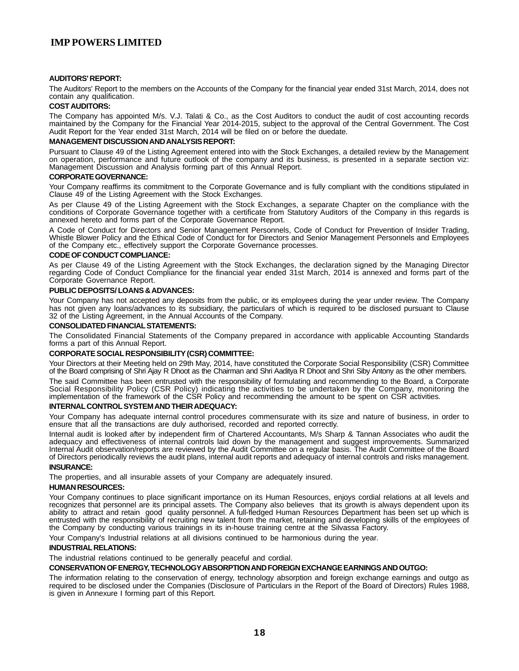#### **AUDITORS' REPORT:**

The Auditors' Report to the members on the Accounts of the Company for the financial year ended 31st March, 2014, does not contain any qualification.

#### **COST AUDITORS:**

The Company has appointed M/s. V.J. Talati & Co., as the Cost Auditors to conduct the audit of cost accounting records maintained by the Company for the Financial Year 2014-2015, subject to the approval of the Central Government. The Cost Audit Report for the Year ended 31st March, 2014 will be filed on or before the duedate.

#### **MANAGEMENT DISCUSSION AND ANALYSIS REPORT:**

Pursuant to Clause 49 of the Listing Agreement entered into with the Stock Exchanges, a detailed review by the Management on operation, performance and future outlook of the company and its business, is presented in a separate section viz: Management Discussion and Analysis forming part of this Annual Report.

#### **CORPORATE GOVERNANCE:**

Your Company reaffirms its commitment to the Corporate Governance and is fully compliant with the conditions stipulated in Clause 49 of the Listing Agreement with the Stock Exchanges.

As per Clause 49 of the Listing Agreement with the Stock Exchanges, a separate Chapter on the compliance with the conditions of Corporate Governance together with a certificate from Statutory Auditors of the Company in this regards is annexed hereto and forms part of the Corporate Governance Report.

A Code of Conduct for Directors and Senior Management Personnels, Code of Conduct for Prevention of Insider Trading, Whistle Blower Policy and the Ethical Code of Conduct for for Directors and Senior Management Personnels and Employees of the Company etc., effectively support the Corporate Governance processes.

#### **CODE OF CONDUCT COMPLIANCE:**

As per Clause 49 of the Listing Agreement with the Stock Exchanges, the declaration signed by the Managing Director regarding Code of Conduct Compliance for the financial year ended 31st March, 2014 is annexed and forms part of the Corporate Governance Report.

#### **PUBLIC DEPOSITS/ LOANS & ADVANCES:**

Your Company has not accepted any deposits from the public, or its employees during the year under review. The Company has not given any loans/advances to its subsidiary, the particulars of which is required to be disclosed pursuant to Clause 32 of the Listing Agreement, in the Annual Accounts of the Company.

#### **CONSOLIDATED FINANCIAL STATEMENTS:**

The Consolidated Financial Statements of the Company prepared in accordance with applicable Accounting Standards forms a part of this Annual Report.

#### **CORPORATE SOCIAL RESPONSIBILITY (CSR) COMMITTEE:**

Your Directors at their Meeting held on 29th May, 2014, have constituted the Corporate Social Responsibility (CSR) Committee of the Board comprising of Shri Ajay R Dhoot as the Chairman and Shri Aaditya R Dhoot and Shri Siby Antony as the other members.

The said Committee has been entrusted with the responsibility of formulating and recommending to the Board, a Corporate Social Responsibility Policy (CSR Policy) indicating the activities to be undertaken by the Company, monitoring the implementation of the framework of the CSR Policy and recommending the amount to be spent on CSR activities.

#### **INTERNAL CONTROL SYSTEM AND THEIR ADEQUACY:**

Your Company has adequate internal control procedures commensurate with its size and nature of business, in order to ensure that all the transactions are duly authorised, recorded and reported correctly.

Internal audit is looked after by independent firm of Chartered Accountants, M/s Sharp & Tannan Associates who audit the adequacy and effectiveness of internal controls laid down by the management and suggest improvements. Summarized Internal Audit observation/reports are reviewed by the Audit Committee on a regular basis. The Audit Committee of the Board of Directors periodically reviews the audit plans, internal audit reports and adequacy of internal controls and risks management.

#### **INSURANCE:**

The properties, and all insurable assets of your Company are adequately insured.

#### **HUMAN RESOURCES:**

Your Company continues to place significant importance on its Human Resources, enjoys cordial relations at all levels and recognizes that personnel are its principal assets. The Company also believes that its growth is always dependent upon its ability to attract and retain good quality personnel. A full-fledged Human Resources Department has been set up which is entrusted with the responsibility of recruiting new talent from the market, retaining and developing skills of the employees of the Company by conducting various trainings in its in-house training centre at the Silvassa Factory.

Your Company's Industrial relations at all divisions continued to be harmonious during the year.

#### **INDUSTRIAL RELATIONS:**

The industrial relations continued to be generally peaceful and cordial.

#### **CONSERVATION OF ENERGY, TECHNOLOGY ABSORPTION AND FOREIGN EXCHANGE EARNINGS AND OUTGO:**

The information relating to the conservation of energy, technology absorption and foreign exchange earnings and outgo as required to be disclosed under the Companies (Disclosure of Particulars in the Report of the Board of Directors) Rules 1988, is given in Annexure I forming part of this Report.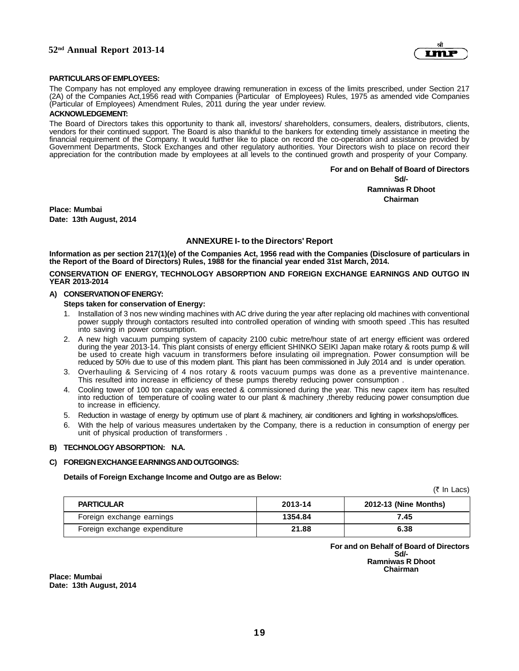

#### **PARTICULARS OF EMPLOYEES:**

The Company has not employed any employee drawing remuneration in excess of the limits prescribed, under Section 217 (2A) of the Companies Act,1956 read with Companies (Particular of Employees) Rules, 1975 as amended vide Companies (Particular of Employees) Amendment Rules, 2011 during the year under review.

#### **ACKNOWLEDGEMENT:**

The Board of Directors takes this opportunity to thank all, investors/ shareholders, consumers, dealers, distributors, clients, vendors for their continued support. The Board is also thankful to the bankers for extending timely assistance in meeting the financial requirement of the Company. It would further like to place on record the co-operation and assistance provided by Government Departments, Stock Exchanges and other regulatory authorities. Your Directors wish to place on record their appreciation for the contribution made by employees at all levels to the continued growth and prosperity of your Company.

**For and on Behalf of Board of Directors**

**Sd/-**

**Ramniwas R Dhoot Chairman**

**Place: Mumbai Date: 13th August, 2014**

#### **ANNEXURE I- to the Directors' Report**

**Information as per section 217(1)(e) of the Companies Act, 1956 read with the Companies (Disclosure of particulars in the Report of the Board of Directors) Rules, 1988 for the financial year ended 31st March, 2014.**

#### **CONSERVATION OF ENERGY, TECHNOLOGY ABSORPTION AND FOREIGN EXCHANGE EARNINGS AND OUTGO IN YEAR 2013-2014**

#### **A) CONSERVATION OF ENERGY:**

#### **Steps taken for conservation of Energy:**

- 1. Installation of 3 nos new winding machines with AC drive during the year after replacing old machines with conventional power supply through contactors resulted into controlled operation of winding with smooth speed .This has resulted into saving in power consumption.
- 2. A new high vacuum pumping system of capacity 2100 cubic metre/hour state of art energy efficient was ordered during the year 2013-14. This plant consists of energy efficient SHINKO SEIKI Japan make rotary & roots pump & will be used to create high vacuum in transformers before insulating oil impregnation. Power consumption will be reduced by 50% due to use of this modern plant. This plant has been commissioned in July 2014 and is under operation.
- 3. Overhauling & Servicing of 4 nos rotary & roots vacuum pumps was done as a preventive maintenance. This resulted into increase in efficiency of these pumps thereby reducing power consumption .
- 4. Cooling tower of 100 ton capacity was erected & commissioned during the year. This new capex item has resulted into reduction of temperature of cooling water to our plant & machinery ,thereby reducing power consumption due to increase in efficiency.
- 5. Reduction in wastage of energy by optimum use of plant & machinery, air conditioners and lighting in workshops/offices.
- With the help of various measures undertaken by the Company, there is a reduction in consumption of energy per unit of physical production of transformers .

#### **B) TECHNOLOGY ABSORPTION: N.A.**

#### **C) FOREIGN EXCHANGE EARNINGS AND OUTGOINGS:**

#### **Details of Foreign Exchange Income and Outgo are as Below:**

 $($ ₹ In Lacs)

| <b>PARTICULAR</b>            | 2013-14 | 2012-13 (Nine Months) |
|------------------------------|---------|-----------------------|
| Foreign exchange earnings    | 1354.84 | 7.45                  |
| Foreign exchange expenditure | 21.88   | 6.38                  |

**For and on Behalf of Board of Directors Sd/- Ramniwas R Dhoot Chairman**

**Place: Mumbai Date: 13th August, 2014**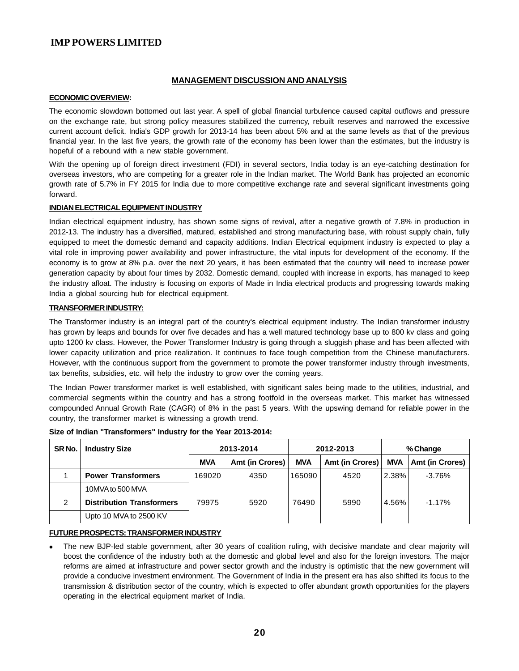## **MANAGEMENT DISCUSSION AND ANALYSIS**

#### **ECONOMIC OVERVIEW:**

The economic slowdown bottomed out last year. A spell of global financial turbulence caused capital outflows and pressure on the exchange rate, but strong policy measures stabilized the currency, rebuilt reserves and narrowed the excessive current account deficit. India's GDP growth for 2013-14 has been about 5% and at the same levels as that of the previous financial year. In the last five years, the growth rate of the economy has been lower than the estimates, but the industry is hopeful of a rebound with a new stable government.

With the opening up of foreign direct investment (FDI) in several sectors, India today is an eye-catching destination for overseas investors, who are competing for a greater role in the Indian market. The World Bank has projected an economic growth rate of 5.7% in FY 2015 for India due to more competitive exchange rate and several significant investments going forward.

#### **INDIAN ELECTRICAL EQUIPMENT INDUSTRY**

Indian electrical equipment industry, has shown some signs of revival, after a negative growth of 7.8% in production in 2012-13. The industry has a diversified, matured, established and strong manufacturing base, with robust supply chain, fully equipped to meet the domestic demand and capacity additions. Indian Electrical equipment industry is expected to play a vital role in improving power availability and power infrastructure, the vital inputs for development of the economy. If the economy is to grow at 8% p.a. over the next 20 years, it has been estimated that the country will need to increase power generation capacity by about four times by 2032. Domestic demand, coupled with increase in exports, has managed to keep the industry afloat. The industry is focusing on exports of Made in India electrical products and progressing towards making India a global sourcing hub for electrical equipment.

#### **TRANSFORMER INDUSTRY:**

The Transformer industry is an integral part of the country's electrical equipment industry. The Indian transformer industry has grown by leaps and bounds for over five decades and has a well matured technology base up to 800 kv class and going upto 1200 kv class. However, the Power Transformer Industry is going through a sluggish phase and has been affected with lower capacity utilization and price realization. It continues to face tough competition from the Chinese manufacturers. However, with the continuous support from the government to promote the power transformer industry through investments, tax benefits, subsidies, etc. will help the industry to grow over the coming years.

The Indian Power transformer market is well established, with significant sales being made to the utilities, industrial, and commercial segments within the country and has a strong footfold in the overseas market. This market has witnessed compounded Annual Growth Rate (CAGR) of 8% in the past 5 years. With the upswing demand for reliable power in the country, the transformer market is witnessing a growth trend.

| SR No. | <b>Industry Size</b>             |            | 2013-2014       | 2012-2013  |                 | % Change   |                 |
|--------|----------------------------------|------------|-----------------|------------|-----------------|------------|-----------------|
|        |                                  | <b>MVA</b> | Amt (in Crores) | <b>MVA</b> | Amt (in Crores) | <b>MVA</b> | Amt (in Crores) |
|        | <b>Power Transformers</b>        | 169020     | 4350            | 165090     | 4520            | 2.38%      | $-3.76\%$       |
|        | 10MVA to 500 MVA                 |            |                 |            |                 |            |                 |
|        | <b>Distribution Transformers</b> | 79975      | 5920            | 76490      | 5990            | 4.56%      | $-1.17%$        |
|        | Upto 10 MVA to 2500 KV           |            |                 |            |                 |            |                 |

|  |  | Size of Indian "Transformers" Industry for the Year 2013-2014: |  |  |  |  |
|--|--|----------------------------------------------------------------|--|--|--|--|
|--|--|----------------------------------------------------------------|--|--|--|--|

#### **FUTURE PROSPECTS: TRANSFORMER INDUSTRY**

 $\bullet$  The new BJP-led stable government, after 30 years of coalition ruling, with decisive mandate and clear majority will boost the confidence of the industry both at the domestic and global level and also for the foreign investors. The major reforms are aimed at infrastructure and power sector growth and the industry is optimistic that the new government will provide a conducive investment environment. The Government of India in the present era has also shifted its focus to the transmission & distribution sector of the country, which is expected to offer abundant growth opportunities for the players operating in the electrical equipment market of India.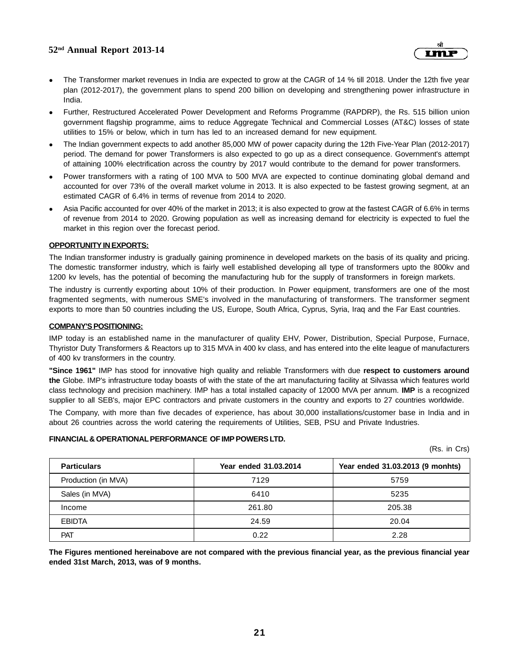- **ImF**
- $\bullet$  The Transformer market revenues in India are expected to grow at the CAGR of 14 % till 2018. Under the 12th five year plan (2012-2017), the government plans to spend 200 billion on developing and strengthening power infrastructure in India.
- $\bullet$  Further, Restructured Accelerated Power Development and Reforms Programme (RAPDRP), the Rs. 515 billion union government flagship programme, aims to reduce Aggregate Technical and Commercial Losses (AT&C) losses of state utilities to 15% or below, which in turn has led to an increased demand for new equipment.
- $\bullet$  The Indian government expects to add another 85,000 MW of power capacity during the 12th Five-Year Plan (2012-2017) period. The demand for power Transformers is also expected to go up as a direct consequence. Government's attempt of attaining 100% electrification across the country by 2017 would contribute to the demand for power transformers.
- $\bullet$  Power transformers with a rating of 100 MVA to 500 MVA are expected to continue dominating global demand and accounted for over 73% of the overall market volume in 2013. It is also expected to be fastest growing segment, at an estimated CAGR of 6.4% in terms of revenue from 2014 to 2020.
- $\bullet$  Asia Pacific accounted for over 40% of the market in 2013; it is also expected to grow at the fastest CAGR of 6.6% in terms of revenue from 2014 to 2020. Growing population as well as increasing demand for electricity is expected to fuel the market in this region over the forecast period.

#### **OPPORTUNITY IN EXPORTS:**

The Indian transformer industry is gradually gaining prominence in developed markets on the basis of its quality and pricing. The domestic transformer industry, which is fairly well established developing all type of transformers upto the 800kv and 1200 kv levels, has the potential of becoming the manufacturing hub for the supply of transformers in foreign markets.

The industry is currently exporting about 10% of their production. In Power equipment, transformers are one of the most fragmented segments, with numerous SME's involved in the manufacturing of transformers. The transformer segment exports to more than 50 countries including the US, Europe, South Africa, Cyprus, Syria, Iraq and the Far East countries.

#### **COMPANY'S POSITIONING:**

IMP today is an established name in the manufacturer of quality EHV, Power, Distribution, Special Purpose, Furnace, Thyristor Duty Transformers & Reactors up to 315 MVA in 400 kv class, and has entered into the elite league of manufacturers of 400 kv transformers in the country.

**"Since 1961"** IMP has stood for innovative high quality and reliable Transformers with due **respect to customers around the** Globe. IMP's infrastructure today boasts of with the state of the art manufacturing facility at Silvassa which features world class technology and precision machinery. IMP has a total installed capacity of 12000 MVA per annum. **IMP** is a recognized supplier to all SEB's, major EPC contractors and private customers in the country and exports to 27 countries worldwide.

The Company, with more than five decades of experience, has about 30,000 installations/customer base in India and in about 26 countries across the world catering the requirements of Utilities, SEB, PSU and Private Industries.

#### **FINANCIAL & OPERATIONAL PERFORMANCE OF IMP POWERS LTD.**

(Rs. in Crs)

| <b>Particulars</b>  | Year ended 31.03.2014 | Year ended 31.03.2013 (9 monhts) |
|---------------------|-----------------------|----------------------------------|
| Production (in MVA) | 7129                  | 5759                             |
| Sales (in MVA)      | 6410                  | 5235                             |
| Income              | 261.80                | 205.38                           |
| <b>EBIDTA</b>       | 24.59                 | 20.04                            |
| <b>PAT</b>          | 0.22                  | 2.28                             |

**The Figures mentioned hereinabove are not compared with the previous financial year, as the previous financial year ended 31st March, 2013, was of 9 months.**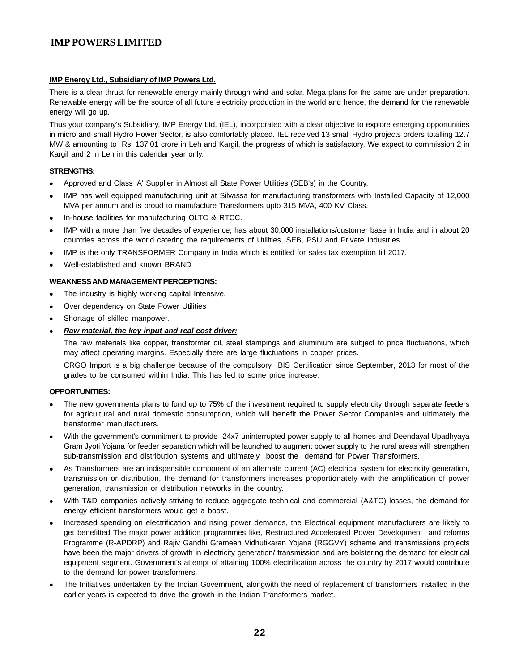#### **IMP Energy Ltd., Subsidiary of IMP Powers Ltd.**

There is a clear thrust for renewable energy mainly through wind and solar. Mega plans for the same are under preparation. Renewable energy will be the source of all future electricity production in the world and hence, the demand for the renewable energy will go up.

Thus your company's Subsidiary, IMP Energy Ltd. (IEL), incorporated with a clear objective to explore emerging opportunities in micro and small Hydro Power Sector, is also comfortably placed. IEL received 13 small Hydro projects orders totalling 12.7 MW & amounting to Rs. 137.01 crore in Leh and Kargil, the progress of which is satisfactory. We expect to commission 2 in Kargil and 2 in Leh in this calendar year only.

#### **STRENGTHS:**

- $\bullet$ Approved and Class 'A' Supplier in Almost all State Power Utilities (SEB's) in the Country.
- $\bullet$  IMP has well equipped manufacturing unit at Silvassa for manufacturing transformers with Installed Capacity of 12,000 MVA per annum and is proud to manufacture Transformers upto 315 MVA, 400 KV Class.
- $\bullet$ In-house facilities for manufacturing OLTC & RTCC.
- $\bullet$  IMP with a more than five decades of experience, has about 30,000 installations/customer base in India and in about 20 countries across the world catering the requirements of Utilities, SEB, PSU and Private Industries.
- $\bullet$ IMP is the only TRANSFORMER Company in India which is entitled for sales tax exemption till 2017.
- $\bullet$ Well-established and known BRAND

#### **WEAKNESS AND MANAGEMENT PERCEPTIONS:**

- $\bullet$ The industry is highly working capital Intensive.
- $\bullet$ Over dependency on State Power Utilities
- $\bullet$ Shortage of skilled manpower.

#### $\bullet$ *Raw material, the key input and real cost driver:*

The raw materials like copper, transformer oil, steel stampings and aluminium are subject to price fluctuations, which may affect operating margins. Especially there are large fluctuations in copper prices.

CRGO Import is a big challenge because of the compulsory BIS Certification since September, 2013 for most of the grades to be consumed within India. This has led to some price increase.

#### **OPPORTUNITIES:**

- $\bullet$  The new governments plans to fund up to 75% of the investment required to supply electricity through separate feeders for agricultural and rural domestic consumption, which will benefit the Power Sector Companies and ultimately the transformer manufacturers.
- $\bullet$  With the government's commitment to provide 24x7 uninterrupted power supply to all homes and Deendayal Upadhyaya Gram Jyoti Yojana for feeder separation which will be launched to augment power supply to the rural areas will strengthen sub-transmission and distribution systems and ultimately boost the demand for Power Transformers.
- $\bullet$ As Transformers are an indispensible component of an alternate current (AC) electrical system for electricity generation, transmission or distribution, the demand for transformers increases proportionately with the amplification of power generation, transmission or distribution networks in the country.
- $\bullet$ With T&D companies actively striving to reduce aggregate technical and commercial (A&TC) losses, the demand for energy efficient transformers would get a boost.
- $\bullet$  Increased spending on electrification and rising power demands, the Electrical equipment manufacturers are likely to get benefitted The major power addition programmes like, Restructured Accelerated Power Development and reforms Programme (R-APDRP) and Rajiv Gandhi Grameen Vidhutikaran Yojana (RGGVY) scheme and transmissions projects have been the major drivers of growth in electricity generation/ transmission and are bolstering the demand for electrical equipment segment. Government's attempt of attaining 100% electrification across the country by 2017 would contribute to the demand for power transformers.
- $\bullet$  The Initiatives undertaken by the Indian Government, alongwith the need of replacement of transformers installed in the earlier years is expected to drive the growth in the Indian Transformers market.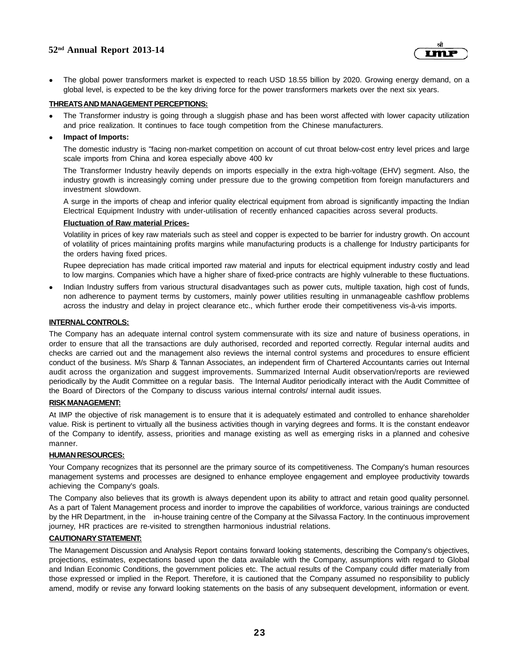

 $\bullet$  The global power transformers market is expected to reach USD 18.55 billion by 2020. Growing energy demand, on a global level, is expected to be the key driving force for the power transformers markets over the next six years.

#### **THREATS AND MANAGEMENT PERCEPTIONS:**

 $\bullet$  The Transformer industry is going through a sluggish phase and has been worst affected with lower capacity utilization and price realization. It continues to face tough competition from the Chinese manufacturers.

#### $\bullet$ **Impact of Imports:**

The domestic industry is "facing non-market competition on account of cut throat below-cost entry level prices and large scale imports from China and korea especially above 400 kv

The Transformer Industry heavily depends on imports especially in the extra high-voltage (EHV) segment. Also, the industry growth is increasingly coming under pressure due to the growing competition from foreign manufacturers and investment slowdown.

A surge in the imports of cheap and inferior quality electrical equipment from abroad is significantly impacting the Indian Electrical Equipment Industry with under-utilisation of recently enhanced capacities across several products.

## **Fluctuation of Raw material Prices-**

Volatility in prices of key raw materials such as steel and copper is expected to be barrier for industry growth. On account of volatility of prices maintaining profits margins while manufacturing products is a challenge for Industry participants for the orders having fixed prices.

Rupee depreciation has made critical imported raw material and inputs for electrical equipment industry costly and lead to low margins. Companies which have a higher share of fixed-price contracts are highly vulnerable to these fluctuations.

 $\bullet$  Indian Industry suffers from various structural disadvantages such as power cuts, multiple taxation, high cost of funds, non adherence to payment terms by customers, mainly power utilities resulting in unmanageable cashflow problems across the industry and delay in project clearance etc., which further erode their competitiveness vis-à-vis imports.

#### **INTERNAL CONTROLS:**

The Company has an adequate internal control system commensurate with its size and nature of business operations, in order to ensure that all the transactions are duly authorised, recorded and reported correctly. Regular internal audits and checks are carried out and the management also reviews the internal control systems and procedures to ensure efficient conduct of the business. M/s Sharp & Tannan Associates, an independent firm of Chartered Accountants carries out Internal audit across the organization and suggest improvements. Summarized Internal Audit observation/reports are reviewed periodically by the Audit Committee on a regular basis. The Internal Auditor periodically interact with the Audit Committee of the Board of Directors of the Company to discuss various internal controls/ internal audit issues.

#### **RISK MANAGEMENT:**

At IMP the objective of risk management is to ensure that it is adequately estimated and controlled to enhance shareholder value. Risk is pertinent to virtually all the business activities though in varying degrees and forms. It is the constant endeavor of the Company to identify, assess, priorities and manage existing as well as emerging risks in a planned and cohesive manner.

#### **HUMAN RESOURCES:**

Your Company recognizes that its personnel are the primary source of its competitiveness. The Company's human resources management systems and processes are designed to enhance employee engagement and employee productivity towards achieving the Company's goals.

The Company also believes that its growth is always dependent upon its ability to attract and retain good quality personnel. As a part of Talent Management process and inorder to improve the capabilities of workforce, various trainings are conducted by the HR Department, in the in-house training centre of the Company at the Silvassa Factory. In the continuous improvement journey, HR practices are re-visited to strengthen harmonious industrial relations.

#### **CAUTIONARY STATEMENT:**

The Management Discussion and Analysis Report contains forward looking statements, describing the Company's objectives, projections, estimates, expectations based upon the data available with the Company, assumptions with regard to Global and Indian Economic Conditions, the government policies etc. The actual results of the Company could differ materially from those expressed or implied in the Report. Therefore, it is cautioned that the Company assumed no responsibility to publicly amend, modify or revise any forward looking statements on the basis of any subsequent development, information or event.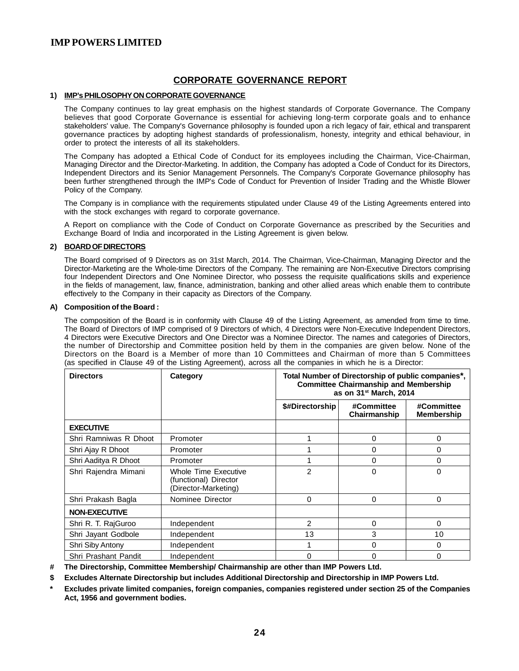## **CORPORATE GOVERNANCE REPORT**

#### **1) IMP's PHILOSOPHY ON CORPORATE GOVERNANCE**

The Company continues to lay great emphasis on the highest standards of Corporate Governance. The Company believes that good Corporate Governance is essential for achieving long-term corporate goals and to enhance stakeholders' value. The Company's Governance philosophy is founded upon a rich legacy of fair, ethical and transparent governance practices by adopting highest standards of professionalism, honesty, integrity and ethical behaviour, in order to protect the interests of all its stakeholders.

The Company has adopted a Ethical Code of Conduct for its employees including the Chairman, Vice-Chairman, Managing Director and the Director-Marketing. In addition, the Company has adopted a Code of Conduct for its Directors, Independent Directors and its Senior Management Personnels. The Company's Corporate Governance philosophy has been further strengthened through the IMP's Code of Conduct for Prevention of Insider Trading and the Whistle Blower Policy of the Company.

The Company is in compliance with the requirements stipulated under Clause 49 of the Listing Agreements entered into with the stock exchanges with regard to corporate governance.

A Report on compliance with the Code of Conduct on Corporate Governance as prescribed by the Securities and Exchange Board of India and incorporated in the Listing Agreement is given below.

#### **2) BOARD OF DIRECTORS**

The Board comprised of 9 Directors as on 31st March, 2014. The Chairman, Vice-Chairman, Managing Director and the Director-Marketing are the Whole-time Directors of the Company. The remaining are Non-Executive Directors comprising four Independent Directors and One Nominee Director, who possess the requisite qualifications skills and experience in the fields of management, law, finance, administration, banking and other allied areas which enable them to contribute effectively to the Company in their capacity as Directors of the Company.

#### **A) Composition of the Board :**

The composition of the Board is in conformity with Clause 49 of the Listing Agreement, as amended from time to time. The Board of Directors of IMP comprised of 9 Directors of which, 4 Directors were Non-Executive Independent Directors, 4 Directors were Executive Directors and One Director was a Nominee Director. The names and categories of Directors, the number of Directorship and Committee position held by them in the companies are given below. None of the Directors on the Board is a Member of more than 10 Committees and Chairman of more than 5 Committees (as specified in Clause 49 of the Listing Agreement), across all the companies in which he is a Director:

| <b>Directors</b>      | Category                                                              | Total Number of Directorship of public companies*,<br><b>Committee Chairmanship and Membership</b><br>as on 31 <sup>st</sup> March, 2014 |                            |                                 |
|-----------------------|-----------------------------------------------------------------------|------------------------------------------------------------------------------------------------------------------------------------------|----------------------------|---------------------------------|
|                       |                                                                       | \$#Directorship                                                                                                                          | #Committee<br>Chairmanship | #Committee<br><b>Membership</b> |
| <b>EXECUTIVE</b>      |                                                                       |                                                                                                                                          |                            |                                 |
| Shri Ramniwas R Dhoot | Promoter                                                              |                                                                                                                                          | $\Omega$                   | $\Omega$                        |
| Shri Ajay R Dhoot     | Promoter                                                              |                                                                                                                                          | 0                          | 0                               |
| Shri Aaditya R Dhoot  | Promoter                                                              |                                                                                                                                          | 0                          | 0                               |
| Shri Rajendra Mimani  | Whole Time Executive<br>(functional) Director<br>(Director-Marketing) | $\mathfrak{p}$                                                                                                                           | 0                          | 0                               |
| Shri Prakash Bagla    | Nominee Director                                                      | 0                                                                                                                                        | 0                          | $\Omega$                        |
| <b>NON-EXECUTIVE</b>  |                                                                       |                                                                                                                                          |                            |                                 |
| Shri R. T. RajGuroo   | Independent                                                           | $\overline{2}$                                                                                                                           | 0                          | $\Omega$                        |
| Shri Jayant Godbole   | Independent                                                           | 13                                                                                                                                       | 3                          | 10                              |
| Shri Siby Antony      | Independent                                                           |                                                                                                                                          | 0                          | $\Omega$                        |
| Shri Prashant Pandit  | Independent                                                           | 0                                                                                                                                        | U                          | $\Omega$                        |

**# The Directorship, Committee Membership/ Chairmanship are other than IMP Powers Ltd.**

**\$ Excludes Alternate Directorship but includes Additional Directorship and Directorship in IMP Powers Ltd.**

**\* Excludes private limited companies, foreign companies, companies registered under section 25 of the Companies Act, 1956 and government bodies.**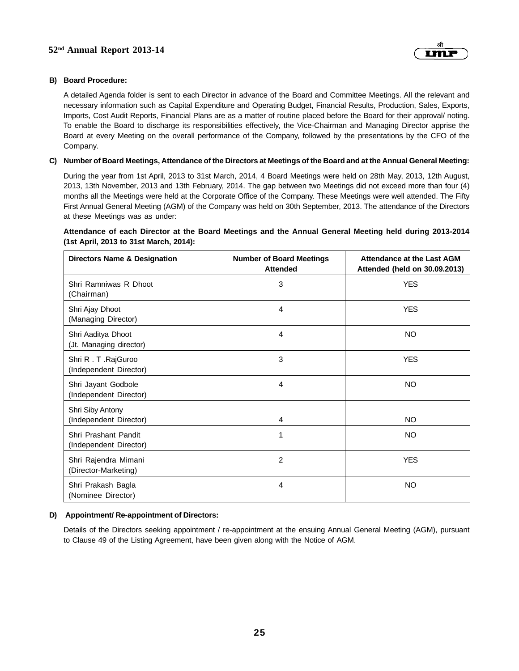

## **B) Board Procedure:**

A detailed Agenda folder is sent to each Director in advance of the Board and Committee Meetings. All the relevant and necessary information such as Capital Expenditure and Operating Budget, Financial Results, Production, Sales, Exports, Imports, Cost Audit Reports, Financial Plans are as a matter of routine placed before the Board for their approval/ noting. To enable the Board to discharge its responsibilities effectively, the Vice-Chairman and Managing Director apprise the Board at every Meeting on the overall performance of the Company, followed by the presentations by the CFO of the Company.

#### **C) Number of Board Meetings, Attendance of the Directors at Meetings of the Board and at the Annual General Meeting:**

During the year from 1st April, 2013 to 31st March, 2014, 4 Board Meetings were held on 28th May, 2013, 12th August, 2013, 13th November, 2013 and 13th February, 2014. The gap between two Meetings did not exceed more than four (4) months all the Meetings were held at the Corporate Office of the Company. These Meetings were well attended. The Fifty First Annual General Meeting (AGM) of the Company was held on 30th September, 2013. The attendance of the Directors at these Meetings was as under:

## **Attendance of each Director at the Board Meetings and the Annual General Meeting held during 2013-2014 (1st April, 2013 to 31st March, 2014):**

| <b>Directors Name &amp; Designation</b>        | <b>Number of Board Meetings</b><br><b>Attended</b> | Attendance at the Last AGM<br>Attended (held on 30.09.2013) |
|------------------------------------------------|----------------------------------------------------|-------------------------------------------------------------|
| Shri Ramniwas R Dhoot<br>(Chairman)            | 3                                                  | <b>YES</b>                                                  |
| Shri Ajay Dhoot<br>(Managing Director)         | 4                                                  | <b>YES</b>                                                  |
| Shri Aaditya Dhoot<br>(Jt. Managing director)  | 4                                                  | NO.                                                         |
| Shri R. T. RajGuroo<br>(Independent Director)  | 3                                                  | <b>YES</b>                                                  |
| Shri Jayant Godbole<br>(Independent Director)  | 4                                                  | <b>NO</b>                                                   |
| Shri Siby Antony<br>(Independent Director)     | 4                                                  | <b>NO</b>                                                   |
| Shri Prashant Pandit<br>(Independent Director) | 1                                                  | <b>NO</b>                                                   |
| Shri Rajendra Mimani<br>(Director-Marketing)   | $\overline{2}$                                     | <b>YES</b>                                                  |
| Shri Prakash Bagla<br>(Nominee Director)       | 4                                                  | <b>NO</b>                                                   |

#### **D) Appointment/ Re-appointment of Directors:**

Details of the Directors seeking appointment / re-appointment at the ensuing Annual General Meeting (AGM), pursuant to Clause 49 of the Listing Agreement, have been given along with the Notice of AGM.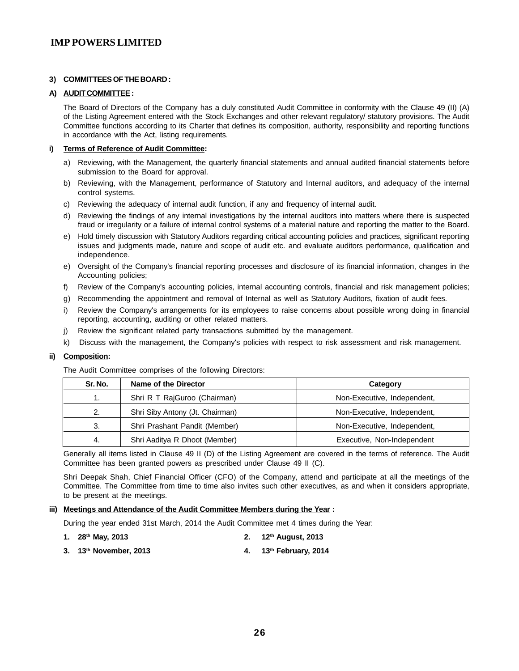#### **3) COMMITTEES OF THE BOARD :**

#### **A) AUDIT COMMITTEE :**

The Board of Directors of the Company has a duly constituted Audit Committee in conformity with the Clause 49 (II) (A) of the Listing Agreement entered with the Stock Exchanges and other relevant regulatory/ statutory provisions. The Audit Committee functions according to its Charter that defines its composition, authority, responsibility and reporting functions in accordance with the Act, listing requirements.

#### **i) Terms of Reference of Audit Committee:**

- a) Reviewing, with the Management, the quarterly financial statements and annual audited financial statements before submission to the Board for approval.
- b) Reviewing, with the Management, performance of Statutory and Internal auditors, and adequacy of the internal control systems.
- c) Reviewing the adequacy of internal audit function, if any and frequency of internal audit.
- d) Reviewing the findings of any internal investigations by the internal auditors into matters where there is suspected fraud or irregularity or a failure of internal control systems of a material nature and reporting the matter to the Board.
- e) Hold timely discussion with Statutory Auditors regarding critical accounting policies and practices, significant reporting issues and judgments made, nature and scope of audit etc. and evaluate auditors performance, qualification and independence.
- e) Oversight of the Company's financial reporting processes and disclosure of its financial information, changes in the Accounting policies;
- f) Review of the Company's accounting policies, internal accounting controls, financial and risk management policies;
- g) Recommending the appointment and removal of Internal as well as Statutory Auditors, fixation of audit fees.
- i) Review the Company's arrangements for its employees to raise concerns about possible wrong doing in financial reporting, accounting, auditing or other related matters.
- j) Review the significant related party transactions submitted by the management.
- k) Discuss with the management, the Company's policies with respect to risk assessment and risk management.

#### **ii) Composition:**

The Audit Committee comprises of the following Directors:

| Sr. No. | Name of the Director            | Category                    |
|---------|---------------------------------|-----------------------------|
| 1.      | Shri R T RajGuroo (Chairman)    | Non-Executive, Independent, |
| 2.      | Shri Siby Antony (Jt. Chairman) | Non-Executive, Independent, |
| 3.      | Shri Prashant Pandit (Member)   | Non-Executive, Independent, |
| -4.     | Shri Aaditya R Dhoot (Member)   | Executive, Non-Independent  |

Generally all items listed in Clause 49 II (D) of the Listing Agreement are covered in the terms of reference. The Audit Committee has been granted powers as prescribed under Clause 49 II (C).

Shri Deepak Shah, Chief Financial Officer (CFO) of the Company, attend and participate at all the meetings of the Committee. The Committee from time to time also invites such other executives, as and when it considers appropriate, to be present at the meetings.

#### **iii) Meetings and Attendance of the Audit Committee Members during the Year :**

During the year ended 31st March, 2014 the Audit Committee met 4 times during the Year:

- **1. 28th May, 2013 2. 12th August, 2013**
- 3. 13<sup>th</sup> November, 2013 **4. 13<sup>th</sup> February, 2014**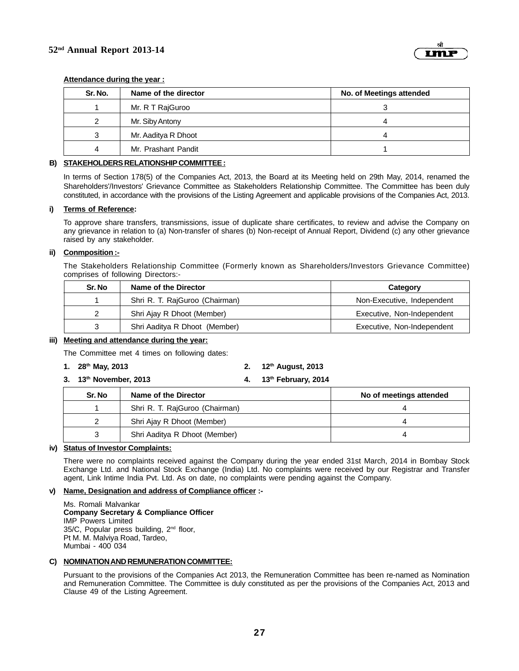

#### **Attendance during the year :**

| Sr. No. | Name of the director | No. of Meetings attended |
|---------|----------------------|--------------------------|
|         | Mr. R T RajGuroo     |                          |
| 2       | Mr. Siby Antony      |                          |
| 3       | Mr. Aaditya R Dhoot  |                          |
| 4       | Mr. Prashant Pandit  |                          |

#### **B) STAKEHOLDERS RELATIONSHIP COMMITTEE :**

In terms of Section 178(5) of the Companies Act, 2013, the Board at its Meeting held on 29th May, 2014, renamed the Shareholders'/Investors' Grievance Committee as Stakeholders Relationship Committee. The Committee has been duly constituted, in accordance with the provisions of the Listing Agreement and applicable provisions of the Companies Act, 2013.

#### **i) Terms of Reference:**

To approve share transfers, transmissions, issue of duplicate share certificates, to review and advise the Company on any grievance in relation to (a) Non-transfer of shares (b) Non-receipt of Annual Report, Dividend (c) any other grievance raised by any stakeholder.

#### **ii) Conmposition :-**

The Stakeholders Relationship Committee (Formerly known as Shareholders/Investors Grievance Committee) comprises of following Directors:-

| Sr. No | Name of the Director           | Category                   |
|--------|--------------------------------|----------------------------|
|        | Shri R. T. RajGuroo (Chairman) | Non-Executive, Independent |
|        | Shri Ajay R Dhoot (Member)     | Executive, Non-Independent |
|        | Shri Aaditya R Dhoot (Member)  | Executive, Non-Independent |

#### **iii) Meeting and attendance during the year:**

The Committee met 4 times on following dates:

#### **1. 28th May, 2013 2. 12th August, 2013**

| 3. 13th November, 2013 | 13 <sup>th</sup> February, 2014 |
|------------------------|---------------------------------|

| Sr. No | Name of the Director           | No of meetings attended |
|--------|--------------------------------|-------------------------|
|        | Shri R. T. RajGuroo (Chairman) |                         |
|        | Shri Ajay R Dhoot (Member)     |                         |
| 3      | Shri Aaditya R Dhoot (Member)  |                         |

#### **iv) Status of Investor Complaints:**

There were no complaints received against the Company during the year ended 31st March, 2014 in Bombay Stock Exchange Ltd. and National Stock Exchange (India) Ltd. No complaints were received by our Registrar and Transfer agent, Link Intime India Pvt. Ltd. As on date, no complaints were pending against the Company.

#### **v) Name, Designation and address of Compliance officer :-**

Ms. Romali Malvankar **Company Secretary & Compliance Officer** IMP Powers Limited 35/C, Popular press building, 2nd floor, Pt M. M. Malviya Road, Tardeo, Mumbai - 400 034

#### **C) NOMINATION AND REMUNERATION COMMITTEE:**

Pursuant to the provisions of the Companies Act 2013, the Remuneration Committee has been re-named as Nomination and Remuneration Committee. The Committee is duly constituted as per the provisions of the Companies Act, 2013 and Clause 49 of the Listing Agreement.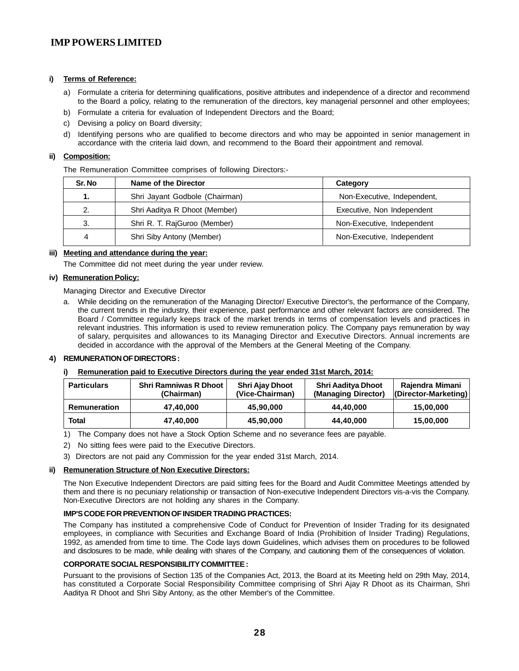#### **i) Terms of Reference:**

- a) Formulate a criteria for determining qualifications, positive attributes and independence of a director and recommend to the Board a policy, relating to the remuneration of the directors, key managerial personnel and other employees;
- b) Formulate a criteria for evaluation of Independent Directors and the Board;
- c) Devising a policy on Board diversity;
- d) Identifying persons who are qualified to become directors and who may be appointed in senior management in accordance with the criteria laid down, and recommend to the Board their appointment and removal.

#### **ii) Composition:**

The Remuneration Committee comprises of following Directors:-

| Sr. No | Name of the Director           | Category                    |
|--------|--------------------------------|-----------------------------|
| 1.     | Shri Jayant Godbole (Chairman) | Non-Executive, Independent, |
|        | Shri Aaditya R Dhoot (Member)  | Executive, Non Independent  |
|        | Shri R. T. RajGuroo (Member)   | Non-Executive, Independent  |
|        | Shri Siby Antony (Member)      | Non-Executive, Independent  |

#### **iii) Meeting and attendance during the year:**

The Committee did not meet during the year under review.

#### **iv) Remuneration Policy:**

Managing Director and Executive Director

a. While deciding on the remuneration of the Managing Director/ Executive Director's, the performance of the Company, the current trends in the industry, their experience, past performance and other relevant factors are considered. The Board / Committee regularly keeps track of the market trends in terms of compensation levels and practices in relevant industries. This information is used to review remuneration policy. The Company pays remuneration by way of salary, perquisites and allowances to its Managing Director and Executive Directors. Annual increments are decided in accordance with the approval of the Members at the General Meeting of the Company.

#### **4) REMUNERATION OF DIRECTORS :**

#### **i) Remuneration paid to Executive Directors during the year ended 31st March, 2014:**

| <b>Particulars</b> | <b>Shri Ramniwas R Dhoot</b><br>(Chairman) | <b>Shri Ajay Dhoot</b><br>(Vice-Chairman) | <b>Shri Aaditya Dhoot</b><br>(Managing Director) | Rajendra Mimani<br>(Director-Marketing) |
|--------------------|--------------------------------------------|-------------------------------------------|--------------------------------------------------|-----------------------------------------|
| Remuneration       | 47,40,000                                  | 45,90,000                                 | 44,40,000                                        | 15,00,000                               |
| Total              | 47,40,000                                  | 45,90,000                                 | 44,40,000                                        | 15,00,000                               |

1) The Company does not have a Stock Option Scheme and no severance fees are payable.

- 2) No sitting fees were paid to the Executive Directors.
- 3) Directors are not paid any Commission for the year ended 31st March, 2014.

#### **ii) Remuneration Structure of Non Executive Directors:**

The Non Executive Independent Directors are paid sitting fees for the Board and Audit Committee Meetings attended by them and there is no pecuniary relationship or transaction of Non-executive Independent Directors vis-a-vis the Company. Non-Executive Directors are not holding any shares in the Company.

#### **IMP'S CODE FOR PREVENTION OF INSIDER TRADING PRACTICES:**

The Company has instituted a comprehensive Code of Conduct for Prevention of Insider Trading for its designated employees, in compliance with Securities and Exchange Board of India (Prohibition of Insider Trading) Regulations, 1992, as amended from time to time. The Code lays down Guidelines, which advises them on procedures to be followed and disclosures to be made, while dealing with shares of the Company, and cautioning them of the consequences of violation.

## **CORPORATE SOCIAL RESPONSIBILITY COMMITTEE :**

Pursuant to the provisions of Section 135 of the Companies Act, 2013, the Board at its Meeting held on 29th May, 2014, has constituted a Corporate Social Responsibility Committee comprising of Shri Ajay R Dhoot as its Chairman, Shri Aaditya R Dhoot and Shri Siby Antony, as the other Member's of the Committee.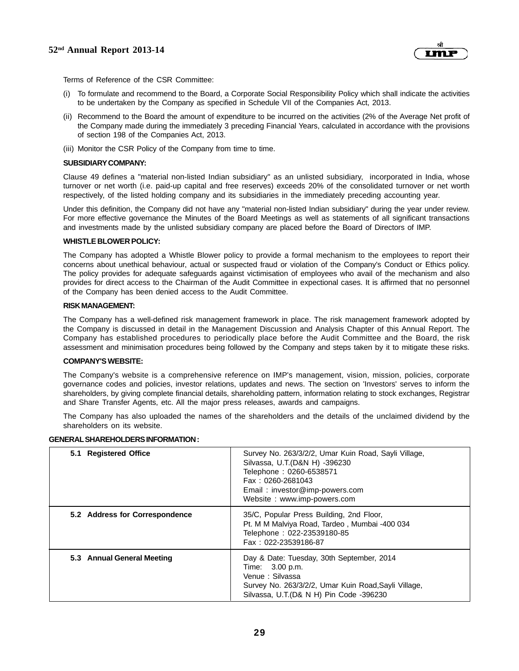

Terms of Reference of the CSR Committee:

- (i) To formulate and recommend to the Board, a Corporate Social Responsibility Policy which shall indicate the activities to be undertaken by the Company as specified in Schedule VII of the Companies Act, 2013.
- (ii) Recommend to the Board the amount of expenditure to be incurred on the activities (2% of the Average Net profit of the Company made during the immediately 3 preceding Financial Years, calculated in accordance with the provisions of section 198 of the Companies Act, 2013.
- (iii) Monitor the CSR Policy of the Company from time to time.

#### **SUBSIDIARY COMPANY:**

Clause 49 defines a "material non-listed Indian subsidiary" as an unlisted subsidiary, incorporated in India, whose turnover or net worth (i.e. paid-up capital and free reserves) exceeds 20% of the consolidated turnover or net worth respectively, of the listed holding company and its subsidiaries in the immediately preceding accounting year.

Under this definition, the Company did not have any "material non-listed Indian subsidiary" during the year under review. For more effective governance the Minutes of the Board Meetings as well as statements of all significant transactions and investments made by the unlisted subsidiary company are placed before the Board of Directors of IMP.

#### **WHISTLE BLOWER POLICY:**

The Company has adopted a Whistle Blower policy to provide a formal mechanism to the employees to report their concerns about unethical behaviour, actual or suspected fraud or violation of the Company's Conduct or Ethics policy. The policy provides for adequate safeguards against victimisation of employees who avail of the mechanism and also provides for direct access to the Chairman of the Audit Committee in expectional cases. It is affirmed that no personnel of the Company has been denied access to the Audit Committee.

#### **RISK MANAGEMENT:**

The Company has a well-defined risk management framework in place. The risk management framework adopted by the Company is discussed in detail in the Management Discussion and Analysis Chapter of this Annual Report. The Company has established procedures to periodically place before the Audit Committee and the Board, the risk assessment and minimisation procedures being followed by the Company and steps taken by it to mitigate these risks.

#### **COMPANY'S WEBSITE:**

The Company's website is a comprehensive reference on IMP's management, vision, mission, policies, corporate governance codes and policies, investor relations, updates and news. The section on 'Investors' serves to inform the shareholders, by giving complete financial details, shareholding pattern, information relating to stock exchanges, Registrar and Share Transfer Agents, etc. All the major press releases, awards and campaigns.

The Company has also uploaded the names of the shareholders and the details of the unclaimed dividend by the shareholders on its website.

| 5.1 Registered Office          | Survey No. 263/3/2/2, Umar Kuin Road, Sayli Village,<br>Silvassa, U.T. (D&N H) -396230<br>Telephone: 0260-6538571<br>Fax: 0260-2681043<br>Email: investor@imp-powers.com<br>Website: www.imp-powers.com |
|--------------------------------|---------------------------------------------------------------------------------------------------------------------------------------------------------------------------------------------------------|
| 5.2 Address for Correspondence | 35/C, Popular Press Building, 2nd Floor,<br>Pt. M M Malviya Road, Tardeo, Mumbai -400 034<br>Telephone: 022-23539180-85<br>Fax: 022-23539186-87                                                         |
| 5.3 Annual General Meeting     | Day & Date: Tuesday, 30th September, 2014<br>Time: 3.00 p.m.<br>Venue: Silvassa<br>Survey No. 263/3/2/2, Umar Kuin Road, Sayli Village,<br>Silvassa, U.T. (D& N H) Pin Code -396230                     |

#### **GENERAL SHAREHOLDERS INFORMATION :**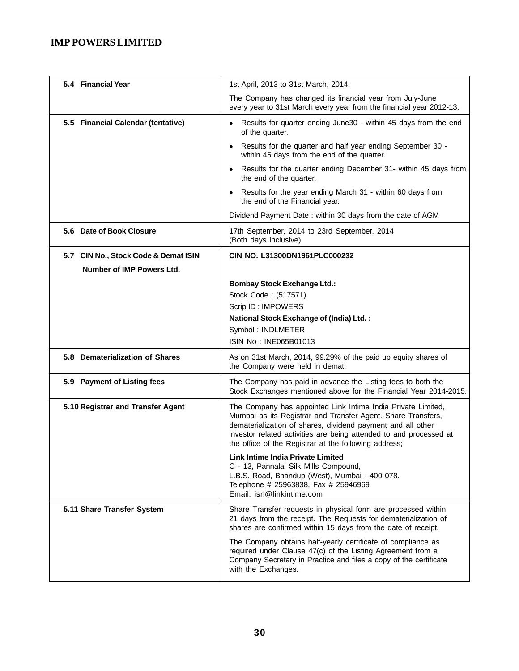| 5.4 Financial Year                   | 1st April, 2013 to 31st March, 2014.                                                                                                                                                                                                                                                                                       |
|--------------------------------------|----------------------------------------------------------------------------------------------------------------------------------------------------------------------------------------------------------------------------------------------------------------------------------------------------------------------------|
|                                      | The Company has changed its financial year from July-June<br>every year to 31st March every year from the financial year 2012-13.                                                                                                                                                                                          |
| 5.5 Financial Calendar (tentative)   | Results for quarter ending June30 - within 45 days from the end<br>of the quarter.                                                                                                                                                                                                                                         |
|                                      | Results for the quarter and half year ending September 30 -<br>$\bullet$<br>within 45 days from the end of the quarter.                                                                                                                                                                                                    |
|                                      | Results for the quarter ending December 31- within 45 days from<br>the end of the quarter.                                                                                                                                                                                                                                 |
|                                      | Results for the year ending March 31 - within 60 days from<br>the end of the Financial year.                                                                                                                                                                                                                               |
|                                      | Dividend Payment Date: within 30 days from the date of AGM                                                                                                                                                                                                                                                                 |
| 5.6 Date of Book Closure             | 17th September, 2014 to 23rd September, 2014<br>(Both days inclusive)                                                                                                                                                                                                                                                      |
| 5.7 CIN No., Stock Code & Demat ISIN | CIN NO. L31300DN1961PLC000232                                                                                                                                                                                                                                                                                              |
| <b>Number of IMP Powers Ltd.</b>     |                                                                                                                                                                                                                                                                                                                            |
|                                      | <b>Bombay Stock Exchange Ltd.:</b><br>Stock Code: (517571)<br>Scrip ID: IMPOWERS<br>National Stock Exchange of (India) Ltd.:                                                                                                                                                                                               |
|                                      | Symbol: INDLMETER                                                                                                                                                                                                                                                                                                          |
|                                      | ISIN No: INE065B01013                                                                                                                                                                                                                                                                                                      |
| 5.8 Dematerialization of Shares      | As on 31st March, 2014, 99.29% of the paid up equity shares of<br>the Company were held in demat.                                                                                                                                                                                                                          |
| 5.9 Payment of Listing fees          | The Company has paid in advance the Listing fees to both the<br>Stock Exchanges mentioned above for the Financial Year 2014-2015.                                                                                                                                                                                          |
| 5.10 Registrar and Transfer Agent    | The Company has appointed Link Intime India Private Limited,<br>Mumbai as its Registrar and Transfer Agent. Share Transfers,<br>dematerialization of shares, dividend payment and all other<br>investor related activities are being attended to and processed at<br>the office of the Registrar at the following address; |
|                                      | <b>Link Intime India Private Limited</b><br>C - 13, Pannalal Silk Mills Compound,<br>L.B.S. Road, Bhandup (West), Mumbai - 400 078.<br>Telephone # 25963838, Fax # 25946969<br>Email: isrl@linkintime.com                                                                                                                  |
| 5.11 Share Transfer System           | Share Transfer requests in physical form are processed within<br>21 days from the receipt. The Requests for dematerialization of<br>shares are confirmed within 15 days from the date of receipt.                                                                                                                          |
|                                      | The Company obtains half-yearly certificate of compliance as<br>required under Clause 47(c) of the Listing Agreement from a<br>Company Secretary in Practice and files a copy of the certificate<br>with the Exchanges.                                                                                                    |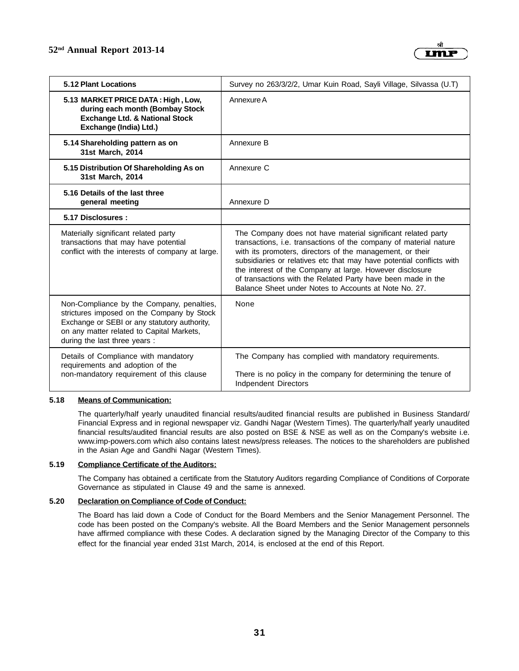

| <b>5.12 Plant Locations</b>                                                                                                                                                                                           | Survey no 263/3/2/2, Umar Kuin Road, Sayli Village, Silvassa (U.T)                                                                                                                                                                                                                                                                                                                                                                                          |  |
|-----------------------------------------------------------------------------------------------------------------------------------------------------------------------------------------------------------------------|-------------------------------------------------------------------------------------------------------------------------------------------------------------------------------------------------------------------------------------------------------------------------------------------------------------------------------------------------------------------------------------------------------------------------------------------------------------|--|
| 5.13 MARKET PRICE DATA: High, Low,<br>during each month (Bombay Stock<br><b>Exchange Ltd. &amp; National Stock</b><br>Exchange (India) Ltd.)                                                                          | Annexure A                                                                                                                                                                                                                                                                                                                                                                                                                                                  |  |
| 5.14 Shareholding pattern as on<br>31st March, 2014                                                                                                                                                                   | Annexure B                                                                                                                                                                                                                                                                                                                                                                                                                                                  |  |
| 5.15 Distribution Of Shareholding As on<br>31st March, 2014                                                                                                                                                           | Annexure C                                                                                                                                                                                                                                                                                                                                                                                                                                                  |  |
| 5.16 Details of the last three<br>general meeting                                                                                                                                                                     | Annexure D                                                                                                                                                                                                                                                                                                                                                                                                                                                  |  |
| 5.17 Disclosures:                                                                                                                                                                                                     |                                                                                                                                                                                                                                                                                                                                                                                                                                                             |  |
| Materially significant related party<br>transactions that may have potential<br>conflict with the interests of company at large.                                                                                      | The Company does not have material significant related party<br>transactions, i.e. transactions of the company of material nature<br>with its promoters, directors of the management, or their<br>subsidiaries or relatives etc that may have potential conflicts with<br>the interest of the Company at large. However disclosure<br>of transactions with the Related Party have been made in the<br>Balance Sheet under Notes to Accounts at Note No. 27. |  |
| Non-Compliance by the Company, penalties,<br>strictures imposed on the Company by Stock<br>Exchange or SEBI or any statutory authority,<br>on any matter related to Capital Markets,<br>during the last three years : | None                                                                                                                                                                                                                                                                                                                                                                                                                                                        |  |
| Details of Compliance with mandatory<br>requirements and adoption of the<br>non-mandatory requirement of this clause                                                                                                  | The Company has complied with mandatory requirements.<br>There is no policy in the company for determining the tenure of<br><b>Indpendent Directors</b>                                                                                                                                                                                                                                                                                                     |  |

#### **5.18 Means of Communication:**

The quarterly/half yearly unaudited financial results/audited financial results are published in Business Standard/ Financial Express and in regional newspaper viz. Gandhi Nagar (Western Times). The quarterly/half yearly unaudited financial results/audited financial results are also posted on BSE & NSE as well as on the Company's website i.e. www.imp-powers.com which also contains latest news/press releases. The notices to the shareholders are published in the Asian Age and Gandhi Nagar (Western Times).

## **5.19 Compliance Certificate of the Auditors:**

The Company has obtained a certificate from the Statutory Auditors regarding Compliance of Conditions of Corporate Governance as stipulated in Clause 49 and the same is annexed.

#### **5.20 Declaration on Compliance of Code of Conduct:**

The Board has laid down a Code of Conduct for the Board Members and the Senior Management Personnel. The code has been posted on the Company's website. All the Board Members and the Senior Management personnels have affirmed compliance with these Codes. A declaration signed by the Managing Director of the Company to this effect for the financial year ended 31st March, 2014, is enclosed at the end of this Report.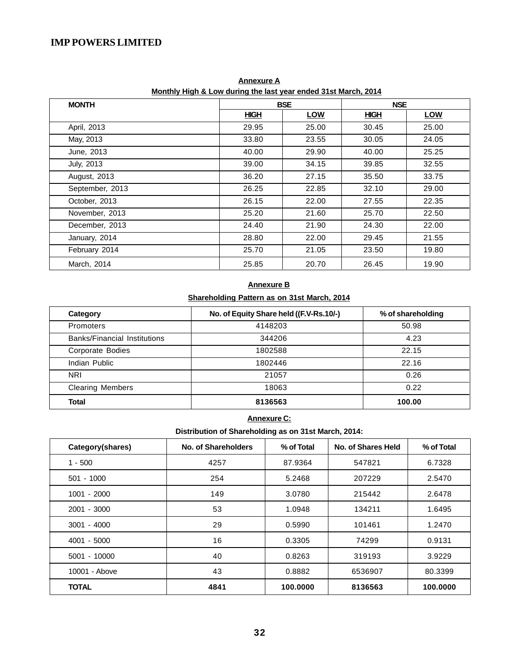| <b>MONTH</b>    |             | <b>BSE</b> |             | <b>NSE</b> |
|-----------------|-------------|------------|-------------|------------|
|                 | <b>HIGH</b> | <b>LOW</b> | <b>HIGH</b> | <b>LOW</b> |
| April, 2013     | 29.95       | 25.00      | 30.45       | 25.00      |
| May, 2013       | 33.80       | 23.55      | 30.05       | 24.05      |
| June, 2013      | 40.00       | 29.90      | 40.00       | 25.25      |
| July, 2013      | 39.00       | 34.15      | 39.85       | 32.55      |
| August, 2013    | 36.20       | 27.15      | 35.50       | 33.75      |
| September, 2013 | 26.25       | 22.85      | 32.10       | 29.00      |
| October, 2013   | 26.15       | 22.00      | 27.55       | 22.35      |
| November, 2013  | 25.20       | 21.60      | 25.70       | 22.50      |
| December, 2013  | 24.40       | 21.90      | 24.30       | 22.00      |
| January, 2014   | 28.80       | 22.00      | 29.45       | 21.55      |
| February 2014   | 25.70       | 21.05      | 23.50       | 19.80      |
| March, 2014     | 25.85       | 20.70      | 26.45       | 19.90      |

**Annexure A Monthly High & Low during the last year ended 31st March, 2014**

## **Annexure B**

#### **Shareholding Pattern as on 31st March, 2014**

| Category                            | No. of Equity Share held ((F.V-Rs.10/-) | % of shareholding |  |
|-------------------------------------|-----------------------------------------|-------------------|--|
| <b>Promoters</b>                    | 4148203                                 | 50.98             |  |
| <b>Banks/Financial Institutions</b> | 344206                                  | 4.23              |  |
| Corporate Bodies                    | 1802588                                 | 22.15             |  |
| Indian Public                       | 1802446                                 | 22.16             |  |
| <b>NRI</b>                          | 21057                                   | 0.26              |  |
| <b>Clearing Members</b>             | 18063                                   | 0.22              |  |
| <b>Total</b>                        | 8136563                                 | 100.00            |  |

#### **Annexure C:**

## **Distribution of Shareholding as on 31st March, 2014:**

| Category(shares) | No. of Shareholders | % of Total | No. of Shares Held | % of Total |
|------------------|---------------------|------------|--------------------|------------|
| $1 - 500$        | 4257                | 87.9364    | 547821             | 6.7328     |
| $501 - 1000$     | 254                 | 5.2468     | 207229             | 2.5470     |
| $1001 - 2000$    | 149                 | 3.0780     | 215442             | 2.6478     |
| 2001 - 3000      | 53                  | 1.0948     | 134211             | 1.6495     |
| $3001 - 4000$    | 29                  | 0.5990     | 101461             | 1.2470     |
| 4001 - 5000      | 16                  | 0.3305     | 74299              | 0.9131     |
| $5001 - 10000$   | 40                  | 0.8263     | 319193             | 3.9229     |
| 10001 - Above    | 43                  | 0.8882     | 6536907            | 80.3399    |
| <b>TOTAL</b>     | 4841                | 100.0000   | 8136563            | 100.0000   |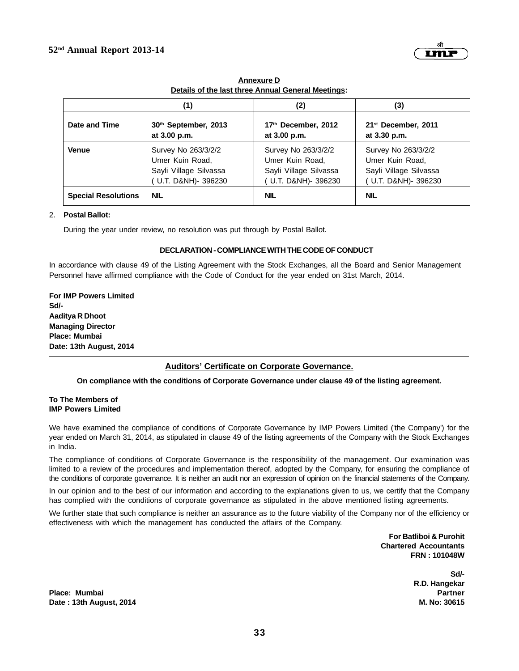

| Details of the last three Annual General Meetings: |                                                                                        |                                                                                          |                                                                                          |  |  |
|----------------------------------------------------|----------------------------------------------------------------------------------------|------------------------------------------------------------------------------------------|------------------------------------------------------------------------------------------|--|--|
|                                                    | (1)                                                                                    | (2)                                                                                      | (3)                                                                                      |  |  |
| Date and Time                                      | 30th September, 2013<br>at 3.00 p.m.                                                   | 17th December, 2012<br>at 3.00 p.m.                                                      | 21 <sup>st</sup> December, 2011<br>at 3.30 p.m.                                          |  |  |
| <b>Venue</b>                                       | Survey No 263/3/2/2<br>Umer Kuin Road,<br>Sayli Village Silvassa<br>U.T. D&NH)- 396230 | Survey No 263/3/2/2<br>Umer Kuin Road,<br>Sayli Village Silvassa<br>( U.T. D&NH)- 396230 | Survey No 263/3/2/2<br>Umer Kuin Road.<br>Sayli Village Silvassa<br>( U.T. D&NH)- 396230 |  |  |
| <b>Special Resolutions</b>                         | <b>NIL</b>                                                                             | <b>NIL</b>                                                                               | NIL                                                                                      |  |  |

**Annexure D Details of the last three Annual General Meetings:**

#### 2. **Postal Ballot:**

During the year under review, no resolution was put through by Postal Ballot.

#### **DECLARATION - COMPLIANCE WITH THE CODE OF CONDUCT**

In accordance with clause 49 of the Listing Agreement with the Stock Exchanges, all the Board and Senior Management Personnel have affirmed compliance with the Code of Conduct for the year ended on 31st March, 2014.

**For IMP Powers Limited Sd/- Aaditya R Dhoot Managing Director Place: Mumbai Date: 13th August, 2014**

## **Auditors' Certificate on Corporate Governance.**

#### **On compliance with the conditions of Corporate Governance under clause 49 of the listing agreement.**

#### **To The Members of IMP Powers Limited**

We have examined the compliance of conditions of Corporate Governance by IMP Powers Limited ('the Company') for the year ended on March 31, 2014, as stipulated in clause 49 of the listing agreements of the Company with the Stock Exchanges in India.

The compliance of conditions of Corporate Governance is the responsibility of the management. Our examination was limited to a review of the procedures and implementation thereof, adopted by the Company, for ensuring the compliance of the conditions of corporate governance. It is neither an audit nor an expression of opinion on the financial statements of the Company.

In our opinion and to the best of our information and according to the explanations given to us, we certify that the Company has complied with the conditions of corporate governance as stipulated in the above mentioned listing agreements.

We further state that such compliance is neither an assurance as to the future viability of the Company nor of the efficiency or effectiveness with which the management has conducted the affairs of the Company.

> **For Batliboi & Purohit Chartered Accountants FRN : 101048W**

> > **Sd/- R.D. Hangekar**

**Place: Mumbai Partner Date : 13th August, 2014 M. No: 30615**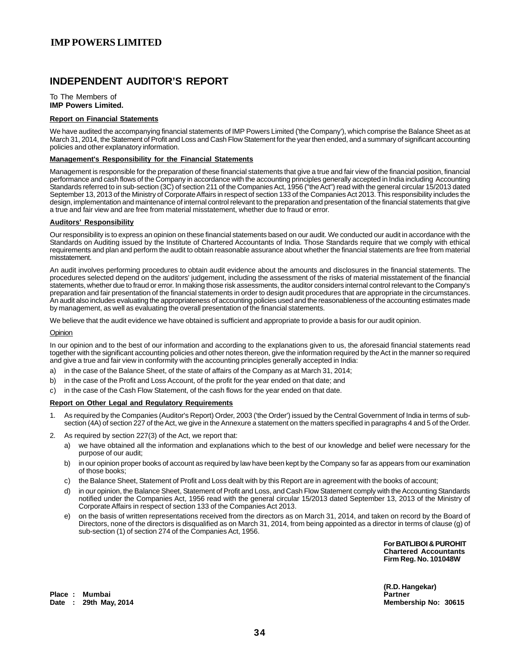# **INDEPENDENT AUDITOR'S REPORT**

To The Members of **IMP Powers Limited.**

### **Report on Financial Statements**

We have audited the accompanying financial statements of IMP Powers Limited ('the Company'), which comprise the Balance Sheet as at March 31, 2014, the Statement of Profit and Loss and Cash Flow Statement for the year then ended, and a summary of significant accounting policies and other explanatory information.

### **Management's Responsibility for the Financial Statements**

Management is responsible for the preparation of these financial statements that give a true and fair view of the financial position, financial performance and cash flows of the Company in accordance with the accounting principles generally accepted in India including Accounting Standards referred to in sub-section (3C) of section 211 of the Companies Act, 1956 ("the Act") read with the general circular 15/2013 dated September 13, 2013 of the Ministry of Corporate Affairs in respect of section 133 of the Companies Act 2013. This responsibility includes the design, implementation and maintenance of internal control relevant to the preparation and presentation of the financial statements that give a true and fair view and are free from material misstatement, whether due to fraud or error.

### **Auditors' Responsibility**

Our responsibility is to express an opinion on these financial statements based on our audit. We conducted our audit in accordance with the Standards on Auditing issued by the Institute of Chartered Accountants of India. Those Standards require that we comply with ethical requirements and plan and perform the audit to obtain reasonable assurance about whether the financial statements are free from material misstatement.

An audit involves performing procedures to obtain audit evidence about the amounts and disclosures in the financial statements. The procedures selected depend on the auditors' judgement, including the assessment of the risks of material misstatement of the financial statements, whether due to fraud or error. In making those risk assessments, the auditor considers internal control relevant to the Company's preparation and fair presentation of the financial statements in order to design audit procedures that are appropriate in the circumstances. An audit also includes evaluating the appropriateness of accounting policies used and the reasonableness of the accounting estimates made by management, as well as evaluating the overall presentation of the financial statements.

We believe that the audit evidence we have obtained is sufficient and appropriate to provide a basis for our audit opinion.

#### **Opinion**

In our opinion and to the best of our information and according to the explanations given to us, the aforesaid financial statements read together with the significant accounting policies and other notes thereon, give the information required by the Act in the manner so required and give a true and fair view in conformity with the accounting principles generally accepted in India:

- a) in the case of the Balance Sheet, of the state of affairs of the Company as at March 31, 2014;
- b) in the case of the Profit and Loss Account, of the profit for the year ended on that date; and
- c) in the case of the Cash Flow Statement, of the cash flows for the year ended on that date.

### **Report on Other Legal and Regulatory Requirements**

- 1. As required by the Companies (Auditor's Report) Order, 2003 ('the Order') issued by the Central Government of India in terms of subsection (4A) of section 227 of the Act, we give in the Annexure a statement on the matters specified in paragraphs 4 and 5 of the Order.
- 2. As required by section 227(3) of the Act, we report that:
	- a) we have obtained all the information and explanations which to the best of our knowledge and belief were necessary for the purpose of our audit;
	- b) in our opinion proper books of account as required by law have been kept by the Company so far as appears from our examination of those books;
	- c) the Balance Sheet, Statement of Profit and Loss dealt with by this Report are in agreement with the books of account;
	- d) in our opinion, the Balance Sheet, Statement of Profit and Loss, and Cash Flow Statement comply with the Accounting Standards notified under the Companies Act, 1956 read with the general circular 15/2013 dated September 13, 2013 of the Ministry of Corporate Affairs in respect of section 133 of the Companies Act 2013.
	- e) on the basis of written representations received from the directors as on March 31, 2014, and taken on record by the Board of Directors, none of the directors is disqualified as on March 31, 2014, from being appointed as a director in terms of clause (g) of sub-section (1) of section 274 of the Companies Act, 1956.

**For BATLIBOI & PUROHIT Chartered Accountants Firm Reg. No. 101048W**

**Date : 29th May, 2014** 

**(R.D. Hangekar) Place : Mumbai Partner**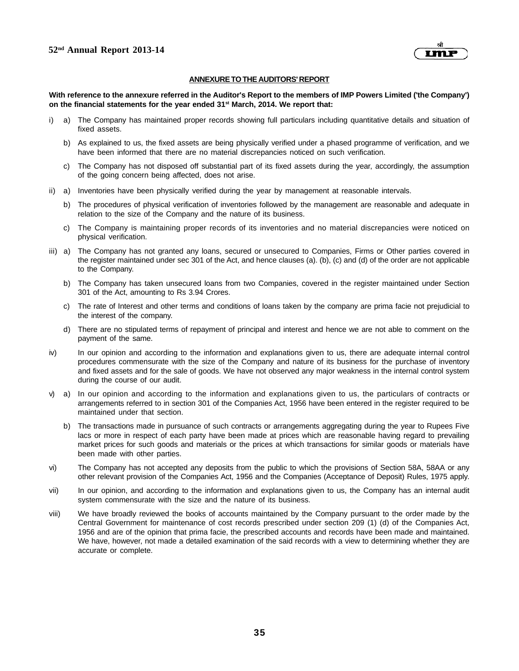

### **ANNEXURE TO THE AUDITORS' REPORT**

**With reference to the annexure referred in the Auditor's Report to the members of IMP Powers Limited ('the Company') on the financial statements for the year ended 31st March, 2014. We report that:**

- i) a) The Company has maintained proper records showing full particulars including quantitative details and situation of fixed assets.
	- b) As explained to us, the fixed assets are being physically verified under a phased programme of verification, and we have been informed that there are no material discrepancies noticed on such verification.
	- c) The Company has not disposed off substantial part of its fixed assets during the year, accordingly, the assumption of the going concern being affected, does not arise.
- ii) a) Inventories have been physically verified during the year by management at reasonable intervals.
	- b) The procedures of physical verification of inventories followed by the management are reasonable and adequate in relation to the size of the Company and the nature of its business.
	- c) The Company is maintaining proper records of its inventories and no material discrepancies were noticed on physical verification.
- iii) a) The Company has not granted any loans, secured or unsecured to Companies, Firms or Other parties covered in the register maintained under sec 301 of the Act, and hence clauses (a). (b), (c) and (d) of the order are not applicable to the Company.
	- b) The Company has taken unsecured loans from two Companies, covered in the register maintained under Section 301 of the Act, amounting to Rs 3.94 Crores.
	- c) The rate of Interest and other terms and conditions of loans taken by the company are prima facie not prejudicial to the interest of the company.
	- d) There are no stipulated terms of repayment of principal and interest and hence we are not able to comment on the payment of the same.
- iv) In our opinion and according to the information and explanations given to us, there are adequate internal control procedures commensurate with the size of the Company and nature of its business for the purchase of inventory and fixed assets and for the sale of goods. We have not observed any major weakness in the internal control system during the course of our audit.
- v) a) In our opinion and according to the information and explanations given to us, the particulars of contracts or arrangements referred to in section 301 of the Companies Act, 1956 have been entered in the register required to be maintained under that section.
	- b) The transactions made in pursuance of such contracts or arrangements aggregating during the year to Rupees Five lacs or more in respect of each party have been made at prices which are reasonable having regard to prevailing market prices for such goods and materials or the prices at which transactions for similar goods or materials have been made with other parties.
- vi) The Company has not accepted any deposits from the public to which the provisions of Section 58A, 58AA or any other relevant provision of the Companies Act, 1956 and the Companies (Acceptance of Deposit) Rules, 1975 apply.
- vii) In our opinion, and according to the information and explanations given to us, the Company has an internal audit system commensurate with the size and the nature of its business.
- viii) We have broadly reviewed the books of accounts maintained by the Company pursuant to the order made by the Central Government for maintenance of cost records prescribed under section 209 (1) (d) of the Companies Act, 1956 and are of the opinion that prima facie, the prescribed accounts and records have been made and maintained. We have, however, not made a detailed examination of the said records with a view to determining whether they are accurate or complete.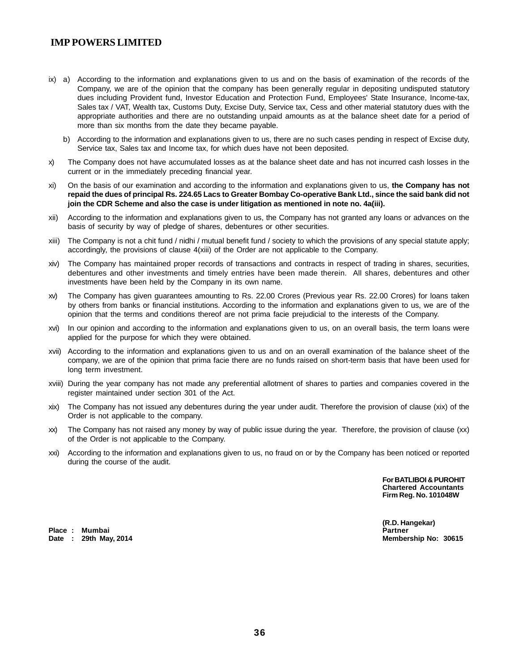- ix) a) According to the information and explanations given to us and on the basis of examination of the records of the Company, we are of the opinion that the company has been generally regular in depositing undisputed statutory dues including Provident fund, Investor Education and Protection Fund, Employees' State Insurance, Income-tax, Sales tax / VAT, Wealth tax, Customs Duty, Excise Duty, Service tax, Cess and other material statutory dues with the appropriate authorities and there are no outstanding unpaid amounts as at the balance sheet date for a period of more than six months from the date they became payable.
	- b) According to the information and explanations given to us, there are no such cases pending in respect of Excise duty, Service tax, Sales tax and Income tax, for which dues have not been deposited.
- x) The Company does not have accumulated losses as at the balance sheet date and has not incurred cash losses in the current or in the immediately preceding financial year.
- xi) On the basis of our examination and according to the information and explanations given to us, **the Company has not repaid the dues of principal Rs. 224.65 Lacs to Greater Bombay Co-operative Bank Ltd., since the said bank did not join the CDR Scheme and also the case is under litigation as mentioned in note no. 4a(iii).**
- xii) According to the information and explanations given to us, the Company has not granted any loans or advances on the basis of security by way of pledge of shares, debentures or other securities.
- xiii) The Company is not a chit fund / nidhi / mutual benefit fund / society to which the provisions of any special statute apply; accordingly, the provisions of clause 4(xiii) of the Order are not applicable to the Company.
- xiv) The Company has maintained proper records of transactions and contracts in respect of trading in shares, securities, debentures and other investments and timely entries have been made therein. All shares, debentures and other investments have been held by the Company in its own name.
- xv) The Company has given guarantees amounting to Rs. 22.00 Crores (Previous year Rs. 22.00 Crores) for loans taken by others from banks or financial institutions. According to the information and explanations given to us, we are of the opinion that the terms and conditions thereof are not prima facie prejudicial to the interests of the Company.
- xvi) In our opinion and according to the information and explanations given to us, on an overall basis, the term loans were applied for the purpose for which they were obtained.
- xvii) According to the information and explanations given to us and on an overall examination of the balance sheet of the company, we are of the opinion that prima facie there are no funds raised on short-term basis that have been used for long term investment.
- xviii) During the year company has not made any preferential allotment of shares to parties and companies covered in the register maintained under section 301 of the Act.
- xix) The Company has not issued any debentures during the year under audit. Therefore the provision of clause (xix) of the Order is not applicable to the company.
- xx) The Company has not raised any money by way of public issue during the year. Therefore, the provision of clause (xx) of the Order is not applicable to the Company.
- xxi) According to the information and explanations given to us, no fraud on or by the Company has been noticed or reported during the course of the audit.

**For BATLIBOI & PUROHIT Chartered Accountants Firm Reg. No. 101048W**

 $Place: Mumbai$ **Date : 29th May, 2014 Membership No: 30615**

**(R.D. Hangekar)**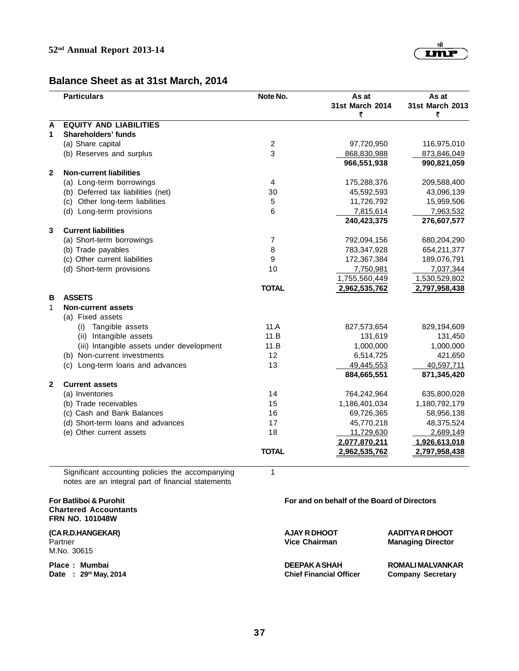**ImF** 

# **Balance Sheet as at 31st March, 2014**

|              | <b>Particulars</b>                                                     | Note No.       | As at<br>31st March 2014<br>₹ | As at<br>31st March 2013<br>₹ |
|--------------|------------------------------------------------------------------------|----------------|-------------------------------|-------------------------------|
| A            | <b>EQUITY AND LIABILITIES</b>                                          |                |                               |                               |
| 1            | Shareholders' funds                                                    |                |                               |                               |
|              | (a) Share capital                                                      | $\overline{c}$ | 97,720,950                    | 116,975,010                   |
|              | (b) Reserves and surplus                                               | 3              | 868,830,988                   | 873,846,049                   |
|              |                                                                        |                | 966,551,938                   | 990,821,059                   |
| $\mathbf{2}$ | <b>Non-current liabilities</b>                                         |                |                               |                               |
|              | (a) Long-term borrowings                                               | 4              | 175,288,376                   | 209,588,400                   |
|              | (b) Deferred tax liabilities (net)                                     | 30             | 45,592,593                    | 43,096,139                    |
|              | (c) Other long-term liabilities                                        | 5              | 11,726,792                    | 15,959,506                    |
|              | (d) Long-term provisions                                               | 6              | 7,815,614                     | 7,963,532                     |
|              |                                                                        |                | 240,423,375                   | 276,607,577                   |
| 3            | <b>Current liabilities</b>                                             |                |                               |                               |
|              | (a) Short-term borrowings                                              | 7              | 792,094,156                   | 680,204,290                   |
|              | (b) Trade payables                                                     | 8              | 783,347,928                   | 654,211,377                   |
|              | (c) Other current liabilities                                          | 9              | 172,367,384                   | 189,076,791                   |
|              | (d) Short-term provisions                                              | 10             | 7,750,981                     | 7,037,344                     |
|              |                                                                        |                | 1,755,560,449                 | 1,530,529,802                 |
|              |                                                                        | <b>TOTAL</b>   | 2,962,535,762                 | 2,797,958,438                 |
| В            | <b>ASSETS</b>                                                          |                |                               |                               |
| 1            | <b>Non-current assets</b>                                              |                |                               |                               |
|              | (a) Fixed assets<br>(i)                                                | 11.A           |                               |                               |
|              | Tangible assets                                                        | 11.B           | 827,573,654                   | 829,194,609                   |
|              | Intangible assets<br>(ii)<br>(iii) Intangible assets under development | 11.B           | 131,619<br>1,000,000          | 131,450<br>1,000,000          |
|              | (b) Non-current investments                                            | 12             | 6,514,725                     | 421,650                       |
|              | Long-term loans and advances<br>(c)                                    | 13             | 49,445,553                    | 40,597,711                    |
|              |                                                                        |                | 884,665,551                   | 871,345,420                   |
| $\mathbf{2}$ | <b>Current assets</b>                                                  |                |                               |                               |
|              | (a) Inventories                                                        | 14             | 764,242,964                   | 635,800,028                   |
|              | (b) Trade receivables                                                  | 15             | 1,186,401,034                 | 1,180,792,179                 |
|              | (c) Cash and Bank Balances                                             | 16             | 69,726,365                    | 58,956,138                    |
|              | (d) Short-term loans and advances                                      | 17             | 45,770,218                    | 48,375,524                    |
|              | (e) Other current assets                                               | 18             | 11,729,630                    | 2,689,149                     |
|              |                                                                        |                | 2,077,870,211                 | 1,926,613,018                 |
|              |                                                                        | <b>TOTAL</b>   | 2,962,535,762                 | 2,797,958,438                 |
|              |                                                                        |                |                               |                               |

Significant accounting policies the accompanying 1 notes are an integral part of financial statements

# **Chartered Accountants FRN NO. 101048W**

**(CA R.D.HANGEKAR) AJAY R DHOOT ADITYA R DHOOT AADITYA R DHOOT Partner** M.No. 30615

**Place : Mumbai DEEPAK A SHAH ROMALI MALVANKAR**

### **For Batliboi & Purohit For and on behalf of the Board of Directors**

**Managing Director** 

**Company Secretary**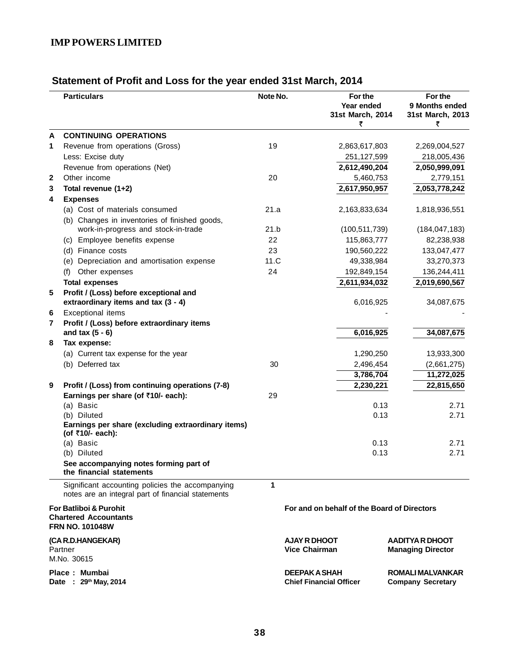# **Statement of Profit and Loss for the year ended 31st March, 2014**

|   | <b>Particulars</b>                                                                                     | Note No. |                                                      | For the<br>Year ended<br>31st March, 2014<br>₹ | For the<br>9 Months ended<br>31st March, 2013<br>₹ |
|---|--------------------------------------------------------------------------------------------------------|----------|------------------------------------------------------|------------------------------------------------|----------------------------------------------------|
| A | <b>CONTINUING OPERATIONS</b>                                                                           |          |                                                      |                                                |                                                    |
| 1 | Revenue from operations (Gross)                                                                        | 19       |                                                      | 2,863,617,803                                  | 2,269,004,527                                      |
|   | Less: Excise duty                                                                                      |          |                                                      | 251,127,599                                    | 218,005,436                                        |
|   | Revenue from operations (Net)                                                                          |          |                                                      | 2,612,490,204                                  | 2,050,999,091                                      |
| 2 | Other income                                                                                           | 20       |                                                      | 5,460,753                                      | 2,779,151                                          |
| 3 | Total revenue (1+2)                                                                                    |          |                                                      | 2,617,950,957                                  | 2,053,778,242                                      |
| 4 | <b>Expenses</b>                                                                                        |          |                                                      |                                                |                                                    |
|   | (a) Cost of materials consumed                                                                         | 21.a     |                                                      | 2,163,833,634                                  | 1,818,936,551                                      |
|   | (b) Changes in inventories of finished goods,                                                          |          |                                                      |                                                |                                                    |
|   | work-in-progress and stock-in-trade                                                                    | 21.b     |                                                      | (100, 511, 739)                                | (184, 047, 183)                                    |
|   | (c) Employee benefits expense                                                                          | 22       |                                                      | 115,863,777                                    | 82,238,938                                         |
|   | (d) Finance costs                                                                                      | 23       |                                                      | 190,560,222                                    | 133,047,477                                        |
|   | (e) Depreciation and amortisation expense                                                              | 11.C     |                                                      | 49,338,984                                     | 33,270,373                                         |
|   | Other expenses<br>(f)                                                                                  | 24       |                                                      | 192,849,154                                    | 136,244,411                                        |
|   | <b>Total expenses</b>                                                                                  |          |                                                      | 2,611,934,032                                  | 2,019,690,567                                      |
| 5 | Profit / (Loss) before exceptional and<br>extraordinary items and tax (3 - 4)                          |          |                                                      | 6,016,925                                      | 34,087,675                                         |
| 6 | Exceptional items                                                                                      |          |                                                      |                                                |                                                    |
| 7 | Profit / (Loss) before extraordinary items<br>and tax $(5 - 6)$                                        |          |                                                      | 6,016,925                                      | 34,087,675                                         |
| 8 | Tax expense:                                                                                           |          |                                                      |                                                |                                                    |
|   | (a) Current tax expense for the year                                                                   |          |                                                      | 1,290,250                                      | 13,933,300                                         |
|   | (b) Deferred tax                                                                                       | 30       |                                                      | 2,496,454                                      | (2,661,275)                                        |
|   |                                                                                                        |          |                                                      | 3,786,704                                      | 11,272,025                                         |
| 9 | Profit / (Loss) from continuing operations (7-8)                                                       |          |                                                      | 2,230,221                                      | 22,815,650                                         |
|   | Earnings per share (of ₹10/- each):                                                                    | 29       |                                                      |                                                |                                                    |
|   | (a) Basic                                                                                              |          |                                                      | 0.13                                           | 2.71                                               |
|   | (b) Diluted                                                                                            |          |                                                      | 0.13                                           | 2.71                                               |
|   | Earnings per share (excluding extraordinary items)<br>(of ₹10/- each):                                 |          |                                                      |                                                |                                                    |
|   | (a) Basic                                                                                              |          |                                                      | 0.13                                           | 2.71                                               |
|   | (b) Diluted<br>See accompanying notes forming part of<br>the financial statements                      |          |                                                      | 0.13                                           | 2.71                                               |
|   | Significant accounting policies the accompanying<br>notes are an integral part of financial statements | 1        |                                                      |                                                |                                                    |
|   | <b>For Batliboi &amp; Purohit</b><br><b>Chartered Accountants</b><br><b>FRN NO. 101048W</b>            |          | For and on behalf of the Board of Directors          |                                                |                                                    |
|   | (CA R.D.HANGEKAR)<br>Partner<br>M.No. 30615                                                            |          | AJAY R DHOOT<br>Vice Chairman                        |                                                | AADITYA R DHOOT<br><b>Managing Director</b>        |
|   | Place: Mumbai<br>Date: 29th May, 2014                                                                  |          | <b>DEEPAKASHAH</b><br><b>Chief Financial Officer</b> |                                                | <b>ROMALIMALVANKAR</b><br><b>Company Secretary</b> |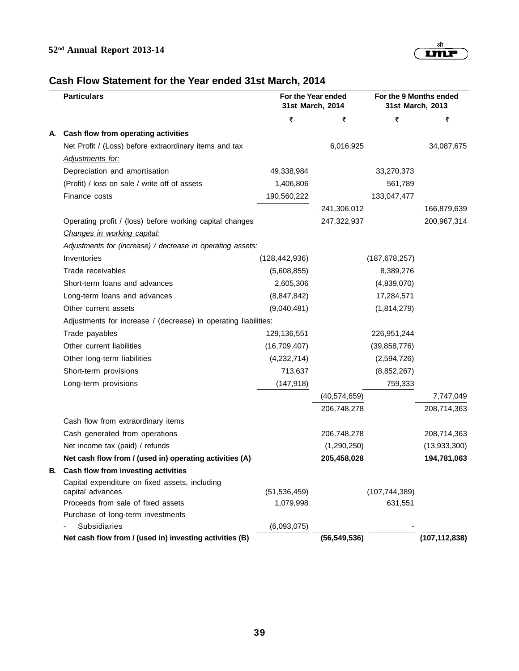

# **Cash Flow Statement for the Year ended 31st March, 2014**

|    | <b>Particulars</b>                                                 |                 | For the Year ended<br>31st March, 2014 |                 | For the 9 Months ended<br>31st March, 2013 |  |  |
|----|--------------------------------------------------------------------|-----------------|----------------------------------------|-----------------|--------------------------------------------|--|--|
|    |                                                                    | ₹               | ₹                                      | ₹               | ₹                                          |  |  |
| А. | Cash flow from operating activities                                |                 |                                        |                 |                                            |  |  |
|    | Net Profit / (Loss) before extraordinary items and tax             |                 | 6,016,925                              |                 | 34,087,675                                 |  |  |
|    | Adjustments for:                                                   |                 |                                        |                 |                                            |  |  |
|    | Depreciation and amortisation                                      | 49,338,984      |                                        | 33,270,373      |                                            |  |  |
|    | (Profit) / loss on sale / write off of assets                      | 1,406,806       |                                        | 561,789         |                                            |  |  |
|    | Finance costs                                                      | 190,560,222     |                                        | 133,047,477     |                                            |  |  |
|    |                                                                    |                 | 241,306,012                            |                 | 166,879,639                                |  |  |
|    | Operating profit / (loss) before working capital changes           |                 | 247,322,937                            |                 | 200,967,314                                |  |  |
|    | Changes in working capital:                                        |                 |                                        |                 |                                            |  |  |
|    | Adjustments for (increase) / decrease in operating assets:         |                 |                                        |                 |                                            |  |  |
|    | Inventories                                                        | (128, 442, 936) |                                        | (187, 678, 257) |                                            |  |  |
|    | Trade receivables                                                  | (5,608,855)     |                                        | 8,389,276       |                                            |  |  |
|    | Short-term loans and advances                                      | 2,605,306       |                                        | (4,839,070)     |                                            |  |  |
|    | Long-term loans and advances                                       | (8,847,842)     |                                        | 17,284,571      |                                            |  |  |
|    | Other current assets                                               | (9,040,481)     |                                        | (1,814,279)     |                                            |  |  |
|    | Adjustments for increase / (decrease) in operating liabilities:    |                 |                                        |                 |                                            |  |  |
|    | Trade payables                                                     | 129,136,551     |                                        | 226, 951, 244   |                                            |  |  |
|    | Other current liabilities                                          | (16,709,407)    |                                        | (39, 858, 776)  |                                            |  |  |
|    | Other long-term liabilities                                        | (4,232,714)     |                                        | (2,594,726)     |                                            |  |  |
|    | Short-term provisions                                              | 713,637         |                                        | (8,852,267)     |                                            |  |  |
|    | Long-term provisions                                               | (147, 918)      |                                        | 759,333         |                                            |  |  |
|    |                                                                    |                 | (40, 574, 659)                         |                 | 7,747,049                                  |  |  |
|    |                                                                    |                 | 206,748,278                            |                 | 208,714,363                                |  |  |
|    | Cash flow from extraordinary items                                 |                 |                                        |                 |                                            |  |  |
|    | Cash generated from operations                                     |                 | 206,748,278                            |                 | 208,714,363                                |  |  |
|    | Net income tax (paid) / refunds                                    |                 | (1,290,250)                            |                 | (13,933,300)                               |  |  |
|    | Net cash flow from / (used in) operating activities (A)            |                 | 205,458,028                            |                 | 194,781,063                                |  |  |
| В. | Cash flow from investing activities                                |                 |                                        |                 |                                            |  |  |
|    | Capital expenditure on fixed assets, including<br>capital advances | (51, 536, 459)  |                                        | (107, 744, 389) |                                            |  |  |
|    | Proceeds from sale of fixed assets                                 | 1,079,998       |                                        | 631,551         |                                            |  |  |
|    | Purchase of long-term investments                                  |                 |                                        |                 |                                            |  |  |
|    | <b>Subsidiaries</b>                                                | (6,093,075)     |                                        |                 |                                            |  |  |
|    | Net cash flow from / (used in) investing activities (B)            |                 | (56, 549, 536)                         |                 | (107, 112, 838)                            |  |  |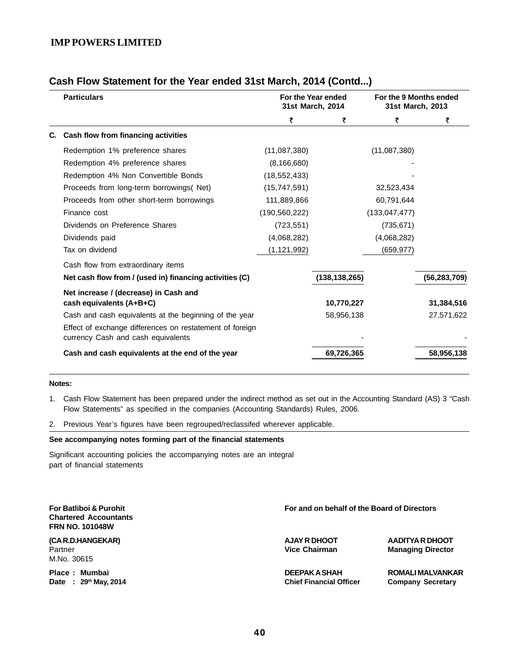| Cash Flow Statement for the Year ended 31st March, 2014 (Contd) |  |  |
|-----------------------------------------------------------------|--|--|
|-----------------------------------------------------------------|--|--|

|    | <b>Particulars</b>                                                                             |                 | For the Year ended<br>31st March, 2014 |                 | For the 9 Months ended<br>31st March, 2013 |  |
|----|------------------------------------------------------------------------------------------------|-----------------|----------------------------------------|-----------------|--------------------------------------------|--|
|    |                                                                                                | ₹               | ₹                                      | ₹               | ₹                                          |  |
| C. | Cash flow from financing activities                                                            |                 |                                        |                 |                                            |  |
|    | Redemption 1% preference shares                                                                | (11,087,380)    |                                        | (11,087,380)    |                                            |  |
|    | Redemption 4% preference shares                                                                | (8, 166, 680)   |                                        |                 |                                            |  |
|    | Redemption 4% Non Convertible Bonds                                                            | (18, 552, 433)  |                                        |                 |                                            |  |
|    | Proceeds from long-term borrowings (Net)                                                       | (15,747,591)    |                                        | 32,523,434      |                                            |  |
|    | Proceeds from other short-term borrowings                                                      | 111,889,866     |                                        | 60,791,644      |                                            |  |
|    | Finance cost                                                                                   | (190, 560, 222) |                                        | (133, 047, 477) |                                            |  |
|    | Dividends on Preference Shares                                                                 | (723, 551)      |                                        | (735, 671)      |                                            |  |
|    | Dividends paid                                                                                 | (4,068,282)     |                                        | (4,068,282)     |                                            |  |
|    | Tax on dividend                                                                                | (1, 121, 992)   |                                        | (659, 977)      |                                            |  |
|    | Cash flow from extraordinary items                                                             |                 |                                        |                 |                                            |  |
|    | Net cash flow from / (used in) financing activities (C)                                        |                 | (138, 138, 265)                        |                 | (56, 283, 709)                             |  |
|    | Net increase / (decrease) in Cash and<br>cash equivalents (A+B+C)                              |                 | 10,770,227                             |                 | 31,384,516                                 |  |
|    | Cash and cash equivalents at the beginning of the year                                         |                 | 58,956,138                             |                 | 27,571,622                                 |  |
|    | Effect of exchange differences on restatement of foreign<br>currency Cash and cash equivalents |                 |                                        |                 |                                            |  |
|    | Cash and cash equivalents at the end of the year                                               |                 | 69,726,365                             |                 | 58,956,138                                 |  |

### **Notes:**

1. Cash Flow Statement has been prepared under the indirect method as set out in the Accounting Standard (AS) 3 "Cash Flow Statements" as specified in the companies (Accounting Standards) Rules, 2006.

2. Previous Year's figures have been regrouped/reclassifed wherever applicable.

### **See accompanying notes forming part of the financial statements**

Significant accounting policies the accompanying notes are an integral part of financial statements

**For Batliboi & Purohit For and on behalf of the Board of Directors Chartered Accountants FRN NO. 101048W (CA R.D.HANGEKAR) AJAY R DHOOT AADITYA R DHOOT Managing Director** M.No. 30615 Place : Mumbai **DEEPAK A SHAH ROMALI MALVANKAR**<br>
Date : 29<sup>th</sup> May, 2014 **Chief Financial Officer** Company Secretary Date : 29<sup>th</sup> May, 2014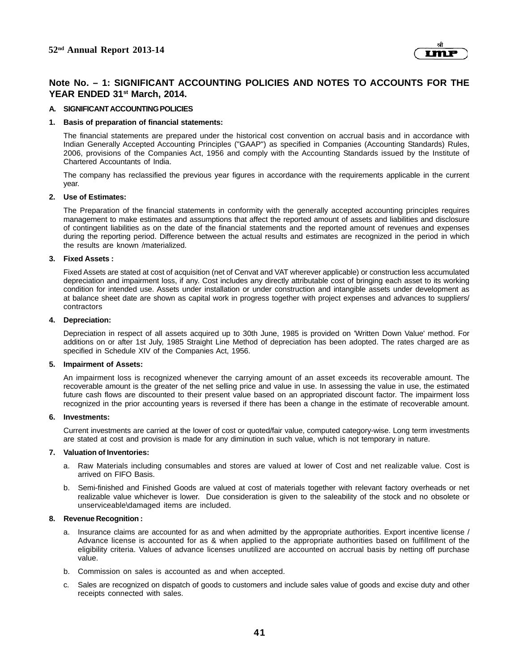

### **Note No. – 1: SIGNIFICANT ACCOUNTING POLICIES AND NOTES TO ACCOUNTS FOR THE** YEAR ENDED 31<sup>st</sup> March, 2014.

### **A. SIGNIFICANT ACCOUNTING POLICIES**

### **1. Basis of preparation of financial statements:**

The financial statements are prepared under the historical cost convention on accrual basis and in accordance with Indian Generally Accepted Accounting Principles ("GAAP") as specified in Companies (Accounting Standards) Rules, 2006, provisions of the Companies Act, 1956 and comply with the Accounting Standards issued by the Institute of Chartered Accountants of India.

The company has reclassified the previous year figures in accordance with the requirements applicable in the current year.

### **2. Use of Estimates:**

The Preparation of the financial statements in conformity with the generally accepted accounting principles requires management to make estimates and assumptions that affect the reported amount of assets and liabilities and disclosure of contingent liabilities as on the date of the financial statements and the reported amount of revenues and expenses during the reporting period. Difference between the actual results and estimates are recognized in the period in which the results are known /materialized.

### **3. Fixed Assets :**

Fixed Assets are stated at cost of acquisition (net of Cenvat and VAT wherever applicable) or construction less accumulated depreciation and impairment loss, if any. Cost includes any directly attributable cost of bringing each asset to its working condition for intended use. Assets under installation or under construction and intangible assets under development as at balance sheet date are shown as capital work in progress together with project expenses and advances to suppliers/ contractors

#### **4. Depreciation:**

Depreciation in respect of all assets acquired up to 30th June, 1985 is provided on 'Written Down Value' method. For additions on or after 1st July, 1985 Straight Line Method of depreciation has been adopted. The rates charged are as specified in Schedule XIV of the Companies Act, 1956.

### **5. Impairment of Assets:**

An impairment loss is recognized whenever the carrying amount of an asset exceeds its recoverable amount. The recoverable amount is the greater of the net selling price and value in use. In assessing the value in use, the estimated future cash flows are discounted to their present value based on an appropriated discount factor. The impairment loss recognized in the prior accounting years is reversed if there has been a change in the estimate of recoverable amount.

#### **6. Investments:**

Current investments are carried at the lower of cost or quoted/fair value, computed category-wise. Long term investments are stated at cost and provision is made for any diminution in such value, which is not temporary in nature.

### **7. Valuation of Inventories:**

- a. Raw Materials including consumables and stores are valued at lower of Cost and net realizable value. Cost is arrived on FIFO Basis.
- b. Semi-finished and Finished Goods are valued at cost of materials together with relevant factory overheads or net realizable value whichever is lower. Due consideration is given to the saleability of the stock and no obsolete or unserviceable\damaged items are included.

### **8. Revenue Recognition :**

- a. Insurance claims are accounted for as and when admitted by the appropriate authorities. Export incentive license / Advance license is accounted for as & when applied to the appropriate authorities based on fulfillment of the eligibility criteria. Values of advance licenses unutilized are accounted on accrual basis by netting off purchase value.
- b. Commission on sales is accounted as and when accepted.
- c. Sales are recognized on dispatch of goods to customers and include sales value of goods and excise duty and other receipts connected with sales.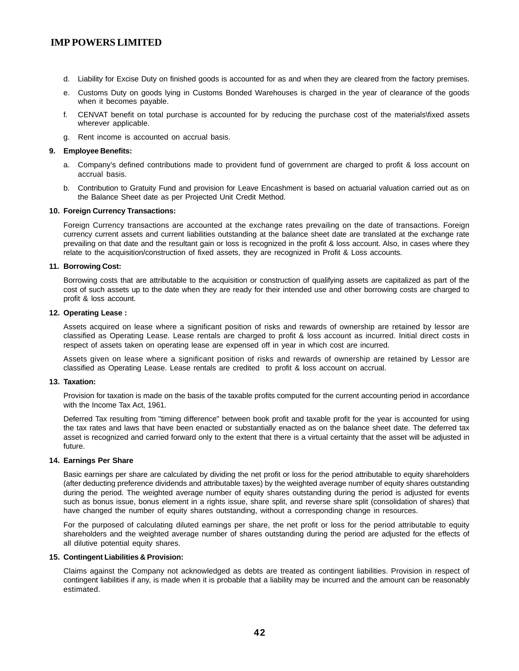- d. Liability for Excise Duty on finished goods is accounted for as and when they are cleared from the factory premises.
- e. Customs Duty on goods lying in Customs Bonded Warehouses is charged in the year of clearance of the goods when it becomes payable.
- f. CENVAT benefit on total purchase is accounted for by reducing the purchase cost of the materials\fixed assets wherever applicable.
- g. Rent income is accounted on accrual basis.

### **9. Employee Benefits:**

- a. Company's defined contributions made to provident fund of government are charged to profit & loss account on accrual basis.
- b. Contribution to Gratuity Fund and provision for Leave Encashment is based on actuarial valuation carried out as on the Balance Sheet date as per Projected Unit Credit Method.

### **10. Foreign Currency Transactions:**

Foreign Currency transactions are accounted at the exchange rates prevailing on the date of transactions. Foreign currency current assets and current liabilities outstanding at the balance sheet date are translated at the exchange rate prevailing on that date and the resultant gain or loss is recognized in the profit & loss account. Also, in cases where they relate to the acquisition/construction of fixed assets, they are recognized in Profit & Loss accounts.

### **11. Borrowing Cost:**

Borrowing costs that are attributable to the acquisition or construction of qualifying assets are capitalized as part of the cost of such assets up to the date when they are ready for their intended use and other borrowing costs are charged to profit & loss account.

### **12. Operating Lease :**

Assets acquired on lease where a significant position of risks and rewards of ownership are retained by lessor are classified as Operating Lease. Lease rentals are charged to profit & loss account as incurred. Initial direct costs in respect of assets taken on operating lease are expensed off in year in which cost are incurred.

Assets given on lease where a significant position of risks and rewards of ownership are retained by Lessor are classified as Operating Lease. Lease rentals are credited to profit & loss account on accrual.

### **13. Taxation:**

Provision for taxation is made on the basis of the taxable profits computed for the current accounting period in accordance with the Income Tax Act, 1961.

Deferred Tax resulting from "timing difference" between book profit and taxable profit for the year is accounted for using the tax rates and laws that have been enacted or substantially enacted as on the balance sheet date. The deferred tax asset is recognized and carried forward only to the extent that there is a virtual certainty that the asset will be adjusted in future.

### **14. Earnings Per Share**

Basic earnings per share are calculated by dividing the net profit or loss for the period attributable to equity shareholders (after deducting preference dividends and attributable taxes) by the weighted average number of equity shares outstanding during the period. The weighted average number of equity shares outstanding during the period is adjusted for events such as bonus issue, bonus element in a rights issue, share split, and reverse share split (consolidation of shares) that have changed the number of equity shares outstanding, without a corresponding change in resources.

For the purposed of calculating diluted earnings per share, the net profit or loss for the period attributable to equity shareholders and the weighted average number of shares outstanding during the period are adjusted for the effects of all dilutive potential equity shares.

### **15. Contingent Liabilities & Provision:**

Claims against the Company not acknowledged as debts are treated as contingent liabilities. Provision in respect of contingent liabilities if any, is made when it is probable that a liability may be incurred and the amount can be reasonably estimated.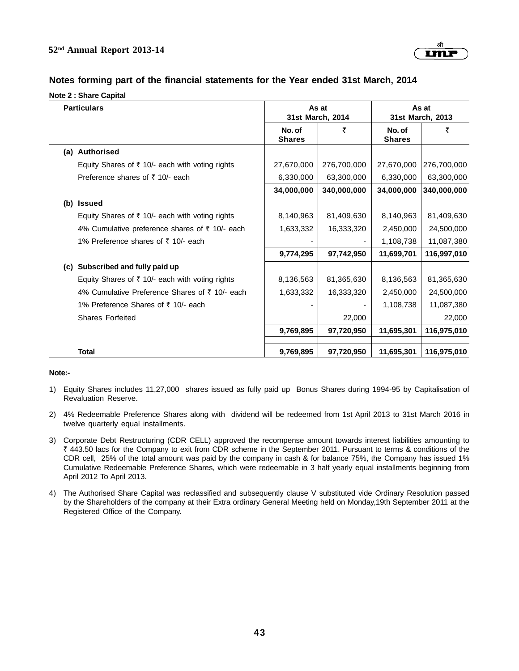

| <b>Particulars</b>                              |                         | As at<br>31st March, 2014 | As at<br>31st March, 2013 |             |
|-------------------------------------------------|-------------------------|---------------------------|---------------------------|-------------|
|                                                 | No. of<br><b>Shares</b> | ₹                         | No. of<br><b>Shares</b>   | ₹           |
| (a) Authorised                                  |                         |                           |                           |             |
| Equity Shares of ₹ 10/- each with voting rights | 27,670,000              | 276,700,000               | 27,670,000                | 276,700,000 |
| Preference shares of ₹ 10/- each                | 6,330,000               | 63,300,000                | 6,330,000                 | 63,300,000  |
|                                                 | 34,000,000              | 340,000,000               | 34,000,000                | 340,000,000 |
| (b) Issued                                      |                         |                           |                           |             |
| Equity Shares of ₹ 10/- each with voting rights | 8,140,963               | 81,409,630                | 8,140,963                 | 81,409,630  |
| 4% Cumulative preference shares of ₹ 10/- each  | 1,633,332               | 16,333,320                | 2,450,000                 | 24,500,000  |
| 1% Preference shares of ₹ 10/- each             |                         | $\overline{\phantom{0}}$  | 1,108,738                 | 11,087,380  |
|                                                 | 9,774,295               | 97,742,950                | 11,699,701                | 116,997,010 |
| (c) Subscribed and fully paid up                |                         |                           |                           |             |
| Equity Shares of ₹ 10/- each with voting rights | 8,136,563               | 81,365,630                | 8,136,563                 | 81,365,630  |
| 4% Cumulative Preference Shares of ₹ 10/- each  | 1,633,332               | 16,333,320                | 2,450,000                 | 24,500,000  |
| 1% Preference Shares of ₹10/- each              |                         |                           | 1,108,738                 | 11,087,380  |
| <b>Shares Forfeited</b>                         |                         | 22,000                    |                           | 22,000      |
|                                                 | 9,769,895               | 97,720,950                | 11,695,301                | 116,975,010 |
| <b>Total</b>                                    | 9,769,895               | 97,720,950                | 11,695,301                | 116,975,010 |

### **Note:-**

- 1) Equity Shares includes 11,27,000 shares issued as fully paid up Bonus Shares during 1994-95 by Capitalisation of Revaluation Reserve.
- 2) 4% Redeemable Preference Shares along with dividend will be redeemed from 1st April 2013 to 31st March 2016 in twelve quarterly equal installments.
- 3) Corporate Debt Restructuring (CDR CELL) approved the recompense amount towards interest liabilities amounting to ` 443.50 lacs for the Company to exit from CDR scheme in the September 2011. Pursuant to terms & conditions of the CDR cell, 25% of the total amount was paid by the company in cash & for balance 75%, the Company has issued 1% Cumulative Redeemable Preference Shares, which were redeemable in 3 half yearly equal installments beginning from April 2012 To April 2013.
- 4) The Authorised Share Capital was reclassified and subsequently clause V substituted vide Ordinary Resolution passed by the Shareholders of the company at their Extra ordinary General Meeting held on Monday,19th September 2011 at the Registered Office of the Company.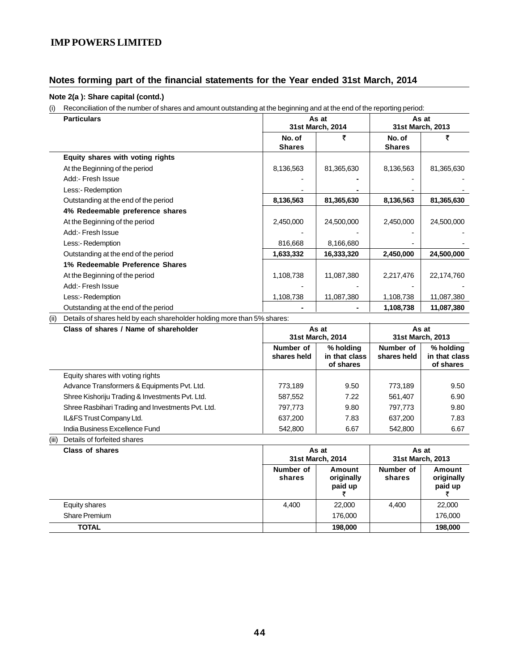# **Notes forming part of the financial statements for the Year ended 31st March, 2014**

### **Note 2(a ): Share capital (contd.)**

(i) Reconciliation of the number of shares and amount outstanding at the beginning and at the end of the reporting period:

| <b>Particulars</b>                                                              |                           | As at<br>31st March, 2014               | As at<br>31st March, 2013 |                                         |  |
|---------------------------------------------------------------------------------|---------------------------|-----------------------------------------|---------------------------|-----------------------------------------|--|
|                                                                                 | No. of<br><b>Shares</b>   | ₹                                       | No. of<br><b>Shares</b>   | ₹                                       |  |
| Equity shares with voting rights                                                |                           |                                         |                           |                                         |  |
| At the Beginning of the period                                                  | 8,136,563                 | 81,365,630                              | 8,136,563                 | 81,365,630                              |  |
| Add:- Fresh Issue                                                               |                           |                                         |                           |                                         |  |
| Less:- Redemption                                                               |                           |                                         |                           |                                         |  |
| Outstanding at the end of the period                                            | 8,136,563                 | 81,365,630                              | 8,136,563                 | 81,365,630                              |  |
| 4% Redeemable preference shares                                                 |                           |                                         |                           |                                         |  |
| At the Beginning of the period                                                  | 2,450,000                 | 24,500,000                              | 2,450,000                 | 24,500,000                              |  |
| Add:- Fresh Issue                                                               |                           |                                         |                           |                                         |  |
| Less:- Redemption                                                               | 816,668                   | 8,166,680                               |                           |                                         |  |
| Outstanding at the end of the period                                            | 1,633,332                 | 16,333,320                              | 2,450,000                 | 24,500,000                              |  |
| 1% Redeemable Preference Shares                                                 |                           |                                         |                           |                                         |  |
| At the Beginning of the period                                                  | 1,108,738                 | 11,087,380                              | 2,217,476                 | 22,174,760                              |  |
| Add:- Fresh Issue                                                               |                           |                                         |                           |                                         |  |
| Less:- Redemption                                                               | 1,108,738                 | 11,087,380                              | 1,108,738                 | 11,087,380                              |  |
| Outstanding at the end of the period                                            |                           |                                         | 1,108,738                 | 11,087,380                              |  |
| Details of shares held by each shareholder holding more than 5% shares:<br>(ii) |                           |                                         |                           |                                         |  |
| Class of shares / Name of shareholder                                           | As at<br>31st March, 2014 |                                         | As at<br>31st March, 2013 |                                         |  |
|                                                                                 | Number of                 |                                         | Number of                 |                                         |  |
|                                                                                 | shares held               | % holding<br>in that class<br>of shares | shares held               | % holding<br>in that class<br>of shares |  |
| Equity shares with voting rights                                                |                           |                                         |                           |                                         |  |
| Advance Transformers & Equipments Pvt. Ltd.                                     | 773,189                   | 9.50                                    | 773,189                   | 9.50                                    |  |
| Shree Kishoriju Trading & Investments Pvt. Ltd.                                 | 587,552                   | 7.22                                    | 561,407                   | 6.90                                    |  |
| Shree Rasbihari Trading and Investments Pvt. Ltd.                               | 797,773                   | 9.80                                    | 797,773                   | 9.80                                    |  |
| IL&FS Trust Company Ltd.                                                        | 637,200                   | 7.83                                    | 637,200                   | 7.83                                    |  |
| India Business Excellence Fund                                                  | 542,800                   | 6.67                                    | 542,800                   | 6.67                                    |  |
| Details of forfeited shares<br>(iii)                                            |                           |                                         |                           |                                         |  |
| <b>Class of shares</b>                                                          |                           | As at<br>31st March, 2014               | As at<br>31st March, 2013 |                                         |  |
|                                                                                 | Number of                 | Amount                                  | Number of                 | Amount                                  |  |
|                                                                                 | shares                    | originally<br>paid up<br>₹              | shares                    | originally<br>paid up<br>₹              |  |
| Equity shares                                                                   | 4,400                     | 22,000                                  | 4,400                     | 22,000                                  |  |
| <b>Share Premium</b>                                                            |                           | 176,000                                 |                           | 176,000                                 |  |

**TOTAL 198,000 198,000 198,000 198,000 198,000 198,000**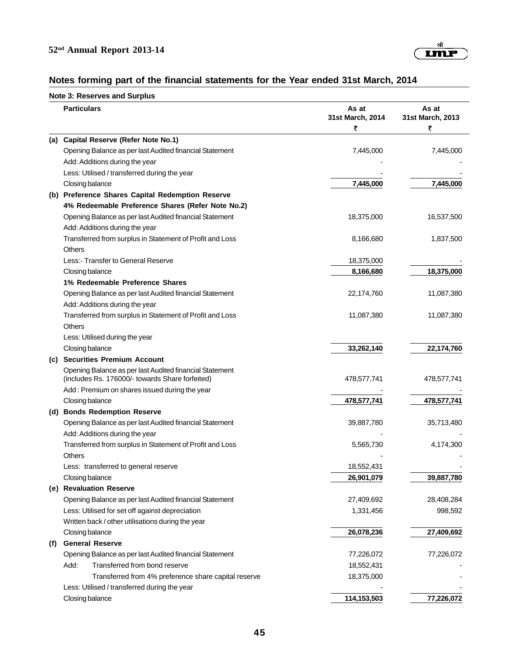

**Note 3: Reserves and Surplus**

|     | <b>Particulars</b>                                                                                         | As at<br>31st March, 2014 | As at<br>31st March, 2013 |
|-----|------------------------------------------------------------------------------------------------------------|---------------------------|---------------------------|
|     |                                                                                                            | ₹                         | ₹                         |
| (a) | Capital Reserve (Refer Note No.1)                                                                          |                           |                           |
|     | Opening Balance as per last Audited financial Statement                                                    | 7,445,000                 | 7,445,000                 |
|     | Add: Additions during the year                                                                             |                           |                           |
|     | Less: Utilised / transferred during the year                                                               |                           |                           |
|     | Closing balance                                                                                            | 7,445,000                 | 7,445,000                 |
| (b) | <b>Preference Shares Capital Redemption Reserve</b>                                                        |                           |                           |
|     | 4% Redeemable Preference Shares (Refer Note No.2)                                                          |                           |                           |
|     | Opening Balance as per last Audited financial Statement                                                    | 18,375,000                | 16,537,500                |
|     | Add: Additions during the year                                                                             |                           |                           |
|     | Transferred from surplus in Statement of Profit and Loss                                                   | 8,166,680                 | 1,837,500                 |
|     | Others                                                                                                     |                           |                           |
|     | Less:- Transfer to General Reserve                                                                         | 18,375,000                |                           |
|     | Closing balance                                                                                            | 8,166,680                 | 18,375,000                |
|     | 1% Redeemable Preference Shares                                                                            |                           |                           |
|     | Opening Balance as per last Audited financial Statement                                                    | 22,174,760                | 11,087,380                |
|     | Add: Additions during the year                                                                             |                           |                           |
|     | Transferred from surplus in Statement of Profit and Loss                                                   | 11,087,380                | 11,087,380                |
|     | Others                                                                                                     |                           |                           |
|     | Less: Utilised during the year                                                                             |                           |                           |
|     | Closing balance                                                                                            | 33,262,140                | 22,174,760                |
| (c) | <b>Securities Premium Account</b>                                                                          |                           |                           |
|     | Opening Balance as per last Audited financial Statement<br>(includes Rs. 176000/- towards Share forfeited) | 478,577,741               | 478,577,741               |
|     | Add: Premium on shares issued during the year                                                              |                           |                           |
|     | Closing balance                                                                                            | 478,577,741               | 478,577,741               |
|     | (d) Bonds Redemption Reserve                                                                               |                           |                           |
|     | Opening Balance as per last Audited financial Statement                                                    | 39,887,780                | 35,713,480                |
|     | Add: Additions during the year                                                                             |                           |                           |
|     | Transferred from surplus in Statement of Profit and Loss                                                   | 5,565,730                 | 4,174,300                 |
|     | <b>Others</b>                                                                                              |                           |                           |
|     | Less: transferred to general reserve                                                                       | 18,552,431                |                           |
|     | Closing balance                                                                                            | 26,901,079                | 39,887,780                |
|     | (e) Revaluation Reserve                                                                                    |                           |                           |
|     | Opening Balance as per last Audited financial Statement                                                    | 27,409,692                | 28,408,284                |
|     | Less: Utilised for set off against depreciation                                                            | 1,331,456                 | 998,592                   |
|     | Written back / other utilisations during the year                                                          |                           |                           |
|     | Closing balance                                                                                            | 26,078,236                | 27,409,692                |
| (t) | <b>General Reserve</b>                                                                                     |                           |                           |
|     | Opening Balance as per last Audited financial Statement                                                    | 77,226,072                | 77,226,072                |
|     | Transferred from bond reserve<br>Add:                                                                      | 18,552,431                |                           |
|     | Transferred from 4% preference share capital reserve                                                       | 18,375,000                |                           |
|     | Less: Utilised / transferred during the year                                                               |                           |                           |
|     | Closing balance                                                                                            | 114,153,503               | 77,226,072                |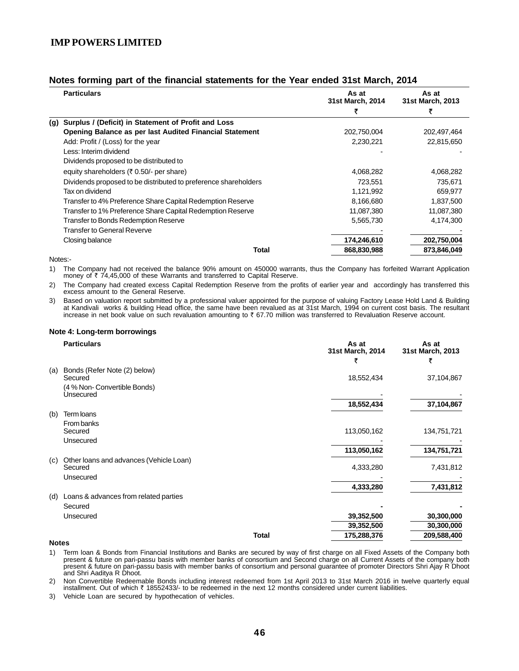### **Notes forming part of the financial statements for the Year ended 31st March, 2014**

| <b>Particulars</b>                                              | As at<br>31st March, 2014 | As at<br>31st March, 2013 |
|-----------------------------------------------------------------|---------------------------|---------------------------|
|                                                                 |                           |                           |
| Surplus / (Deficit) in Statement of Profit and Loss<br>(g)      |                           |                           |
| Opening Balance as per last Audited Financial Statement         | 202,750,004               | 202,497,464               |
| Add: Profit / (Loss) for the year                               | 2,230,221                 | 22,815,650                |
| Less: Interim dividend                                          |                           |                           |
| Dividends proposed to be distributed to                         |                           |                           |
| equity shareholders ( $\bar{\tau}$ 0.50/- per share)            | 4,068,282                 | 4,068,282                 |
| Dividends proposed to be distributed to preference shareholders | 723.551                   | 735,671                   |
| Tax on dividend                                                 | 1,121,992                 | 659,977                   |
| Transfer to 4% Preference Share Capital Redemption Reserve      | 8,166,680                 | 1,837,500                 |
| Transfer to 1% Preference Share Capital Redemption Reserve      | 11,087,380                | 11,087,380                |
| Transfer to Bonds Redemption Reserve                            | 5,565,730                 | 4,174,300                 |
| <b>Transfer to General Reverve</b>                              |                           |                           |
| Closing balance                                                 | 174,246,610               | 202,750,004               |
| Total                                                           | 868,830,988               | 873,846,049               |

Notes:-

1) The Company had not received the balance 90% amount on 450000 warrants, thus the Company has forfeited Warrant Application money of  $\bar{z}$  74,45,000 of these Warrants and transferred to Capital Reserve.

2) The Company had created excess Capital Redemption Reserve from the profits of earlier year and accordingly has transferred this excess amount to the General Reserve.

3) Based on valuation report submitted by a professional valuer appointed for the purpose of valuing Factory Lease Hold Land & Building at Kandivali works & building Head office, the same have been revalued as at 31st March, 1994 on current cost basis. The resultant increase in net book value on such revaluation amounting to  $\bar{\tau}$  67.70 million was transferred to Revaluation Reserve account.

### **Note 4: Long-term borrowings**

|     | <b>Particulars</b>                                 |              | As at<br>31st March, 2014 | As at<br>31st March, 2013<br>₹ |
|-----|----------------------------------------------------|--------------|---------------------------|--------------------------------|
| (a) | Bonds (Refer Note (2) below)<br>Secured            |              | 18,552,434                | 37,104,867                     |
|     | (4 % Non- Convertible Bonds)<br>Unsecured          |              |                           |                                |
|     |                                                    |              | 18,552,434                | 37,104,867                     |
| (b) | Term loans                                         |              |                           |                                |
|     | From banks<br>Secured                              |              | 113,050,162               | 134,751,721                    |
|     | Unsecured                                          |              |                           |                                |
|     |                                                    |              | 113,050,162               | 134,751,721                    |
| (c) | Other loans and advances (Vehicle Loan)<br>Secured |              | 4,333,280                 | 7,431,812                      |
|     | Unsecured                                          |              |                           |                                |
|     |                                                    |              | 4,333,280                 | 7,431,812                      |
| (d) | Loans & advances from related parties              |              |                           |                                |
|     | Secured                                            |              |                           |                                |
|     | Unsecured                                          |              | 39,352,500                | 30,300,000                     |
|     |                                                    |              | 39,352,500                | 30,300,000                     |
|     |                                                    | <b>Total</b> | 175,288,376               | 209,588,400                    |

**Notes**

1) Term loan & Bonds from Financial Institutions and Banks are secured by way of first charge on all Fixed Assets of the Company both present & future on pari-passu basis with member banks of consortium and Second charge on all Current Assets of the company both present & future on pari-passu basis with member banks of consortium and personal guarantee of promoter Directors Shri Ajay R Dhoot and Shri Aaditya R Dhoot.

2) Non Convertible Redeemable Bonds including interest redeemed from 1st April 2013 to 31st March 2016 in twelve quarterly equal installment. Out of which ₹ 18552433/- to be redeemed in the next 12 months considered under current liabilities.

3) Vehicle Loan are secured by hypothecation of vehicles.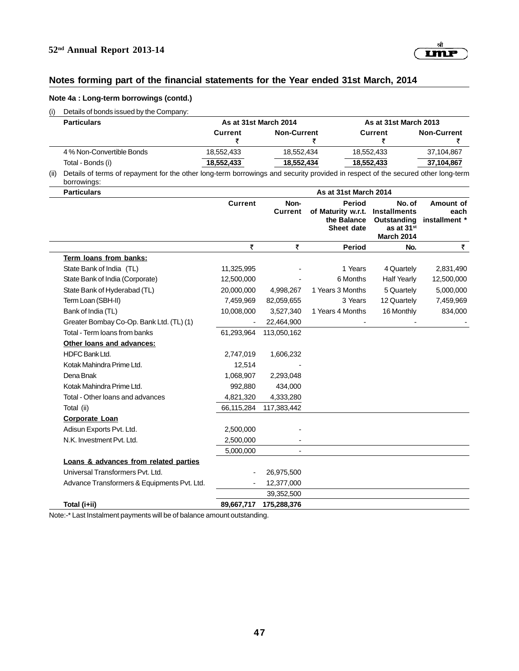

### **Note 4a : Long-term borrowings (contd.)**

### (i) Details of bonds issued by the Company:

| <b>Particulars</b>        |            | As at 31st March 2014 | As at 31st March 2013 |                    |
|---------------------------|------------|-----------------------|-----------------------|--------------------|
|                           | Current    | <b>Non-Current</b>    | Current               | <b>Non-Current</b> |
| 4 % Non-Convertible Bonds | 18.552.433 | 18.552.434            | 18.552.433            | 37,104,867         |
| Total - Bonds (i)         | 18,552,433 | 18,552,434            | 18,552,433            | 37,104,867         |

(ii) Details of terms of repayment for the other long-term borrowings and security provided in respect of the secured other long-term borrowings:

| <b>Particulars</b>                          | As at 31st March 2014    |                        |                                                                  |                                                                                             |                                    |
|---------------------------------------------|--------------------------|------------------------|------------------------------------------------------------------|---------------------------------------------------------------------------------------------|------------------------------------|
|                                             | <b>Current</b>           | Non-<br><b>Current</b> | <b>Period</b><br>of Maturity w.r.t.<br>the Balance<br>Sheet date | No. of<br><b>Installments</b><br>Outstanding<br>as at 31 <sup>st</sup><br><b>March 2014</b> | Amount of<br>each<br>installment * |
|                                             | ₹                        | ₹                      | <b>Period</b>                                                    | No.                                                                                         | ₹                                  |
| Term loans from banks:                      |                          |                        |                                                                  |                                                                                             |                                    |
| State Bank of India (TL)                    | 11,325,995               |                        | 1 Years                                                          | 4 Quartely                                                                                  | 2,831,490                          |
| State Bank of India (Corporate)             | 12,500,000               |                        | 6 Months                                                         | <b>Half Yearly</b>                                                                          | 12,500,000                         |
| State Bank of Hyderabad (TL)                | 20,000,000               | 4,998,267              | 1 Years 3 Months                                                 | 5 Quartely                                                                                  | 5,000,000                          |
| Term Loan (SBH-II)                          | 7,459,969                | 82,059,655             | 3 Years                                                          | 12 Quartely                                                                                 | 7,459,969                          |
| Bank of India (TL)                          | 10,008,000               | 3,527,340              | 1 Years 4 Months                                                 | 16 Monthly                                                                                  | 834,000                            |
| Greater Bombay Co-Op. Bank Ltd. (TL) (1)    |                          | 22,464,900             |                                                                  |                                                                                             |                                    |
| Total - Term loans from banks               | 61,293,964               | 113,050,162            |                                                                  |                                                                                             |                                    |
| Other loans and advances:                   |                          |                        |                                                                  |                                                                                             |                                    |
| <b>HDFC Bank Ltd.</b>                       | 2,747,019                | 1,606,232              |                                                                  |                                                                                             |                                    |
| Kotak Mahindra Prime Ltd.                   | 12,514                   |                        |                                                                  |                                                                                             |                                    |
| Dena Bnak                                   | 1,068,907                | 2,293,048              |                                                                  |                                                                                             |                                    |
| Kotak Mahindra Prime Ltd.                   | 992,880                  | 434,000                |                                                                  |                                                                                             |                                    |
| Total - Other loans and advances            | 4,821,320                | 4,333,280              |                                                                  |                                                                                             |                                    |
| Total (ii)                                  | 66,115,284               | 117,383,442            |                                                                  |                                                                                             |                                    |
| <b>Corporate Loan</b>                       |                          |                        |                                                                  |                                                                                             |                                    |
| Adisun Exports Pvt. Ltd.                    | 2,500,000                |                        |                                                                  |                                                                                             |                                    |
| N.K. Investment Pvt. Ltd.                   | 2,500,000                |                        |                                                                  |                                                                                             |                                    |
|                                             | 5,000,000                |                        |                                                                  |                                                                                             |                                    |
| Loans & advances from related parties       |                          |                        |                                                                  |                                                                                             |                                    |
| Universal Transformers Pvt. Ltd.            | ÷,                       | 26,975,500             |                                                                  |                                                                                             |                                    |
| Advance Transformers & Equipments Pvt. Ltd. | $\overline{\phantom{a}}$ | 12,377,000             |                                                                  |                                                                                             |                                    |
|                                             |                          | 39,352,500             |                                                                  |                                                                                             |                                    |
| Total (i+ii)                                | 89,667,717               | 175,288,376            |                                                                  |                                                                                             |                                    |
|                                             |                          |                        |                                                                  |                                                                                             |                                    |

Note:-\* Last Instalment payments will be of balance amount outstanding.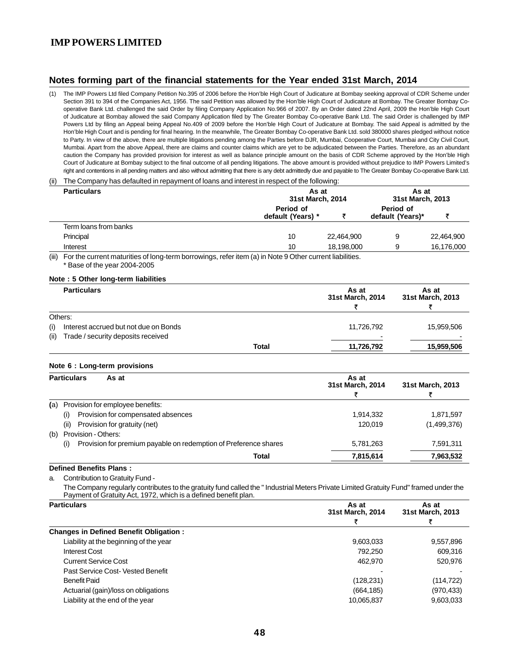### **Notes forming part of the financial statements for the Year ended 31st March, 2014**

The IMP Powers Ltd filed Company Petition No.395 of 2006 before the Hon'ble High Court of Judicature at Bombay seeking approval of CDR Scheme under Section 391 to 394 of the Companies Act, 1956. The said Petition was allowed by the Hon'ble High Court of Judicature at Bombay. The Greater Bombay Cooperative Bank Ltd. challenged the said Order by filing Company Application No.966 of 2007. By an Order dated 22nd April, 2009 the Hon'ble High Court of Judicature at Bombay allowed the said Company Application filed by The Greater Bombay Co-operative Bank Ltd. The said Order is challenged by IMP Powers Ltd by filing an Appeal being Appeal No.409 of 2009 before the Hon'ble High Court of Judicature at Bombay. The said Appeal is admitted by the Hon'ble High Court and is pending for final hearing. In the meanwhile, The Greater Bombay Co-operative Bank Ltd. sold 380000 shares pledged without notice to Party. In view of the above, there are multiple litigations pending among the Parties before DJR, Mumbai, Cooperative Court, Mumbai and City Civil Court, Mumbai. Apart from the above Appeal, there are claims and counter claims which are yet to be adjudicated between the Parties. Therefore, as an abundant caution the Company has provided provision for interest as well as balance principle amount on the basis of CDR Scheme approved by the Hon'ble High Court of Judicature at Bombay subject to the final outcome of all pending litigations. The above amount is provided without prejudice to IMP Powers Limited's right and contentions in all pending matters and also without admitting that there is any debt admittedly due and payable to The Greater Bombay Co-operative Bank Ltd.

| (ii) | The Company has defaulted in repayment of loans and interest in respect of the following: |                                |            |                               |            |
|------|-------------------------------------------------------------------------------------------|--------------------------------|------------|-------------------------------|------------|
|      | <b>Particulars</b>                                                                        | As at<br>31st March, 2014      |            | As at<br>31st March, 2013     |            |
|      |                                                                                           | Period of<br>default (Years) * |            | Period of<br>default (Years)* |            |
|      | Term loans from banks                                                                     |                                |            |                               |            |
|      | Principal                                                                                 | 10                             | 22.464.900 | 9                             | 22.464.900 |
|      | Interest                                                                                  | 10                             | 18,198,000 | 9                             | 16.176.000 |

(iii) For the current maturities of long-term borrowings, refer item (a) in Note 9 Other current liabilities. \* Base of the year 2004-2005

#### **Note : 5 Other long-term liabilities**

|      | <b>Particulars</b>                    |       | As at<br>31st March, 2014 | As at<br>31st March, 2013 |
|------|---------------------------------------|-------|---------------------------|---------------------------|
|      |                                       |       |                           |                           |
|      | Others:                               |       |                           |                           |
| (i)  | Interest accrued but not due on Bonds |       | 11,726,792                | 15,959,506                |
| (ii) | Trade / security deposits received    |       | $\overline{\phantom{0}}$  |                           |
|      |                                       | Total | 11,726,792                | 15,959,506                |

#### **Note 6 : Long-term provisions**

| <b>Particulars</b>                      | As at                                                            | As at<br>31st March, 2014 | 31st March, 2013 |
|-----------------------------------------|------------------------------------------------------------------|---------------------------|------------------|
|                                         |                                                                  |                           |                  |
| Provision for employee benefits:<br>(a) |                                                                  |                           |                  |
| (i)                                     | Provision for compensated absences                               | 1,914,332                 | 1,871,597        |
| (ii)                                    | Provision for gratuity (net)                                     | 120.019                   | (1,499,376)      |
| Provision - Others:<br>(b)              |                                                                  |                           |                  |
| (i)                                     | Provision for premium payable on redemption of Preference shares | 5,781,263                 | 7,591,311        |
|                                         | Total                                                            | 7,815,614                 | 7,963,532        |

### **Defined Benefits Plans :**

a. Contribution to Gratuity Fund -

The Company regularly contributes to the gratuity fund called the " Industrial Meters Private Limited Gratuity Fund" framed under the Payment of Gratuity Act, 1972, which is a defined benefit plan.

| <b>Particulars</b>                            | As at<br>31st March, 2014 | As at<br>31st March, 2013 |
|-----------------------------------------------|---------------------------|---------------------------|
|                                               |                           |                           |
| <b>Changes in Defined Benefit Obligation:</b> |                           |                           |
| Liability at the beginning of the year        | 9,603,033                 | 9,557,896                 |
| Interest Cost                                 | 792.250                   | 609,316                   |
| <b>Current Service Cost</b>                   | 462.970                   | 520,976                   |
| Past Service Cost- Vested Benefit             |                           |                           |
| <b>Benefit Paid</b>                           | (128, 231)                | (114, 722)                |
| Actuarial (gain)/loss on obligations          | (664, 185)                | (970, 433)                |
| Liability at the end of the year              | 10,065,837                | 9,603,033                 |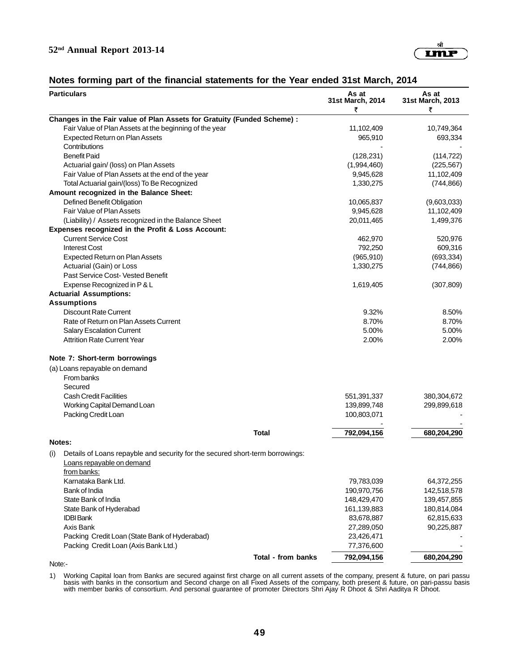

| <b>Particulars</b>                                                                                                               |                           | As at<br>31st March, 2014<br>₹ | As at<br>31st March, 2013<br>₹ |
|----------------------------------------------------------------------------------------------------------------------------------|---------------------------|--------------------------------|--------------------------------|
| Changes in the Fair value of Plan Assets for Gratuity (Funded Scheme) :                                                          |                           |                                |                                |
| Fair Value of Plan Assets at the beginning of the year                                                                           |                           | 11,102,409                     | 10,749,364                     |
| <b>Expected Return on Plan Assets</b>                                                                                            |                           | 965,910                        | 693,334                        |
| Contributions                                                                                                                    |                           |                                |                                |
| <b>Benefit Paid</b>                                                                                                              |                           | (128, 231)                     | (114, 722)                     |
| Actuarial gain/ (loss) on Plan Assets                                                                                            |                           | (1,994,460)                    | (225, 567)                     |
| Fair Value of Plan Assets at the end of the year                                                                                 |                           | 9,945,628                      | 11,102,409                     |
| Total Actuarial gain/(loss) To Be Recognized                                                                                     |                           | 1,330,275                      | (744, 866)                     |
| Amount recognized in the Balance Sheet:                                                                                          |                           |                                |                                |
| Defined Benefit Obligation                                                                                                       |                           | 10,065,837                     | (9,603,033)                    |
| Fair Value of Plan Assets                                                                                                        |                           | 9,945,628                      | 11,102,409                     |
| (Liability) / Assets recognized in the Balance Sheet                                                                             |                           | 20,011,465                     | 1,499,376                      |
| Expenses recognized in the Profit & Loss Account:                                                                                |                           |                                |                                |
| <b>Current Service Cost</b>                                                                                                      |                           | 462,970                        | 520,976                        |
| <b>Interest Cost</b>                                                                                                             |                           | 792,250                        | 609,316                        |
| <b>Expected Return on Plan Assets</b>                                                                                            |                           | (965, 910)                     | (693, 334)                     |
| Actuarial (Gain) or Loss                                                                                                         |                           | 1,330,275                      | (744, 866)                     |
| Past Service Cost- Vested Benefit                                                                                                |                           |                                |                                |
| Expense Recognized in P & L                                                                                                      |                           | 1,619,405                      | (307, 809)                     |
| <b>Actuarial Assumptions:</b>                                                                                                    |                           |                                |                                |
| <b>Assumptions</b>                                                                                                               |                           |                                |                                |
| <b>Discount Rate Current</b>                                                                                                     |                           | 9.32%                          | 8.50%                          |
| Rate of Return on Plan Assets Current                                                                                            |                           | 8.70%                          | 8.70%                          |
| <b>Salary Escalation Current</b>                                                                                                 |                           | 5.00%                          | 5.00%                          |
| <b>Attrition Rate Current Year</b>                                                                                               |                           | 2.00%                          | 2.00%                          |
| Note 7: Short-term borrowings                                                                                                    |                           |                                |                                |
| (a) Loans repayable on demand                                                                                                    |                           |                                |                                |
| From banks                                                                                                                       |                           |                                |                                |
| Secured                                                                                                                          |                           |                                |                                |
| <b>Cash Credit Facilities</b>                                                                                                    |                           | 551,391,337                    | 380,304,672                    |
| Working Capital Demand Loan                                                                                                      |                           | 139,899,748                    | 299,899,618                    |
| Packing Credit Loan                                                                                                              |                           | 100,803,071                    |                                |
|                                                                                                                                  |                           |                                |                                |
|                                                                                                                                  | <b>Total</b>              | 792,094,156                    | 680,204,290                    |
| Notes:                                                                                                                           |                           |                                |                                |
| Details of Loans repayble and security for the secured short-term borrowings:<br>(i)<br>Loans repayable on demand<br>from banks: |                           |                                |                                |
| Karnataka Bank Ltd.                                                                                                              |                           | 79,783,039                     | 64,372,255                     |
| Bank of India                                                                                                                    |                           | 190,970,756                    | 142,518,578                    |
| State Bank of India                                                                                                              |                           | 148,429,470                    | 139,457,855                    |
| State Bank of Hyderabad                                                                                                          |                           | 161,139,883                    | 180,814,084                    |
| <b>IDBI Bank</b>                                                                                                                 |                           | 83,678,887                     | 62,815,633                     |
| Axis Bank                                                                                                                        |                           | 27,289,050                     | 90,225,887                     |
| Packing Credit Loan (State Bank of Hyderabad)                                                                                    |                           | 23,426,471                     |                                |
| Packing Credit Loan (Axis Bank Ltd.)                                                                                             |                           | 77,376,600                     |                                |
|                                                                                                                                  | <b>Total - from banks</b> | 792,094,156                    | 680,204,290                    |
| Note:-                                                                                                                           |                           |                                |                                |

1) Working Capital loan from Banks are secured against first charge on all current assets of the company, present & future, on pari passu<br>basis with banks in the consortium and Second charge on all Fixed Assets of the comp with member banks of consortium. And personal guarantee of promoter Directors Shri Ajay R Dhoot & Shri Aaditya R Dhoot.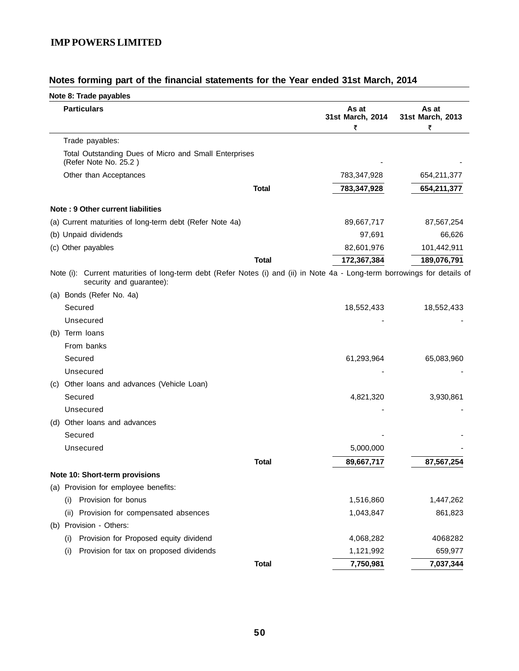| Notes forming part of the financial statements for the Year ended 31st March, 2014 |  |  |  |  |  |  |  |  |
|------------------------------------------------------------------------------------|--|--|--|--|--|--|--|--|
|------------------------------------------------------------------------------------|--|--|--|--|--|--|--|--|

**Note 8: Trade payables**

| <b>Particulars</b>                                                                                                                                    |              | As at<br>31st March, 2014<br>₹ | As at<br>31st March, 2013<br>₹ |
|-------------------------------------------------------------------------------------------------------------------------------------------------------|--------------|--------------------------------|--------------------------------|
| Trade payables:                                                                                                                                       |              |                                |                                |
| Total Outstanding Dues of Micro and Small Enterprises<br>(Refer Note No. 25.2)                                                                        |              |                                |                                |
| Other than Acceptances                                                                                                                                |              | 783,347,928                    | 654,211,377                    |
|                                                                                                                                                       | <b>Total</b> | 783,347,928                    | 654,211,377                    |
| Note: 9 Other current liabilities                                                                                                                     |              |                                |                                |
| (a) Current maturities of long-term debt (Refer Note 4a)                                                                                              |              | 89,667,717                     | 87,567,254                     |
| (b) Unpaid dividends                                                                                                                                  |              | 97,691                         | 66,626                         |
| (c) Other payables                                                                                                                                    |              | 82,601,976                     | 101,442,911                    |
|                                                                                                                                                       | <b>Total</b> | 172,367,384                    | 189,076,791                    |
| Note (i): Current maturities of long-term debt (Refer Notes (i) and (ii) in Note 4a - Long-term borrowings for details of<br>security and guarantee): |              |                                |                                |
| (a) Bonds (Refer No. 4a)                                                                                                                              |              |                                |                                |
| Secured                                                                                                                                               |              | 18,552,433                     | 18,552,433                     |
| Unsecured                                                                                                                                             |              |                                |                                |
| (b) Term loans                                                                                                                                        |              |                                |                                |
| From banks                                                                                                                                            |              |                                |                                |
| Secured                                                                                                                                               |              | 61,293,964                     | 65,083,960                     |
| Unsecured                                                                                                                                             |              |                                |                                |
| (c) Other loans and advances (Vehicle Loan)                                                                                                           |              |                                |                                |
| Secured                                                                                                                                               |              | 4,821,320                      | 3,930,861                      |
| Unsecured                                                                                                                                             |              |                                |                                |
| (d) Other loans and advances                                                                                                                          |              |                                |                                |
| Secured                                                                                                                                               |              |                                |                                |
| Unsecured                                                                                                                                             |              | 5,000,000                      |                                |
|                                                                                                                                                       | <b>Total</b> | 89,667,717                     | 87,567,254                     |
| Note 10: Short-term provisions                                                                                                                        |              |                                |                                |
| (a) Provision for employee benefits:                                                                                                                  |              |                                |                                |
| Provision for bonus<br>(i)                                                                                                                            |              | 1,516,860                      | 1,447,262                      |
| Provision for compensated absences<br>(ii)                                                                                                            |              | 1,043,847                      | 861,823                        |
| (b) Provision - Others:                                                                                                                               |              |                                |                                |
| Provision for Proposed equity dividend<br>(i)                                                                                                         |              | 4,068,282                      | 4068282                        |
| Provision for tax on proposed dividends<br>(i)                                                                                                        |              | 1,121,992                      | 659,977                        |
|                                                                                                                                                       | <b>Total</b> | 7,750,981                      | 7,037,344                      |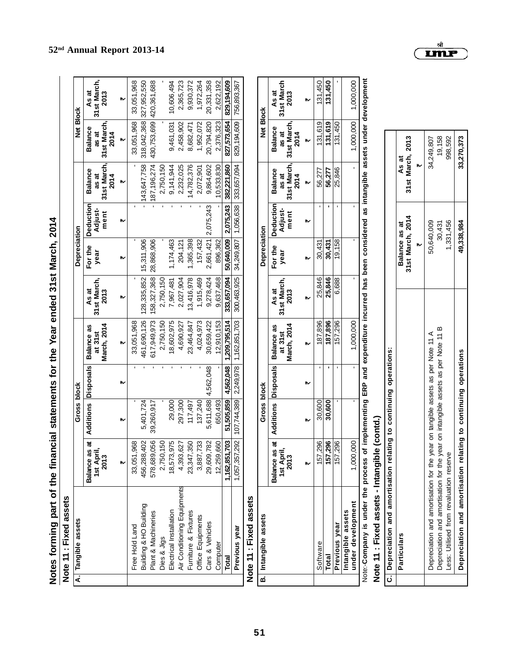| $\sim$                                                                                    |
|-------------------------------------------------------------------------------------------|
|                                                                                           |
| ミキシテク さり                                                                                  |
|                                                                                           |
| <b>Access Access Access</b>                                                               |
| $\ddot{=}$                                                                                |
| $\overline{\phantom{a}}$<br>whe forming nart of the tingnoisi statements.<br>li⊟⊔ele<br>I |
|                                                                                           |
| .<br>- פוני                                                                               |
|                                                                                           |
| ミラニの                                                                                      |
|                                                                                           |

| Note 11 : Fixed assets      |                                                      |                  |                     |                                      |                              |                 |                                     |                                                |                                                |                             |
|-----------------------------|------------------------------------------------------|------------------|---------------------|--------------------------------------|------------------------------|-----------------|-------------------------------------|------------------------------------------------|------------------------------------------------|-----------------------------|
| A. Tangible assets          |                                                      | Gross block      |                     |                                      |                              | Depreciation    |                                     |                                                | Net Block                                      |                             |
|                             | Balance as at<br>ភ្នំ<br>ទី ១<br>1st $A$<br><u>ន</u> | <b>Additions</b> | <b>Disposals</b>    | March, 2014<br>Balance as<br>at 31st | 31st March,<br>As at<br>2013 | For the<br>year | <b>Deduction</b><br>Adjust-<br>ment | 31st March,<br><b>Balance</b><br>2014<br>as at | 31st March,<br><b>Balance</b><br>as at<br>2014 | 31st March<br>As at<br>2013 |
|                             |                                                      | ⋫                | ⋫                   | ₩                                    | ₩                            | ⋫               | ⋫                                   | ⋫                                              | ₩                                              | ⋫                           |
| Free Hold Land              | 33,051,968                                           |                  |                     | 33,051,968                           |                              |                 |                                     |                                                | 33,051,968                                     | 33,051,968                  |
| Building & HO Building      | 456,288,402                                          | 5,401,724        |                     | 461,690,126                          | 128,335,852                  | 15,311,906      |                                     | $- 143.647.758 $                               | 318,042,368 327,952,550                        |                             |
| Plant & Machineries         | 578,689,056                                          | 39,260,917       |                     | 617,949,973                          | 158,327,368 28,868,906       |                 |                                     | $- 187,196,274 $                               | 430,753,699 420,361,688                        |                             |
| Dies & Jigs                 | 2,750,150                                            |                  |                     | 2,750,150                            | 2,750,150                    |                 |                                     | 2,750,150                                      |                                                |                             |
| Electrical Installation     | 18,573,975                                           | 29,000           |                     | 18,602,975                           | 7,967,481                    | 174,463         |                                     | 9,141,944                                      | 9,461,031                                      | 10,606,494                  |
| Air Conditioning Equipments | 4,393,627                                            | 297,300          |                     | 4,690,927                            | 2,027,904                    | 204,121         |                                     | 2,232,025                                      | 2,458,902                                      | 2,365,723                   |
| Furniture & Fixtures        | 23,347,350                                           | 117,497          |                     | 23,464,847                           | 13,416,978                   | ,365,398        |                                     | 14,782,376                                     | 8,682,471                                      | 9,930,372                   |
| Office Equipments           | 3,887,733                                            | 137,240          |                     | 4,024,973                            | 1,915,469                    | 157,432         |                                     | 2,072,901                                      | 1,952,072                                      | 1,972,264                   |
| Cars & Vehicles             | 29,609,782                                           |                  | 5,611,688 4,562,048 | 30,659,422                           | 9,278,424                    |                 | 2,661,421 2,075,243                 | 9,864,602                                      | 20,794,820                                     | 20,331,358                  |
| Computer                    | 12,259,660                                           | 650.493          |                     | 12,910,153                           | 9,637,468                    | 896,362         |                                     | 10.533.830                                     | 2.376.323                                      | 2,622,192                   |
| Total                       | 1,162,851,703                                        | 51,505,859       |                     | 4,562,048   1,209,795,514            | 333,657,094                  |                 |                                     | 50,640,009 2,075,243 382,221,860               | 827,573,654                                    | 829,194,609                 |
| Previous year               | 1,057,357,292                                        | 107,744,389      | 2,249,978           | 1,162,851,703                        | 300,463,925                  | 34,249,807      | 1,056,638                           | 333,657,094                                    | 829,194,609                                    | 756,893,367                 |
| Note 11 : Fixed assets      |                                                      |                  |                     |                                      |                              |                 |                                     |                                                |                                                |                             |
| <b>B.</b> Intangible assets |                                                      | Gross block      |                     |                                      |                              | Depreciation    |                                     |                                                | Net Block                                      |                             |
|                             | Balance as at<br>1st April,                          | <b>Additions</b> | Disposals           | Balance as<br>at 31st                | 31st March,<br>ಗ<br>45       | For the<br>year | <b>Deduction</b><br>Adjust-         | <b>Balance</b><br>as at                        | <b>Balance</b><br>as at                        | 31st March<br>As at         |

| 31st March, $\begin{vmatrix} 31 \text{st March} \\ 2014 \end{vmatrix}$ 2014<br>25,846<br>56,277<br>56,277<br><b>Balance</b><br>as at<br>For the Deduction<br>Adjust-<br>ment<br>19,158<br>30,431<br>30,431<br>year<br>25,846<br>25,846<br>6.688<br>31st March,<br>As at<br>2013<br>187,896<br>187,896<br>157,296<br>1,000,000<br>March, 2014<br>Balance as at   Additions   Disposals   Balance as<br>at 31st<br>30,600<br>30,600<br>7,296<br><b>17,296</b><br>57,296<br>0.000<br>1st April,<br>2013<br>$\overline{6}$<br>ίQ<br>under development<br>Intangible assets<br>Previous year<br>Software<br><b>Total</b> | Intangible assets | Gross block |  | Depreciation |  | Net Block               |                             |
|---------------------------------------------------------------------------------------------------------------------------------------------------------------------------------------------------------------------------------------------------------------------------------------------------------------------------------------------------------------------------------------------------------------------------------------------------------------------------------------------------------------------------------------------------------------------------------------------------------------------|-------------------|-------------|--|--------------|--|-------------------------|-----------------------------|
|                                                                                                                                                                                                                                                                                                                                                                                                                                                                                                                                                                                                                     |                   |             |  |              |  | as at<br><b>Balance</b> | 31st March<br>As at<br>2013 |
|                                                                                                                                                                                                                                                                                                                                                                                                                                                                                                                                                                                                                     |                   |             |  |              |  |                         |                             |
|                                                                                                                                                                                                                                                                                                                                                                                                                                                                                                                                                                                                                     |                   |             |  |              |  | 131,619                 | 131,450                     |
|                                                                                                                                                                                                                                                                                                                                                                                                                                                                                                                                                                                                                     |                   |             |  |              |  | 131,619                 | 131,450                     |
|                                                                                                                                                                                                                                                                                                                                                                                                                                                                                                                                                                                                                     |                   |             |  |              |  | 131,450                 |                             |
|                                                                                                                                                                                                                                                                                                                                                                                                                                                                                                                                                                                                                     |                   |             |  |              |  | 1,000,000               | 1,000,000                   |

Note:-Company is under the process of implementing ERP and expenditure incurred has been considered as intangible assets under development Note:-**Company is under the process of implementing ERP and expenditure incurred has been considered as intangible assets under development**

Note 11 : Fixed assets - Intangible (contd.) **Note 11 : Fixed assets - Intangible (contd.)**

| amortisation relating to continuing operations:<br>C. Depreciation and           |                                   |                           |
|----------------------------------------------------------------------------------|-----------------------------------|---------------------------|
| <b>Particulars</b>                                                               | 31st March, 2014<br>Balance as at | 31st March, 2013<br>As at |
|                                                                                  |                                   |                           |
| Depreciation and amortisation for the year on tangible assets as per Note 11 A   | 0.640,009                         | 34,249,807                |
| Depreciation and amortisation for the year on intangible assets as per Note 11 B | 30,431                            | 19,158                    |
| revaluation reserve<br>ess: Utilised from                                        | 1,331,456                         | 998,592                   |

**Depreciation and amortisation relating to continuing operations 49,338,984 33,270,373**

Depreciation and amortisation relating to continuing operations



33,270,373

49,338,984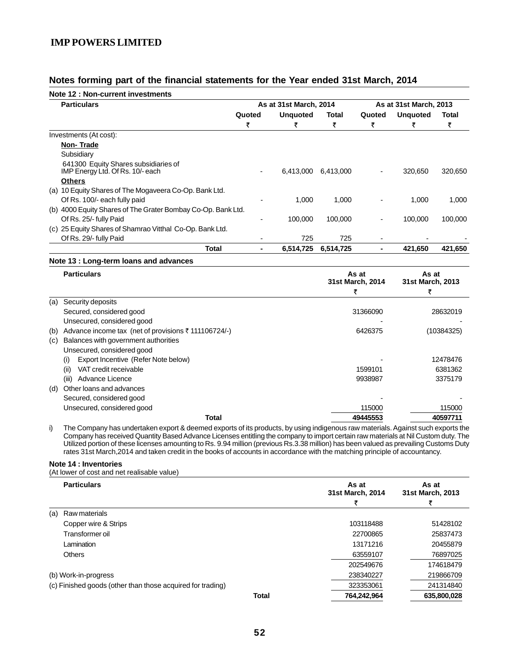# **Notes forming part of the financial statements for the Year ended 31st March, 2014**

**Note 12 : Non-current investments**

| <b>Particulars</b>                                                       |                | As at 31st March, 2014 |           |                           | As at 31st March, 2013    |         |
|--------------------------------------------------------------------------|----------------|------------------------|-----------|---------------------------|---------------------------|---------|
|                                                                          | Quoted         | <b>Unquoted</b>        | Total     | Quoted                    | <b>Unquoted</b>           | Total   |
|                                                                          | ₹              | ₹                      | ₹         | ₹                         | ₹                         | ₹       |
| Investments (At cost):                                                   |                |                        |           |                           |                           |         |
| Non-Trade                                                                |                |                        |           |                           |                           |         |
| Subsidiary                                                               |                |                        |           |                           |                           |         |
| 641300 Equity Shares subsidiaries of<br>IMP Energy Ltd. Of Rs. 10/- each |                | 6,413,000              | 6,413,000 | ۰                         | 320,650                   | 320,650 |
| <b>Others</b>                                                            |                |                        |           |                           |                           |         |
| (a) 10 Equity Shares of The Mogaveera Co-Op. Bank Ltd.                   |                |                        |           |                           |                           |         |
| Of Rs. 100/- each fully paid                                             |                | 1,000                  | 1,000     |                           | 1,000                     | 1,000   |
| 4000 Equity Shares of The Grater Bombay Co-Op. Bank Ltd.<br>(b)          |                |                        |           |                           |                           |         |
| Of Rs. 25/- fully Paid                                                   | $\blacksquare$ | 100,000                | 100,000   | $\overline{\phantom{a}}$  | 100,000                   | 100,000 |
| (c) 25 Equity Shares of Shamrao Vitthal Co-Op. Bank Ltd.                 |                |                        |           |                           |                           |         |
| Of Rs. 29/- fully Paid                                                   |                | 725                    | 725       |                           |                           |         |
| Total                                                                    | ۰              | 6,514,725              | 6,514,725 | ۰                         | 421,650                   | 421,650 |
| Note 13 : Long-term loans and advances                                   |                |                        |           |                           |                           |         |
| <b>Particulars</b>                                                       |                |                        |           | As at<br>31st March, 2014 | As at<br>31st March, 2013 |         |
|                                                                          |                |                        |           | ₹                         | ₹                         |         |

|                                                            | ₹        |            |
|------------------------------------------------------------|----------|------------|
| Security deposits<br>(a)                                   |          |            |
| Secured, considered good                                   | 31366090 | 28632019   |
| Unsecured, considered good                                 |          |            |
| Advance income tax (net of provisions ₹111106724/-)<br>(b) | 6426375  | (10384325) |
| Balances with government authorities<br>(c)                |          |            |
| Unsecured, considered good                                 |          |            |
| Export Incentive (Refer Note below)<br>(i)                 |          | 12478476   |
| (ii)<br>VAT credit receivable                              | 1599101  | 6381362    |
| (iii)<br>Advance Licence                                   | 9938987  | 3375179    |
| Other loans and advances<br>(d)                            |          |            |
| Secured, considered good                                   |          |            |
| Unsecured, considered good                                 | 115000   | 115000     |
| Total                                                      | 49445553 | 40597711   |

i) The Company has undertaken export & deemed exports of its products, by using indigenous raw materials. Against such exports the Company has received Quantity Based Advance Licenses entitling the company to import certain raw materials at Nil Custom duty. The Utilized portion of these licenses amounting to Rs. 9.94 million (previous Rs.3.38 million) has been valued as prevailing Customs Duty rates 31st March,2014 and taken credit in the books of accounts in accordance with the matching principle of accountancy.

### **Note 14 : Inventories**

(At lower of cost and net realisable value)

| <b>Particulars</b>                                         |       | As at<br>31st March, 2014 | As at<br>31st March, 2013 |
|------------------------------------------------------------|-------|---------------------------|---------------------------|
|                                                            |       |                           |                           |
| Raw materials<br>(a)                                       |       |                           |                           |
| Copper wire & Strips                                       |       | 103118488                 | 51428102                  |
| Transformer oil                                            |       | 22700865                  | 25837473                  |
| Lamination                                                 |       | 13171216                  | 20455879                  |
| Others                                                     |       | 63559107                  | 76897025                  |
|                                                            |       | 202549676                 | 174618479                 |
| (b) Work-in-progress                                       |       | 238340227                 | 219866709                 |
| (c) Finished goods (other than those acquired for trading) |       | 323353061                 | 241314840                 |
|                                                            | Total | 764.242.964               | 635,800,028               |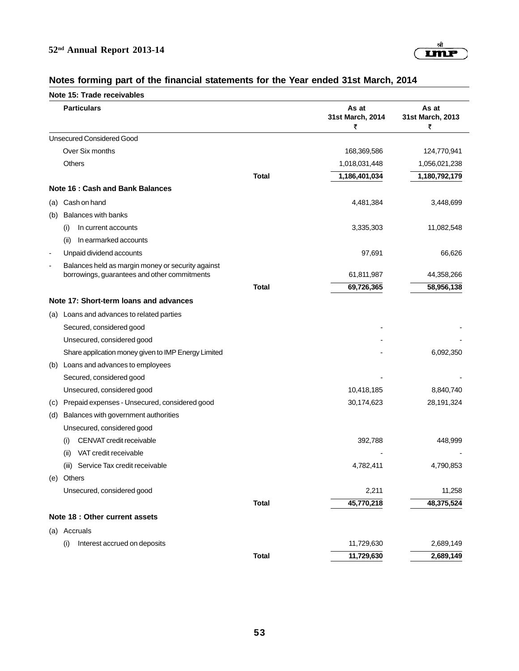

**Note 15: Trade receivables**

| <b>Particulars</b>                                   |              | As at<br>31st March, 2014<br>₹ | As at<br>31st March, 2013<br>₹ |
|------------------------------------------------------|--------------|--------------------------------|--------------------------------|
| <b>Unsecured Considered Good</b>                     |              |                                |                                |
| Over Six months                                      |              | 168,369,586                    | 124,770,941                    |
| Others                                               |              | 1,018,031,448                  | 1,056,021,238                  |
|                                                      | <b>Total</b> | 1,186,401,034                  | 1,180,792,179                  |
| <b>Note 16: Cash and Bank Balances</b>               |              |                                |                                |
| Cash on hand<br>(a)                                  |              | 4,481,384                      | 3,448,699                      |
| Balances with banks<br>(b)                           |              |                                |                                |
| In current accounts<br>(i)                           |              | 3,335,303                      | 11,082,548                     |
| In earmarked accounts<br>(ii)                        |              |                                |                                |
| Unpaid dividend accounts                             |              | 97,691                         | 66,626                         |
| Balances held as margin money or security against    |              |                                |                                |
| borrowings, guarantees and other commitments         |              | 61,811,987                     | 44,358,266                     |
|                                                      | Total        | 69,726,365                     | 58,956,138                     |
| Note 17: Short-term loans and advances               |              |                                |                                |
| Loans and advances to related parties<br>(a)         |              |                                |                                |
| Secured, considered good                             |              |                                |                                |
| Unsecured, considered good                           |              |                                |                                |
| Share appilcation money given to IMP Energy Limited  |              |                                | 6,092,350                      |
| Loans and advances to employees<br>(b)               |              |                                |                                |
| Secured, considered good                             |              |                                |                                |
| Unsecured, considered good                           |              | 10,418,185                     | 8,840,740                      |
| Prepaid expenses - Unsecured, considered good<br>(C) |              | 30,174,623                     | 28, 191, 324                   |
| Balances with government authorities<br>(d)          |              |                                |                                |
| Unsecured, considered good                           |              |                                |                                |
| CENVAT credit receivable<br>(i)                      |              | 392,788                        | 448,999                        |
| VAT credit receivable<br>(ii)                        |              |                                |                                |
| Service Tax credit receivable<br>(iii)               |              | 4,782,411                      | 4,790,853                      |
| (e) Others                                           |              |                                |                                |
| Unsecured, considered good                           |              | 2,211                          | 11,258                         |
|                                                      | <b>Total</b> | 45,770,218                     | 48,375,524                     |
| Note 18 : Other current assets                       |              |                                |                                |
| (a) Accruals                                         |              |                                |                                |
| Interest accrued on deposits<br>(i)                  |              | 11,729,630                     | 2,689,149                      |
|                                                      | <b>Total</b> | 11,729,630                     | 2,689,149                      |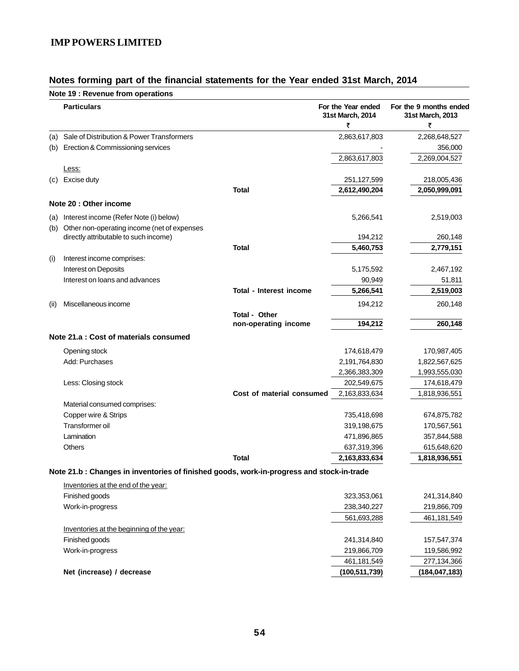|      | <b>Particulars</b>                                                                       |                                | For the Year ended<br>31st March, 2014<br>₹ | For the 9 months ended<br>31st March, 2013<br>₹ |
|------|------------------------------------------------------------------------------------------|--------------------------------|---------------------------------------------|-------------------------------------------------|
| (a)  | Sale of Distribution & Power Transformers                                                |                                | 2,863,617,803                               | 2,268,648,527                                   |
| (b)  | Erection & Commissioning services                                                        |                                |                                             | 356,000                                         |
|      |                                                                                          |                                | 2,863,617,803                               | 2,269,004,527                                   |
|      | Less:                                                                                    |                                |                                             |                                                 |
| (C)  | Excise duty                                                                              |                                | 251,127,599                                 | 218,005,436                                     |
|      |                                                                                          | <b>Total</b>                   | 2,612,490,204                               | 2,050,999,091                                   |
|      | Note 20 : Other income                                                                   |                                |                                             |                                                 |
| (a)  | Interest income (Refer Note (i) below)                                                   |                                | 5,266,541                                   | 2,519,003                                       |
| (b)  | Other non-operating income (net of expenses                                              |                                |                                             |                                                 |
|      | directly attributable to such income)                                                    |                                | 194,212                                     | 260,148                                         |
|      |                                                                                          | <b>Total</b>                   | 5,460,753                                   | 2,779,151                                       |
| (i)  | Interest income comprises:                                                               |                                |                                             |                                                 |
|      | Interest on Deposits                                                                     |                                | 5,175,592                                   | 2,467,192                                       |
|      | Interest on loans and advances                                                           |                                | 90,949                                      | 51,811                                          |
|      |                                                                                          | <b>Total - Interest income</b> | 5,266,541                                   | 2,519,003                                       |
| (II) | Miscellaneous income                                                                     |                                | 194,212                                     | 260,148                                         |
|      |                                                                                          | <b>Total - Other</b>           |                                             |                                                 |
|      |                                                                                          | non-operating income           | 194,212                                     | 260,148                                         |
|      | Note 21.a : Cost of materials consumed                                                   |                                |                                             |                                                 |
|      | Opening stock                                                                            |                                | 174,618,479                                 | 170,987,405                                     |
|      | Add: Purchases                                                                           |                                | 2,191,764,830                               | 1,822,567,625                                   |
|      |                                                                                          |                                | 2,366,383,309                               | 1,993,555,030                                   |
|      | Less: Closing stock                                                                      |                                | 202,549,675                                 | 174,618,479                                     |
|      |                                                                                          | Cost of material consumed      | 2,163,833,634                               | 1,818,936,551                                   |
|      | Material consumed comprises:                                                             |                                |                                             |                                                 |
|      | Copper wire & Strips                                                                     |                                | 735,418,698                                 | 674,875,782                                     |
|      | Transformer oil                                                                          |                                | 319,198,675                                 | 170,567,561                                     |
|      | Lamination                                                                               |                                | 471,896,865                                 | 357,844,588                                     |
|      | Others                                                                                   |                                | 637,319,396                                 | 615,648,620                                     |
|      |                                                                                          | <b>Total</b>                   | 2,163,833,634                               | 1,818,936,551                                   |
|      | Note 21.b: Changes in inventories of finished goods, work-in-progress and stock-in-trade |                                |                                             |                                                 |
|      | Inventories at the end of the year:                                                      |                                |                                             |                                                 |
|      | Finished goods                                                                           |                                | 323,353,061                                 | 241,314,840                                     |
|      | Work-in-progress                                                                         |                                | 238,340,227                                 | 219,866,709                                     |
|      |                                                                                          |                                | 561,693,288                                 | 461,181,549                                     |
|      | Inventories at the beginning of the year:                                                |                                |                                             |                                                 |
|      | Finished goods                                                                           |                                | 241,314,840                                 | 157,547,374                                     |
|      | Work-in-progress                                                                         |                                | 219,866,709                                 | 119,586,992                                     |
|      |                                                                                          |                                | 461,181,549                                 | 277,134,366                                     |
|      | Net (increase) / decrease                                                                |                                | (100, 511, 739)                             | (184, 047, 183)                                 |

### **Notes forming part of the financial statements for the Year ended 31st March, 2014**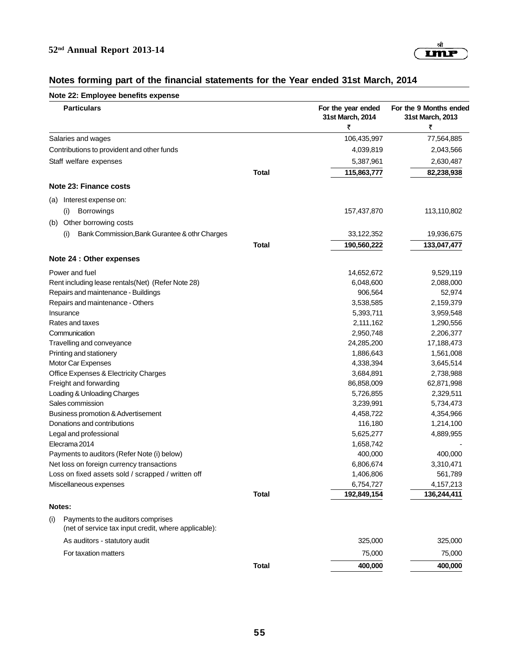

**Note 22: Employee benefits expense**

|           | <b>Particulars</b>                                                                         |              | For the year ended<br>31st March, 2014<br>₹ | For the 9 Months ended<br>31st March, 2013<br>₹ |
|-----------|--------------------------------------------------------------------------------------------|--------------|---------------------------------------------|-------------------------------------------------|
|           | Salaries and wages                                                                         |              | 106,435,997                                 | 77,564,885                                      |
|           | Contributions to provident and other funds                                                 |              | 4,039,819                                   | 2,043,566                                       |
|           | Staff welfare expenses                                                                     |              | 5,387,961                                   | 2,630,487                                       |
|           |                                                                                            | <b>Total</b> | 115,863,777                                 | 82,238,938                                      |
|           | Note 23: Finance costs                                                                     |              |                                             |                                                 |
|           |                                                                                            |              |                                             |                                                 |
| (a)       | Interest expense on:                                                                       |              |                                             |                                                 |
|           | <b>Borrowings</b><br>(i)                                                                   |              | 157,437,870                                 | 113,110,802                                     |
| (b)       | Other borrowing costs                                                                      |              |                                             |                                                 |
|           | (i)<br>Bank Commission, Bank Gurantee & othr Charges                                       |              | 33,122,352                                  | 19,936,675                                      |
|           |                                                                                            | <b>Total</b> | 190,560,222                                 | 133,047,477                                     |
|           | Note 24 : Other expenses                                                                   |              |                                             |                                                 |
|           | Power and fuel                                                                             |              | 14,652,672                                  | 9,529,119                                       |
|           | Rent including lease rentals (Net) (Refer Note 28)                                         |              | 6,048,600                                   | 2,088,000                                       |
|           | Repairs and maintenance - Buildings                                                        |              | 906,564                                     | 52,974                                          |
|           | Repairs and maintenance - Others                                                           |              | 3,538,585                                   | 2,159,379                                       |
| Insurance |                                                                                            |              | 5,393,711                                   | 3,959,548                                       |
|           | Rates and taxes                                                                            |              | 2,111,162                                   | 1,290,556                                       |
|           | Communication                                                                              |              | 2,950,748                                   | 2,206,377                                       |
|           | Travelling and conveyance                                                                  |              | 24,285,200                                  | 17,188,473                                      |
|           | Printing and stationery                                                                    |              | 1,886,643                                   | 1,561,008                                       |
|           | Motor Car Expenses                                                                         |              | 4,338,394                                   | 3,645,514                                       |
|           | Office Expenses & Electricity Charges                                                      |              | 3,684,891                                   | 2,738,988                                       |
|           | Freight and forwarding                                                                     |              | 86,858,009                                  | 62,871,998                                      |
|           | Loading & Unloading Charges                                                                |              | 5,726,855                                   | 2,329,511                                       |
|           | Sales commission                                                                           |              | 3,239,991                                   | 5,734,473                                       |
|           | Business promotion & Advertisement                                                         |              | 4,458,722                                   | 4,354,966                                       |
|           | Donations and contributions                                                                |              | 116,180                                     | 1,214,100                                       |
|           | Legal and professional                                                                     |              | 5,625,277                                   | 4,889,955                                       |
|           | Elecrama 2014                                                                              |              | 1,658,742                                   |                                                 |
|           | Payments to auditors (Refer Note (i) below)                                                |              | 400,000                                     | 400,000                                         |
|           | Net loss on foreign currency transactions                                                  |              | 6,806,674                                   | 3,310,471                                       |
|           | Loss on fixed assets sold / scrapped / written off                                         |              | 1,406,806                                   | 561,789                                         |
|           | Miscellaneous expenses                                                                     |              | 6,754,727                                   | 4, 157, 213                                     |
|           |                                                                                            | <b>Total</b> | 192,849,154                                 | 136,244,411                                     |
| Notes:    |                                                                                            |              |                                             |                                                 |
| (i)       | Payments to the auditors comprises<br>(net of service tax input credit, where applicable): |              |                                             |                                                 |
|           | As auditors - statutory audit                                                              |              | 325,000                                     | 325,000                                         |
|           | For taxation matters                                                                       |              | 75,000                                      | 75,000                                          |
|           |                                                                                            | <b>Total</b> | 400,000                                     | 400,000                                         |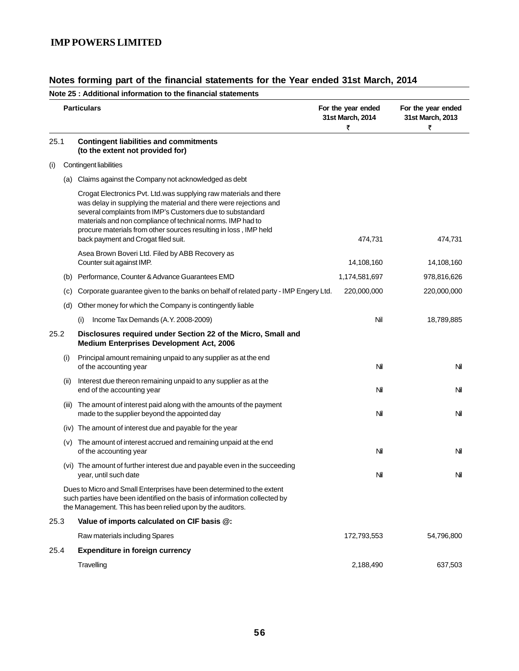|       | <b>Particulars</b>                                                                                                                                                                                                                                                                                                                                                             | For the year ended<br>31st March, 2014<br>₹ | For the year ended<br>31st March, 2013<br>₹ |
|-------|--------------------------------------------------------------------------------------------------------------------------------------------------------------------------------------------------------------------------------------------------------------------------------------------------------------------------------------------------------------------------------|---------------------------------------------|---------------------------------------------|
| 25.1  | <b>Contingent liabilities and commitments</b><br>(to the extent not provided for)                                                                                                                                                                                                                                                                                              |                                             |                                             |
| (1)   | Contingent liabilities                                                                                                                                                                                                                                                                                                                                                         |                                             |                                             |
|       | (a) Claims against the Company not acknowledged as debt                                                                                                                                                                                                                                                                                                                        |                                             |                                             |
|       | Crogat Electronics Pvt. Ltd.was supplying raw materials and there<br>was delay in supplying the material and there were rejections and<br>several complaints from IMP's Customers due to substandard<br>materials and non compliance of technical norms. IMP had to<br>procure materials from other sources resulting in loss, IMP held<br>back payment and Crogat filed suit. | 474,731                                     | 474,731                                     |
|       | Asea Brown Boveri Ltd. Filed by ABB Recovery as                                                                                                                                                                                                                                                                                                                                |                                             |                                             |
|       | Counter suit against IMP.                                                                                                                                                                                                                                                                                                                                                      | 14,108,160                                  | 14,108,160                                  |
| (b)   | Performance, Counter & Advance Guarantees EMD                                                                                                                                                                                                                                                                                                                                  | 1,174,581,697                               | 978,816,626                                 |
| (C)   | Corporate guarantee given to the banks on behalf of related party - IMP Engery Ltd.                                                                                                                                                                                                                                                                                            | 220,000,000                                 | 220,000,000                                 |
| (d)   | Other money for which the Company is contingently liable                                                                                                                                                                                                                                                                                                                       |                                             |                                             |
|       | Income Tax Demands (A.Y. 2008-2009)<br>(i)                                                                                                                                                                                                                                                                                                                                     | Nil                                         | 18,789,885                                  |
| 25.2  | Disclosures required under Section 22 of the Micro, Small and<br>Medium Enterprises Development Act, 2006                                                                                                                                                                                                                                                                      |                                             |                                             |
| (i)   | Principal amount remaining unpaid to any supplier as at the end<br>of the accounting year                                                                                                                                                                                                                                                                                      | Nil                                         | Nil                                         |
| (ii)  | Interest due thereon remaining unpaid to any supplier as at the<br>end of the accounting year                                                                                                                                                                                                                                                                                  | Nil                                         | Νil                                         |
| (iii) | The amount of interest paid along with the amounts of the payment<br>made to the supplier beyond the appointed day                                                                                                                                                                                                                                                             | Nil                                         | Nil                                         |
|       | (iv) The amount of interest due and payable for the year                                                                                                                                                                                                                                                                                                                       |                                             |                                             |
| (v)   | The amount of interest accrued and remaining unpaid at the end<br>of the accounting year                                                                                                                                                                                                                                                                                       | Nil                                         | ΝiΙ                                         |
|       | (vi) The amount of further interest due and payable even in the succeeding<br>year, until such date                                                                                                                                                                                                                                                                            | Νi                                          | ΝiΙ                                         |
|       | Dues to Micro and Small Enterprises have been determined to the extent<br>such parties have been identified on the basis of information collected by<br>the Management. This has been relied upon by the auditors.                                                                                                                                                             |                                             |                                             |
| 25.3  | Value of imports calculated on CIF basis @:                                                                                                                                                                                                                                                                                                                                    |                                             |                                             |
|       | Raw materials including Spares                                                                                                                                                                                                                                                                                                                                                 | 172,793,553                                 | 54,796,800                                  |
| 25.4  | <b>Expenditure in foreign currency</b>                                                                                                                                                                                                                                                                                                                                         |                                             |                                             |
|       | Travelling                                                                                                                                                                                                                                                                                                                                                                     | 2,188,490                                   | 637,503                                     |

# **Notes forming part of the financial statements for the Year ended 31st March, 2014**

**Note 25 : Additional information to the financial statements**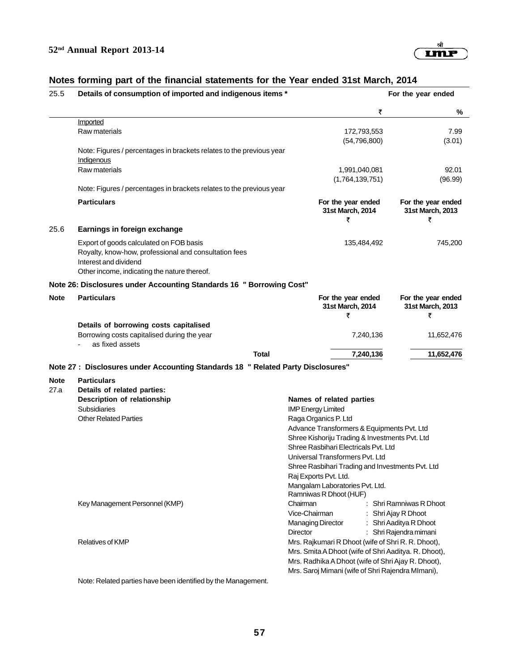

### 25.5 **Details of consumption of imported and indigenous items \* For the year ended**

|             |                                                                                                                                                                           | ₹                                                         | %                                           |
|-------------|---------------------------------------------------------------------------------------------------------------------------------------------------------------------------|-----------------------------------------------------------|---------------------------------------------|
|             | Imported                                                                                                                                                                  |                                                           |                                             |
|             | Raw materials                                                                                                                                                             | 172,793,553                                               | 7.99                                        |
|             |                                                                                                                                                                           | (54, 796, 800)                                            | (3.01)                                      |
|             | Note: Figures / percentages in brackets relates to the previous year<br>Indigenous                                                                                        |                                                           |                                             |
|             | Raw materials                                                                                                                                                             | 1,991,040,081                                             | 92.01                                       |
|             |                                                                                                                                                                           | (1,764,139,751)                                           | (96.99)                                     |
|             | Note: Figures / percentages in brackets relates to the previous year                                                                                                      |                                                           |                                             |
|             | <b>Particulars</b>                                                                                                                                                        | For the year ended<br>31st March, 2014<br>₹               | For the year ended<br>31st March, 2013<br>₹ |
| 25.6        | Earnings in foreign exchange                                                                                                                                              |                                                           |                                             |
|             | Export of goods calculated on FOB basis<br>Royalty, know-how, professional and consultation fees<br>Interest and dividend<br>Other income, indicating the nature thereof. | 135,484,492                                               | 745,200                                     |
|             | Note 26: Disclosures under Accounting Standards 16 " Borrowing Cost"                                                                                                      |                                                           |                                             |
| <b>Note</b> | <b>Particulars</b>                                                                                                                                                        | For the year ended<br>31st March, 2014<br>₹               | For the year ended<br>31st March, 2013<br>₹ |
|             | Details of borrowing costs capitalised                                                                                                                                    |                                                           |                                             |
|             | Borrowing costs capitalised during the year<br>as fixed assets                                                                                                            | 7,240,136                                                 | 11,652,476                                  |
|             | Total                                                                                                                                                                     | 7,240,136                                                 | 11,652,476                                  |
|             | Note 27 : Disclosures under Accounting Standards 18 " Related Party Disclosures"                                                                                          |                                                           |                                             |
| <b>Note</b> | <b>Particulars</b>                                                                                                                                                        |                                                           |                                             |
| 27.a        | Details of related parties:                                                                                                                                               |                                                           |                                             |
|             | Description of relationship                                                                                                                                               | Names of related parties                                  |                                             |
|             | Subsidiaries                                                                                                                                                              | <b>IMP Energy Limited</b>                                 |                                             |
|             | <b>Other Related Parties</b>                                                                                                                                              | Raga Organics P. Ltd                                      |                                             |
|             |                                                                                                                                                                           | Advance Transformers & Equipments Pvt. Ltd                |                                             |
|             |                                                                                                                                                                           | Shree Kishoriju Trading & Investments Pvt. Ltd            |                                             |
|             |                                                                                                                                                                           | Shree Rasbihari Electricals Pvt. Ltd                      |                                             |
|             |                                                                                                                                                                           | Universal Transformers Pyt. Ltd                           |                                             |
|             |                                                                                                                                                                           | Shree Rasbihari Trading and Investments Pvt. Ltd          |                                             |
|             |                                                                                                                                                                           | Raj Exports Pvt. Ltd.                                     |                                             |
|             |                                                                                                                                                                           | Mangalam Laboratories Pvt. Ltd.<br>Ramniwas R Dhoot (HUF) |                                             |
|             | Key Management Personnel (KMP)                                                                                                                                            | Chairman                                                  | : Shri Ramniwas R Dhoot                     |
|             |                                                                                                                                                                           | Vice-Chairman                                             | : Shri Ajay R Dhoot                         |
|             |                                                                                                                                                                           | <b>Managing Director</b>                                  | : Shri Aaditya R Dhoot                      |
|             |                                                                                                                                                                           | Director                                                  | : Shri Rajendra mimani                      |
|             | Relatives of KMP                                                                                                                                                          | Mrs. Rajkumari R Dhoot (wife of Shri R. R. Dhoot),        |                                             |
|             |                                                                                                                                                                           | Mrs. Smita A Dhoot (wife of Shri Aaditya. R. Dhoot),      |                                             |
|             |                                                                                                                                                                           | Mrs. Radhika A Dhoot (wife of Shri Ajay R. Dhoot),        |                                             |
|             |                                                                                                                                                                           | Mrs. Saroj Mimani (wife of Shri Rajendra MImani),         |                                             |
|             | Note: Related parties have been identified by the Management.                                                                                                             |                                                           |                                             |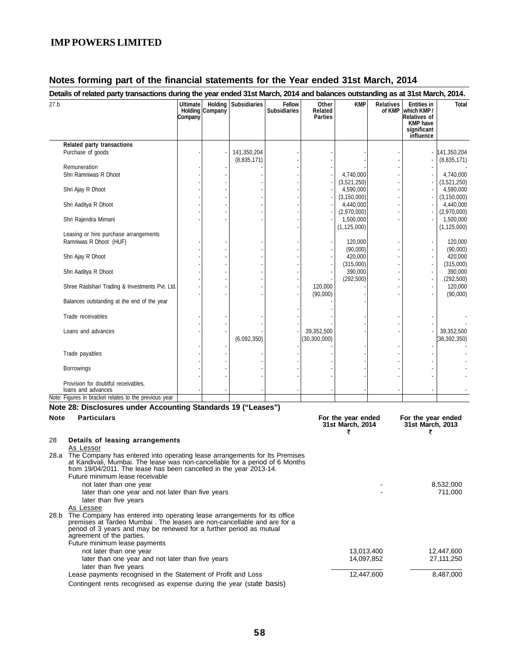# **Notes forming part of the financial statements for the Year ended 31st March, 2014**

**Details of related party transactions during the year ended 31st March, 2014 and balances outstanding as at 31st March, 2014.**

|      | Delaiis OFFelaleu party transactions uuring the year enueu JTSL March, ZVT4 anu balances Outstanumg as at JTSL March, Z                                      |                            |                            |              |                                      |                                    |                    |                     |                                                                                                         |                     |
|------|--------------------------------------------------------------------------------------------------------------------------------------------------------------|----------------------------|----------------------------|--------------|--------------------------------------|------------------------------------|--------------------|---------------------|---------------------------------------------------------------------------------------------------------|---------------------|
| 27.b |                                                                                                                                                              | <b>Ultimate</b><br>Company | Holding<br>Holding Company | Subsidiaries | <b>Fellow</b><br><b>Subsidiaries</b> | Other<br>Related<br><b>Parties</b> | <b>KMP</b>         | Relatives<br>of KMP | <b>Entities in</b><br>which KMP /<br><b>Relatives of</b><br><b>KMP</b> have<br>significant<br>influence | Total               |
|      | Related party transactions                                                                                                                                   |                            |                            |              |                                      |                                    |                    |                     |                                                                                                         |                     |
|      | Purchase of goods                                                                                                                                            |                            |                            | 141,350,204  |                                      |                                    |                    |                     |                                                                                                         | 141,350,204         |
|      |                                                                                                                                                              |                            |                            | (8,835,171)  |                                      |                                    |                    |                     |                                                                                                         | (8,835,171)         |
|      | Remuneration                                                                                                                                                 |                            |                            |              |                                      |                                    |                    |                     |                                                                                                         |                     |
|      | Shri Ramniwas R Dhoot                                                                                                                                        |                            |                            |              |                                      |                                    | 4,740,000          |                     |                                                                                                         | 4,740,000           |
|      |                                                                                                                                                              |                            |                            |              |                                      |                                    | (3,521,250)        |                     |                                                                                                         | (3,521,250)         |
|      | Shri Ajay R Dhoot                                                                                                                                            |                            |                            |              |                                      |                                    | 4,590,000          |                     |                                                                                                         | 4,590,000           |
|      |                                                                                                                                                              |                            |                            |              |                                      |                                    | (3, 150, 000)      |                     |                                                                                                         | (3, 150, 000)       |
|      | Shri Aaditya R Dhoot                                                                                                                                         |                            |                            |              |                                      |                                    | 4,440,000          |                     |                                                                                                         | 4,440,000           |
|      |                                                                                                                                                              |                            |                            |              |                                      |                                    | (2,970,000)        |                     |                                                                                                         | (2,970,000)         |
|      | Shri Rajendra Mimani                                                                                                                                         |                            |                            |              |                                      |                                    | 1,500,000          |                     |                                                                                                         | 1,500,000           |
|      |                                                                                                                                                              |                            |                            |              |                                      |                                    | (1, 125, 000)      |                     |                                                                                                         | (1, 125, 000)       |
|      | Leasing or hire purchase arrangements                                                                                                                        |                            |                            |              |                                      |                                    |                    |                     |                                                                                                         |                     |
|      | Ramniwas R Dhoot (HUF)                                                                                                                                       |                            |                            |              |                                      |                                    | 120,000            |                     |                                                                                                         | 120,000             |
|      |                                                                                                                                                              |                            |                            |              |                                      |                                    | (90,000)           |                     |                                                                                                         | (90,000)            |
|      | Shri Ajay R Dhoot                                                                                                                                            |                            |                            |              |                                      |                                    | 420,000            |                     |                                                                                                         | 420,000             |
|      |                                                                                                                                                              |                            |                            |              |                                      |                                    | (315,000)          |                     | Ĭ.                                                                                                      | (315,000)           |
|      | Shri Aaditya R Dhoot                                                                                                                                         |                            |                            |              |                                      |                                    | 390,000            |                     |                                                                                                         | 390,000             |
|      |                                                                                                                                                              |                            |                            |              |                                      |                                    | (292, 500)         |                     | Ĭ.                                                                                                      | (292,500)           |
|      | Shree Rasbihari Trading & Investments Pvt. Ltd.                                                                                                              |                            |                            |              |                                      | 120,000<br>(90,000)                |                    |                     |                                                                                                         | 120,000<br>(90,000) |
|      | Balances outstanding at the end of the year                                                                                                                  |                            |                            |              |                                      |                                    |                    |                     |                                                                                                         |                     |
|      | Trade receivables                                                                                                                                            |                            |                            |              |                                      |                                    |                    |                     |                                                                                                         |                     |
|      |                                                                                                                                                              |                            |                            |              |                                      |                                    |                    |                     |                                                                                                         |                     |
|      | Loans and advances                                                                                                                                           |                            |                            |              |                                      | 39.352.500                         |                    |                     |                                                                                                         | 39.352.500          |
|      |                                                                                                                                                              |                            |                            | (6,092,350)  |                                      | (30, 300, 000)                     |                    |                     |                                                                                                         | (36, 392, 350)      |
|      |                                                                                                                                                              |                            |                            |              |                                      |                                    |                    |                     |                                                                                                         |                     |
|      | Trade payables                                                                                                                                               |                            |                            |              |                                      |                                    |                    |                     |                                                                                                         |                     |
|      |                                                                                                                                                              |                            |                            |              |                                      |                                    |                    |                     |                                                                                                         |                     |
|      | <b>Borrowings</b>                                                                                                                                            |                            |                            |              |                                      |                                    |                    |                     |                                                                                                         |                     |
|      |                                                                                                                                                              |                            |                            |              |                                      |                                    |                    |                     |                                                                                                         |                     |
|      | Provision for doubtful receivables,                                                                                                                          |                            |                            |              |                                      |                                    |                    |                     |                                                                                                         |                     |
|      | loans and advances                                                                                                                                           |                            |                            |              |                                      |                                    |                    |                     |                                                                                                         |                     |
|      | Note: Figures in bracket relates to the previous year                                                                                                        |                            |                            |              |                                      |                                    |                    |                     |                                                                                                         |                     |
|      | Note 28: Disclosures under Accounting Standards 19 ("Leases")                                                                                                |                            |                            |              |                                      |                                    |                    |                     |                                                                                                         |                     |
| Note | <b>Particulars</b>                                                                                                                                           |                            |                            |              |                                      |                                    | For the year ended |                     | For the year ended                                                                                      |                     |
|      |                                                                                                                                                              |                            |                            |              |                                      |                                    | 31st March, 2014   |                     | 31st March, 2013                                                                                        |                     |
|      |                                                                                                                                                              |                            |                            |              |                                      |                                    | ₹                  |                     | ₹                                                                                                       |                     |
| 28   | Details of leasing arrangements                                                                                                                              |                            |                            |              |                                      |                                    |                    |                     |                                                                                                         |                     |
|      | As Lessor                                                                                                                                                    |                            |                            |              |                                      |                                    |                    |                     |                                                                                                         |                     |
|      |                                                                                                                                                              |                            |                            |              |                                      |                                    |                    |                     |                                                                                                         |                     |
|      | 28.a The Company has entered into operating lease arrangements for Its Premises at Kandivali, Mumbai. The lease was non-cancellable for a period of 6 Months |                            |                            |              |                                      |                                    |                    |                     |                                                                                                         |                     |
|      | from 19/04/2011. The lease has been cancelled in the year 2013-14.                                                                                           |                            |                            |              |                                      |                                    |                    |                     |                                                                                                         |                     |
|      | Future minimum lease receivable                                                                                                                              |                            |                            |              |                                      |                                    |                    |                     |                                                                                                         |                     |
|      | not later than one year                                                                                                                                      |                            |                            |              |                                      |                                    |                    |                     |                                                                                                         | 8,532,000           |
|      | later than one year and not later than five years                                                                                                            |                            |                            |              |                                      |                                    |                    |                     |                                                                                                         | 711,000             |
|      | later than five years                                                                                                                                        |                            |                            |              |                                      |                                    |                    |                     |                                                                                                         |                     |
|      | As Lessee                                                                                                                                                    |                            |                            |              |                                      |                                    |                    |                     |                                                                                                         |                     |
|      | 28.b The Company has entered into operating lease arrangements for its office                                                                                |                            |                            |              |                                      |                                    |                    |                     |                                                                                                         |                     |
|      | premises at Tardeo Mumbai . The leases are non-cancellable and are for a                                                                                     |                            |                            |              |                                      |                                    |                    |                     |                                                                                                         |                     |
|      | period of 3 years and may be renewed for a further period as mutual                                                                                          |                            |                            |              |                                      |                                    |                    |                     |                                                                                                         |                     |
|      | agreement of the parties.                                                                                                                                    |                            |                            |              |                                      |                                    |                    |                     |                                                                                                         |                     |
|      | Future minimum lease payments                                                                                                                                |                            |                            |              |                                      |                                    |                    |                     |                                                                                                         |                     |
|      | not later than one year                                                                                                                                      |                            |                            |              |                                      |                                    | 13,013,400         |                     |                                                                                                         | 12,447,600          |
|      | later than one year and not later than five years                                                                                                            |                            |                            |              |                                      |                                    | 14,097,852         |                     |                                                                                                         | 27, 111, 250        |
|      | later than five years                                                                                                                                        |                            |                            |              |                                      |                                    |                    |                     |                                                                                                         |                     |
|      | Lease payments recognised in the Statement of Profit and Loss                                                                                                |                            |                            |              |                                      |                                    | 12,447,600         |                     |                                                                                                         | 8,487,000           |
|      | Contingent rents recognised as expense during the year (state basis)                                                                                         |                            |                            |              |                                      |                                    |                    |                     |                                                                                                         |                     |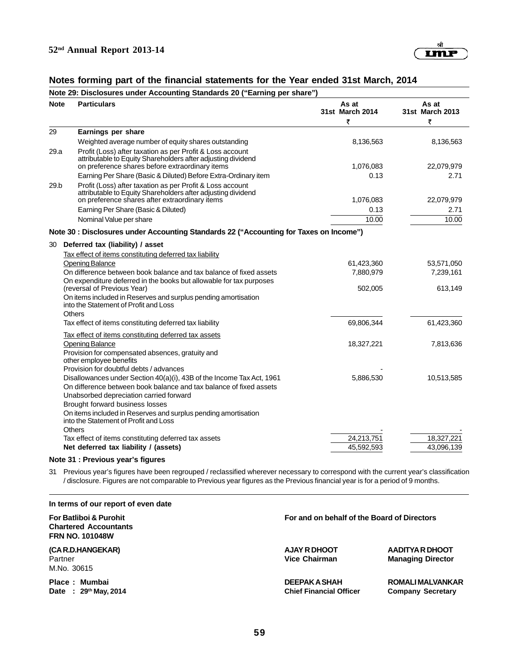

**Note 29: Disclosures under Accounting Standards 20 ("Earning per share")**

| <b>Note</b>   | <b>Particulars</b>                                                                                                                                                                                                                | As at<br>31st March 2014<br>₹ | As at<br>31st March 2013<br>₹ |
|---------------|-----------------------------------------------------------------------------------------------------------------------------------------------------------------------------------------------------------------------------------|-------------------------------|-------------------------------|
| 29            | Earnings per share                                                                                                                                                                                                                |                               |                               |
|               | Weighted average number of equity shares outstanding                                                                                                                                                                              | 8,136,563                     | 8,136,563                     |
| 29.a          | Profit (Loss) after taxation as per Profit & Loss account<br>attributable to Equity Shareholders after adjusting dividend<br>on preference shares before extraordinary items                                                      | 1,076,083                     | 22,079,979                    |
|               | Earning Per Share (Basic & Diluted) Before Extra-Ordinary item                                                                                                                                                                    | 0.13                          | 2.71                          |
| 29.b          | Profit (Loss) after taxation as per Profit & Loss account<br>attributable to Equity Shareholders after adjusting dividend<br>on preference shares after extraordinary items                                                       | 1,076,083                     | 22,079,979                    |
|               | Earning Per Share (Basic & Diluted)                                                                                                                                                                                               | 0.13                          | 2.71                          |
|               | Nominal Value per share                                                                                                                                                                                                           | 10.00                         | 10.00                         |
|               | Note 30 : Disclosures under Accounting Standards 22 ("Accounting for Taxes on Income")                                                                                                                                            |                               |                               |
| 30            | Deferred tax (liability) / asset                                                                                                                                                                                                  |                               |                               |
|               | Tax effect of items constituting deferred tax liability                                                                                                                                                                           |                               |                               |
|               | Opening Balance                                                                                                                                                                                                                   | 61,423,360                    | 53,571,050                    |
|               | On difference between book balance and tax balance of fixed assets<br>On expenditure deferred in the books but allowable for tax purposes                                                                                         | 7,880,979                     | 7,239,161                     |
| <b>Others</b> | (reversal of Previous Year)<br>On items included in Reserves and surplus pending amortisation<br>into the Statement of Profit and Loss                                                                                            | 502,005                       | 613,149                       |
|               | Tax effect of items constituting deferred tax liability                                                                                                                                                                           | 69,806,344                    | 61,423,360                    |
|               | Tax effect of items constituting deferred tax assets<br><b>Opening Balance</b><br>Provision for compensated absences, gratuity and<br>other employee benefits                                                                     | 18,327,221                    | 7,813,636                     |
|               | Provision for doubtful debts / advances<br>Disallowances under Section 40(a)(i), 43B of the Income Tax Act, 1961<br>On difference between book balance and tax balance of fixed assets<br>Unabsorbed depreciation carried forward | 5,886,530                     | 10,513,585                    |
| Others        | Brought forward business losses<br>On items included in Reserves and surplus pending amortisation<br>into the Statement of Profit and Loss                                                                                        |                               |                               |
|               | Tax effect of items constituting deferred tax assets<br>Net deferred tax liability / (assets)                                                                                                                                     | 24,213,751<br>45,592,593      | 18,327,221<br>43,096,139      |

### **Note 31 : Previous year's figures**

31 Previous year's figures have been regrouped / reclassified wherever necessary to correspond with the current year's classification / disclosure. Figures are not comparable to Previous year figures as the Previous financial year is for a period of 9 months.

### **In terms of our report of even date**

| <b>For Batliboi &amp; Purohit</b><br><b>Chartered Accountants</b><br><b>FRN NO. 101048W</b> | For and on behalf of the Board of Directors            |                                              |  |
|---------------------------------------------------------------------------------------------|--------------------------------------------------------|----------------------------------------------|--|
| (CAR.D.HANGEKAR)<br>Partner<br>M.No. 30615                                                  | AJAY R DHOOT<br><b>Vice Chairman</b>                   | AADITYAR DHOOT<br><b>Managing Director</b>   |  |
| Place: Mumbai<br>Date: $29^{th}$ May, 2014                                                  | <b>DEEPAK A SHAH</b><br><b>Chief Financial Officer</b> | ROMALI MALVANKAR<br><b>Company Secretary</b> |  |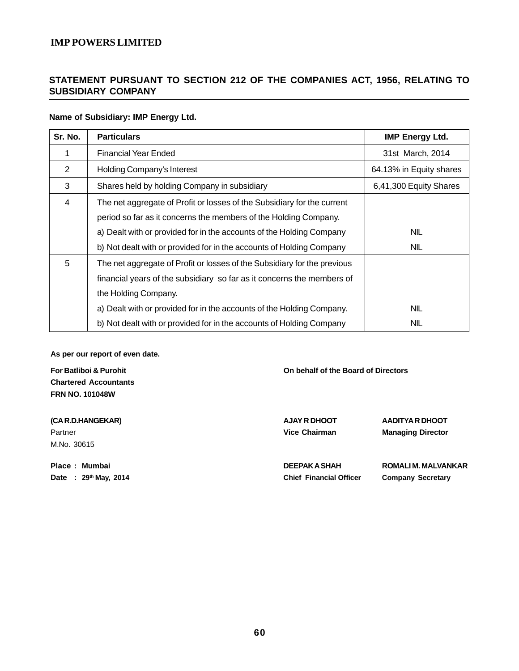# **STATEMENT PURSUANT TO SECTION 212 OF THE COMPANIES ACT, 1956, RELATING TO SUBSIDIARY COMPANY**

### **Name of Subsidiary: IMP Energy Ltd.**

| Sr. No.        | <b>Particulars</b>                                                       | <b>IMP Energy Ltd.</b>  |
|----------------|--------------------------------------------------------------------------|-------------------------|
| 1              | Financial Year Ended                                                     | 31st March, 2014        |
| 2              | Holding Company's Interest                                               | 64.13% in Equity shares |
| 3              | Shares held by holding Company in subsidiary                             | 6,41,300 Equity Shares  |
| $\overline{4}$ | The net aggregate of Profit or losses of the Subsidiary for the current  |                         |
|                | period so far as it concerns the members of the Holding Company.         |                         |
|                | a) Dealt with or provided for in the accounts of the Holding Company     | <b>NIL</b>              |
|                | b) Not dealt with or provided for in the accounts of Holding Company     | NIL.                    |
| 5              | The net aggregate of Profit or losses of the Subsidiary for the previous |                         |
|                | financial years of the subsidiary so far as it concerns the members of   |                         |
|                | the Holding Company.                                                     |                         |
|                | a) Dealt with or provided for in the accounts of the Holding Company.    | <b>NIL</b>              |
|                | b) Not dealt with or provided for in the accounts of Holding Company     | <b>NIL</b>              |

**As per our report of even date.**

**Chartered Accountants FRN NO. 101048W**

**(CA R.D.HANGEKAR) AJAY R DHOOT AADITYA R DHOOT** Partner **Managing Director Vice Chairman Managing Director** M.No. 30615

**Date : 29th May, 2014 Chief Financial Officer Company Secretary**

**For Batliboi & Purohit Community Community Community Community Community Community Community Community Community Community Community Community Community Community Community Community Community Community Community Communit** 

**Place : Mumbai DEEPAK A SHAH ROMALI M. MALVANKAR**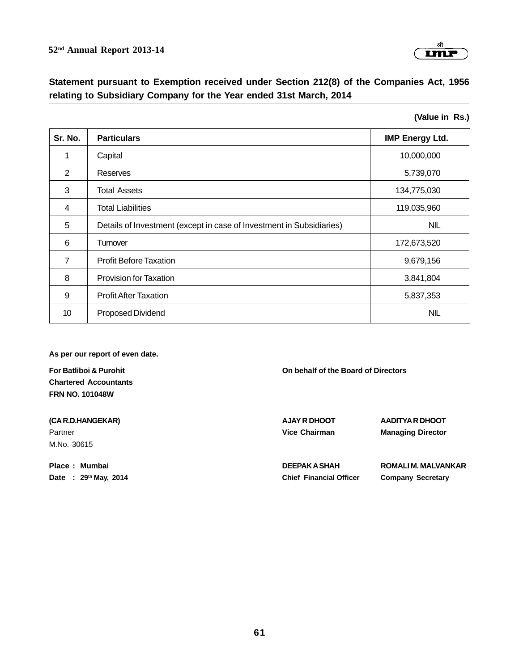

# **Statement pursuant to Exemption received under Section 212(8) of the Companies Act, 1956 relating to Subsidiary Company for the Year ended 31st March, 2014**

**(Value in Rs.)**

| Sr. No.        | <b>Particulars</b>                                                   | <b>IMP Energy Ltd.</b> |
|----------------|----------------------------------------------------------------------|------------------------|
|                | Capital                                                              | 10,000,000             |
| 2              | <b>Reserves</b>                                                      | 5,739,070              |
| 3              | <b>Total Assets</b>                                                  | 134,775,030            |
| 4              | <b>Total Liabilities</b>                                             | 119,035,960            |
| 5              | Details of Investment (except in case of Investment in Subsidiaries) | <b>NIL</b>             |
| 6              | Turnover                                                             | 172,673,520            |
| $\overline{7}$ | <b>Profit Before Taxation</b>                                        | 9,679,156              |
| 8              | <b>Provision for Taxation</b>                                        | 3,841,804              |
| 9              | <b>Profit After Taxation</b>                                         | 5,837,353              |
| 10             | Proposed Dividend                                                    | <b>NIL</b>             |

**As per our report of even date.**

**Chartered Accountants FRN NO. 101048W**

**(CA R.D.HANGEKAR) AJAY R DHOOT AADITYA R DHOOT**

M.No. 30615

**Place : Mumbai DEEPAK A SHAH ROMALI M. MALVANKAR Date : 29th May, 2014 Chief Financial Officer Company Secretary**

For Batliboi & Purohit **Construction Construction Construction Construction Construction Construction Construction Construction Construction Construction Construction Construction Construction Construction Construction Con** 

Partner **Managing Director Vice Chairman Managing Director**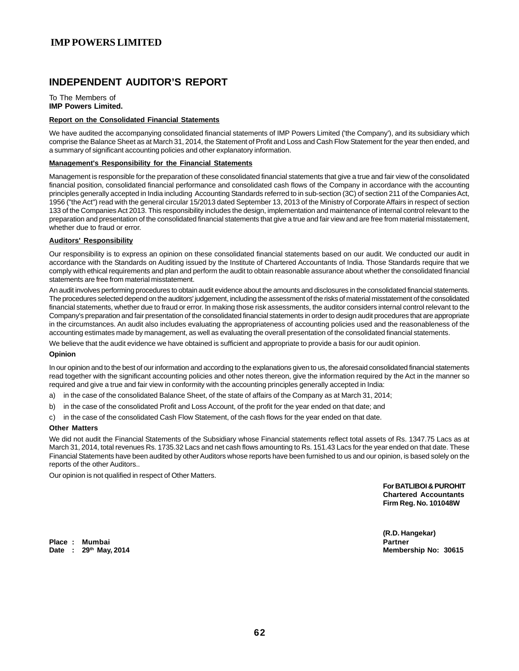# **INDEPENDENT AUDITOR'S REPORT**

To The Members of **IMP Powers Limited.**

### **Report on the Consolidated Financial Statements**

We have audited the accompanying consolidated financial statements of IMP Powers Limited ('the Company'), and its subsidiary which comprise the Balance Sheet as at March 31, 2014, the Statement of Profit and Loss and Cash Flow Statement for the year then ended, and a summary of significant accounting policies and other explanatory information.

### **Management's Responsibility for the Financial Statements**

Management is responsible for the preparation of these consolidated financial statements that give a true and fair view of the consolidated financial position, consolidated financial performance and consolidated cash flows of the Company in accordance with the accounting principles generally accepted in India including Accounting Standards referred to in sub-section (3C) of section 211 of the Companies Act, 1956 ("the Act") read with the general circular 15/2013 dated September 13, 2013 of the Ministry of Corporate Affairs in respect of section 133 of the Companies Act 2013. This responsibility includes the design, implementation and maintenance of internal control relevant to the preparation and presentation of the consolidated financial statements that give a true and fair view and are free from material misstatement, whether due to fraud or error.

### **Auditors' Responsibility**

Our responsibility is to express an opinion on these consolidated financial statements based on our audit. We conducted our audit in accordance with the Standards on Auditing issued by the Institute of Chartered Accountants of India. Those Standards require that we comply with ethical requirements and plan and perform the audit to obtain reasonable assurance about whether the consolidated financial statements are free from material misstatement.

An audit involves performing procedures to obtain audit evidence about the amounts and disclosures in the consolidated financial statements. The procedures selected depend on the auditors' judgement, including the assessment of the risks of material misstatement of the consolidated financial statements, whether due to fraud or error. In making those risk assessments, the auditor considers internal control relevant to the Company's preparation and fair presentation of the consolidated financial statements in order to design audit procedures that are appropriate in the circumstances. An audit also includes evaluating the appropriateness of accounting policies used and the reasonableness of the accounting estimates made by management, as well as evaluating the overall presentation of the consolidated financial statements.

We believe that the audit evidence we have obtained is sufficient and appropriate to provide a basis for our audit opinion.

### **Opinion**

In our opinion and to the best of our information and according to the explanations given to us, the aforesaid consolidated financial statements read together with the significant accounting policies and other notes thereon, give the information required by the Act in the manner so required and give a true and fair view in conformity with the accounting principles generally accepted in India:

- a) in the case of the consolidated Balance Sheet, of the state of affairs of the Company as at March 31, 2014;
- b) in the case of the consolidated Profit and Loss Account, of the profit for the year ended on that date; and
- c) in the case of the consolidated Cash Flow Statement, of the cash flows for the year ended on that date.

### **Other Matters**

We did not audit the Financial Statements of the Subsidiary whose Financial statements reflect total assets of Rs. 1347.75 Lacs as at March 31, 2014, total revenues Rs. 1735.32 Lacs and net cash flows amounting to Rs. 151.43 Lacs for the year ended on that date. These Financial Statements have been audited by other Auditors whose reports have been furnished to us and our opinion, is based solely on the reports of the other Auditors..

Our opinion is not qualified in respect of Other Matters.

**For BATLIBOI & PUROHIT Chartered Accountants Firm Reg. No. 101048W**

**Place : Mumbai Partner**

**(R.D. Hangekar) Membership No: 30615**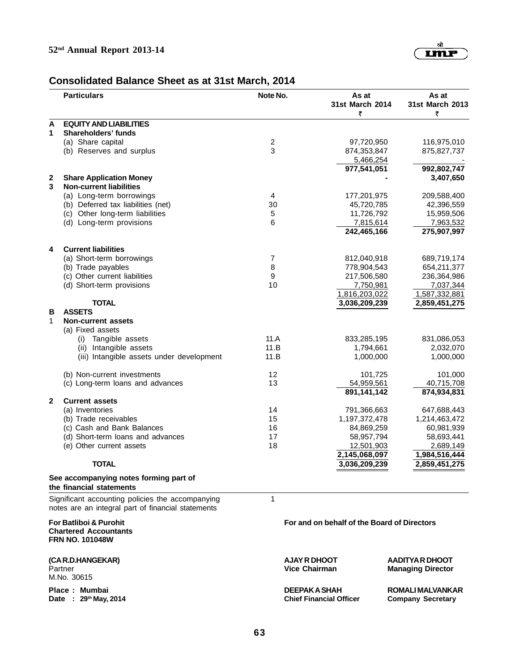श्री **UMP** 

# **Consolidated Balance Sheet as at 31st March, 2014**

|              | <b>Particulars</b>                                                               | Note No.         | As at<br>31st March 2014<br>₹               | As at<br>31st March 2013<br>₹ |
|--------------|----------------------------------------------------------------------------------|------------------|---------------------------------------------|-------------------------------|
| A            | <b>EQUITY AND LIABILITIES</b>                                                    |                  |                                             |                               |
| 1            | Shareholders' funds                                                              |                  |                                             |                               |
|              | (a) Share capital                                                                | $\boldsymbol{2}$ | 97,720,950                                  | 116,975,010                   |
|              | (b) Reserves and surplus                                                         | 3                | 874,353,847                                 | 875,827,737                   |
|              |                                                                                  |                  | 5,466,254                                   |                               |
|              |                                                                                  |                  | 977,541,051                                 | 992,802,747                   |
| 2            | <b>Share Application Money</b>                                                   |                  |                                             | 3,407,650                     |
| 3            | <b>Non-current liabilities</b>                                                   |                  |                                             |                               |
|              | (a) Long-term borrowings                                                         | 4                | 177,201,975                                 | 209,588,400                   |
|              | (b) Deferred tax liabilities (net)                                               | 30               | 45,720,785                                  | 42,396,559                    |
|              | (c) Other long-term liabilities                                                  | 5                | 11,726,792                                  | 15,959,506                    |
|              | (d) Long-term provisions                                                         | 6                | 7,815,614                                   | 7,963,532                     |
|              |                                                                                  |                  | 242,465,166                                 | 275,907,997                   |
| 4            | <b>Current liabilities</b>                                                       |                  |                                             |                               |
|              | (a) Short-term borrowings                                                        | 7                | 812,040,918                                 | 689,719,174                   |
|              | (b) Trade payables                                                               | 8                | 778,904,543                                 | 654,211,377                   |
|              | (c) Other current liabilities                                                    | 9                | 217,506,580                                 | 236,364,986                   |
|              | (d) Short-term provisions                                                        | 10               | 7,750,981                                   | 7,037,344                     |
|              |                                                                                  |                  | 1,816,203,022                               | 1,587,332,881                 |
|              | <b>TOTAL</b>                                                                     |                  | 3,036,209,239                               | 2,859,451,275                 |
| В            | <b>ASSETS</b>                                                                    |                  |                                             |                               |
| 1            | <b>Non-current assets</b>                                                        |                  |                                             |                               |
|              | (a) Fixed assets                                                                 |                  |                                             |                               |
|              | Tangible assets<br>(i)                                                           | 11.A             | 833,285,195                                 | 831,086,053                   |
|              | (ii) Intangible assets                                                           | 11.B             | 1,794,661                                   | 2,032,070                     |
|              | (iii) Intangible assets under development                                        | 11.B             | 1,000,000                                   | 1,000,000                     |
|              | (b) Non-current investments                                                      | 12               | 101,725                                     | 101,000                       |
|              | (c) Long-term loans and advances                                                 | 13               | 54,959,561                                  | 40,715,708                    |
|              |                                                                                  |                  | 891,141,142                                 | 874,934,831                   |
| $\mathbf{2}$ | <b>Current assets</b>                                                            |                  |                                             |                               |
|              | (a) Inventories                                                                  | 14               | 791,366,663                                 | 647,688,443                   |
|              | (b) Trade receivables                                                            | 15               | 1,197,372,478                               | 1,214,463,472                 |
|              | (c) Cash and Bank Balances                                                       | 16               | 84,869,259                                  | 60,981,939                    |
|              | (d) Short-term loans and advances                                                | 17               | 58,957,794                                  | 58,693,441                    |
|              | (e) Other current assets                                                         | 18               | 12,501,903                                  | 2,689,149                     |
|              |                                                                                  |                  | 2,145,068,097                               | 1,984,516,444                 |
|              | <b>TOTAL</b>                                                                     |                  | 3,036,209,239                               | 2,859,451,275                 |
|              | See accompanying notes forming part of<br>the financial statements               |                  |                                             |                               |
|              | Significant accounting policies the accompanying                                 | 1                |                                             |                               |
|              | notes are an integral part of financial statements                               |                  |                                             |                               |
|              | For Batliboi & Purohit<br><b>Chartered Accountants</b><br><b>FRN NO. 101048W</b> |                  | For and on behalf of the Board of Directors |                               |

**(CA R.D.HANGEKAR) AJAY R DHOOT AADITYA R DHOOT** Partner **Vice Chairman Managing Director** M.No. 30615

Date :  $29<sup>th</sup>$  May, 2014

Place : Mumbai **DEEPAK A SHAH ROMALI MALVANKAR**<br>
Date : 29<sup>th</sup> May, 2014 **Chief Financial Officer** Company Secretary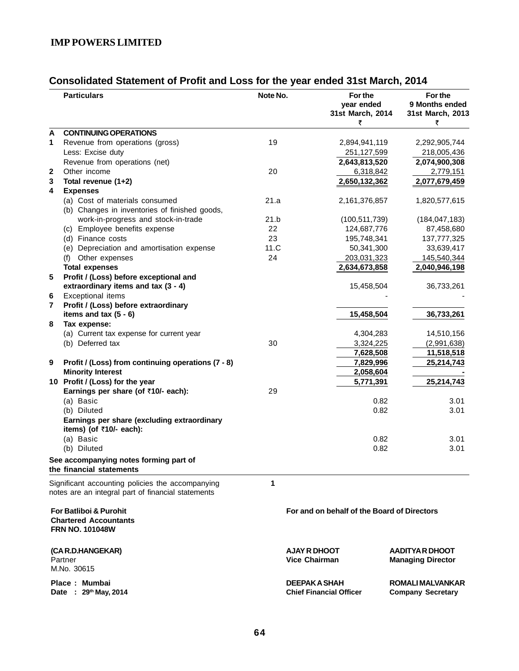# **Consolidated Statement of Profit and Loss for the year ended 31st March, 2014**

|   | <b>Particulars</b>                                                                                     | Note No. |                                                        | For the<br>year ended<br>31st March, 2014<br>₹ | For the<br>9 Months ended<br>31st March, 2013<br>₹ |
|---|--------------------------------------------------------------------------------------------------------|----------|--------------------------------------------------------|------------------------------------------------|----------------------------------------------------|
| A | <b>CONTINUING OPERATIONS</b>                                                                           |          |                                                        |                                                |                                                    |
| 1 | Revenue from operations (gross)                                                                        | 19       |                                                        | 2,894,941,119                                  | 2,292,905,744                                      |
|   | Less: Excise duty                                                                                      |          |                                                        | 251,127,599                                    | 218,005,436                                        |
|   | Revenue from operations (net)                                                                          |          |                                                        | 2,643,813,520                                  | 2,074,900,308                                      |
| 2 | Other income                                                                                           | 20       |                                                        | 6,318,842                                      | 2,779,151                                          |
| 3 | Total revenue (1+2)                                                                                    |          |                                                        | 2,650,132,362                                  | 2,077,679,459                                      |
| 4 | <b>Expenses</b>                                                                                        |          |                                                        |                                                |                                                    |
|   | (a) Cost of materials consumed                                                                         | 21.a     |                                                        | 2,161,376,857                                  | 1,820,577,615                                      |
|   | (b) Changes in inventories of finished goods,                                                          |          |                                                        |                                                |                                                    |
|   | work-in-progress and stock-in-trade                                                                    | 21.b     |                                                        | (100, 511, 739)                                | (184, 047, 183)                                    |
|   | (c) Employee benefits expense                                                                          | 22       |                                                        | 124,687,776                                    | 87,458,680                                         |
|   | (d) Finance costs                                                                                      | 23       |                                                        | 195,748,341                                    | 137,777,325                                        |
|   | (e) Depreciation and amortisation expense                                                              | 11.C     |                                                        | 50,341,300                                     | 33,639,417                                         |
|   | (f) Other expenses                                                                                     | 24       |                                                        | 203,031,323                                    | 145,540,344                                        |
|   | <b>Total expenses</b>                                                                                  |          |                                                        | 2,634,673,858                                  | 2,040,946,198                                      |
| 5 | Profit / (Loss) before exceptional and                                                                 |          |                                                        |                                                |                                                    |
|   | extraordinary items and tax (3 - 4)                                                                    |          |                                                        | 15,458,504                                     | 36,733,261                                         |
|   | Exceptional items                                                                                      |          |                                                        |                                                |                                                    |
| 6 |                                                                                                        |          |                                                        |                                                |                                                    |
| 7 | Profit / (Loss) before extraordinary                                                                   |          |                                                        |                                                |                                                    |
|   | items and tax $(5 - 6)$                                                                                |          |                                                        | 15,458,504                                     | 36,733,261                                         |
| 8 | Tax expense:                                                                                           |          |                                                        |                                                |                                                    |
|   | (a) Current tax expense for current year                                                               |          |                                                        | 4,304,283                                      | 14,510,156                                         |
|   | (b) Deferred tax                                                                                       | 30       |                                                        | 3,324,225                                      | (2,991,638)                                        |
|   |                                                                                                        |          |                                                        | 7,628,508                                      | 11,518,518                                         |
| 9 | Profit / (Loss) from continuing operations (7 - 8)                                                     |          |                                                        | 7,829,996                                      | 25,214,743                                         |
|   | <b>Minority Interest</b>                                                                               |          |                                                        | 2,058,604                                      |                                                    |
|   | 10 Profit / (Loss) for the year                                                                        |          |                                                        | 5,771,391                                      | 25,214,743                                         |
|   | Earnings per share (of ₹10/- each):                                                                    | 29       |                                                        |                                                |                                                    |
|   | (a) Basic                                                                                              |          |                                                        | 0.82                                           | 3.01                                               |
|   | (b) Diluted                                                                                            |          |                                                        | 0.82                                           | 3.01                                               |
|   | Earnings per share (excluding extraordinary<br>items) (of ₹10/- each):                                 |          |                                                        |                                                |                                                    |
|   | (a) Basic                                                                                              |          |                                                        | 0.82                                           | 3.01                                               |
|   | (b) Diluted                                                                                            |          |                                                        | 0.82                                           | 3.01                                               |
|   | See accompanying notes forming part of<br>the financial statements                                     |          |                                                        |                                                |                                                    |
|   | Significant accounting policies the accompanying<br>notes are an integral part of financial statements | 1        |                                                        |                                                |                                                    |
|   | <b>For Batliboi &amp; Purohit</b><br><b>Chartered Accountants</b><br><b>FRN NO. 101048W</b>            |          |                                                        | For and on behalf of the Board of Directors    |                                                    |
|   | (CAR.D.HANGEKAR)<br>Partner<br>M.No. 30615                                                             |          | AJAY R DHOOT<br><b>Vice Chairman</b>                   |                                                | AADITYA R DHOOT<br><b>Managing Director</b>        |
|   | Place: Mumbai<br>Date: 29th May, 2014                                                                  |          | <b>DEEPAK A SHAH</b><br><b>Chief Financial Officer</b> |                                                | ROMALI MALVANKAR<br><b>Company Secretary</b>       |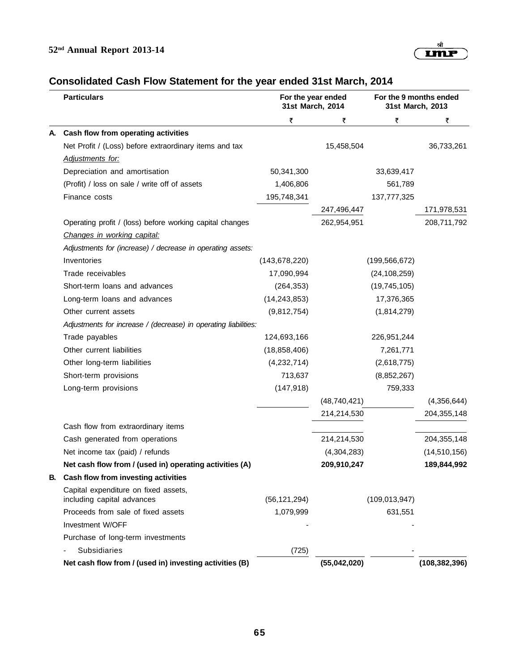

# **Consolidated Cash Flow Statement for the year ended 31st March, 2014**

|    | <b>Particulars</b>                                                 |                 | For the year ended<br>31st March, 2014 |                 | For the 9 months ended<br>31st March, 2013 |  |
|----|--------------------------------------------------------------------|-----------------|----------------------------------------|-----------------|--------------------------------------------|--|
|    |                                                                    | ₹               | ₹                                      | ₹               | ₹                                          |  |
| А. | Cash flow from operating activities                                |                 |                                        |                 |                                            |  |
|    | Net Profit / (Loss) before extraordinary items and tax             |                 | 15,458,504                             |                 | 36,733,261                                 |  |
|    | <b>Adjustments for:</b>                                            |                 |                                        |                 |                                            |  |
|    | Depreciation and amortisation                                      | 50,341,300      |                                        | 33,639,417      |                                            |  |
|    | (Profit) / loss on sale / write off of assets                      | 1,406,806       |                                        | 561,789         |                                            |  |
|    | Finance costs                                                      | 195,748,341     |                                        | 137,777,325     |                                            |  |
|    |                                                                    |                 | 247,496,447                            |                 | 171,978,531                                |  |
|    | Operating profit / (loss) before working capital changes           |                 | 262,954,951                            |                 | 208,711,792                                |  |
|    | Changes in working capital:                                        |                 |                                        |                 |                                            |  |
|    | Adjustments for (increase) / decrease in operating assets:         |                 |                                        |                 |                                            |  |
|    | Inventories                                                        | (143, 678, 220) |                                        | (199, 566, 672) |                                            |  |
|    | Trade receivables                                                  | 17,090,994      |                                        | (24, 108, 259)  |                                            |  |
|    | Short-term loans and advances                                      | (264, 353)      |                                        | (19, 745, 105)  |                                            |  |
|    | Long-term loans and advances                                       | (14, 243, 853)  |                                        | 17,376,365      |                                            |  |
|    | Other current assets                                               | (9,812,754)     |                                        | (1,814,279)     |                                            |  |
|    | Adjustments for increase / (decrease) in operating liabilities:    |                 |                                        |                 |                                            |  |
|    | Trade payables                                                     | 124,693,166     |                                        | 226,951,244     |                                            |  |
|    | Other current liabilities                                          | (18, 858, 406)  |                                        | 7,261,771       |                                            |  |
|    | Other long-term liabilities                                        | (4,232,714)     |                                        | (2,618,775)     |                                            |  |
|    | Short-term provisions                                              | 713,637         |                                        | (8,852,267)     |                                            |  |
|    | Long-term provisions                                               | (147, 918)      |                                        | 759,333         |                                            |  |
|    |                                                                    |                 | (48,740,421)                           |                 | (4,356,644)                                |  |
|    |                                                                    |                 | 214,214,530                            |                 | 204,355,148                                |  |
|    | Cash flow from extraordinary items                                 |                 |                                        |                 |                                            |  |
|    | Cash generated from operations                                     |                 | 214,214,530                            |                 | 204,355,148                                |  |
|    | Net income tax (paid) / refunds                                    |                 | (4,304,283)                            |                 | (14, 510, 156)                             |  |
|    | Net cash flow from / (used in) operating activities (A)            |                 | 209,910,247                            |                 | 189,844,992                                |  |
| В. | Cash flow from investing activities                                |                 |                                        |                 |                                            |  |
|    | Capital expenditure on fixed assets,<br>including capital advances | (56, 121, 294)  |                                        | (109, 013, 947) |                                            |  |
|    | Proceeds from sale of fixed assets                                 | 1,079,999       |                                        | 631,551         |                                            |  |
|    | Investment W/OFF                                                   |                 |                                        |                 |                                            |  |
|    | Purchase of long-term investments                                  |                 |                                        |                 |                                            |  |
|    | Subsidiaries                                                       | (725)           |                                        |                 |                                            |  |
|    | Net cash flow from / (used in) investing activities (B)            |                 | (55,042,020)                           |                 | (108, 382, 396)                            |  |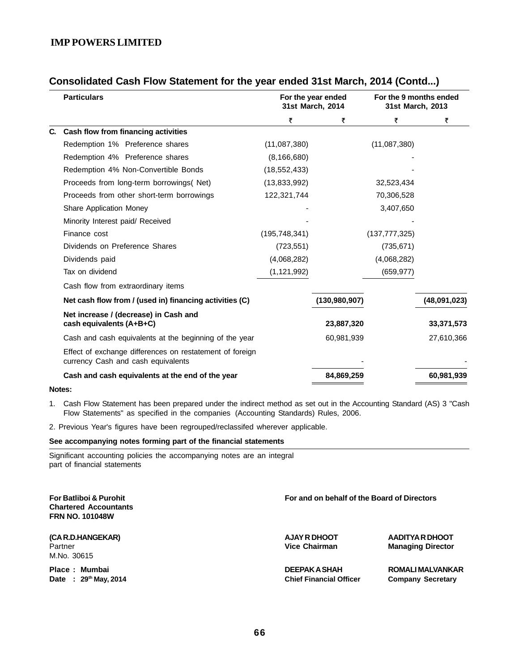### **Consolidated Cash Flow Statement for the year ended 31st March, 2014 (Contd...)**

|    | <b>Particulars</b>                                                                             |                 | For the year ended<br>31st March, 2014 |                 | For the 9 months ended<br>31st March, 2013 |  |
|----|------------------------------------------------------------------------------------------------|-----------------|----------------------------------------|-----------------|--------------------------------------------|--|
|    |                                                                                                | ₹               | ₹                                      | ₹               | ₹                                          |  |
| C. | Cash flow from financing activities                                                            |                 |                                        |                 |                                            |  |
|    | Redemption 1% Preference shares                                                                | (11,087,380)    |                                        | (11,087,380)    |                                            |  |
|    | Redemption 4% Preference shares                                                                | (8, 166, 680)   |                                        |                 |                                            |  |
|    | Redemption 4% Non-Convertible Bonds                                                            | (18, 552, 433)  |                                        |                 |                                            |  |
|    | Proceeds from long-term borrowings (Net)                                                       | (13,833,992)    |                                        | 32,523,434      |                                            |  |
|    | Proceeds from other short-term borrowings                                                      | 122,321,744     |                                        | 70,306,528      |                                            |  |
|    | Share Application Money                                                                        |                 |                                        | 3,407,650       |                                            |  |
|    | Minority Interest paid/ Received                                                               |                 |                                        |                 |                                            |  |
|    | Finance cost                                                                                   | (195, 748, 341) |                                        | (137, 777, 325) |                                            |  |
|    | Dividends on Preference Shares                                                                 | (723, 551)      |                                        | (735, 671)      |                                            |  |
|    | Dividends paid                                                                                 | (4,068,282)     |                                        | (4,068,282)     |                                            |  |
|    | Tax on dividend                                                                                | (1, 121, 992)   |                                        | (659, 977)      |                                            |  |
|    | Cash flow from extraordinary items                                                             |                 |                                        |                 |                                            |  |
|    | Net cash flow from / (used in) financing activities (C)                                        |                 | (130, 980, 907)                        |                 | (48,091,023)                               |  |
|    | Net increase / (decrease) in Cash and<br>cash equivalents (A+B+C)                              |                 | 23,887,320                             |                 | 33,371,573                                 |  |
|    | Cash and cash equivalents at the beginning of the year                                         |                 | 60,981,939                             |                 | 27,610,366                                 |  |
|    | Effect of exchange differences on restatement of foreign<br>currency Cash and cash equivalents |                 |                                        |                 |                                            |  |
|    | Cash and cash equivalents at the end of the year                                               |                 | 84,869,259                             |                 | 60,981,939                                 |  |
|    | Naton:                                                                                         |                 |                                        |                 |                                            |  |

### **Notes:**

1. Cash Flow Statement has been prepared under the indirect method as set out in the Accounting Standard (AS) 3 "Cash Flow Statements" as specified in the companies (Accounting Standards) Rules, 2006.

2. Previous Year's figures have been regrouped/reclassifed wherever applicable.

### **See accompanying notes forming part of the financial statements**

Significant accounting policies the accompanying notes are an integral part of financial statements

**Chartered Accountants FRN NO. 101048W**

**(CA R.D.HANGEKAR) AJAY R DHOOT AADITYA R DHOOT** M.No. 30615

**Date : 29th May, 2014 Chief Financial Officer Company Secretary**

**For Batliboi & Purohit For and on behalf of the Board of Directors**

**Managing Director** 

**Place : Mumbai DEEPAK A SHAH ROMALI MALVANKAR**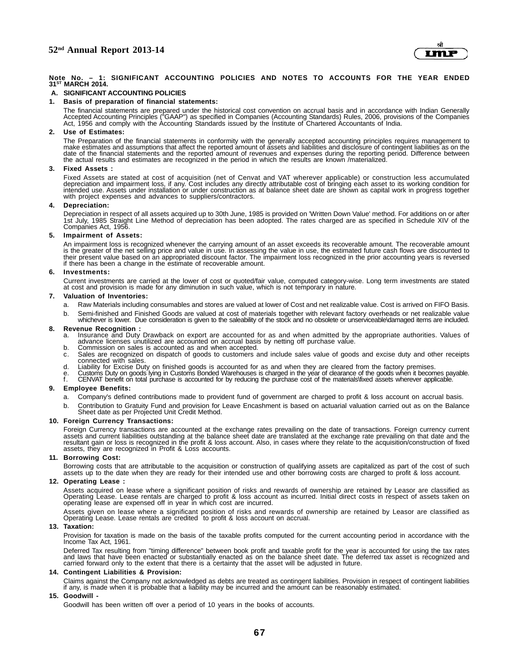

# **Note No. – 1: SIGNIFICANT ACCOUNTING POLICIES AND NOTES TO ACCOUNTS FOR THE YEAR ENDED 31ST MARCH 2014.**

### **A. SIGNIFICANT ACCOUNTING POLICIES**

#### **1. Basis of preparation of financial statements:**

The financial statements are prepared under the historical cost convention on accrual basis and in accordance with Indian Generally Accepted Accounting Principles ("GAAP") as specified in Companies (Accounting Standards) R

#### **2. Use of Estimates:**

The Preparation of the financial statements in conformity with the generally accepted accounting principles requires management to make estimates and assumptions that affect the reported amount of assets and liabilities and disclosure of contingent liabilities as on the<br>date of the financial statements and the reported amount of revenues and expenses

#### **3. Fixed Assets :**

Fixed Assets are stated at cost of acquisition (net of Cenvat and VAT wherever applicable) or construction less accumulated<br>depreciation and impairment loss, if any. Cost includes any directly attributable cost of bringing

#### **4. Depreciation:**

Depreciation in respect of all assets acquired up to 30th June, 1985 is provided on 'Written Down Value' method. For additions on or after<br>1st July, 1985 Straight Line Method of depreciation has been adopted. The rates cha

#### **5. Impairment of Assets:**

An impairment loss is recognized whenever the carrying amount of an asset exceeds its recoverable amount. The recoverable amount<br>is the greater of the net selling price and value in use. In assessing the value in use, the if there has been a change in the estimate of recoverable amount.

#### **6. Investments:**

Current investments are carried at the lower of cost or quoted/fair value, computed category-wise. Long term investments are stated<br>at cost and provision is made for any diminution in such value, which is not temporary in

#### **7. Valuation of Inventories:**

- a. Raw Materials including consumables and stores are valued at lower of Cost and net realizable value. Cost is arrived on FIFO Basis.
- b. Semi-finished and Finished Goods are valued at cost of materials together with relevant factory overheads or net realizable value<br>.whichever is lower. Due consideration is given to the saleability of the stock and no ob
- **Revenue Recognition :**<br>
a. Insurance and Duty Drawback on export are accounted for as and when admitted by the appropriate authorities. Values of<br>
advance licenses unutilized are accounted on accrual basis by netting off advance licenses unutilized are accounted on accrual basis by netting off purchase value. b. Commission on sales is accounted as and when accepted.
- 
- c. Sales are recognized on dispatch of goods to customers and include sales value of goods and excise duty and other receipts connected with sales.
- d. Liability for Excise Duty on finished goods is accounted for as and when they are cleared from the factory premises.
- e. Customs Duty on goods lying in Customs Bonded Warehouses is charged in the year of clearance of the goods when it becomes payable.<br>f. CENVAT benefit on total purchase is accounted for by reducing the purchase cost of th

#### **9. Employee Benefits:**

- a. Company's defined contributions made to provident fund of government are charged to profit & loss account on accrual basis.
- b. Contribution to Gratuity Fund and provision for Leave Encashment is based on actuarial valuation carried out as on the Balance<br>Sheet date as per Projected Unit Credit Method.

#### **10. Foreign Currency Transactions:**

Foreign Currency transactions are accounted at the exchange rates prevailing on the date of transactions. Foreign currency current<br>assets and current liabilities outstanding at the balance sheet date are translated at the assets, they are recognized in Profit & Loss accounts.

#### **11. Borrowing Cost:**

Borrowing costs that are attributable to the acquisition or construction of qualifying assets are capitalized as part of the cost of such<br>assets up to the date when they are ready for their intended use and other borrowing

### **12. Operating Lease :**

Assets acquired on lease where a significant position of risks and rewards of ownership are retained by Leasor are classified as Operating Lease. Lease rentals are charged to profit & loss account as incurred. Initial dire

Assets given on lease where a significant position of risks and rewards of ownership are retained by Leasor are classified as Operating Lease. Lease rentals are credited to profit & loss account on accrual.

### **13. Taxation:**

Provision for taxation is made on the basis of the taxable profits computed for the current accounting period in accordance with the Income Tax Act, 1961.

Deferred Tax resulting from "timing difference" between book profit and taxable profit for the year is accounted for using the tax rates<br>and laws that have been enacted or substantially enacted as on the balance sheet date carried forward only to the extent that there is a certainty that the asset will be adjusted in future.

#### **14. Contingent Liabilities & Provision:**

Claims against the Company not acknowledged as debts are treated as contingent liabilities. Provision in respect of contingent liabilities if any, is made when it is probable that a liability may be incurred and the amount can be reasonably estimated.

#### **15. Goodwill -**

Goodwill has been written off over a period of 10 years in the books of accounts.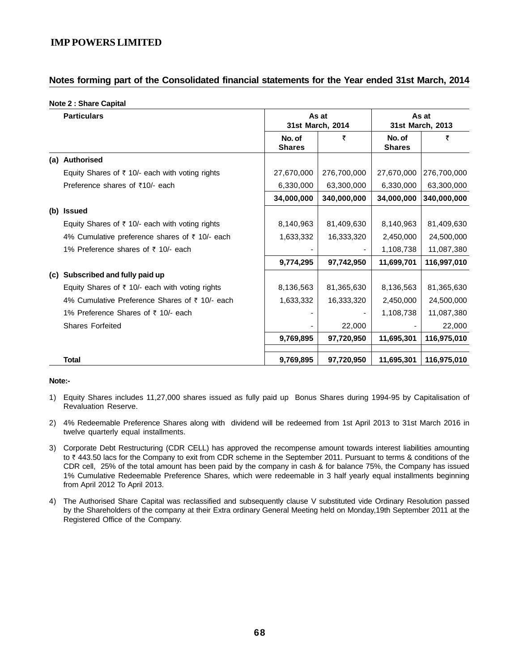### **Notes forming part of the Consolidated financial statements for the Year ended 31st March, 2014**

### **Note 2 : Share Capital**

|     | <b>Particulars</b>                                         |                         | As at<br>31st March, 2014 |                         | As at<br>31st March, 2013 |  |
|-----|------------------------------------------------------------|-------------------------|---------------------------|-------------------------|---------------------------|--|
|     |                                                            | No. of<br><b>Shares</b> | ₹                         | No. of<br><b>Shares</b> | ₹                         |  |
| (a) | <b>Authorised</b>                                          |                         |                           |                         |                           |  |
|     | Equity Shares of $\bar{\tau}$ 10/- each with voting rights | 27,670,000              | 276,700,000               | 27,670,000              | 276,700,000               |  |
|     | Preference shares of ₹10/- each                            | 6,330,000               | 63,300,000                | 6,330,000               | 63,300,000                |  |
|     |                                                            | 34,000,000              | 340,000,000               | 34,000,000              | 340,000,000               |  |
|     | (b) Issued                                                 |                         |                           |                         |                           |  |
|     | Equity Shares of $\bar{\tau}$ 10/- each with voting rights | 8,140,963               | 81,409,630                | 8,140,963               | 81,409,630                |  |
|     | 4% Cumulative preference shares of ₹ 10/- each             | 1,633,332               | 16,333,320                | 2,450,000               | 24,500,000                |  |
|     | 1% Preference shares of $\bar{\tau}$ 10/- each             |                         |                           | 1,108,738               | 11,087,380                |  |
|     |                                                            | 9,774,295               | 97,742,950                | 11,699,701              | 116,997,010               |  |
| (c) | Subscribed and fully paid up                               |                         |                           |                         |                           |  |
|     | Equity Shares of ₹ 10/- each with voting rights            | 8,136,563               | 81,365,630                | 8,136,563               | 81,365,630                |  |
|     | 4% Cumulative Preference Shares of ₹ 10/- each             | 1,633,332               | 16,333,320                | 2,450,000               | 24,500,000                |  |
|     | 1% Preference Shares of ₹ 10/- each                        |                         |                           | 1,108,738               | 11,087,380                |  |
|     | <b>Shares Forfeited</b>                                    |                         | 22,000                    |                         | 22,000                    |  |
|     |                                                            | 9,769,895               | 97,720,950                | 11,695,301              | 116,975,010               |  |
|     | <b>Total</b>                                               | 9,769,895               | 97,720,950                | 11,695,301              | 116,975,010               |  |

### **Note:-**

- 1) Equity Shares includes 11,27,000 shares issued as fully paid up Bonus Shares during 1994-95 by Capitalisation of Revaluation Reserve.
- 2) 4% Redeemable Preference Shares along with dividend will be redeemed from 1st April 2013 to 31st March 2016 in twelve quarterly equal installments.
- 3) Corporate Debt Restructuring (CDR CELL) has approved the recompense amount towards interest liabilities amounting to ₹ 443.50 lacs for the Company to exit from CDR scheme in the September 2011. Pursuant to terms & conditions of the CDR cell, 25% of the total amount has been paid by the company in cash & for balance 75%, the Company has issued 1% Cumulative Redeemable Preference Shares, which were redeemable in 3 half yearly equal installments beginning from April 2012 To April 2013.
- 4) The Authorised Share Capital was reclassified and subsequently clause V substituted vide Ordinary Resolution passed by the Shareholders of the company at their Extra ordinary General Meeting held on Monday,19th September 2011 at the Registered Office of the Company.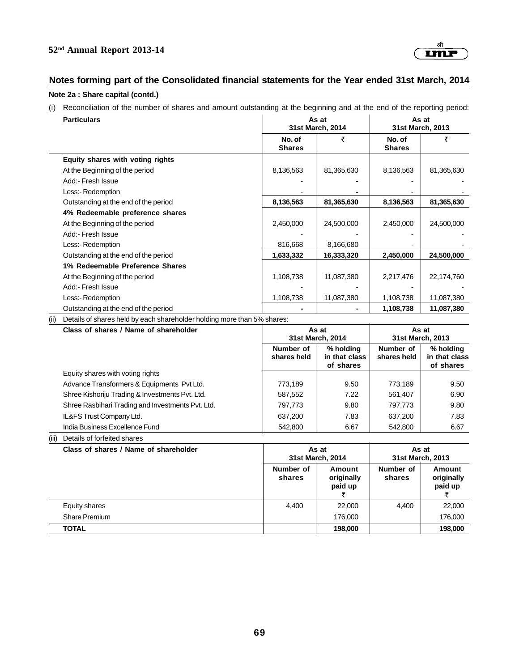

| Note 2a : Share capital (contd.)<br>Reconciliation of the number of shares and amount outstanding at the beginning and at the end of the reporting period:<br>(i) |                                                                         |                          |                                         |                           |                                         |  |
|-------------------------------------------------------------------------------------------------------------------------------------------------------------------|-------------------------------------------------------------------------|--------------------------|-----------------------------------------|---------------------------|-----------------------------------------|--|
|                                                                                                                                                                   | <b>Particulars</b>                                                      |                          | As at<br>31st March, 2014               |                           | As at<br>31st March, 2013               |  |
|                                                                                                                                                                   |                                                                         | No. of<br><b>Shares</b>  | ₹                                       | No. of<br><b>Shares</b>   | ₹                                       |  |
|                                                                                                                                                                   | Equity shares with voting rights                                        |                          |                                         |                           |                                         |  |
|                                                                                                                                                                   | At the Beginning of the period                                          | 8,136,563                | 81,365,630                              | 8,136,563                 | 81,365,630                              |  |
|                                                                                                                                                                   | Add:- Fresh Issue                                                       |                          |                                         |                           |                                         |  |
|                                                                                                                                                                   | Less:-Redemption                                                        |                          |                                         |                           |                                         |  |
|                                                                                                                                                                   | Outstanding at the end of the period                                    | 8,136,563                | 81,365,630                              | 8,136,563                 | 81,365,630                              |  |
|                                                                                                                                                                   | 4% Redeemable preference shares                                         |                          |                                         |                           |                                         |  |
|                                                                                                                                                                   | At the Beginning of the period                                          | 2,450,000                | 24,500,000                              | 2,450,000                 | 24,500,000                              |  |
|                                                                                                                                                                   | Add:- Fresh Issue                                                       |                          |                                         | $\overline{a}$            |                                         |  |
|                                                                                                                                                                   | Less:-Redemption                                                        | 816,668                  | 8,166,680                               |                           |                                         |  |
|                                                                                                                                                                   | Outstanding at the end of the period                                    | 1,633,332                | 16,333,320                              | 2,450,000                 | 24,500,000                              |  |
|                                                                                                                                                                   | 1% Redeemable Preference Shares                                         |                          |                                         |                           |                                         |  |
|                                                                                                                                                                   | At the Beginning of the period                                          | 1,108,738                | 11,087,380                              | 2,217,476                 | 22,174,760                              |  |
|                                                                                                                                                                   | Add:- Fresh Issue                                                       |                          |                                         |                           |                                         |  |
|                                                                                                                                                                   | Less:-Redemption                                                        | 1,108,738                | 11,087,380                              | 1,108,738                 | 11,087,380                              |  |
|                                                                                                                                                                   | Outstanding at the end of the period                                    |                          |                                         | 1,108,738                 | 11,087,380                              |  |
| (ii)                                                                                                                                                              | Details of shares held by each shareholder holding more than 5% shares: |                          |                                         |                           |                                         |  |
|                                                                                                                                                                   | Class of shares / Name of shareholder                                   |                          | As at<br>31st March, 2014               |                           | As at<br>31st March, 2013               |  |
|                                                                                                                                                                   |                                                                         | Number of<br>shares held | % holding<br>in that class<br>of shares | Number of<br>shares held  | % holding<br>in that class<br>of shares |  |
|                                                                                                                                                                   | Equity shares with voting rights                                        |                          |                                         |                           |                                         |  |
|                                                                                                                                                                   | Advance Transformers & Equipments Pvt Ltd.                              | 773,189                  | 9.50                                    | 773,189                   | 9.50                                    |  |
|                                                                                                                                                                   | Shree Kishoriju Trading & Investments Pvt. Ltd.                         | 587,552                  | 7.22                                    | 561,407                   | 6.90                                    |  |
|                                                                                                                                                                   | Shree Rasbihari Trading and Investments Pvt. Ltd.                       | 797,773                  | 9.80                                    | 797,773                   | 9.80                                    |  |
|                                                                                                                                                                   | IL&FS Trust Company Ltd.                                                | 637,200                  | 7.83                                    | 637,200                   | 7.83                                    |  |
|                                                                                                                                                                   | India Business Excellence Fund                                          | 542,800                  | 6.67                                    | 542,800                   | 6.67                                    |  |
| (iii)                                                                                                                                                             | Details of forfeited shares                                             |                          |                                         |                           |                                         |  |
|                                                                                                                                                                   | Class of shares / Name of shareholder                                   |                          | As at<br>31st March, 2014               | As at<br>31st March, 2013 |                                         |  |
|                                                                                                                                                                   |                                                                         | Number of                | Amount                                  | Number of                 | Amount                                  |  |
|                                                                                                                                                                   |                                                                         | shares                   | originally<br>paid up<br>₹              | shares                    | originally<br>paid up<br>₹              |  |
|                                                                                                                                                                   | Equity shares                                                           | 4,400                    | 22,000                                  | 4,400                     | 22,000                                  |  |
|                                                                                                                                                                   | Share Premium                                                           |                          | 176,000                                 |                           | 176,000                                 |  |
|                                                                                                                                                                   | <b>TOTAL</b>                                                            |                          | 198,000                                 |                           | 198,000                                 |  |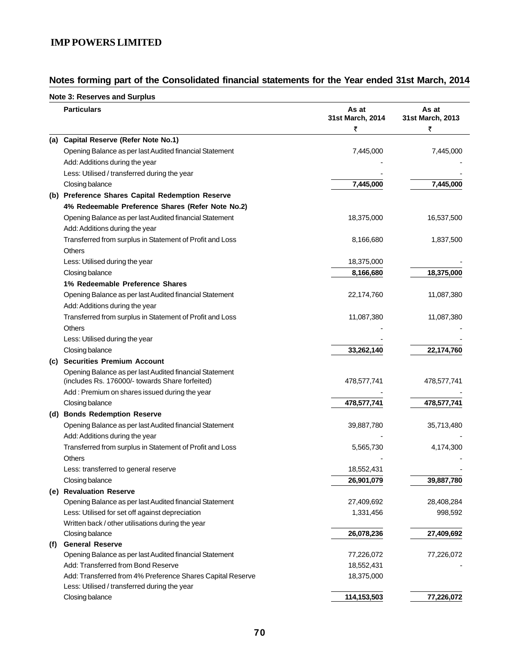# **Notes forming part of the Consolidated financial statements for the Year ended 31st March, 2014**

**Note 3: Reserves and Surplus**

|     | <b>Particulars</b>                                                                                         | As at<br>31st March, 2014 | As at<br>31st March, 2013 |
|-----|------------------------------------------------------------------------------------------------------------|---------------------------|---------------------------|
|     |                                                                                                            | ₹                         | ₹                         |
| (a) | Capital Reserve (Refer Note No.1)                                                                          |                           |                           |
|     | Opening Balance as per last Audited financial Statement                                                    | 7,445,000                 | 7,445,000                 |
|     | Add: Additions during the year                                                                             |                           |                           |
|     | Less: Utilised / transferred during the year                                                               |                           |                           |
|     | Closing balance                                                                                            | 7,445,000                 | 7,445,000                 |
| (b) | <b>Preference Shares Capital Redemption Reserve</b>                                                        |                           |                           |
|     | 4% Redeemable Preference Shares (Refer Note No.2)                                                          |                           |                           |
|     | Opening Balance as per last Audited financial Statement                                                    | 18,375,000                | 16,537,500                |
|     | Add: Additions during the year                                                                             |                           |                           |
|     | Transferred from surplus in Statement of Profit and Loss                                                   | 8,166,680                 | 1,837,500                 |
|     | Others                                                                                                     |                           |                           |
|     | Less: Utilised during the year                                                                             | 18,375,000                |                           |
|     | Closing balance                                                                                            | 8,166,680                 | 18,375,000                |
|     | 1% Redeemable Preference Shares                                                                            |                           |                           |
|     | Opening Balance as per last Audited financial Statement                                                    | 22,174,760                | 11,087,380                |
|     | Add: Additions during the year                                                                             |                           |                           |
|     | Transferred from surplus in Statement of Profit and Loss                                                   | 11,087,380                | 11,087,380                |
|     | Others                                                                                                     |                           |                           |
|     | Less: Utilised during the year                                                                             |                           |                           |
|     | Closing balance                                                                                            | 33,262,140                | 22,174,760                |
| (C) | <b>Securities Premium Account</b>                                                                          |                           |                           |
|     | Opening Balance as per last Audited financial Statement<br>(includes Rs. 176000/- towards Share forfeited) | 478,577,741               | 478,577,741               |
|     | Add: Premium on shares issued during the year                                                              |                           |                           |
|     | Closing balance                                                                                            | 478,577,741               | 478,577,741               |
| (d) | <b>Bonds Redemption Reserve</b>                                                                            |                           |                           |
|     | Opening Balance as per last Audited financial Statement                                                    | 39,887,780                | 35,713,480                |
|     | Add: Additions during the year                                                                             |                           |                           |
|     | Transferred from surplus in Statement of Profit and Loss                                                   | 5,565,730                 | 4,174,300                 |
|     | Others                                                                                                     |                           |                           |
|     | Less: transferred to general reserve                                                                       | 18,552,431                |                           |
|     | Closing balance                                                                                            | 26,901,079                | 39,887,780                |
|     | (e) Revaluation Reserve                                                                                    |                           |                           |
|     | Opening Balance as per last Audited financial Statement                                                    | 27,409,692                | 28,408,284                |
|     | Less: Utilised for set off against depreciation                                                            | 1,331,456                 | 998,592                   |
|     | Written back / other utilisations during the year                                                          |                           |                           |
|     | Closing balance                                                                                            | 26,078,236                | 27,409,692                |
| (f) | <b>General Reserve</b>                                                                                     |                           |                           |
|     | Opening Balance as per last Audited financial Statement                                                    | 77,226,072                | 77,226,072                |
|     | Add: Transferred from Bond Reserve                                                                         | 18,552,431                |                           |
|     | Add: Transferred from 4% Preference Shares Capital Reserve                                                 | 18,375,000                |                           |
|     | Less: Utilised / transferred during the year                                                               |                           |                           |
|     | Closing balance                                                                                            | 114,153,503               | 77,226,072                |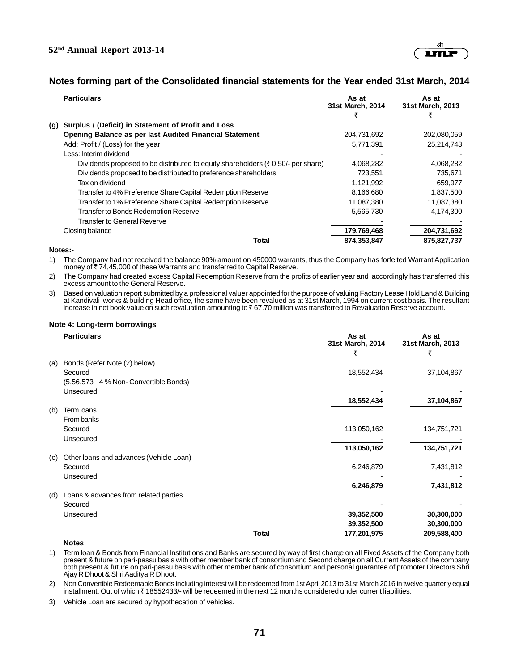

| <b>Particulars</b>                                                                           | As at<br>31st March, 2014 | As at<br>31st March, 2013 |
|----------------------------------------------------------------------------------------------|---------------------------|---------------------------|
| Surplus / (Deficit) in Statement of Profit and Loss<br>(g)                                   |                           |                           |
| <b>Opening Balance as per last Audited Financial Statement</b>                               | 204,731,692               | 202,080,059               |
| Add: Profit / (Loss) for the year                                                            | 5,771,391                 | 25,214,743                |
| Less: Interim dividend                                                                       |                           |                           |
| Dividends proposed to be distributed to equity shareholders ( $\bar{\tau}$ 0.50/- per share) | 4,068,282                 | 4,068,282                 |
| Dividends proposed to be distributed to preference shareholders                              | 723,551                   | 735,671                   |
| Tax on dividend                                                                              | 1,121,992                 | 659,977                   |
| Transfer to 4% Preference Share Capital Redemption Reserve                                   | 8,166,680                 | 1,837,500                 |
| Transfer to 1% Preference Share Capital Redemption Reserve                                   | 11,087,380                | 11,087,380                |
| Transfer to Bonds Redemption Reserve                                                         | 5,565,730                 | 4,174,300                 |
| <b>Transfer to General Reverve</b>                                                           |                           |                           |
| Closing balance                                                                              | 179,769,468               | 204,731,692               |
| Total                                                                                        | 874,353,847               | 875,827,737               |

#### **Notes:-**

1) The Company had not received the balance 90% amount on 450000 warrants, thus the Company has forfeited Warrant Application<br>money of ₹74,45,000 of these Warrants and transferred to Capital Reserve.

2) The Company had created excess Capital Redemption Reserve from the profits of earlier year and accordingly has transferred this excess amount to the General Reserve.

3) Based on valuation report submitted by a professional valuer appointed for the purpose of valuing Factory Lease Hold Land & Building at Kandivali works & building Head office, the same have been revalued as at 31st March, 1994 on current cost basis. The resultant<br>increase in net book value on such revaluation amounting to ₹ 67.70 million was transferr

#### **Note 4: Long-term borrowings**

|     | <b>Particulars</b>                      |              | As at<br>31st March, 2014 | As at<br>31st March, 2013<br>₹ |
|-----|-----------------------------------------|--------------|---------------------------|--------------------------------|
| (a) | Bonds (Refer Note (2) below)            |              |                           |                                |
|     | Secured                                 |              | 18,552,434                | 37,104,867                     |
|     | (5,56,573 4 % Non- Convertible Bonds)   |              |                           |                                |
|     | Unsecured                               |              |                           |                                |
|     |                                         |              | 18,552,434                | 37,104,867                     |
| (b) | Term loans                              |              |                           |                                |
|     | From banks                              |              |                           |                                |
|     | Secured                                 |              | 113,050,162               | 134,751,721                    |
|     | Unsecured                               |              |                           |                                |
|     |                                         |              | 113,050,162               | 134,751,721                    |
| (c) | Other loans and advances (Vehicle Loan) |              |                           |                                |
|     | Secured                                 |              | 6,246,879                 | 7,431,812                      |
|     | Unsecured                               |              |                           |                                |
|     | Loans & advances from related parties   |              | 6,246,879                 | 7,431,812                      |
| (d) | Secured                                 |              |                           |                                |
|     | Unsecured                               |              | 39,352,500                | 30,300,000                     |
|     |                                         |              | 39,352,500                | 30,300,000                     |
|     |                                         | <b>Total</b> | 177,201,975               | 209,588,400                    |
|     |                                         |              |                           |                                |

**Notes**

1) Term loan & Bonds from Financial Institutions and Banks are secured by way of first charge on all Fixed Assets of the Company both present & future on pari-passu basis with other member bank of consortium and Second charge on all Current Assets of the company both present & future on pari-passu basis with other member bank of consortium and personal guarantee of promoter Directors Shri Ajay R Dhoot & Shri Aaditya R Dhoot.

2) Non Convertible Redeemable Bonds including interest will be redeemed from 1st April 2013 to 31st March 2016 in twelve quarterly equal<br>installment. Out of which ₹ 18552433/- will be redeemed in the next 12 months consid

3) Vehicle Loan are secured by hypothecation of vehicles.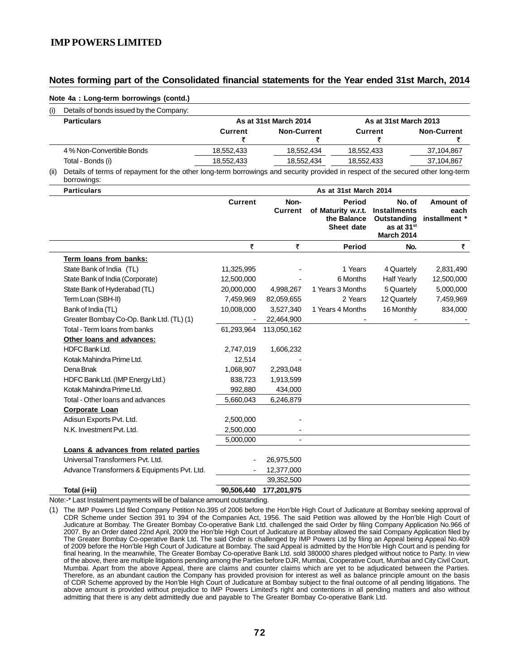#### **Note 4a : Long-term borrowings (contd.)**

| (i) | Details of bonds issued by the Company: |            |                       |            |                       |
|-----|-----------------------------------------|------------|-----------------------|------------|-----------------------|
|     | <b>Particulars</b>                      |            | As at 31st March 2014 |            | As at 31st March 2013 |
|     |                                         | Current    | <b>Non-Current</b>    | Current    | <b>Non-Current</b>    |
|     | 4 % Non-Convertible Bonds               | 18,552,433 | 18.552.434            | 18.552.433 | 37,104,867            |
|     | Total - Bonds (i)                       | 18.552.433 | 18,552,434            | 18.552.433 | 37,104,867            |

(ii) Details of terms of repayment for the other long-term borrowings and security provided in respect of the secured other long-term borrowings:

| <b>Particulars</b>                          |                          |                        | As at 31st March 2014                                            |                                                                                             |                                    |
|---------------------------------------------|--------------------------|------------------------|------------------------------------------------------------------|---------------------------------------------------------------------------------------------|------------------------------------|
|                                             | <b>Current</b>           | Non-<br><b>Current</b> | <b>Period</b><br>of Maturity w.r.t.<br>the Balance<br>Sheet date | No. of<br><b>Installments</b><br>Outstanding<br>as at 31 <sup>st</sup><br><b>March 2014</b> | Amount of<br>each<br>installment * |
|                                             | ₹                        | ₹                      | <b>Period</b>                                                    | No.                                                                                         | ₹                                  |
| Term loans from banks:                      |                          |                        |                                                                  |                                                                                             |                                    |
| State Bank of India (TL)                    | 11,325,995               |                        | 1 Years                                                          | 4 Quartely                                                                                  | 2,831,490                          |
| State Bank of India (Corporate)             | 12,500,000               |                        | 6 Months                                                         | <b>Half Yearly</b>                                                                          | 12,500,000                         |
| State Bank of Hyderabad (TL)                | 20,000,000               | 4,998,267              | 1 Years 3 Months                                                 | 5 Quartely                                                                                  | 5,000,000                          |
| Term Loan (SBH-II)                          | 7,459,969                | 82,059,655             | 2 Years                                                          | 12 Quartely                                                                                 | 7,459,969                          |
| Bank of India (TL)                          | 10,008,000               | 3,527,340              | 1 Years 4 Months                                                 | 16 Monthly                                                                                  | 834,000                            |
| Greater Bombay Co-Op. Bank Ltd. (TL) (1)    |                          | 22,464,900             |                                                                  |                                                                                             |                                    |
| Total - Term loans from banks               | 61,293,964               | 113,050,162            |                                                                  |                                                                                             |                                    |
| Other loans and advances:                   |                          |                        |                                                                  |                                                                                             |                                    |
| HDFC Bank Ltd.                              | 2,747,019                | 1,606,232              |                                                                  |                                                                                             |                                    |
| Kotak Mahindra Prime Ltd.                   | 12,514                   |                        |                                                                  |                                                                                             |                                    |
| Dena Bnak                                   | 1,068,907                | 2,293,048              |                                                                  |                                                                                             |                                    |
| HDFC Bank Ltd. (IMP Energy Ltd.)            | 838,723                  | 1,913,599              |                                                                  |                                                                                             |                                    |
| Kotak Mahindra Prime Ltd.                   | 992,880                  | 434,000                |                                                                  |                                                                                             |                                    |
| Total - Other loans and advances            | 5,660,043                | 6,246,879              |                                                                  |                                                                                             |                                    |
| <b>Corporate Loan</b>                       |                          |                        |                                                                  |                                                                                             |                                    |
| Adisun Exports Pvt. Ltd.                    | 2,500,000                |                        |                                                                  |                                                                                             |                                    |
| N.K. Investment Pvt. Ltd.                   | 2,500,000                |                        |                                                                  |                                                                                             |                                    |
|                                             | 5,000,000                |                        |                                                                  |                                                                                             |                                    |
| Loans & advances from related parties       |                          |                        |                                                                  |                                                                                             |                                    |
| Universal Transformers Pyt. Ltd.            | $\overline{\phantom{a}}$ | 26,975,500             |                                                                  |                                                                                             |                                    |
| Advance Transformers & Equipments Pvt. Ltd. |                          | 12,377,000             |                                                                  |                                                                                             |                                    |
|                                             |                          | 39,352,500             |                                                                  |                                                                                             |                                    |
| Total (i+ii)                                | 90,506,440               | 177,201,975            |                                                                  |                                                                                             |                                    |

Note:-\* Last Instalment payments will be of balance amount outstanding.

(1) The IMP Powers Ltd filed Company Petition No.395 of 2006 before the Hon'ble High Court of Judicature at Bombay seeking approval of CDR Scheme under Section 391 to 394 of the Companies Act, 1956. The said Petition was allowed by the Hon'ble High Court of Judicature at Bombay. The Greater Bombay Co-operative Bank Ltd. challenged the said Order by filing Company Application No.966 of 2007. By an Order dated 22nd April, 2009 the Hon'ble High Court of Judicature at Bombay allowed the said Company Application filed by The Greater Bombay Co-operative Bank Ltd. The said Order is challenged by IMP Powers Ltd by filing an Appeal being Appeal No.409 of 2009 before the Hon'ble High Court of Judicature at Bombay. The said Appeal is admitted by the Hon'ble High Court and is pending for final hearing. In the meanwhile, The Greater Bombay Co-operative Bank Ltd. sold 380000 shares pledged without notice to Party. In view of the above, there are multiple litigations pending among the Parties before DJR, Mumbai, Cooperative Court, Mumbai and City Civil Court, Mumbai. Apart from the above Appeal, there are claims and counter claims which are yet to be adjudicated between the Parties. Therefore, as an abundant caution the Company has provided provision for interest as well as balance principle amount on the basis of CDR Scheme approved by the Hon'ble High Court of Judicature at Bombay subject to the final outcome of all pending litigations. The above amount is provided without prejudice to IMP Powers Limited's right and contentions in all pending matters and also without admitting that there is any debt admittedly due and payable to The Greater Bombay Co-operative Bank Ltd.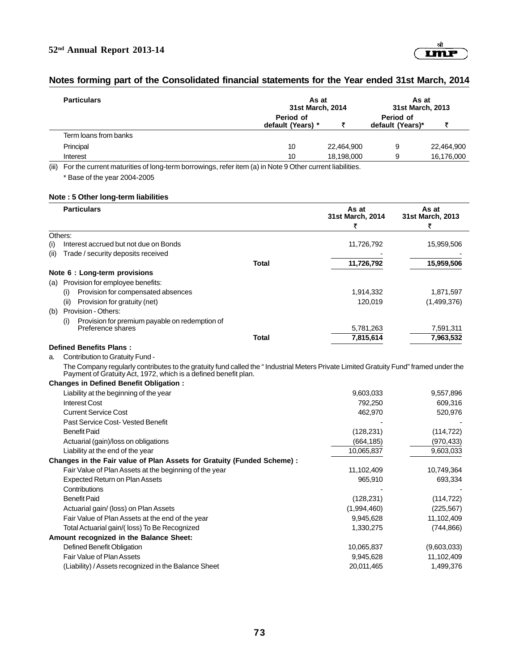

|         | <b>Particulars</b>                                                                                                                                                                                      | As at<br>31st March, 2014      |                                | As at<br>31st March, 2013     |                                |
|---------|---------------------------------------------------------------------------------------------------------------------------------------------------------------------------------------------------------|--------------------------------|--------------------------------|-------------------------------|--------------------------------|
|         |                                                                                                                                                                                                         | Period of<br>default (Years) * | ₹                              | Period of<br>default (Years)* | ₹                              |
|         | Term loans from banks                                                                                                                                                                                   |                                |                                |                               |                                |
|         | Principal                                                                                                                                                                                               | 10                             | 22,464,900                     | 9                             | 22,464,900                     |
|         | Interest                                                                                                                                                                                                | 10                             | 18,198,000                     | 9                             | 16,176,000                     |
| (iii)   | For the current maturities of long-term borrowings, refer item (a) in Note 9 Other current liabilities.                                                                                                 |                                |                                |                               |                                |
|         | * Base of the year 2004-2005                                                                                                                                                                            |                                |                                |                               |                                |
|         | Note: 5 Other long-term liabilities                                                                                                                                                                     |                                |                                |                               |                                |
|         | <b>Particulars</b>                                                                                                                                                                                      |                                | As at<br>31st March, 2014<br>₹ |                               | As at<br>31st March, 2013<br>₹ |
| Others: |                                                                                                                                                                                                         |                                |                                |                               |                                |
| (i)     | Interest accrued but not due on Bonds                                                                                                                                                                   |                                | 11,726,792                     |                               | 15,959,506                     |
| (ii)    | Trade / security deposits received                                                                                                                                                                      |                                |                                |                               |                                |
|         |                                                                                                                                                                                                         | <b>Total</b>                   | 11,726,792                     |                               | 15,959,506                     |
|         | Note 6 : Long-term provisions                                                                                                                                                                           |                                |                                |                               |                                |
|         | (a) Provision for employee benefits:                                                                                                                                                                    |                                |                                |                               |                                |
|         | Provision for compensated absences<br>(i)                                                                                                                                                               |                                | 1,914,332                      |                               | 1,871,597                      |
|         | Provision for gratuity (net)<br>(ii)                                                                                                                                                                    |                                |                                | 120,019                       | (1,499,376)                    |
| (b)     | Provision - Others:                                                                                                                                                                                     |                                |                                |                               |                                |
|         | Provision for premium payable on redemption of<br>(i)<br>Preference shares                                                                                                                              |                                | 5,781,263                      |                               | 7,591,311                      |
|         |                                                                                                                                                                                                         | <b>Total</b>                   | 7,815,614                      |                               | 7,963,532                      |
|         | <b>Defined Benefits Plans:</b>                                                                                                                                                                          |                                |                                |                               |                                |
| a.      | Contribution to Gratuity Fund -                                                                                                                                                                         |                                |                                |                               |                                |
|         | The Company regularly contributes to the gratuity fund called the "Industrial Meters Private Limited Gratuity Fund" framed under the<br>Payment of Gratuity Act, 1972, which is a defined benefit plan. |                                |                                |                               |                                |
|         | <b>Changes in Defined Benefit Obligation:</b>                                                                                                                                                           |                                |                                |                               |                                |
|         | Liability at the beginning of the year                                                                                                                                                                  |                                | 9,603,033                      |                               | 9,557,896                      |
|         | <b>Interest Cost</b>                                                                                                                                                                                    |                                |                                | 792,250                       | 609,316                        |
|         | <b>Current Service Cost</b>                                                                                                                                                                             |                                |                                | 462,970                       | 520,976                        |
|         | Past Service Cost- Vested Benefit                                                                                                                                                                       |                                |                                |                               |                                |
|         | <b>Benefit Paid</b>                                                                                                                                                                                     |                                | (128, 231)                     |                               | (114, 722)                     |
|         | Actuarial (gain)/loss on obligations                                                                                                                                                                    |                                | (664, 185)                     |                               | (970, 433)                     |
|         | Liability at the end of the year                                                                                                                                                                        |                                | 10,065,837                     |                               | 9,603,033                      |
|         | Changes in the Fair value of Plan Assets for Gratuity (Funded Scheme) :                                                                                                                                 |                                |                                |                               |                                |
|         | Fair Value of Plan Assets at the beginning of the year                                                                                                                                                  |                                | 11,102,409                     |                               | 10,749,364                     |
|         | <b>Expected Return on Plan Assets</b>                                                                                                                                                                   |                                |                                | 965,910                       | 693,334                        |
|         | Contributions                                                                                                                                                                                           |                                |                                |                               |                                |
|         | <b>Benefit Paid</b>                                                                                                                                                                                     |                                | (128, 231)                     |                               | (114, 722)                     |
|         | Actuarial gain/ (loss) on Plan Assets                                                                                                                                                                   |                                | (1,994,460)                    |                               | (225, 567)                     |
|         | Fair Value of Plan Assets at the end of the year                                                                                                                                                        |                                | 9,945,628                      |                               | 11,102,409                     |
|         | Total Actuarial gain/(loss) To Be Recognized                                                                                                                                                            |                                | 1,330,275                      |                               | (744, 866)                     |
|         | Amount recognized in the Balance Sheet:<br>Defined Benefit Obligation                                                                                                                                   |                                |                                |                               |                                |
|         | Fair Value of Plan Assets                                                                                                                                                                               |                                | 10,065,837<br>9,945,628        |                               | (9,603,033)<br>11,102,409      |
|         | (Liability) / Assets recognized in the Balance Sheet                                                                                                                                                    |                                | 20,011,465                     |                               | 1,499,376                      |
|         |                                                                                                                                                                                                         |                                |                                |                               |                                |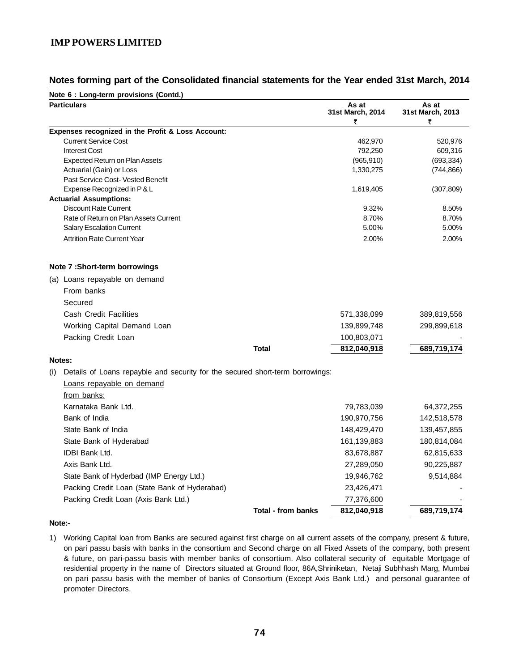| <b>Particulars</b>                                                                   | As at<br>31st March, 2014<br>₹ | As at<br>31st March, 2013<br>₹ |
|--------------------------------------------------------------------------------------|--------------------------------|--------------------------------|
| Expenses recognized in the Profit & Loss Account:                                    |                                |                                |
| <b>Current Service Cost</b>                                                          | 462,970                        | 520,976                        |
| <b>Interest Cost</b>                                                                 | 792,250                        | 609,316                        |
| Expected Return on Plan Assets                                                       | (965, 910)                     | (693, 334)                     |
| Actuarial (Gain) or Loss                                                             | 1,330,275                      | (744, 866)                     |
| Past Service Cost- Vested Benefit                                                    |                                |                                |
| Expense Recognized in P & L<br><b>Actuarial Assumptions:</b>                         | 1,619,405                      | (307, 809)                     |
| <b>Discount Rate Current</b>                                                         | 9.32%                          | 8.50%                          |
| Rate of Return on Plan Assets Current                                                | 8.70%                          | 8.70%                          |
| <b>Salary Escalation Current</b>                                                     | 5.00%                          | 5.00%                          |
| <b>Attrition Rate Current Year</b>                                                   | 2.00%                          | 2.00%                          |
| Note 7 :Short-term borrowings                                                        |                                |                                |
| (a) Loans repayable on demand                                                        |                                |                                |
| From banks                                                                           |                                |                                |
| Secured                                                                              |                                |                                |
| <b>Cash Credit Facilities</b>                                                        | 571,338,099                    | 389,819,556                    |
| Working Capital Demand Loan                                                          | 139,899,748                    | 299,899,618                    |
| Packing Credit Loan                                                                  | 100,803,071                    |                                |
| <b>Total</b>                                                                         | 812,040,918                    | 689,719,174                    |
| Notes:                                                                               |                                |                                |
| Details of Loans repayble and security for the secured short-term borrowings:<br>(i) |                                |                                |
| Loans repayable on demand                                                            |                                |                                |
| from banks:                                                                          |                                |                                |
| Karnataka Bank Ltd.                                                                  | 79,783,039                     | 64,372,255                     |
| Bank of India                                                                        | 190,970,756                    | 142,518,578                    |
| State Bank of India                                                                  | 148,429,470                    | 139,457,855                    |
| State Bank of Hyderabad                                                              | 161,139,883                    | 180,814,084                    |
| <b>IDBI Bank Ltd.</b>                                                                | 83,678,887                     | 62,815,633                     |
| Axis Bank Ltd.                                                                       | 27,289,050                     | 90,225,887                     |
| State Bank of Hyderbad (IMP Energy Ltd.)                                             | 19,946,762                     | 9,514,884                      |
| Packing Credit Loan (State Bank of Hyderabad)                                        | 23,426,471                     |                                |
| Packing Credit Loan (Axis Bank Ltd.)                                                 | 77,376,600                     |                                |
| Total - from banks                                                                   | 812,040,918                    | 689,719,174                    |

#### **Notes forming part of the Consolidated financial statements for the Year ended 31st March, 2014**

#### **Note:-**

1) Working Capital loan from Banks are secured against first charge on all current assets of the company, present & future, on pari passu basis with banks in the consortium and Second charge on all Fixed Assets of the company, both present & future, on pari-passu basis with member banks of consortium. Also collateral security of equitable Mortgage of residential property in the name of Directors situated at Ground floor, 86A,Shriniketan, Netaji Subhhash Marg, Mumbai on pari passu basis with the member of banks of Consortium (Except Axis Bank Ltd.) and personal guarantee of promoter Directors.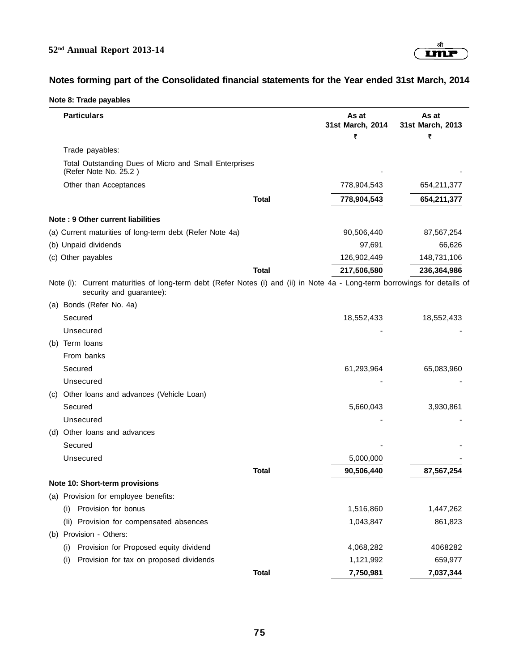

## **Note 8: Trade payables**

| <b>Particulars</b>                                                                                                                                    | As at<br>31st March, 2014 | As at<br>31st March, 2013 |
|-------------------------------------------------------------------------------------------------------------------------------------------------------|---------------------------|---------------------------|
|                                                                                                                                                       | ₹                         | ₹                         |
| Trade payables:                                                                                                                                       |                           |                           |
| Total Outstanding Dues of Micro and Small Enterprises<br>(Refer Note No. 25.2)                                                                        |                           |                           |
| Other than Acceptances                                                                                                                                | 778,904,543               | 654,211,377               |
| <b>Total</b>                                                                                                                                          | 778,904,543               | 654,211,377               |
| Note: 9 Other current liabilities                                                                                                                     |                           |                           |
| (a) Current maturities of long-term debt (Refer Note 4a)                                                                                              | 90,506,440                | 87,567,254                |
| (b) Unpaid dividends                                                                                                                                  | 97,691                    | 66,626                    |
| (c) Other payables                                                                                                                                    | 126,902,449               | 148,731,106               |
| Total                                                                                                                                                 | 217,506,580               | 236,364,986               |
| Note (i): Current maturities of long-term debt (Refer Notes (i) and (ii) in Note 4a - Long-term borrowings for details of<br>security and guarantee): |                           |                           |
| (a) Bonds (Refer No. 4a)                                                                                                                              |                           |                           |
| Secured                                                                                                                                               | 18,552,433                | 18,552,433                |
| Unsecured                                                                                                                                             |                           |                           |
| (b) Term loans                                                                                                                                        |                           |                           |
| From banks                                                                                                                                            |                           |                           |
| Secured                                                                                                                                               | 61,293,964                | 65,083,960                |
| Unsecured                                                                                                                                             |                           |                           |
| Other loans and advances (Vehicle Loan)<br>(C)                                                                                                        |                           |                           |
| Secured                                                                                                                                               | 5,660,043                 | 3,930,861                 |
| Unsecured                                                                                                                                             |                           |                           |
| (d) Other loans and advances                                                                                                                          |                           |                           |
| Secured                                                                                                                                               |                           |                           |
| Unsecured                                                                                                                                             | 5,000,000                 |                           |
| <b>Total</b>                                                                                                                                          | 90,506,440                | 87,567,254                |
| Note 10: Short-term provisions                                                                                                                        |                           |                           |
| (a) Provision for employee benefits:                                                                                                                  |                           |                           |
| Provision for bonus<br>(i)                                                                                                                            | 1,516,860                 | 1,447,262                 |
| Provision for compensated absences<br>(1i)                                                                                                            | 1,043,847                 | 861,823                   |
| Provision - Others:<br>(b)                                                                                                                            |                           |                           |
| Provision for Proposed equity dividend<br>(1)                                                                                                         | 4,068,282                 | 4068282                   |
| Provision for tax on proposed dividends<br>(i)                                                                                                        | 1,121,992                 | 659,977                   |
| <b>Total</b>                                                                                                                                          | 7,750,981                 | 7,037,344                 |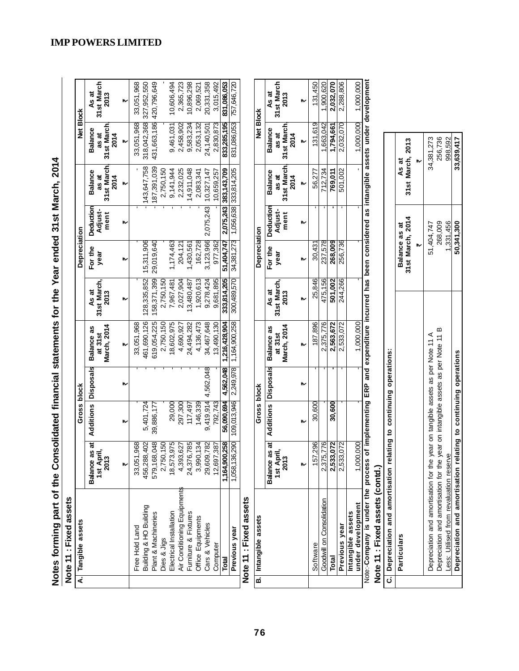Notes forming part of the Consolidated financial statements for the Year ended 31st March, 2014 **Notes forming part of the Consolidated financial statements for the Year ended 31st March, 2014**

| ļ<br>J<br>٥<br>ú<br>$\overline{a}$<br>נ<br>D<br>U<br>ಗ |
|--------------------------------------------------------|
| 3<br>ζ                                                 |
| i<br>ă                                                 |
| $\ddot{\phantom{a}}$                                   |
|                                                        |
| ٠<br>۰                                                 |
| ť<br>ı<br>t                                            |
| c                                                      |
| ر<br>د                                                 |
|                                                        |

| Note 11 : Fixed assets      |                                                |                            |                     |                                      |                                        |                 |                              |                                                       |                                                       |                             |
|-----------------------------|------------------------------------------------|----------------------------|---------------------|--------------------------------------|----------------------------------------|-----------------|------------------------------|-------------------------------------------------------|-------------------------------------------------------|-----------------------------|
| A. Tangible assets          |                                                | Gross block                |                     |                                      |                                        | Depreciation    |                              |                                                       | Net Block                                             |                             |
|                             | Balance as at<br>들<br>문의<br>ຊ<br>$\frac{1}{2}$ | <b>Additions Disposals</b> |                     | March, 2014<br>Balance as<br>at 31st | 31st March,<br>As at<br>2013           | For the<br>year | Deduction<br>Adjust-<br>ment | 31st March,<br><b>Balance</b><br>as at<br><b>2014</b> | 31st March,<br><b>Balance</b><br>as at<br><b>2014</b> | 31st March<br>As at<br>2013 |
|                             |                                                |                            |                     |                                      |                                        |                 |                              |                                                       |                                                       |                             |
| Free Hold Land              | 33,051,968                                     |                            |                     | 33,051,968                           |                                        |                 |                              |                                                       |                                                       | 33,051,968 33,051,968       |
| Building & HO Building      | 456,288,402                                    | 5,401,724                  |                     |                                      | 461,690,126   128,335,852   15,311,906 |                 |                              | $-143.647.758$                                        | 318,042,368 327,952,550                               |                             |
| Plant & Machineries         | 68,048<br>579,1                                | 39,886,17                  |                     | 619,054,225                          | 158,371,399                            | 29,019,640      |                              | $-1187,391,039$                                       | 431,663,186 420,796,649                               |                             |
| Dies & Jigs                 | '50,150<br>2,7                                 |                            |                     | 2,750,150                            | 2,750,150                              |                 |                              | 2,750,150                                             |                                                       |                             |
| Electrical Installation     | 18,573,975                                     | 29,000                     |                     | 18,602,975                           | 7,967,481                              | ,174,463        |                              | 9,141,944                                             | 9,461,031                                             | 10,606,494                  |
| Air Conditioning Equipments | 4,393,627                                      | 297,300                    |                     | 4,690,927                            | 2,027,904                              | 204,121         |                              | 2,232,025                                             | 2,458,902                                             | 2,365,723                   |
| Furniture & Fixtures        | 24,376,785                                     | 117,497                    |                     | 24,494,282                           | 13,480,487                             | 430,561         |                              | 14,911,048                                            | 9,583,234                                             | 10,896,298                  |
| Office Equipments           | 3,990,134                                      | 146,339                    |                     | 4,136,473                            | 1,920,613                              | 162,728         |                              | 2,083,341                                             | 2,053,132                                             | 2,069,521                   |
| Cars & Vehicles             | 29,609,782                                     |                            | 9,419,914 4,562,048 | 34,467,648                           | 9,278,424                              |                 |                              | 3,123,966 2,075,243 10,327,147                        | 24,140,501                                            | 20,331,358                  |
| Computer                    | 12,697,387                                     | 792.743                    |                     | 13,490,130                           | 9,681,895                              | 977.362         |                              | 10.659.257                                            | 2,830,873                                             | 3,015,492                   |
| Total                       | 1,164,900,258                                  | 56,090,694                 | 4,562,048           | 1,216,428,904                        | 333,814,205                            | 51,404,747      |                              | 2.075.243 383.143.709                                 | 833.285.195                                           | 831,086,053                 |
| Previous year               | 136,290<br>1,058,1                             | 109,013,946                | 2,249,978           | 1,164,900,258                        | 300,489,570                            | 34,381,273      |                              | 1,056,638 333,814,205                                 | 831,086,053                                           | 757,646,720                 |
| Note 11 : Fixed assets      |                                                |                            |                     |                                      |                                        |                 |                              |                                                       |                                                       |                             |

 $\sim$   $\sim$   $\sim$ 

| <b>B.</b> Intangible assets                                                                                                                |                                                        | Gross block |                                      |                              | <b>Depreciation</b> |                                     |                                                            | Net Block                       |                             |
|--------------------------------------------------------------------------------------------------------------------------------------------|--------------------------------------------------------|-------------|--------------------------------------|------------------------------|---------------------|-------------------------------------|------------------------------------------------------------|---------------------------------|-----------------------------|
|                                                                                                                                            | Balance as at Additions Disposals<br>1st April,<br>ష్ఠ |             | March, 2014<br>Balance as<br>at 31st | 31st March,<br>As at<br>2013 | For the<br>year     | <b>Deduction</b><br>Adjust-<br>ment | 31st March, 31st March,<br><b>Balance</b><br>as at<br>2014 | <b>Balance</b><br>as at<br>2014 | 31st March<br>As at<br>2013 |
|                                                                                                                                            |                                                        |             |                                      |                              |                     |                                     |                                                            |                                 |                             |
| Software                                                                                                                                   | 157,296                                                | 30,600      | 187.896                              | 25,846                       | 30,431              |                                     | 56.277                                                     | 131,619                         | 131,450                     |
| Goodwill on Consolidation                                                                                                                  | 75,776<br>2.37                                         |             | 2.375,776                            | 475,156                      | 237,578             |                                     | 712,734                                                    | 1,663,042                       | 1,900,620                   |
| Total                                                                                                                                      | 2,533,072                                              | 30,600      | 2,563,672                            | 501,002                      | 268,009             |                                     | 769,011                                                    | 1,794,661                       | 2,032,070                   |
| Previous year                                                                                                                              | 2,533,072                                              |             | 2,533,072                            | 244,266                      | 256,736             |                                     | 501,002                                                    | 2,032,070                       | 2,288,806                   |
| under development<br>Intangible assets                                                                                                     | <b>DOO:OC</b><br>8<br>-                                |             | 1,000,000                            |                              |                     |                                     |                                                            | 1,000,000                       | 1,000,000                   |
| Note:-Company is under the process of implementing ERP and expenditure incurred has been considered as intangible assets under development |                                                        |             |                                      |                              |                     |                                     |                                                            |                                 |                             |

# **Note 11 : Fixed assets (contd.)**

Note 11 : Fixed assets (contd.)<br>C. Depreciation and amortisation relating to continuing operations: **C. Depreciation and amortisation relating to continuing operations:**

| <b>Particulars</b>                                                               | 31st March, 2014<br>Balance as at | 31st March, 2013<br>As at |
|----------------------------------------------------------------------------------|-----------------------------------|---------------------------|
|                                                                                  |                                   |                           |
| Depreciation and amortisation for the year on tangible assets as per Note 11 A   | 51,404,747                        | 34,381,273                |
| Depreciation and amortisation for the year on intangible assets as per Note 11 B | 268,009                           | 256,736                   |
| revaluation reserve<br>ess: Utilised from                                        | 1,331,456                         | 998,592                   |
| amortisation relating to continuing operations<br>Depreciation and               | 50,341,300                        | 33,639,417                |

# **IMP POWERS LIMITED**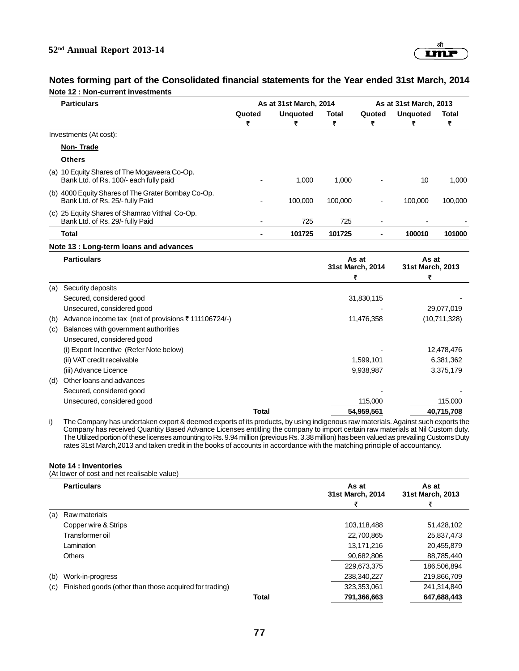

|     | <b>Particulars</b>                                                                                                                                                                                                                                                                                                                                                                                                                                                                                                                             |              | As at 31st March, 2014 |         | As at 31st March, 2013         |                                |                         |
|-----|------------------------------------------------------------------------------------------------------------------------------------------------------------------------------------------------------------------------------------------------------------------------------------------------------------------------------------------------------------------------------------------------------------------------------------------------------------------------------------------------------------------------------------------------|--------------|------------------------|---------|--------------------------------|--------------------------------|-------------------------|
|     |                                                                                                                                                                                                                                                                                                                                                                                                                                                                                                                                                | Quoted       | <b>Unquoted</b>        | Total   | Quoted                         | <b>Unquoted</b>                | Total                   |
|     |                                                                                                                                                                                                                                                                                                                                                                                                                                                                                                                                                | ₹            | ₹                      | ₹       | ₹                              | ₹                              | ₹                       |
|     | Investments (At cost):                                                                                                                                                                                                                                                                                                                                                                                                                                                                                                                         |              |                        |         |                                |                                |                         |
|     | Non-Trade                                                                                                                                                                                                                                                                                                                                                                                                                                                                                                                                      |              |                        |         |                                |                                |                         |
|     | <b>Others</b>                                                                                                                                                                                                                                                                                                                                                                                                                                                                                                                                  |              |                        |         |                                |                                |                         |
|     | (a) 10 Equity Shares of The Mogaveera Co-Op.<br>Bank Ltd. of Rs. 100/- each fully paid                                                                                                                                                                                                                                                                                                                                                                                                                                                         |              | 1,000                  | 1,000   |                                | 10                             | 1,000                   |
|     | (b) 4000 Equity Shares of The Grater Bombay Co-Op.<br>Bank Ltd. of Rs. 25/- fully Paid                                                                                                                                                                                                                                                                                                                                                                                                                                                         |              | 100,000                | 100,000 |                                | 100,000                        | 100,000                 |
|     | (c) 25 Equity Shares of Shamrao Vitthal Co-Op.<br>Bank Ltd. of Rs. 29/- fully Paid                                                                                                                                                                                                                                                                                                                                                                                                                                                             |              | 725                    | 725     |                                |                                |                         |
|     | <b>Total</b>                                                                                                                                                                                                                                                                                                                                                                                                                                                                                                                                   |              | 101725                 | 101725  | ٠                              | 100010                         | 101000                  |
|     | Note 13 : Long-term loans and advances                                                                                                                                                                                                                                                                                                                                                                                                                                                                                                         |              |                        |         |                                |                                |                         |
|     | <b>Particulars</b>                                                                                                                                                                                                                                                                                                                                                                                                                                                                                                                             |              |                        |         | As at<br>31st March, 2014      | As at<br>31st March, 2013      |                         |
|     |                                                                                                                                                                                                                                                                                                                                                                                                                                                                                                                                                |              |                        |         | ₹                              | ₹                              |                         |
| (a) | Security deposits                                                                                                                                                                                                                                                                                                                                                                                                                                                                                                                              |              |                        |         |                                |                                |                         |
|     | Secured, considered good                                                                                                                                                                                                                                                                                                                                                                                                                                                                                                                       |              |                        |         | 31,830,115                     |                                |                         |
|     | Unsecured, considered good                                                                                                                                                                                                                                                                                                                                                                                                                                                                                                                     |              |                        |         |                                |                                | 29,077,019              |
| (b) | Advance income tax (net of provisions ₹111106724/-)                                                                                                                                                                                                                                                                                                                                                                                                                                                                                            |              |                        |         | 11,476,358                     |                                | (10,711,328)            |
| (C) | Balances with government authorities                                                                                                                                                                                                                                                                                                                                                                                                                                                                                                           |              |                        |         |                                |                                |                         |
|     | Unsecured, considered good                                                                                                                                                                                                                                                                                                                                                                                                                                                                                                                     |              |                        |         |                                |                                |                         |
|     | (i) Export Incentive (Refer Note below)<br>(ii) VAT credit receivable                                                                                                                                                                                                                                                                                                                                                                                                                                                                          |              |                        |         | 1,599,101                      |                                | 12,478,476<br>6,381,362 |
|     | (iii) Advance Licence                                                                                                                                                                                                                                                                                                                                                                                                                                                                                                                          |              |                        |         | 9,938,987                      |                                | 3,375,179               |
| (d) | Other loans and advances                                                                                                                                                                                                                                                                                                                                                                                                                                                                                                                       |              |                        |         |                                |                                |                         |
|     | Secured, considered good                                                                                                                                                                                                                                                                                                                                                                                                                                                                                                                       |              |                        |         |                                |                                |                         |
|     | Unsecured, considered good                                                                                                                                                                                                                                                                                                                                                                                                                                                                                                                     |              |                        |         | 115,000                        |                                | 115,000                 |
|     |                                                                                                                                                                                                                                                                                                                                                                                                                                                                                                                                                | <b>Total</b> |                        |         | 54,959,561                     |                                | 40,715,708              |
| i)  | The Company has undertaken export & deemed exports of its products, by using indigenous raw materials. Against such exports the<br>Company has received Quantity Based Advance Licenses entitling the company to import certain raw materials at Nil Custom duty.<br>The Utilized portion of these licenses amounting to Rs. 9.94 million (previous Rs. 3.38 million) has been valued as prevailing Customs Duty<br>rates 31st March, 2013 and taken credit in the books of accounts in accordance with the matching principle of accountancy. |              |                        |         |                                |                                |                         |
|     | Note 14 : Inventories<br>(At lower of cost and net realisable value)                                                                                                                                                                                                                                                                                                                                                                                                                                                                           |              |                        |         |                                |                                |                         |
|     | <b>Particulars</b>                                                                                                                                                                                                                                                                                                                                                                                                                                                                                                                             |              |                        |         | As at<br>31st March, 2014<br>₹ | As at<br>31st March, 2013<br>₹ |                         |
| (a) | Raw materials                                                                                                                                                                                                                                                                                                                                                                                                                                                                                                                                  |              |                        |         |                                |                                |                         |
|     | Copper wire & Strips                                                                                                                                                                                                                                                                                                                                                                                                                                                                                                                           |              |                        |         | 103,118,488                    |                                | 51,428,102              |
|     | Transformer oil                                                                                                                                                                                                                                                                                                                                                                                                                                                                                                                                |              |                        |         | 22,700,865                     |                                | 25,837,473              |
|     | Lamination                                                                                                                                                                                                                                                                                                                                                                                                                                                                                                                                     |              |                        |         | 13,171,216                     |                                | 20,455,879              |
|     | Others                                                                                                                                                                                                                                                                                                                                                                                                                                                                                                                                         |              |                        |         | 90,682,806                     |                                | 88,785,440              |
|     |                                                                                                                                                                                                                                                                                                                                                                                                                                                                                                                                                |              |                        |         | 229,673,375                    |                                | 186.506.894             |

(b) Work-in-progress 238,340,227 219,866,709

(c) Finished goods (other than those acquired for trading) 323,353,061 241,314,840

Total 791,366,663 647,688,443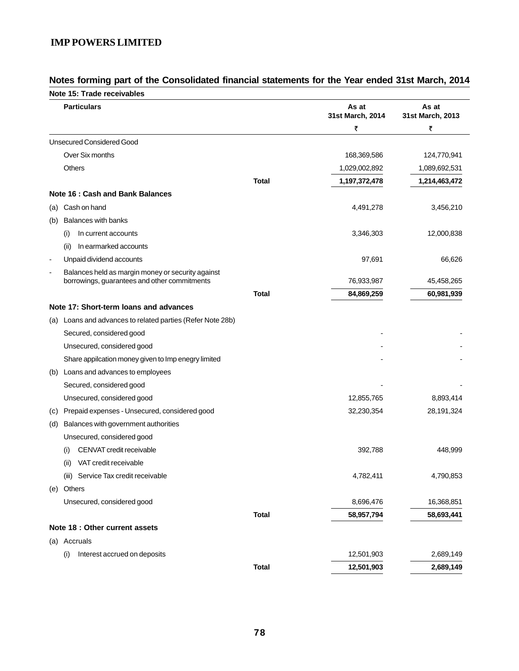| <b>Particulars</b>                                                                                |              | As at<br>31st March, 2014 | As at<br>31st March, 2013 |
|---------------------------------------------------------------------------------------------------|--------------|---------------------------|---------------------------|
|                                                                                                   |              | ₹                         | ₹                         |
| Unsecured Considered Good                                                                         |              |                           |                           |
| Over Six months                                                                                   |              | 168,369,586               | 124,770,941               |
| <b>Others</b>                                                                                     |              | 1,029,002,892             | 1,089,692,531             |
|                                                                                                   | <b>Total</b> | 1,197,372,478             | 1,214,463,472             |
| <b>Note 16: Cash and Bank Balances</b>                                                            |              |                           |                           |
| Cash on hand<br>(a)                                                                               |              | 4,491,278                 | 3,456,210                 |
| <b>Balances with banks</b><br>(b)                                                                 |              |                           |                           |
| In current accounts<br>(i)                                                                        |              | 3,346,303                 | 12,000,838                |
| In earmarked accounts<br>(ii)                                                                     |              |                           |                           |
| Unpaid dividend accounts                                                                          |              | 97,691                    | 66,626                    |
| Balances held as margin money or security against<br>borrowings, guarantees and other commitments |              | 76,933,987                | 45,458,265                |
|                                                                                                   | <b>Total</b> | 84,869,259                | 60,981,939                |
| Note 17: Short-term loans and advances                                                            |              |                           |                           |
| Loans and advances to related parties (Refer Note 28b)<br>(a)                                     |              |                           |                           |
| Secured, considered good                                                                          |              |                           |                           |
| Unsecured, considered good                                                                        |              |                           |                           |
| Share appilcation money given to Imp enegry limited                                               |              |                           |                           |
| Loans and advances to employees<br>(b)                                                            |              |                           |                           |
| Secured, considered good                                                                          |              |                           |                           |
| Unsecured, considered good                                                                        |              | 12,855,765                | 8,893,414                 |
| Prepaid expenses - Unsecured, considered good<br>(C)                                              |              | 32,230,354                | 28, 191, 324              |
| Balances with government authorities<br>(d)                                                       |              |                           |                           |
| Unsecured, considered good                                                                        |              |                           |                           |
| CENVAT credit receivable<br>(i)                                                                   |              | 392,788                   | 448,999                   |
| VAT credit receivable<br>(ii)                                                                     |              |                           |                           |
| (iii) Service Tax credit receivable                                                               |              | 4,782,411                 | 4,790,853                 |
| Others<br>(e)                                                                                     |              |                           |                           |
| Unsecured, considered good                                                                        |              | 8,696,476                 | 16,368,851                |
|                                                                                                   | <b>Total</b> | 58,957,794                | 58,693,441                |
| Note 18 : Other current assets                                                                    |              |                           |                           |
| (a) Accruals                                                                                      |              |                           |                           |
| (i)<br>Interest accrued on deposits                                                               |              | 12,501,903                | 2,689,149                 |
|                                                                                                   | <b>Total</b> | 12,501,903                | 2,689,149                 |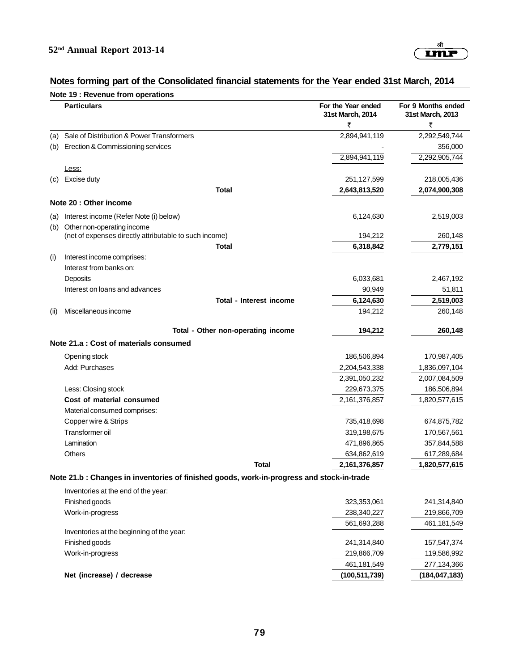

|      | <b>Particulars</b>                                                                        | For the Year ended<br>31st March, 2014<br>₹ | For 9 Months ended<br>31st March, 2013<br>₹ |
|------|-------------------------------------------------------------------------------------------|---------------------------------------------|---------------------------------------------|
| (a)  | Sale of Distribution & Power Transformers                                                 | 2,894,941,119                               | 2,292,549,744                               |
| (b)  | Erection & Commissioning services                                                         |                                             | 356,000                                     |
|      |                                                                                           | 2,894,941,119                               | 2,292,905,744                               |
|      | Less:                                                                                     |                                             |                                             |
| (C)  | Excise duty                                                                               | 251, 127, 599                               | 218,005,436                                 |
|      | <b>Total</b>                                                                              | 2,643,813,520                               | 2,074,900,308                               |
|      | Note 20 : Other income                                                                    |                                             |                                             |
| (a)  | Interest income (Refer Note (i) below)                                                    | 6,124,630                                   | 2,519,003                                   |
| (b)  | Other non-operating income                                                                |                                             |                                             |
|      | (net of expenses directly attributable to such income)                                    | 194,212                                     | 260,148                                     |
|      | Total                                                                                     | 6,318,842                                   | 2,779,151                                   |
| (i)  | Interest income comprises:                                                                |                                             |                                             |
|      | Interest from banks on:                                                                   |                                             |                                             |
|      | Deposits                                                                                  | 6,033,681                                   | 2,467,192                                   |
|      | Interest on loans and advances                                                            | 90,949                                      | 51,811                                      |
|      | Total - Interest income                                                                   | 6,124,630                                   | 2,519,003                                   |
| (ii) | Miscellaneous income                                                                      | 194,212                                     | 260,148                                     |
|      | Total - Other non-operating income                                                        | 194,212                                     | 260,148                                     |
|      | Note 21.a : Cost of materials consumed                                                    |                                             |                                             |
|      | Opening stock                                                                             | 186,506,894                                 | 170,987,405                                 |
|      | Add: Purchases                                                                            | 2,204,543,338                               | 1,836,097,104                               |
|      |                                                                                           | 2,391,050,232                               | 2,007,084,509                               |
|      | Less: Closing stock                                                                       | 229,673,375                                 | 186,506,894                                 |
|      | Cost of material consumed                                                                 | 2,161,376,857                               | 1,820,577,615                               |
|      | Material consumed comprises:                                                              |                                             |                                             |
|      | Copper wire & Strips                                                                      | 735,418,698                                 | 674,875,782                                 |
|      | Transformer oil                                                                           | 319,198,675                                 | 170,567,561                                 |
|      | Lamination                                                                                | 471,896,865                                 | 357,844,588                                 |
|      | Others                                                                                    | 634,862,619                                 | 617,289,684                                 |
|      | Total                                                                                     | 2,161,376,857                               | 1,820,577,615                               |
|      | Note 21.b : Changes in inventories of finished goods, work-in-progress and stock-in-trade |                                             |                                             |
|      | Inventories at the end of the year:                                                       |                                             |                                             |
|      | Finished goods                                                                            | 323,353,061                                 | 241,314,840                                 |
|      | Work-in-progress                                                                          | 238,340,227                                 | 219,866,709                                 |
|      |                                                                                           | 561,693,288                                 | 461,181,549                                 |
|      | Inventories at the beginning of the year:                                                 |                                             |                                             |
|      | Finished goods                                                                            | 241,314,840                                 | 157,547,374                                 |
|      | Work-in-progress                                                                          | 219,866,709                                 | 119,586,992                                 |
|      |                                                                                           | 461,181,549                                 | 277,134,366                                 |
|      | Net (increase) / decrease                                                                 | (100, 511, 739)                             | (184, 047, 183)                             |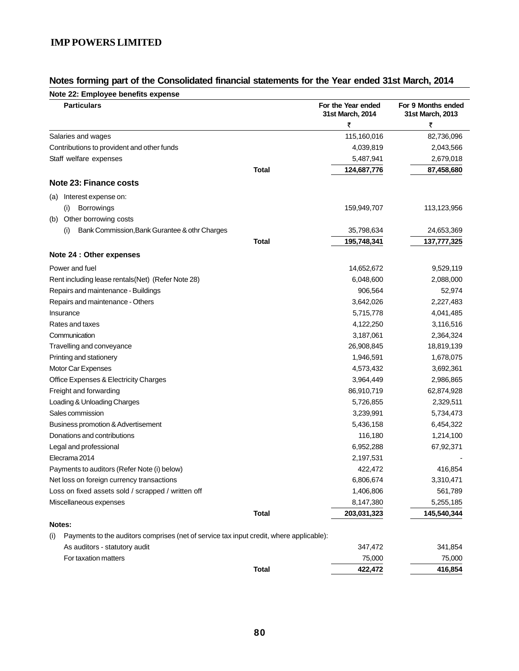| <b>Particulars</b>                                                                             | For the Year ended<br>31st March, 2014 | For 9 Months ended<br>31st March, 2013 |
|------------------------------------------------------------------------------------------------|----------------------------------------|----------------------------------------|
|                                                                                                | ₹                                      | ₹                                      |
| Salaries and wages                                                                             | 115,160,016                            | 82,736,096                             |
| Contributions to provident and other funds                                                     | 4,039,819                              | 2,043,566                              |
| Staff welfare expenses                                                                         | 5,487,941                              | 2,679,018                              |
| <b>Total</b>                                                                                   | 124,687,776                            | 87,458,680                             |
| Note 23: Finance costs                                                                         |                                        |                                        |
| Interest expense on:<br>(a)                                                                    |                                        |                                        |
| <b>Borrowings</b><br>(i)                                                                       | 159,949,707                            | 113,123,956                            |
| Other borrowing costs<br>(b)                                                                   |                                        |                                        |
| Bank Commission, Bank Gurantee & othr Charges<br>(i)                                           | 35,798,634                             | 24,653,369                             |
| Total                                                                                          | 195,748,341                            | 137,777,325                            |
| Note 24 : Other expenses                                                                       |                                        |                                        |
| Power and fuel                                                                                 | 14,652,672                             | 9,529,119                              |
| Rent including lease rentals (Net) (Refer Note 28)                                             | 6,048,600                              | 2,088,000                              |
| Repairs and maintenance - Buildings                                                            | 906,564                                | 52,974                                 |
| Repairs and maintenance - Others                                                               | 3,642,026                              | 2,227,483                              |
| Insurance                                                                                      | 5,715,778                              | 4,041,485                              |
| Rates and taxes                                                                                | 4,122,250                              | 3,116,516                              |
| Communication                                                                                  | 3,187,061                              | 2,364,324                              |
| Travelling and conveyance                                                                      | 26,908,845                             | 18,819,139                             |
| Printing and stationery                                                                        | 1,946,591                              | 1,678,075                              |
| Motor Car Expenses                                                                             | 4,573,432                              | 3,692,361                              |
| Office Expenses & Electricity Charges                                                          | 3,964,449                              | 2,986,865                              |
| Freight and forwarding                                                                         | 86,910,719                             | 62,874,928                             |
| Loading & Unloading Charges                                                                    | 5,726,855                              | 2,329,511                              |
| Sales commission                                                                               | 3,239,991                              | 5,734,473                              |
| Business promotion & Advertisement                                                             | 5,436,158                              | 6,454,322                              |
| Donations and contributions                                                                    | 116,180                                | 1,214,100                              |
| Legal and professional                                                                         | 6,952,288                              | 67,92,371                              |
| Elecrama 2014                                                                                  | 2,197,531                              |                                        |
| Payments to auditors (Refer Note (i) below)                                                    | 422,472                                | 416,854                                |
| Net loss on foreign currency transactions                                                      | 6,806,674                              | 3,310,471                              |
| Loss on fixed assets sold / scrapped / written off                                             | 1,406,806                              | 561,789                                |
| Miscellaneous expenses                                                                         | 8,147,380                              | 5,255,185                              |
| <b>Total</b>                                                                                   | 203,031,323                            | 145,540,344                            |
| <b>Notes:</b>                                                                                  |                                        |                                        |
| (i)<br>Payments to the auditors comprises (net of service tax input credit, where applicable): |                                        |                                        |
| As auditors - statutory audit                                                                  | 347,472                                | 341,854                                |
| For taxation matters                                                                           | 75,000                                 | 75,000                                 |
| <b>Total</b>                                                                                   | 422,472                                | 416,854                                |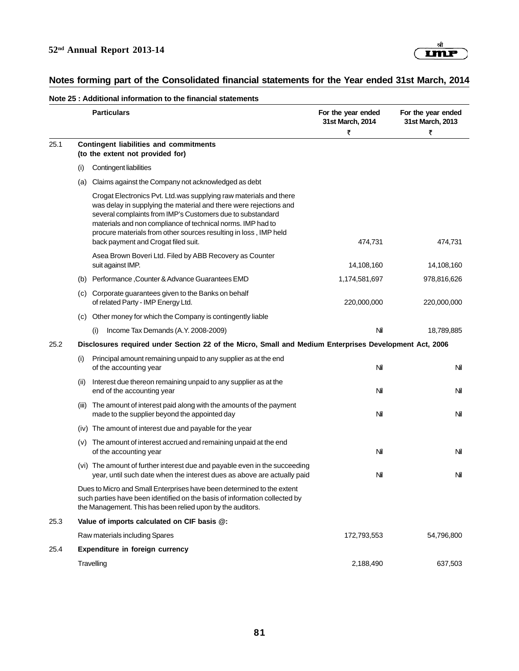

#### **Note 25 : Additional information to the financial statements**

|      |       | <b>Particulars</b>                                                                                                                                                                                                                                                                                                                                                             | For the year ended<br>31st March, 2014 | For the year ended<br>31st March, 2013 |
|------|-------|--------------------------------------------------------------------------------------------------------------------------------------------------------------------------------------------------------------------------------------------------------------------------------------------------------------------------------------------------------------------------------|----------------------------------------|----------------------------------------|
|      |       |                                                                                                                                                                                                                                                                                                                                                                                | ₹                                      | ₹                                      |
| 25.1 |       | <b>Contingent liabilities and commitments</b><br>(to the extent not provided for)                                                                                                                                                                                                                                                                                              |                                        |                                        |
|      | (i)   | Contingent liabilities                                                                                                                                                                                                                                                                                                                                                         |                                        |                                        |
|      | (a)   | Claims against the Company not acknowledged as debt                                                                                                                                                                                                                                                                                                                            |                                        |                                        |
|      |       | Crogat Electronics Pvt. Ltd.was supplying raw materials and there<br>was delay in supplying the material and there were rejections and<br>several complaints from IMP's Customers due to substandard<br>materials and non compliance of technical norms. IMP had to<br>procure materials from other sources resulting in loss, IMP held<br>back payment and Crogat filed suit. | 474,731                                | 474,731                                |
|      |       | Asea Brown Boveri Ltd. Filed by ABB Recovery as Counter<br>suit against IMP.                                                                                                                                                                                                                                                                                                   | 14,108,160                             | 14,108,160                             |
|      | (b)   | Performance, Counter & Advance Guarantees EMD                                                                                                                                                                                                                                                                                                                                  | 1,174,581,697                          | 978,816,626                            |
|      |       | (c) Corporate guarantees given to the Banks on behalf<br>of related Party - IMP Energy Ltd.                                                                                                                                                                                                                                                                                    | 220,000,000                            | 220,000,000                            |
|      |       | (c) Other money for which the Company is contingently liable                                                                                                                                                                                                                                                                                                                   |                                        |                                        |
|      |       | (i)<br>Income Tax Demands (A.Y. 2008-2009)                                                                                                                                                                                                                                                                                                                                     | Nil                                    | 18,789,885                             |
| 25.2 |       | Disclosures required under Section 22 of the Micro, Small and Medium Enterprises Development Act, 2006                                                                                                                                                                                                                                                                         |                                        |                                        |
|      | (i)   | Principal amount remaining unpaid to any supplier as at the end<br>of the accounting year                                                                                                                                                                                                                                                                                      | Nil                                    | Nil                                    |
|      | (ii)  | Interest due thereon remaining unpaid to any supplier as at the<br>end of the accounting year                                                                                                                                                                                                                                                                                  | Nil                                    | Nil                                    |
|      | (iii) | The amount of interest paid along with the amounts of the payment<br>made to the supplier beyond the appointed day                                                                                                                                                                                                                                                             | Nil                                    | Nil                                    |
|      |       | (iv) The amount of interest due and payable for the year                                                                                                                                                                                                                                                                                                                       |                                        |                                        |
|      |       | (v) The amount of interest accrued and remaining unpaid at the end<br>of the accounting year                                                                                                                                                                                                                                                                                   | Nil                                    | Nil                                    |
|      |       | (vi) The amount of further interest due and payable even in the succeeding<br>year, until such date when the interest dues as above are actually paid                                                                                                                                                                                                                          | Nil                                    | Νil                                    |
|      |       | Dues to Micro and Small Enterprises have been determined to the extent<br>such parties have been identified on the basis of information collected by<br>the Management. This has been relied upon by the auditors.                                                                                                                                                             |                                        |                                        |
| 25.3 |       | Value of imports calculated on CIF basis @:                                                                                                                                                                                                                                                                                                                                    |                                        |                                        |
|      |       | Raw materials including Spares                                                                                                                                                                                                                                                                                                                                                 | 172,793,553                            | 54,796,800                             |
| 25.4 |       | Expenditure in foreign currency                                                                                                                                                                                                                                                                                                                                                |                                        |                                        |
|      |       | Travelling                                                                                                                                                                                                                                                                                                                                                                     | 2,188,490                              | 637,503                                |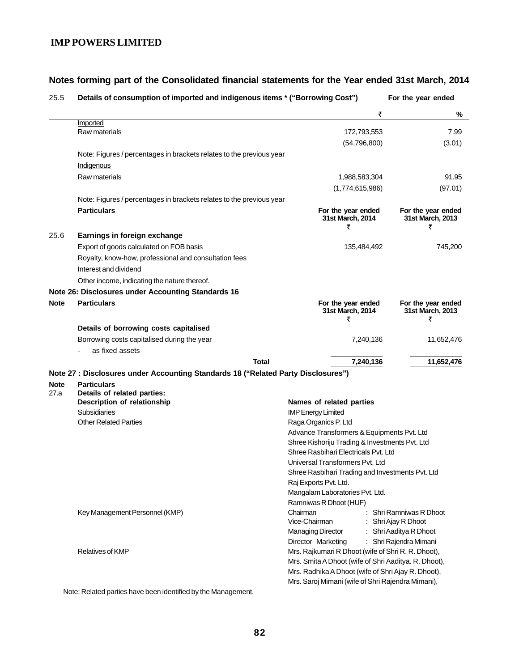| Notes forming part of the Consolidated financial statements for the Year ended 31st March, 2014 |  |  |
|-------------------------------------------------------------------------------------------------|--|--|
|-------------------------------------------------------------------------------------------------|--|--|

| 25.5                | Details of consumption of imported and indigenous items * ("Borrowing Cost")      |                                                                           | For the year ended                          |
|---------------------|-----------------------------------------------------------------------------------|---------------------------------------------------------------------------|---------------------------------------------|
|                     |                                                                                   | ₹                                                                         | $\%$                                        |
|                     | Imported<br>Raw materials                                                         | 172,793,553                                                               | 7.99                                        |
|                     |                                                                                   | (54,796,800)                                                              | (3.01)                                      |
|                     | Note: Figures / percentages in brackets relates to the previous year              |                                                                           |                                             |
|                     |                                                                                   |                                                                           |                                             |
|                     | Indigenous<br>Raw materials                                                       | 1,988,583,304                                                             | 91.95                                       |
|                     |                                                                                   |                                                                           | (97.01)                                     |
|                     |                                                                                   | (1,774,615,986)                                                           |                                             |
|                     | Note: Figures / percentages in brackets relates to the previous year              |                                                                           |                                             |
|                     | <b>Particulars</b>                                                                | For the year ended<br>31st March, 2014<br>₹                               | For the year ended<br>31st March, 2013<br>₹ |
| 25.6                | Earnings in foreign exchange                                                      |                                                                           |                                             |
|                     | Export of goods calculated on FOB basis                                           | 135,484,492                                                               | 745,200                                     |
|                     | Royalty, know-how, professional and consultation fees<br>Interest and dividend    |                                                                           |                                             |
|                     | Other income, indicating the nature thereof.                                      |                                                                           |                                             |
|                     | Note 26: Disclosures under Accounting Standards 16                                |                                                                           |                                             |
| <b>Note</b>         | <b>Particulars</b>                                                                | For the year ended<br>31st March, 2014                                    | For the year ended<br>31st March, 2013      |
|                     |                                                                                   | ₹                                                                         | ₹                                           |
|                     | Details of borrowing costs capitalised                                            |                                                                           |                                             |
|                     | Borrowing costs capitalised during the year                                       | 7,240,136                                                                 | 11,652,476                                  |
|                     | as fixed assets                                                                   |                                                                           |                                             |
|                     | Total                                                                             | 7,240,136                                                                 | 11,652,476                                  |
|                     | Note 27 : Disclosures under Accounting Standards 18 ("Related Party Disclosures") |                                                                           |                                             |
| <b>Note</b><br>27.a | <b>Particulars</b><br>Details of related parties:                                 |                                                                           |                                             |
|                     | Description of relationship                                                       | Names of related parties                                                  |                                             |
|                     | Subsidiaries                                                                      | <b>IMP Energy Limited</b>                                                 |                                             |
|                     | <b>Other Related Parties</b>                                                      | Raga Organics P. Ltd                                                      |                                             |
|                     |                                                                                   | Advance Transformers & Equipments Pvt. Ltd                                |                                             |
|                     |                                                                                   | Shree Kishoriju Trading & Investments Pvt. Ltd                            |                                             |
|                     |                                                                                   | Shree Rasbihari Electricals Pvt. Ltd                                      |                                             |
|                     |                                                                                   | Universal Transformers Pvt. Ltd                                           |                                             |
|                     |                                                                                   | Shree Rasbihari Trading and Investments Pvt. Ltd<br>Raj Exports Pvt. Ltd. |                                             |
|                     |                                                                                   | Mangalam Laboratories Pvt. Ltd.                                           |                                             |
|                     |                                                                                   | Ramniwas R Dhoot (HUF)                                                    |                                             |
|                     | Key Management Personnel (KMP)                                                    | Chairman                                                                  | Shri Ramniwas R Dhoot                       |
|                     |                                                                                   | Vice-Chairman                                                             | Shri Ajay R Dhoot                           |
|                     |                                                                                   | <b>Managing Director</b>                                                  | : Shri Aaditya R Dhoot                      |
|                     |                                                                                   | Director Marketing                                                        | : Shri Rajendra Mimani                      |
|                     | Relatives of KMP                                                                  | Mrs. Rajkumari R Dhoot (wife of Shri R. R. Dhoot),                        |                                             |
|                     |                                                                                   | Mrs. Smita A Dhoot (wife of Shri Aaditya. R. Dhoot),                      |                                             |
|                     |                                                                                   | Mrs. Radhika A Dhoot (wife of Shri Ajay R. Dhoot),                        |                                             |
|                     |                                                                                   | Mrs. Saroj Mimani (wife of Shri Rajendra Mimani),                         |                                             |
|                     | Note: Related parties have been identified by the Management.                     |                                                                           |                                             |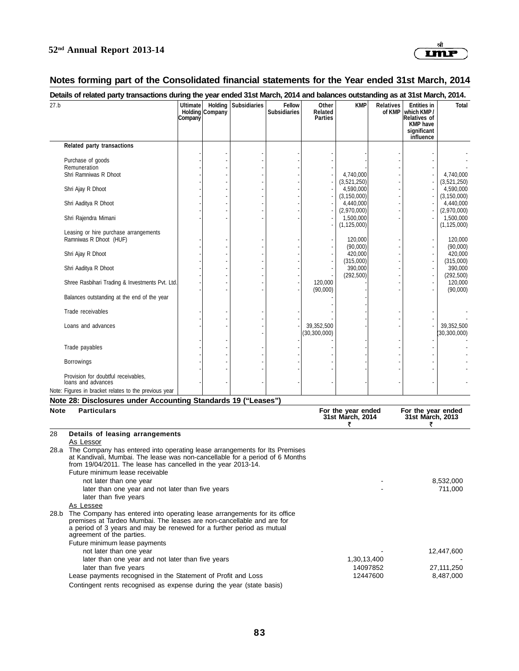

| Details of related party transactions during the year ended 31st March, 2014 and balances outstanding as at 31st March, 2014. |  |  |
|-------------------------------------------------------------------------------------------------------------------------------|--|--|
|                                                                                                                               |  |  |

| 27.b        |                                                                                                                                                                                                                                                                                               | <b>Ultimate</b><br>Company | Holding<br>Holding Company | <b>Subsidiaries</b> | <b>Fellow</b><br><b>Subsidiaries</b> | Other<br>Related<br>Parties | <b>KMP</b>                             | <b>Relatives</b><br>of KMP | <b>Entities in</b><br>which KMP/<br><b>Relatives of</b><br><b>KMP have</b> | Total                    |
|-------------|-----------------------------------------------------------------------------------------------------------------------------------------------------------------------------------------------------------------------------------------------------------------------------------------------|----------------------------|----------------------------|---------------------|--------------------------------------|-----------------------------|----------------------------------------|----------------------------|----------------------------------------------------------------------------|--------------------------|
|             |                                                                                                                                                                                                                                                                                               |                            |                            |                     |                                      |                             |                                        |                            | significant<br>influence                                                   |                          |
|             | Related party transactions                                                                                                                                                                                                                                                                    |                            |                            |                     |                                      |                             |                                        |                            |                                                                            |                          |
|             | Purchase of goods                                                                                                                                                                                                                                                                             |                            |                            |                     |                                      |                             |                                        |                            |                                                                            |                          |
|             | Remuneration                                                                                                                                                                                                                                                                                  |                            |                            |                     |                                      |                             |                                        |                            |                                                                            |                          |
|             | Shri Ramniwas R Dhoot                                                                                                                                                                                                                                                                         |                            |                            |                     |                                      |                             | 4,740,000<br>(3,521,250)               |                            |                                                                            | 4,740,000<br>(3,521,250) |
|             | Shri Ajay R Dhoot                                                                                                                                                                                                                                                                             |                            |                            |                     |                                      |                             | 4,590,000                              |                            |                                                                            | 4,590,000                |
|             |                                                                                                                                                                                                                                                                                               |                            |                            |                     |                                      |                             | (3, 150, 000)                          |                            |                                                                            | (3, 150, 000)            |
|             | Shri Aaditya R Dhoot                                                                                                                                                                                                                                                                          |                            |                            |                     |                                      |                             | 4,440,000<br>(2,970,000)               |                            |                                                                            | 4,440,000<br>(2,970,000) |
|             | Shri Rajendra Mimani                                                                                                                                                                                                                                                                          |                            |                            |                     |                                      |                             | 1,500,000                              |                            |                                                                            | 1,500,000                |
|             | Leasing or hire purchase arrangements                                                                                                                                                                                                                                                         |                            |                            |                     |                                      |                             | (1, 125, 000)                          |                            |                                                                            | (1, 125, 000)            |
|             | Ramniwas R Dhoot (HUF)                                                                                                                                                                                                                                                                        |                            |                            |                     |                                      |                             | 120,000                                |                            |                                                                            | 120,000                  |
|             |                                                                                                                                                                                                                                                                                               |                            |                            |                     |                                      |                             | (90,000)                               |                            |                                                                            | (90,000)                 |
|             | Shri Ajay R Dhoot                                                                                                                                                                                                                                                                             |                            |                            |                     |                                      |                             | 420,000<br>(315,000)                   |                            | ÷,                                                                         | 420,000<br>(315,000)     |
|             | Shri Aaditya R Dhoot                                                                                                                                                                                                                                                                          |                            |                            |                     |                                      |                             | 390,000                                |                            | ä,                                                                         | 390,000                  |
|             |                                                                                                                                                                                                                                                                                               |                            |                            |                     |                                      |                             | (292, 500)                             |                            |                                                                            | (292,500)                |
|             | Shree Rasbihari Trading & Investments Pvt. Ltd.                                                                                                                                                                                                                                               |                            |                            |                     |                                      | 120.000<br>(90,000)         |                                        |                            |                                                                            | 120,000<br>(90,000)      |
|             | Balances outstanding at the end of the year                                                                                                                                                                                                                                                   |                            |                            |                     |                                      |                             |                                        |                            |                                                                            |                          |
|             | Trade receivables                                                                                                                                                                                                                                                                             |                            |                            |                     |                                      |                             |                                        |                            |                                                                            |                          |
|             |                                                                                                                                                                                                                                                                                               |                            |                            |                     |                                      |                             |                                        |                            |                                                                            |                          |
|             | Loans and advances                                                                                                                                                                                                                                                                            |                            |                            |                     |                                      | 39,352,500                  |                                        |                            |                                                                            | 39,352,500               |
|             |                                                                                                                                                                                                                                                                                               |                            |                            |                     |                                      | (30, 300, 000)              |                                        |                            |                                                                            | (30, 300, 000)           |
|             | Trade payables                                                                                                                                                                                                                                                                                |                            |                            |                     |                                      |                             |                                        |                            |                                                                            |                          |
|             |                                                                                                                                                                                                                                                                                               |                            |                            |                     |                                      |                             |                                        |                            |                                                                            |                          |
|             | <b>Borrowings</b>                                                                                                                                                                                                                                                                             |                            |                            |                     |                                      |                             |                                        |                            |                                                                            |                          |
|             | Provision for doubtful receivables,<br>loans and advances                                                                                                                                                                                                                                     |                            |                            |                     |                                      |                             |                                        |                            |                                                                            |                          |
|             | Note: Figures in bracket relates to the previous year                                                                                                                                                                                                                                         |                            |                            |                     |                                      |                             |                                        |                            |                                                                            |                          |
|             | Note 28: Disclosures under Accounting Standards 19 ("Leases")                                                                                                                                                                                                                                 |                            |                            |                     |                                      |                             |                                        |                            |                                                                            |                          |
| <b>Note</b> | <b>Particulars</b>                                                                                                                                                                                                                                                                            |                            |                            |                     |                                      |                             | For the year ended<br>31st March, 2014 |                            | For the year ended<br>31st March, 2013                                     |                          |
| 28          | Details of leasing arrangements                                                                                                                                                                                                                                                               |                            |                            |                     |                                      |                             | ₹                                      |                            | ₹                                                                          |                          |
|             | As Lessor                                                                                                                                                                                                                                                                                     |                            |                            |                     |                                      |                             |                                        |                            |                                                                            |                          |
| 28.a        | The Company has entered into operating lease arrangements for Its Premises<br>at Kandivali, Mumbai. The lease was non-cancellable for a period of 6 Months<br>from 19/04/2011. The lease has cancelled in the year 2013-14.                                                                   |                            |                            |                     |                                      |                             |                                        |                            |                                                                            |                          |
|             | Future minimum lease receivable                                                                                                                                                                                                                                                               |                            |                            |                     |                                      |                             |                                        |                            |                                                                            |                          |
|             | not later than one year                                                                                                                                                                                                                                                                       |                            |                            |                     |                                      |                             |                                        |                            |                                                                            | 8,532,000                |
|             | later than one year and not later than five years<br>later than five years                                                                                                                                                                                                                    |                            |                            |                     |                                      |                             |                                        |                            |                                                                            | 711,000                  |
|             | As Lessee                                                                                                                                                                                                                                                                                     |                            |                            |                     |                                      |                             |                                        |                            |                                                                            |                          |
|             | 28.b The Company has entered into operating lease arrangements for its office<br>premises at Tardeo Mumbai. The leases are non-cancellable and are for<br>a period of 3 years and may be renewed for a further period as mutual<br>agreement of the parties.<br>Future minimum lease payments |                            |                            |                     |                                      |                             |                                        |                            |                                                                            |                          |
|             | not later than one year                                                                                                                                                                                                                                                                       |                            |                            |                     |                                      |                             |                                        |                            |                                                                            | 12,447,600               |
|             | later than one year and not later than five years                                                                                                                                                                                                                                             |                            |                            |                     |                                      |                             | 1,30,13,400                            |                            |                                                                            |                          |
|             | later than five years<br>Lease payments recognised in the Statement of Profit and Loss                                                                                                                                                                                                        |                            |                            |                     |                                      |                             | 14097852                               | 12447600                   |                                                                            | 27,111,250<br>8,487,000  |
|             | Contingent rents recognised as expense during the year (state basis)                                                                                                                                                                                                                          |                            |                            |                     |                                      |                             |                                        |                            |                                                                            |                          |
|             |                                                                                                                                                                                                                                                                                               |                            |                            |                     |                                      |                             |                                        |                            |                                                                            |                          |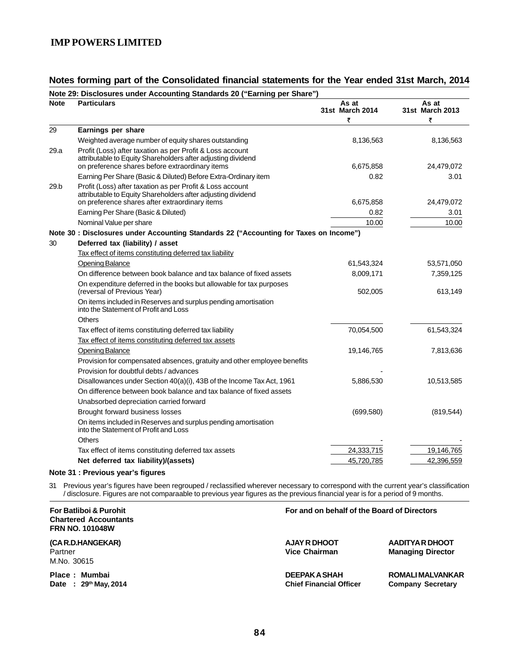## **Notes forming part of the Consolidated financial statements for the Year ended 31st March, 2014**

| <b>Note</b> | Note 29: Disclosures under Accounting Standards 20 ("Earning per Share")<br><b>Particulars</b>                                                                              | As at           | As at           |
|-------------|-----------------------------------------------------------------------------------------------------------------------------------------------------------------------------|-----------------|-----------------|
|             |                                                                                                                                                                             | 31st March 2014 | 31st March 2013 |
|             |                                                                                                                                                                             | ₹               | ₹               |
| 29          | Earnings per share                                                                                                                                                          |                 |                 |
|             | Weighted average number of equity shares outstanding                                                                                                                        | 8,136,563       | 8,136,563       |
| 29.a        | Profit (Loss) after taxation as per Profit & Loss account                                                                                                                   |                 |                 |
|             | attributable to Equity Shareholders after adjusting dividend<br>on preference shares before extraordinary items                                                             | 6,675,858       | 24,479,072      |
|             | Earning Per Share (Basic & Diluted) Before Extra-Ordinary item                                                                                                              | 0.82            | 3.01            |
| 29.b        | Profit (Loss) after taxation as per Profit & Loss account<br>attributable to Equity Shareholders after adjusting dividend<br>on preference shares after extraordinary items | 6,675,858       | 24,479,072      |
|             | Earning Per Share (Basic & Diluted)                                                                                                                                         | 0.82            | 3.01            |
|             | Nominal Value per share                                                                                                                                                     | 10.00           | 10.00           |
|             | Note 30 : Disclosures under Accounting Standards 22 ("Accounting for Taxes on Income")                                                                                      |                 |                 |
| 30          | Deferred tax (liability) / asset                                                                                                                                            |                 |                 |
|             | Tax effect of items constituting deferred tax liability                                                                                                                     |                 |                 |
|             | <b>Opening Balance</b>                                                                                                                                                      | 61,543,324      | 53,571,050      |
|             | On difference between book balance and tax balance of fixed assets                                                                                                          | 8,009,171       | 7,359,125       |
|             | On expenditure deferred in the books but allowable for tax purposes<br>(reversal of Previous Year)                                                                          | 502,005         | 613,149         |
|             | On items included in Reserves and surplus pending amortisation<br>into the Statement of Profit and Loss                                                                     |                 |                 |
|             | <b>Others</b>                                                                                                                                                               |                 |                 |
|             | Tax effect of items constituting deferred tax liability                                                                                                                     | 70,054,500      | 61,543,324      |
|             | Tax effect of items constituting deferred tax assets                                                                                                                        |                 |                 |
|             | <b>Opening Balance</b>                                                                                                                                                      | 19,146,765      | 7,813,636       |
|             | Provision for compensated absences, gratuity and other employee benefits                                                                                                    |                 |                 |
|             | Provision for doubtful debts / advances                                                                                                                                     |                 |                 |
|             | Disallowances under Section 40(a)(i), 43B of the Income Tax Act, 1961                                                                                                       | 5,886,530       | 10,513,585      |
|             | On difference between book balance and tax balance of fixed assets                                                                                                          |                 |                 |
|             | Unabsorbed depreciation carried forward                                                                                                                                     |                 |                 |
|             | Brought forward business losses                                                                                                                                             | (699, 580)      | (819, 544)      |
|             | On items included in Reserves and surplus pending amortisation<br>into the Statement of Profit and Loss                                                                     |                 |                 |
|             | Others                                                                                                                                                                      |                 |                 |
|             | Tax effect of items constituting deferred tax assets                                                                                                                        | 24,333,715      | 19,146,765      |
|             | Net deferred tax liability)/(assets)                                                                                                                                        | 45,720,785      | 42,396,559      |

#### **Note 31 : Previous year's figures**

31 Previous year's figures have been regrouped / reclassified wherever necessary to correspond with the current year's classification / disclosure. Figures are not comparaable to previous year figures as the previous financial year is for a period of 9 months.

| <b>For Batliboi &amp; Purohit</b><br><b>Chartered Accountants</b><br><b>FRN NO. 101048W</b> |                                                        | For and on behalf of the Board of Directors  |  |  |
|---------------------------------------------------------------------------------------------|--------------------------------------------------------|----------------------------------------------|--|--|
| (CA R.D.HANGEKAR)<br>Partner<br>M.No. 30615                                                 | <b>AJAY R DHOOT</b><br>Vice Chairman                   | AADITYAR DHOOT<br><b>Managing Director</b>   |  |  |
| Place: Mumbai<br>Date: $29^{th}$ May, 2014                                                  | <b>DEEPAK A SHAH</b><br><b>Chief Financial Officer</b> | ROMALI MALVANKAR<br><b>Company Secretary</b> |  |  |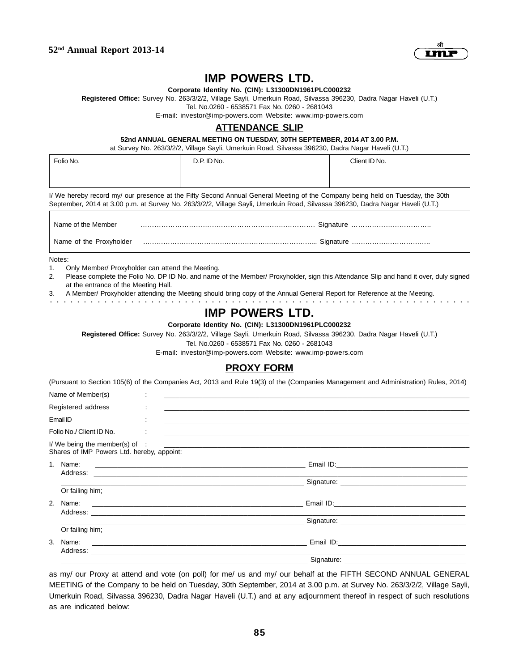

# **IMP POWERS LTD.**

#### **Corporate Identity No. (CIN): L31300DN1961PLC000232**

**Registered Office:** Survey No. 263/3/2/2, Village Sayli, Umerkuin Road, Silvassa 396230, Dadra Nagar Haveli (U.T.)

Tel. No.0260 - 6538571 Fax No. 0260 - 2681043

E-mail: investor@imp-powers.com Website: www.imp-powers.com

### **ATTENDANCE SLIP**

#### **52nd ANNUAL GENERAL MEETING ON TUESDAY, 30TH SEPTEMBER, 2014 AT 3.00 P.M.**

at Survey No. 263/3/2/2, Village Sayli, Umerkuin Road, Silvassa 396230, Dadra Nagar Haveli (U.T.)

| Folio No. | D.P. ID No. | Client ID No. |
|-----------|-------------|---------------|
|           |             |               |

I/ We hereby record my/ our presence at the Fifty Second Annual General Meeting of the Company being held on Tuesday, the 30th September, 2014 at 3.00 p.m. at Survey No. 263/3/2/2, Village Sayli, Umerkuin Road, Silvassa 396230, Dadra Nagar Haveli (U.T.)

| Name of the Member |  |
|--------------------|--|
|                    |  |

Notes:

- 1. Only Member/ Proxyholder can attend the Meeting.
- 2. Please complete the Folio No. DP ID No. and name of the Member/ Proxyholder, sign this Attendance Slip and hand it over, duly signed at the entrance of the Meeting Hall.
- 3. A Member/ Proxyholder attending the Meeting should bring copy of the Annual General Report for Reference at the Meeting.
- ○○○○○○○○○ ○○○○○○○○○○○○○○○○○○○○○○○○○○○○○○○○○○○○○○○○○○○○○○○○○○○○○○

# **IMP POWERS LTD.**

**Corporate Identity No. (CIN): L31300DN1961PLC000232**

**Registered Office:** Survey No. 263/3/2/2, Village Sayli, Umerkuin Road, Silvassa 396230, Dadra Nagar Haveli (U.T.)

Tel. No.0260 - 6538571 Fax No. 0260 - 2681043

E-mail: investor@imp-powers.com Website: www.imp-powers.com

#### **PROXY FORM**

(Pursuant to Section 105(6) of the Companies Act, 2013 and Rule 19(3) of the (Companies Management and Administration) Rules, 2014)

| Name of Member(s)                          | ÷ |                                                                                                                       |
|--------------------------------------------|---|-----------------------------------------------------------------------------------------------------------------------|
| Registered address                         | ÷ |                                                                                                                       |
| Email ID                                   | ÷ |                                                                                                                       |
| Folio No./ Client ID No.                   | ÷ |                                                                                                                       |
| Shares of IMP Powers Ltd. hereby, appoint: |   |                                                                                                                       |
| 1. Name:                                   |   | <u> 1980 - Johann Stoff, deutscher Stoff, der Stoff, der Stoff, der Stoff, der Stoff, der Stoff, der Stoff, der S</u> |
|                                            |   |                                                                                                                       |
| Or failing him;                            |   |                                                                                                                       |
|                                            |   |                                                                                                                       |
|                                            |   |                                                                                                                       |
|                                            |   |                                                                                                                       |
| Or failing him;                            |   |                                                                                                                       |
|                                            |   |                                                                                                                       |
|                                            |   |                                                                                                                       |
|                                            |   |                                                                                                                       |

as my/ our Proxy at attend and vote (on poll) for me/ us and my/ our behalf at the FIFTH SECOND ANNUAL GENERAL MEETING of the Company to be held on Tuesday, 30th September, 2014 at 3.00 p.m. at Survey No. 263/3/2/2, Village Sayli, Umerkuin Road, Silvassa 396230, Dadra Nagar Haveli (U.T.) and at any adjournment thereof in respect of such resolutions as are indicated below: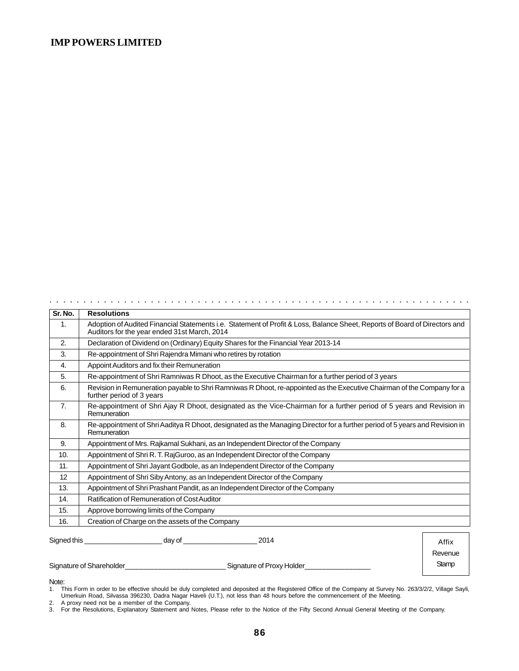| Sr. No.          | <b>Resolutions</b>                                                                                                                                                         |                  |  |  |
|------------------|----------------------------------------------------------------------------------------------------------------------------------------------------------------------------|------------------|--|--|
| 1.               | Adoption of Audited Financial Statements i.e. Statement of Profit & Loss, Balance Sheet, Reports of Board of Directors and<br>Auditors for the year ended 31st March, 2014 |                  |  |  |
| 2.               | Declaration of Dividend on (Ordinary) Equity Shares for the Financial Year 2013-14                                                                                         |                  |  |  |
| 3.               | Re-appointment of Shri Rajendra Mimani who retires by rotation                                                                                                             |                  |  |  |
| 4.               | Appoint Auditors and fix their Remuneration                                                                                                                                |                  |  |  |
| 5.               | Re-appointment of Shri Ramniwas R Dhoot, as the Executive Chairman for a further period of 3 years                                                                         |                  |  |  |
| 6.               | Revision in Remuneration payable to Shri Ramniwas R Dhoot, re-appointed as the Executive Chairman of the Company for a<br>further period of 3 years                        |                  |  |  |
| $\overline{7}$ . | Re-appointment of Shri Ajay R Dhoot, designated as the Vice-Chairman for a further period of 5 years and Revision in<br>Remuneration                                       |                  |  |  |
| 8.               | Re-appointment of Shri Aaditya R Dhoot, designated as the Managing Director for a further period of 5 years and Revision in<br>Remuneration                                |                  |  |  |
| 9.               | Appointment of Mrs. Rajkamal Sukhani, as an Independent Director of the Company                                                                                            |                  |  |  |
| 10.              | Appointment of Shri R. T. RajGuroo, as an Independent Director of the Company                                                                                              |                  |  |  |
| 11.              | Appointment of Shri Jayant Godbole, as an Independent Director of the Company                                                                                              |                  |  |  |
| 12               | Appointment of Shri Siby Antony, as an Independent Director of the Company                                                                                                 |                  |  |  |
| 13.              | Appointment of Shri Prashant Pandit, as an Independent Director of the Company                                                                                             |                  |  |  |
| 14.              | Ratification of Remuneration of Cost Auditor                                                                                                                               |                  |  |  |
| 15.              | Approve borrowing limits of the Company                                                                                                                                    |                  |  |  |
| 16.              | Creation of Charge on the assets of the Company                                                                                                                            |                  |  |  |
|                  | Signed this<br>2014<br>day of                                                                                                                                              | Affix<br>Revenue |  |  |

○○○○○○○○○ ○○○○○○○○○○○○○○○○○○○○○○○○○○○○○○○○○○○○○○○○○○○○○○○○○○○○○○

Signature of Shareholder\_\_\_\_\_\_\_\_\_\_\_\_\_\_\_\_\_\_\_\_\_\_\_\_\_\_\_\_\_\_\_\_\_\_\_Signature of Proxy Holder\_

**Stamp** 

#### Note:

1. This Form in order to be effective should be duly completed and deposited at the Registered Office of the Company at Survey No. 263/3/2/2, Village Sayli,<br>Umerkuin Road, Silvassa 396230, Dadra Nagar Haveli (U.T.), not le

2. A proxy need not be a member of the Company.

3. For the Resolutions, Explanatory Statement and Notes, Please refer to the Notice of the Fifty Second Annual General Meeting of the Company.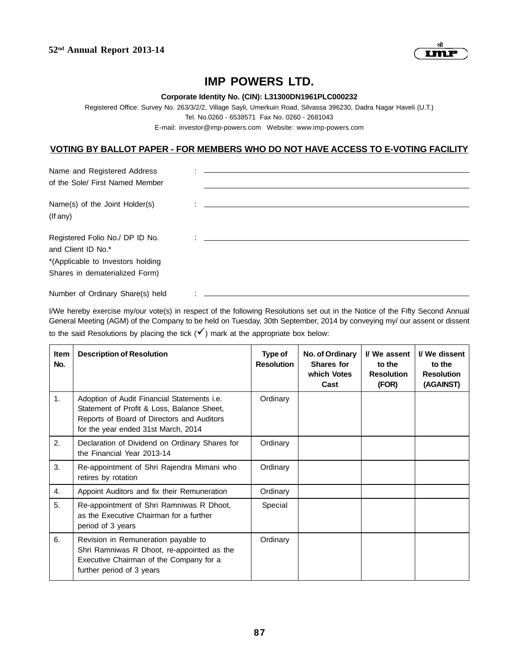

# **IMP POWERS LTD.**

#### **Corporate Identity No. (CIN): L31300DN1961PLC000232**

Registered Office: Survey No. 263/3/2/2, Village Sayli, Umerkuin Road, Silvassa 396230, Dadra Nagar Haveli (U.T.)

Tel. No.0260 - 6538571 Fax No. 0260 - 2681043

E-mail: investor@imp-powers.com Website: www.imp-powers.com

#### **VOTING BY BALLOT PAPER - FOR MEMBERS WHO DO NOT HAVE ACCESS TO E-VOTING FACILITY**

| Name and Registered Address<br>of the Sole/ First Named Member                                                               |  |
|------------------------------------------------------------------------------------------------------------------------------|--|
| Name(s) of the Joint Holder(s)<br>(If any)                                                                                   |  |
| Registered Folio No./ DP ID No.<br>and Client ID No.*<br>*(Applicable to Investors holding<br>Shares in dematerialized Form) |  |

Number of Ordinary Share(s) held :

I/We hereby exercise my/our vote(s) in respect of the following Resolutions set out in the Notice of the Fifty Second Annual General Meeting (AGM) of the Company to be held on Tuesday, 30th September, 2014 by conveying my/ our assent or dissent to the said Resolutions by placing the tick  $(v)$  mark at the appropriate box below:

| <b>Item</b><br>No. | <b>Description of Resolution</b>                                                                                                                                               | Type of<br><b>Resolution</b> | No. of Ordinary<br><b>Shares for</b><br>which Votes<br>Cast | I/ We assent<br>to the<br><b>Resolution</b><br>(FOR) | I/ We dissent<br>to the<br><b>Resolution</b><br>(AGAINST) |
|--------------------|--------------------------------------------------------------------------------------------------------------------------------------------------------------------------------|------------------------------|-------------------------------------------------------------|------------------------------------------------------|-----------------------------------------------------------|
| $\mathbf{1}$ .     | Adoption of Audit Financial Statements i.e.<br>Statement of Profit & Loss, Balance Sheet,<br>Reports of Board of Directors and Auditors<br>for the year ended 31st March, 2014 | Ordinary                     |                                                             |                                                      |                                                           |
| 2.                 | Declaration of Dividend on Ordinary Shares for<br>the Financial Year 2013-14                                                                                                   | Ordinary                     |                                                             |                                                      |                                                           |
| 3.                 | Re-appointment of Shri Rajendra Mimani who<br>retires by rotation                                                                                                              | Ordinary                     |                                                             |                                                      |                                                           |
| 4.                 | Appoint Auditors and fix their Remuneration                                                                                                                                    | Ordinary                     |                                                             |                                                      |                                                           |
| 5.                 | Re-appointment of Shri Ramniwas R Dhoot,<br>as the Executive Chairman for a further<br>period of 3 years                                                                       | Special                      |                                                             |                                                      |                                                           |
| 6.                 | Revision in Remuneration payable to<br>Shri Ramniwas R Dhoot, re-appointed as the<br>Executive Chairman of the Company for a<br>further period of 3 years                      | Ordinary                     |                                                             |                                                      |                                                           |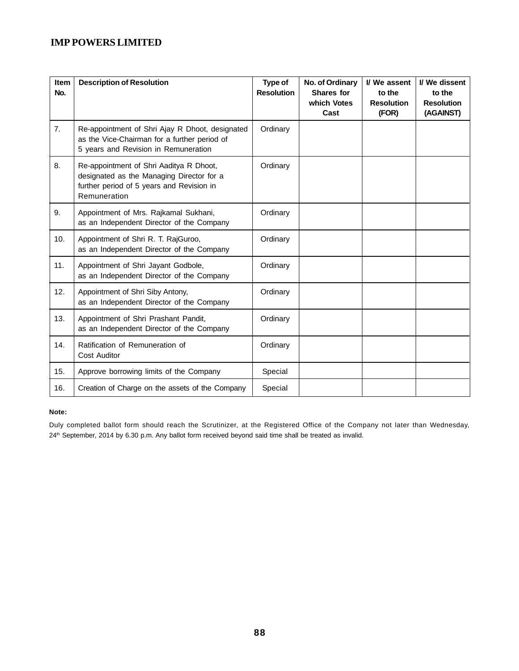| Item<br>No.    | <b>Description of Resolution</b>                                                                                                                  | Type of<br><b>Resolution</b> | No. of Ordinary<br><b>Shares for</b><br>which Votes<br>Cast | I/ We assent<br>to the<br><b>Resolution</b><br>(FOR) | I/ We dissent<br>to the<br><b>Resolution</b><br>(AGAINST) |
|----------------|---------------------------------------------------------------------------------------------------------------------------------------------------|------------------------------|-------------------------------------------------------------|------------------------------------------------------|-----------------------------------------------------------|
| 7 <sub>1</sub> | Re-appointment of Shri Ajay R Dhoot, designated<br>as the Vice-Chairman for a further period of<br>5 years and Revision in Remuneration           | Ordinary                     |                                                             |                                                      |                                                           |
| 8.             | Re-appointment of Shri Aaditya R Dhoot,<br>designated as the Managing Director for a<br>further period of 5 years and Revision in<br>Remuneration | Ordinary                     |                                                             |                                                      |                                                           |
| 9.             | Appointment of Mrs. Rajkamal Sukhani,<br>as an Independent Director of the Company                                                                | Ordinary                     |                                                             |                                                      |                                                           |
| 10.            | Appointment of Shri R. T. RajGuroo,<br>as an Independent Director of the Company                                                                  | Ordinary                     |                                                             |                                                      |                                                           |
| 11.            | Appointment of Shri Jayant Godbole,<br>as an Independent Director of the Company                                                                  | Ordinary                     |                                                             |                                                      |                                                           |
| 12.            | Appointment of Shri Siby Antony,<br>as an Independent Director of the Company                                                                     | Ordinary                     |                                                             |                                                      |                                                           |
| 13.            | Appointment of Shri Prashant Pandit,<br>as an Independent Director of the Company                                                                 | Ordinary                     |                                                             |                                                      |                                                           |
| 14.            | Ratification of Remuneration of<br><b>Cost Auditor</b>                                                                                            | Ordinary                     |                                                             |                                                      |                                                           |
| 15.            | Approve borrowing limits of the Company                                                                                                           | Special                      |                                                             |                                                      |                                                           |
| 16.            | Creation of Charge on the assets of the Company                                                                                                   | Special                      |                                                             |                                                      |                                                           |

#### **Note:**

Duly completed ballot form should reach the Scrutinizer, at the Registered Office of the Company not later than Wednesday, 24<sup>th</sup> September, 2014 by 6.30 p.m. Any ballot form received beyond said time shall be treated as invalid.